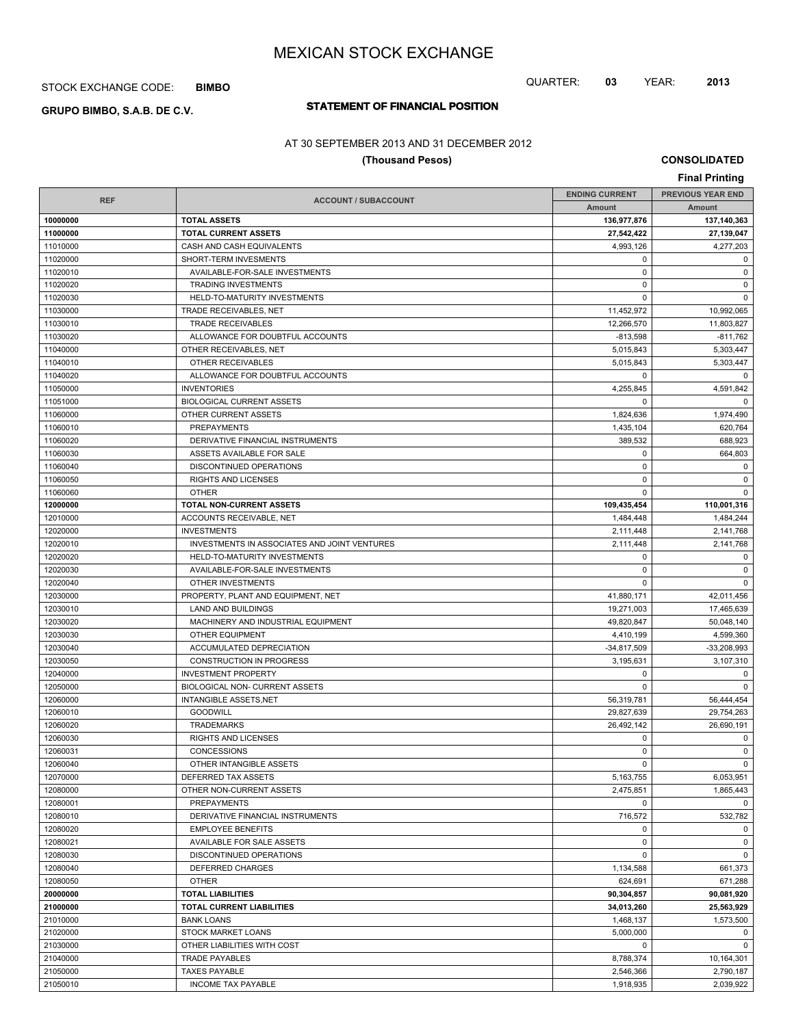STOCK EXCHANGE CODE: **BIMBO**

# **STATEMENT OF FINANCIAL POSITION GRUPO BIMBO, S.A.B. DE C.V.**

## AT 30 SEPTEMBER 2013 AND 31 DECEMBER 2012

### **(Thousand Pesos)**

**CONSOLIDATED**

QUARTER: **03** YEAR: **2013**

| <b>Final Printing</b> |                                                       |                       |                          |  |
|-----------------------|-------------------------------------------------------|-----------------------|--------------------------|--|
|                       |                                                       | <b>ENDING CURRENT</b> | <b>PREVIOUS YEAR END</b> |  |
| <b>REF</b>            | <b>ACCOUNT / SUBACCOUNT</b>                           | <b>Amount</b>         | Amount                   |  |
| 10000000              | <b>TOTAL ASSETS</b>                                   | 136,977,876           | 137,140,363              |  |
| 11000000              | <b>TOTAL CURRENT ASSETS</b>                           | 27,542,422            | 27,139,047               |  |
| 11010000              | CASH AND CASH EQUIVALENTS                             | 4,993,126             | 4,277,203                |  |
| 11020000              | SHORT-TERM INVESMENTS                                 | $\mathbf 0$           | $\mathbf 0$              |  |
| 11020010              | AVAILABLE-FOR-SALE INVESTMENTS                        | 0                     | $\mathbf 0$              |  |
| 11020020              | <b>TRADING INVESTMENTS</b>                            | $\mathbf 0$           | $\mathbf 0$              |  |
| 11020030              | HELD-TO-MATURITY INVESTMENTS                          | $\mathbf 0$           | $\mathbf 0$              |  |
| 11030000              | TRADE RECEIVABLES, NET                                | 11,452,972            | 10,992,065               |  |
| 11030010              | <b>TRADE RECEIVABLES</b>                              | 12,266,570            | 11,803,827               |  |
| 11030020              | ALLOWANCE FOR DOUBTFUL ACCOUNTS                       | $-813,598$            | $-811,762$               |  |
| 11040000              | OTHER RECEIVABLES, NET                                | 5,015,843             | 5,303,447                |  |
| 11040010              | OTHER RECEIVABLES                                     | 5,015,843             | 5,303,447                |  |
| 11040020              | ALLOWANCE FOR DOUBTFUL ACCOUNTS                       | $\mathbf 0$           | 0                        |  |
| 11050000              | <b>INVENTORIES</b>                                    | 4,255,845             | 4,591,842                |  |
| 11051000              | <b>BIOLOGICAL CURRENT ASSETS</b>                      | $\mathbf 0$           | $\Omega$                 |  |
| 11060000              | OTHER CURRENT ASSETS                                  | 1,824,636             | 1,974,490                |  |
| 11060010              | <b>PREPAYMENTS</b>                                    | 1,435,104             | 620,764                  |  |
| 11060020              | DERIVATIVE FINANCIAL INSTRUMENTS                      | 389,532               | 688,923                  |  |
| 11060030              | ASSETS AVAILABLE FOR SALE                             | $\mathbf 0$           | 664,803                  |  |
| 11060040              | DISCONTINUED OPERATIONS                               | 0                     | $\mathbf 0$              |  |
| 11060050              | RIGHTS AND LICENSES                                   | $\mathbf 0$           | $\mathbf 0$              |  |
| 11060060              | <b>OTHER</b>                                          | $\mathbf 0$           | $\mathbf 0$              |  |
| 12000000              | TOTAL NON-CURRENT ASSETS                              | 109,435,454           | 110,001,316              |  |
| 12010000              | ACCOUNTS RECEIVABLE, NET                              | 1,484,448             | 1,484,244                |  |
| 12020000              | <b>INVESTMENTS</b>                                    | 2,111,448             | 2,141,768                |  |
| 12020010              | INVESTMENTS IN ASSOCIATES AND JOINT VENTURES          | 2,111,448             | 2,141,768                |  |
| 12020020              | HELD-TO-MATURITY INVESTMENTS                          | 0                     | $\mathbf 0$              |  |
| 12020030              | AVAILABLE-FOR-SALE INVESTMENTS                        | 0                     | $\mathbf 0$              |  |
| 12020040              | OTHER INVESTMENTS                                     | $\mathbf 0$           | $\mathbf 0$              |  |
| 12030000              | PROPERTY, PLANT AND EQUIPMENT, NET                    | 41,880,171            | 42,011,456               |  |
| 12030010              | <b>LAND AND BUILDINGS</b>                             | 19,271,003            | 17,465,639               |  |
| 12030020              | MACHINERY AND INDUSTRIAL EQUIPMENT                    | 49,820,847            | 50,048,140               |  |
| 12030030              | OTHER EQUIPMENT                                       | 4,410,199             | 4,599,360                |  |
| 12030040              | ACCUMULATED DEPRECIATION                              | $-34,817,509$         | $-33,208,993$            |  |
| 12030050              | <b>CONSTRUCTION IN PROGRESS</b>                       | 3,195,631             | 3,107,310                |  |
| 12040000              | <b>INVESTMENT PROPERTY</b>                            | 0                     | $\mathbf 0$              |  |
| 12050000              | BIOLOGICAL NON- CURRENT ASSETS                        | $\mathbf 0$           | $\mathbf 0$              |  |
| 12060000              | <b>INTANGIBLE ASSETS, NET</b>                         | 56,319,781            | 56,444,454               |  |
| 12060010              | <b>GOODWILL</b>                                       | 29,827,639            | 29,754,263               |  |
| 12060020              | <b>TRADEMARKS</b>                                     | 26,492,142            | 26,690,191               |  |
| 12060030              | RIGHTS AND LICENSES                                   | 0                     | 0                        |  |
| 12060031              | CONCESSIONS                                           | 0                     | $\mathbf 0$              |  |
| 12060040              | OTHER INTANGIBLE ASSETS                               | 0                     | $\mathbf 0$              |  |
| 12070000              | DEFERRED TAX ASSETS                                   | 5,163,755             | 6,053,951                |  |
| 12080000              | OTHER NON-CURRENT ASSETS                              | 2,475,851             | 1,865,443                |  |
| 12080001              | <b>PREPAYMENTS</b>                                    | 0                     | $\mathbf 0$              |  |
| 12080010              | DERIVATIVE FINANCIAL INSTRUMENTS                      | 716,572               | 532,782                  |  |
|                       |                                                       | 0                     | $\mathbf 0$              |  |
| 12080020<br>12080021  | <b>EMPLOYEE BENEFITS</b><br>AVAILABLE FOR SALE ASSETS | 0                     | $\mathsf 0$              |  |
|                       |                                                       | $\mathbf 0$           | $\mathbf 0$              |  |
| 12080030              | DISCONTINUED OPERATIONS                               |                       |                          |  |
| 12080040              | DEFERRED CHARGES                                      | 1,134,588             | 661,373                  |  |
| 12080050              | <b>OTHER</b>                                          | 624,691               | 671,288                  |  |
| 20000000              | <b>TOTAL LIABILITIES</b>                              | 90,304,857            | 90,081,920               |  |
| 21000000              | TOTAL CURRENT LIABILITIES                             | 34,013,260            | 25,563,929               |  |
| 21010000              | <b>BANK LOANS</b>                                     | 1,468,137             | 1,573,500                |  |
| 21020000              | STOCK MARKET LOANS                                    | 5,000,000             | $\mathbf 0$              |  |
| 21030000              | OTHER LIABILITIES WITH COST                           | 0                     | $\mathbf 0$              |  |
| 21040000              | <b>TRADE PAYABLES</b>                                 | 8,788,374             | 10,164,301               |  |
| 21050000              | <b>TAXES PAYABLE</b>                                  | 2,546,366             | 2,790,187                |  |
| 21050010              | <b>INCOME TAX PAYABLE</b>                             | 1,918,935             | 2,039,922                |  |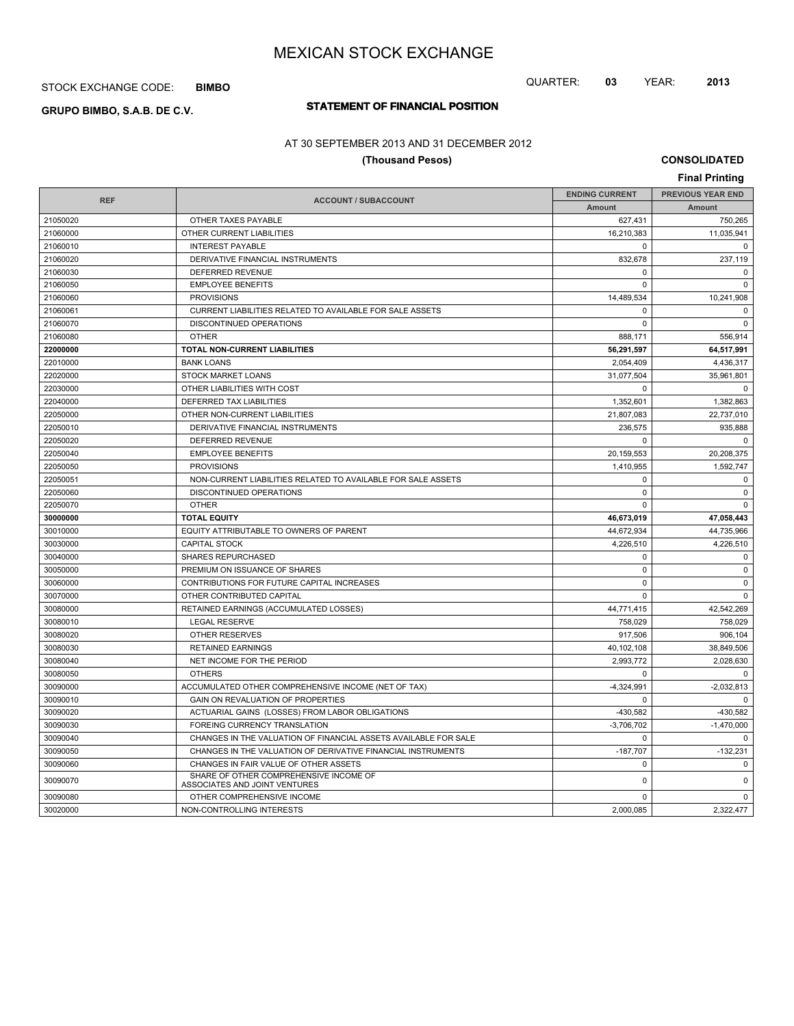STOCK EXCHANGE CODE: **BIMBO**

# **STATEMENT OF FINANCIAL POSITION GRUPO BIMBO, S.A.B. DE C.V.**

## AT 30 SEPTEMBER 2013 AND 31 DECEMBER 2012

## **(Thousand Pesos)**

**CONSOLIDATED**

|            |                                                                         |              | <b>Final Printing</b>    |  |
|------------|-------------------------------------------------------------------------|--------------|--------------------------|--|
|            |                                                                         |              | <b>PREVIOUS YEAR END</b> |  |
| <b>REF</b> | <b>ACCOUNT / SUBACCOUNT</b>                                             | Amount       | Amount                   |  |
| 21050020   | OTHER TAXES PAYABLE                                                     | 627,431      | 750,265                  |  |
| 21060000   | OTHER CURRENT LIABILITIES                                               | 16,210,383   | 11,035,941               |  |
| 21060010   | <b>INTEREST PAYABLE</b>                                                 | $\Omega$     | $\Omega$                 |  |
| 21060020   | DERIVATIVE FINANCIAL INSTRUMENTS                                        | 832,678      | 237,119                  |  |
| 21060030   | DEFERRED REVENUE                                                        | $\mathbf 0$  | $\mathbf 0$              |  |
| 21060050   | <b>EMPLOYEE BENEFITS</b>                                                | $\Omega$     | $\Omega$                 |  |
| 21060060   | <b>PROVISIONS</b>                                                       | 14,489,534   | 10,241,908               |  |
| 21060061   | CURRENT LIABILITIES RELATED TO AVAILABLE FOR SALE ASSETS                | $\Omega$     | $\Omega$                 |  |
| 21060070   | DISCONTINUED OPERATIONS                                                 | $\Omega$     | $\mathbf 0$              |  |
| 21060080   | <b>OTHER</b>                                                            | 888,171      | 556,914                  |  |
| 22000000   | TOTAL NON-CURRENT LIABILITIES                                           | 56,291,597   | 64,517,991               |  |
| 22010000   | <b>BANK LOANS</b>                                                       | 2,054,409    | 4,436,317                |  |
| 22020000   | STOCK MARKET LOANS                                                      | 31,077,504   | 35,961,801               |  |
| 22030000   | OTHER LIABILITIES WITH COST                                             | $\mathbf 0$  | $\mathbf 0$              |  |
| 22040000   | DEFERRED TAX LIABILITIES                                                | 1,352,601    | 1,382,863                |  |
| 22050000   | OTHER NON-CURRENT LIABILITIES                                           | 21,807,083   | 22,737,010               |  |
| 22050010   | DERIVATIVE FINANCIAL INSTRUMENTS                                        | 236,575      | 935,888                  |  |
| 22050020   | DEFERRED REVENUE                                                        | $\mathbf 0$  | $\mathbf 0$              |  |
| 22050040   | <b>EMPLOYEE BENEFITS</b>                                                | 20,159,553   | 20,208,375               |  |
| 22050050   | <b>PROVISIONS</b>                                                       | 1,410,955    | 1,592,747                |  |
| 22050051   | NON-CURRENT LIABILITIES RELATED TO AVAILABLE FOR SALE ASSETS            | $\mathbf 0$  | $\mathbf 0$              |  |
| 22050060   | DISCONTINUED OPERATIONS                                                 | $\mathbf 0$  | $\mathbf 0$              |  |
| 22050070   | <b>OTHER</b>                                                            | $\mathbf 0$  | $\mathbf 0$              |  |
| 30000000   | <b>TOTAL EQUITY</b>                                                     | 46,673,019   | 47,058,443               |  |
| 30010000   | EQUITY ATTRIBUTABLE TO OWNERS OF PARENT                                 | 44,672,934   | 44,735,966               |  |
| 30030000   | <b>CAPITAL STOCK</b>                                                    | 4,226,510    | 4,226,510                |  |
| 30040000   | <b>SHARES REPURCHASED</b>                                               | $\mathbf 0$  | $\mathbf 0$              |  |
| 30050000   | PREMIUM ON ISSUANCE OF SHARES                                           | $\mathbf 0$  | $\pmb{0}$                |  |
| 30060000   | CONTRIBUTIONS FOR FUTURE CAPITAL INCREASES                              | $\mathbf 0$  | $\mathbf 0$              |  |
| 30070000   | OTHER CONTRIBUTED CAPITAL                                               | $\mathbf 0$  | $\mathbf 0$              |  |
| 30080000   | RETAINED EARNINGS (ACCUMULATED LOSSES)                                  | 44,771,415   | 42,542,269               |  |
| 30080010   | <b>LEGAL RESERVE</b>                                                    | 758,029      | 758,029                  |  |
| 30080020   | <b>OTHER RESERVES</b>                                                   | 917,506      | 906,104                  |  |
| 30080030   | <b>RETAINED EARNINGS</b>                                                | 40,102,108   | 38,849,506               |  |
| 30080040   | NET INCOME FOR THE PERIOD                                               | 2,993,772    | 2,028,630                |  |
| 30080050   | <b>OTHERS</b>                                                           | $\Omega$     | $\Omega$                 |  |
| 30090000   | ACCUMULATED OTHER COMPREHENSIVE INCOME (NET OF TAX)                     | $-4,324,991$ | $-2,032,813$             |  |
| 30090010   | GAIN ON REVALUATION OF PROPERTIES                                       | $\mathbf 0$  | $\Omega$                 |  |
| 30090020   | ACTUARIAL GAINS (LOSSES) FROM LABOR OBLIGATIONS                         | $-430.582$   | $-430.582$               |  |
| 30090030   | FOREING CURRENCY TRANSLATION                                            | $-3,706,702$ | $-1,470,000$             |  |
| 30090040   | CHANGES IN THE VALUATION OF FINANCIAL ASSETS AVAILABLE FOR SALE         | $\Omega$     | $\Omega$                 |  |
| 30090050   | CHANGES IN THE VALUATION OF DERIVATIVE FINANCIAL INSTRUMENTS            | $-187,707$   | $-132,231$               |  |
| 30090060   | CHANGES IN FAIR VALUE OF OTHER ASSETS                                   | $\mathbf 0$  | $\mathbf 0$              |  |
| 30090070   | SHARE OF OTHER COMPREHENSIVE INCOME OF<br>ASSOCIATES AND JOINT VENTURES | $\mathbf 0$  | $\mathbf 0$              |  |
| 30090080   | OTHER COMPREHENSIVE INCOME                                              | 0            | $\mathbf 0$              |  |
| 30020000   | NON-CONTROLLING INTERESTS                                               | 2.000.085    | 2.322.477                |  |

QUARTER: **03** YEAR: **2013**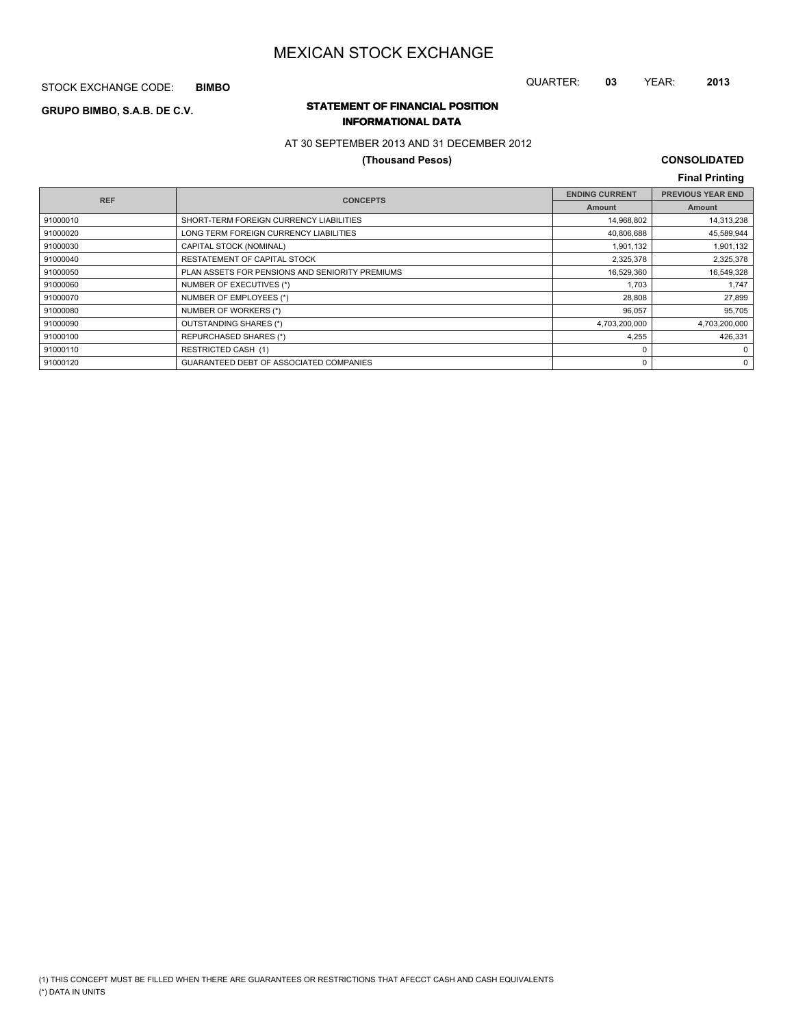STOCK EXCHANGE CODE: **BIMBO**

### QUARTER: **03** YEAR: **2013**

## **STATEMENT OF FINANCIAL POSITION GRUPO BIMBO, S.A.B. DE C.V. INFORMATIONAL DATA**

## AT 30 SEPTEMBER 2013 AND 31 DECEMBER 2012

## **(Thousand Pesos)**

## **CONSOLIDATED Final Printing**

| <b>REF</b> | <b>CONCEPTS</b>                                 | <b>ENDING CURRENT</b> | <b>PREVIOUS YEAR END</b> |
|------------|-------------------------------------------------|-----------------------|--------------------------|
|            |                                                 | <b>Amount</b>         | Amount                   |
| 91000010   | SHORT-TERM FOREIGN CURRENCY LIABILITIES         | 14,968,802            | 14,313,238               |
| 91000020   | LONG TERM FOREIGN CURRENCY LIABILITIES          | 40,806,688            | 45,589,944               |
| 91000030   | CAPITAL STOCK (NOMINAL)                         | 1,901,132             | 1,901,132                |
| 91000040   | RESTATEMENT OF CAPITAL STOCK                    | 2,325,378             | 2,325,378                |
| 91000050   | PLAN ASSETS FOR PENSIONS AND SENIORITY PREMIUMS | 16,529,360            | 16,549,328               |
| 91000060   | NUMBER OF EXECUTIVES (*)                        | 1.703                 | 1,747                    |
| 91000070   | NUMBER OF EMPLOYEES (*)                         | 28,808                | 27,899                   |
| 91000080   | NUMBER OF WORKERS (*)                           | 96,057                | 95,705                   |
| 91000090   | OUTSTANDING SHARES (*)                          | 4,703,200,000         | 4,703,200,000            |
| 91000100   | <b>REPURCHASED SHARES (*)</b>                   | 4,255                 | 426,331                  |
| 91000110   | <b>RESTRICTED CASH (1)</b>                      | 0                     | 0                        |
| 91000120   | GUARANTEED DEBT OF ASSOCIATED COMPANIES         | $\Omega$              | 0                        |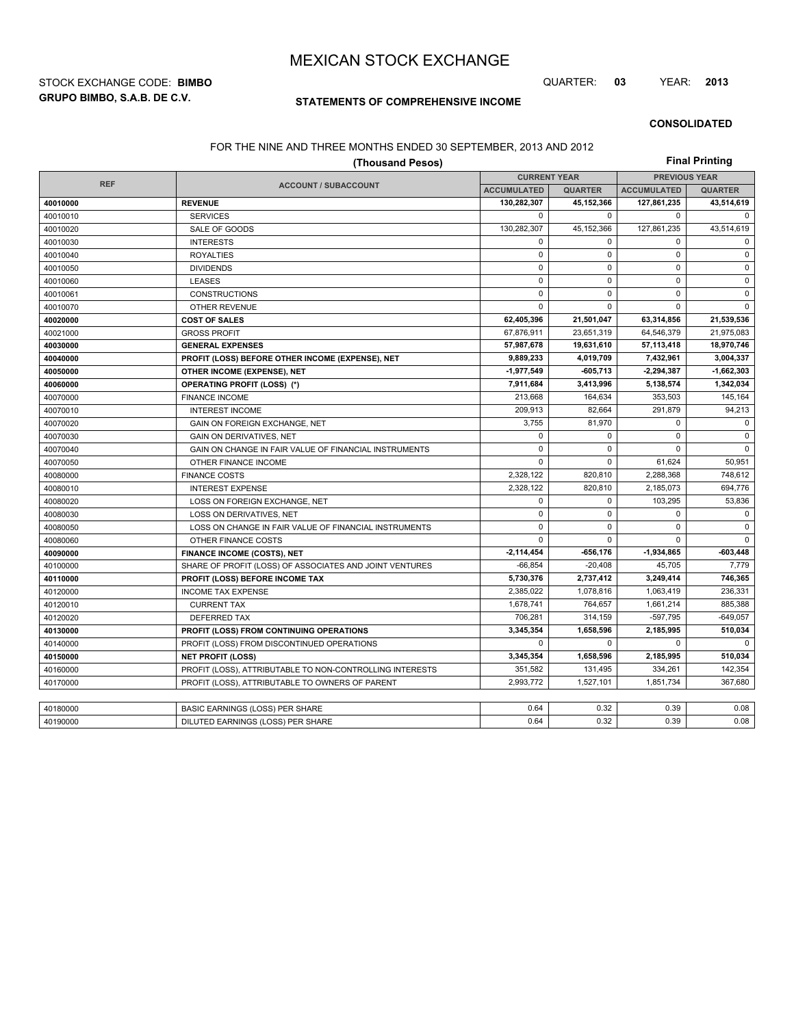**GRUPO BIMBO, S.A.B. DE C.V.** STOCK EXCHANGE CODE: **BIMBO** QUARTER: **03** YEAR: **2013**

## **STATEMENTS OF COMPREHENSIVE INCOME**

#### **CONSOLIDATED**

### FOR THE NINE AND THREE MONTHS ENDED 30 SEPTEMBER, 2013 AND 2012

| (Thousand Pesos) |                                                          |                    |                     |                      | <b>Final Printing</b> |  |  |  |
|------------------|----------------------------------------------------------|--------------------|---------------------|----------------------|-----------------------|--|--|--|
|                  |                                                          |                    | <b>CURRENT YEAR</b> | <b>PREVIOUS YEAR</b> |                       |  |  |  |
| <b>REF</b>       | <b>ACCOUNT / SUBACCOUNT</b>                              | <b>ACCUMULATED</b> | <b>QUARTER</b>      | <b>ACCUMULATED</b>   | <b>QUARTER</b>        |  |  |  |
| 40010000         | <b>REVENUE</b>                                           | 130,282,307        | 45,152,366          | 127,861,235          | 43,514,619            |  |  |  |
| 40010010         | <b>SERVICES</b>                                          | $\mathbf 0$        | $\Omega$            | 0                    | $\mathbf 0$           |  |  |  |
| 40010020         | SALE OF GOODS                                            | 130,282,307        | 45,152,366          | 127,861,235          | 43,514,619            |  |  |  |
| 40010030         | <b>INTERESTS</b>                                         | $\mathbf 0$        | $\Omega$            | 0                    | 0                     |  |  |  |
| 40010040         | <b>ROYALTIES</b>                                         | $\mathbf 0$        | 0                   | $\mathbf 0$          | $\mathsf 0$           |  |  |  |
| 40010050         | <b>DIVIDENDS</b>                                         | $\mathbf 0$        | $\mathbf 0$         | $\mathbf 0$          | $\mathbf 0$           |  |  |  |
| 40010060         | <b>LEASES</b>                                            | $\mathbf 0$        | $\mathbf 0$         | $\mathbf 0$          | $\mathsf 0$           |  |  |  |
| 40010061         | <b>CONSTRUCTIONS</b>                                     | $\mathbf 0$        | $\mathbf 0$         | $\mathbf 0$          | $\mathsf 0$           |  |  |  |
| 40010070         | <b>OTHER REVENUE</b>                                     | $\Omega$           | $\Omega$            | $\Omega$             | $\mathbf 0$           |  |  |  |
| 40020000         | <b>COST OF SALES</b>                                     | 62,405,396         | 21,501,047          | 63,314,856           | 21,539,536            |  |  |  |
| 40021000         | <b>GROSS PROFIT</b>                                      | 67,876,911         | 23,651,319          | 64,546,379           | 21,975,083            |  |  |  |
| 40030000         | <b>GENERAL EXPENSES</b>                                  | 57,987,678         | 19,631,610          | 57,113,418           | 18,970,746            |  |  |  |
| 40040000         | PROFIT (LOSS) BEFORE OTHER INCOME (EXPENSE), NET         | 9,889,233          | 4,019,709           | 7,432,961            | 3,004,337             |  |  |  |
| 40050000         | OTHER INCOME (EXPENSE), NET                              | -1,977,549         | $-605,713$          | 2,294,387            | $-1,662,303$          |  |  |  |
| 40060000         | <b>OPERATING PROFIT (LOSS) (*)</b>                       | 7,911,684          | 3,413,996           | 5,138,574            | 1,342,034             |  |  |  |
| 40070000         | <b>FINANCE INCOME</b>                                    | 213,668            | 164,634             | 353.503              | 145.164               |  |  |  |
| 40070010         | <b>INTEREST INCOME</b>                                   | 209,913            | 82,664              | 291,879              | 94,213                |  |  |  |
| 40070020         | GAIN ON FOREIGN EXCHANGE, NET                            | 3,755              | 81,970              | $\mathbf 0$          | $\mathbf 0$           |  |  |  |
| 40070030         | <b>GAIN ON DERIVATIVES, NET</b>                          | $\mathbf 0$        | $\mathbf 0$         | $\mathbf 0$          | $\mathbf 0$           |  |  |  |
| 40070040         | GAIN ON CHANGE IN FAIR VALUE OF FINANCIAL INSTRUMENTS    | $\mathbf 0$        | $\mathbf 0$         | $\mathbf 0$          | 0                     |  |  |  |
| 40070050         | OTHER FINANCE INCOME                                     | $\mathbf 0$        | $\mathbf 0$         | 61,624               | 50,951                |  |  |  |
| 40080000         | <b>FINANCE COSTS</b>                                     | 2,328,122          | 820,810             | 2,288,368            | 748,612               |  |  |  |
| 40080010         | <b>INTEREST EXPENSE</b>                                  | 2,328,122          | 820.810             | 2,185,073            | 694,776               |  |  |  |
| 40080020         | LOSS ON FOREIGN EXCHANGE, NET                            | $\mathbf 0$        | 0                   | 103,295              | 53,836                |  |  |  |
| 40080030         | LOSS ON DERIVATIVES, NET                                 | $\mathbf 0$        | $\mathbf 0$         | $\mathbf 0$          | $\mathsf 0$           |  |  |  |
| 40080050         | LOSS ON CHANGE IN FAIR VALUE OF FINANCIAL INSTRUMENTS    | $\mathbf 0$        | $\mathbf 0$         | 0                    | 0                     |  |  |  |
| 40080060         | OTHER FINANCE COSTS                                      | $\mathbf 0$        | $\Omega$            | $\Omega$             | $\mathbf 0$           |  |  |  |
| 40090000         | <b>FINANCE INCOME (COSTS), NET</b>                       | $-2,114,454$       | -656,176            | $-1,934,865$         | $-603,448$            |  |  |  |
| 40100000         | SHARE OF PROFIT (LOSS) OF ASSOCIATES AND JOINT VENTURES  | $-66.854$          | $-20.408$           | 45.705               | 7.779                 |  |  |  |
| 40110000         | PROFIT (LOSS) BEFORE INCOME TAX                          | 5,730,376          | 2,737,412           | 3,249,414            | 746,365               |  |  |  |
| 40120000         | <b>INCOME TAX EXPENSE</b>                                | 2,385,022          | 1,078,816           | 1,063,419            | 236,331               |  |  |  |
| 40120010         | <b>CURRENT TAX</b>                                       | 1,678,741          | 764,657             | 1,661,214            | 885,388               |  |  |  |
| 40120020         | <b>DEFERRED TAX</b>                                      | 706.281            | 314.159             | $-597.795$           | $-649.057$            |  |  |  |
| 40130000         | PROFIT (LOSS) FROM CONTINUING OPERATIONS                 | 3,345,354          | 1,658,596           | 2,185,995            | 510,034               |  |  |  |
| 40140000         | PROFIT (LOSS) FROM DISCONTINUED OPERATIONS               | $\Omega$           | $\Omega$            | $\Omega$             | $\Omega$              |  |  |  |
| 40150000         | <b>NET PROFIT (LOSS)</b>                                 | 3,345,354          | 1,658,596           | 2,185,995            | 510,034               |  |  |  |
| 40160000         | PROFIT (LOSS), ATTRIBUTABLE TO NON-CONTROLLING INTERESTS | 351,582            | 131.495             | 334,261              | 142.354               |  |  |  |
| 40170000         | PROFIT (LOSS), ATTRIBUTABLE TO OWNERS OF PARENT          | 2,993,772          | 1,527,101           | 1,851,734            | 367,680               |  |  |  |
|                  |                                                          |                    |                     |                      |                       |  |  |  |
| 40180000         | <b>BASIC EARNINGS (LOSS) PER SHARE</b>                   | 0.64               | 0.32                | 0.39                 | 0.08                  |  |  |  |
| 40190000         | DILUTED EARNINGS (LOSS) PER SHARE                        | 0.64               | 0.32                | 0.39                 | 0.08                  |  |  |  |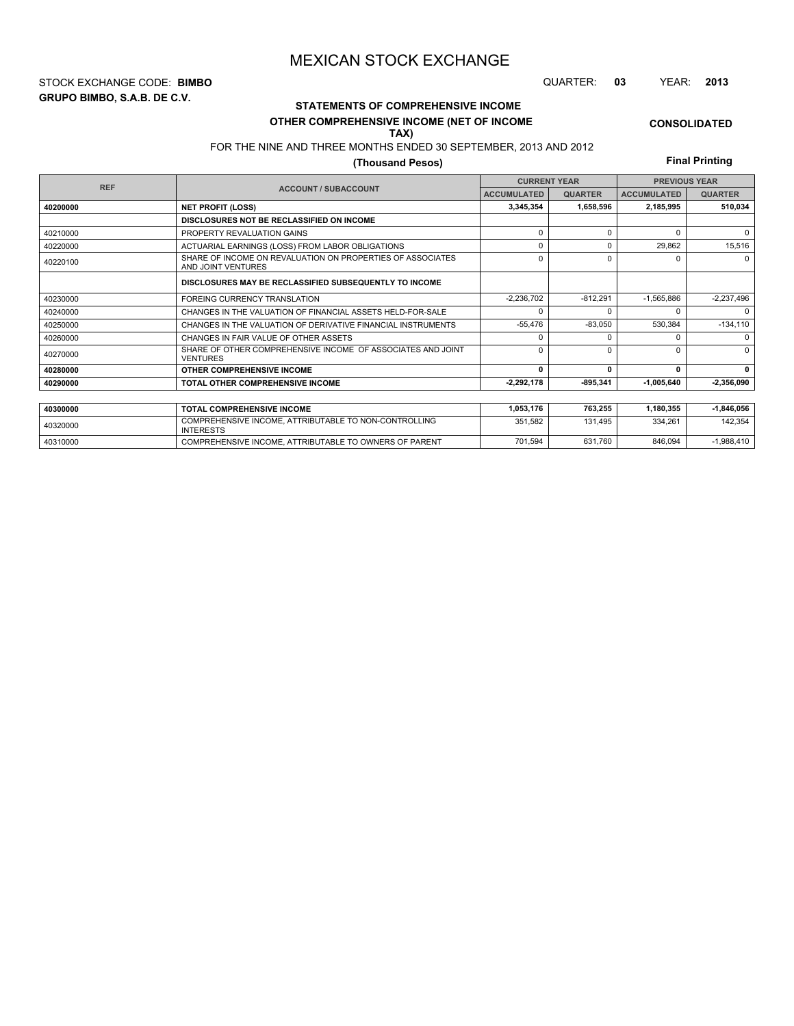**GRUPO BIMBO, S.A.B. DE C.V.** STOCK EXCHANGE CODE: **BIMBO** QUARTER: **03** YEAR: **2013**

# **STATEMENTS OF COMPREHENSIVE INCOME**

#### **OTHER COMPREHENSIVE INCOME (NET OF INCOME TAX)**

FOR THE NINE AND THREE MONTHS ENDED 30 SEPTEMBER, 2013 AND 2012

## **(Thousand Pesos)**

**Final Printing**

**CONSOLIDATED**

|            |                                                                                  | <b>CURRENT YEAR</b> |                | <b>PREVIOUS YEAR</b> |                |  |
|------------|----------------------------------------------------------------------------------|---------------------|----------------|----------------------|----------------|--|
| <b>REF</b> | <b>ACCOUNT / SUBACCOUNT</b>                                                      | <b>ACCUMULATED</b>  | <b>QUARTER</b> | <b>ACCUMULATED</b>   | <b>QUARTER</b> |  |
| 40200000   | <b>NET PROFIT (LOSS)</b>                                                         | 3,345,354           | 1,658,596      | 2,185,995            | 510,034        |  |
|            | DISCLOSURES NOT BE RECLASSIFIED ON INCOME                                        |                     |                |                      |                |  |
| 40210000   | PROPERTY REVALUATION GAINS                                                       | $\Omega$            | 0              | $\Omega$             | $\Omega$       |  |
| 40220000   | ACTUARIAL EARNINGS (LOSS) FROM LABOR OBLIGATIONS                                 | 0                   | 0              | 29,862               | 15,516         |  |
| 40220100   | SHARE OF INCOME ON REVALUATION ON PROPERTIES OF ASSOCIATES<br>AND JOINT VENTURES | $\Omega$            | 0              | n                    | $\Omega$       |  |
|            | DISCLOSURES MAY BE RECLASSIFIED SUBSEQUENTLY TO INCOME                           |                     |                |                      |                |  |
| 40230000   | <b>FOREING CURRENCY TRANSLATION</b>                                              | $-2,236,702$        | $-812,291$     | $-1,565,886$         | $-2,237,496$   |  |
| 40240000   | CHANGES IN THE VALUATION OF FINANCIAL ASSETS HELD-FOR-SALE                       | $\Omega$            | <sup>0</sup>   | n                    | $\Omega$       |  |
| 40250000   | CHANGES IN THE VALUATION OF DERIVATIVE FINANCIAL INSTRUMENTS                     | $-55,476$           | $-83,050$      | 530,384              | $-134, 110$    |  |
| 40260000   | CHANGES IN FAIR VALUE OF OTHER ASSETS                                            | $\Omega$            | $\Omega$       |                      | $\Omega$       |  |
| 40270000   | SHARE OF OTHER COMPREHENSIVE INCOME OF ASSOCIATES AND JOINT<br><b>VENTURES</b>   | $\Omega$            | $\Omega$       | n                    | $\Omega$       |  |
| 40280000   | OTHER COMPREHENSIVE INCOME                                                       | $\mathbf{0}$        | $\Omega$       | 0                    | 0              |  |
| 40290000   | TOTAL OTHER COMPREHENSIVE INCOME                                                 | 2,292,178           | -895,341       | $-1,005,640$         | $-2,356,090$   |  |
|            |                                                                                  |                     |                |                      |                |  |
| 40300000   | <b>TOTAL COMPREHENSIVE INCOME</b>                                                | 1,053,176           | 763,255        | 1,180,355            | $-1,846,056$   |  |
| 40320000   | COMPREHENSIVE INCOME, ATTRIBUTABLE TO NON-CONTROLLING<br><b>INTERESTS</b>        | 351.582             | 131.495        | 334,261              | 142,354        |  |

40310000 COMPREHENSIVE INCOME, ATTRIBUTABLE TO OWNERS OF PARENT 701,594 631,760 846,094 -1,988,410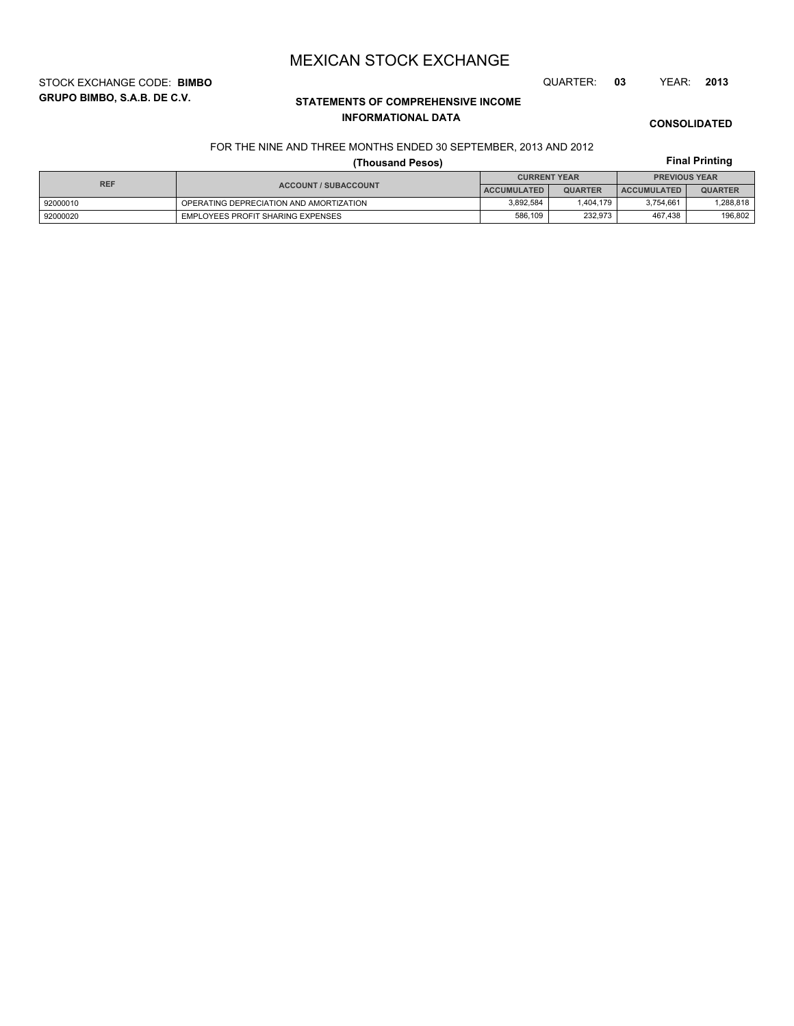STOCK EXCHANGE CODE: **BIMBO** QUARTER: **03** YEAR: **2013**

**GRUPO BIMBO, S.A.B. DE C.V.**

# **STATEMENTS OF COMPREHENSIVE INCOME INFORMATIONAL DATA**

**CONSOLIDATED**

**Final Printing**

# FOR THE NINE AND THREE MONTHS ENDED 30 SEPTEMBER, 2013 AND 2012

## **(Thousand Pesos)**

| <b>REF</b> |                                         | <b>CURRENT YEAR</b> |                | <b>PREVIOUS YEAR</b> |                |  |
|------------|-----------------------------------------|---------------------|----------------|----------------------|----------------|--|
|            | <b>ACCOUNT / SUBACCOUNT</b>             | <b>ACCUMULATED</b>  | <b>QUARTER</b> | <b>ACCUMULATED</b>   | <b>QUARTER</b> |  |
| 92000010   | OPERATING DEPRECIATION AND AMORTIZATION | 3.892.584           | .404.179       | 3.754.661            | 288,818.       |  |
| 92000020   | EMPLOYEES PROFIT SHARING EXPENSES       | 586.109             | 232.973        | 467.438              | 196,802        |  |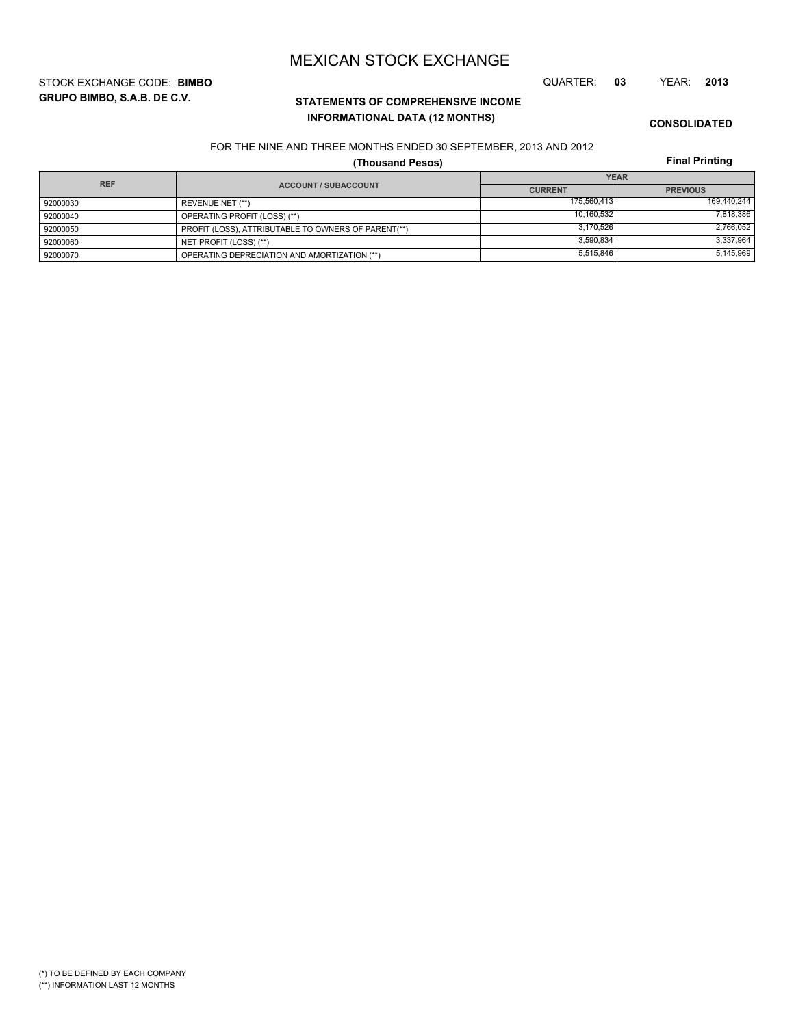**GRUPO BIMBO, S.A.B. DE C.V.** STOCK EXCHANGE CODE: **BIMBO** QUARTER: **03** YEAR: **2013**

## **STATEMENTS OF COMPREHENSIVE INCOME INFORMATIONAL DATA (12 MONTHS)**

**CONSOLIDATED**

#### FOR THE NINE AND THREE MONTHS ENDED 30 SEPTEMBER, 2013 AND 2012

**(Thousand Pesos)**

| <b>REF</b> |                                                     | <b>YEAR</b>    |                 |  |  |
|------------|-----------------------------------------------------|----------------|-----------------|--|--|
|            | <b>ACCOUNT / SUBACCOUNT</b>                         | <b>CURRENT</b> | <b>PREVIOUS</b> |  |  |
| 92000030   | REVENUE NET (**)                                    | 175.560.413    | 169,440,244     |  |  |
| 92000040   | OPERATING PROFIT (LOSS) (**)                        | 10,160,532     | 7,818,386       |  |  |
| 92000050   | PROFIT (LOSS), ATTRIBUTABLE TO OWNERS OF PARENT(**) | 3.170.526      | 2,766,052       |  |  |
| 92000060   | NET PROFIT (LOSS) (**)                              | 3,590,834      | 3,337,964       |  |  |
| 92000070   | OPERATING DEPRECIATION AND AMORTIZATION (**)        | 5,515,846      | 5,145,969       |  |  |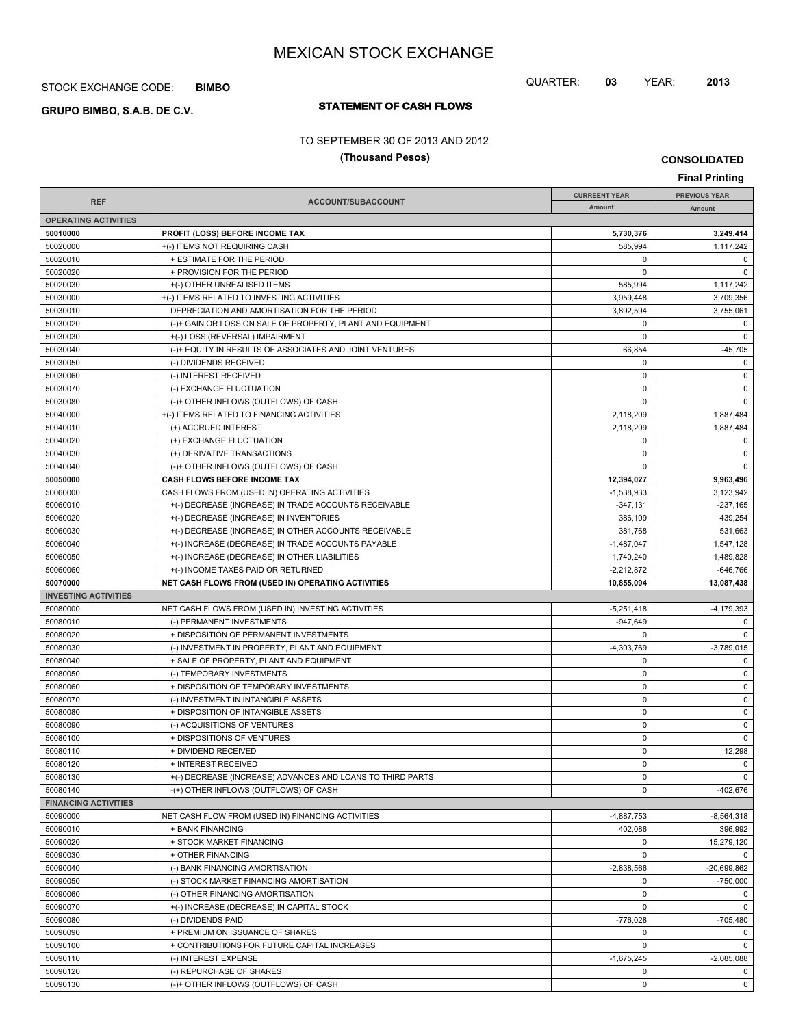## STOCK EXCHANGE CODE: **BIMBO**

# **STATEMENT OF CASH FLOWS GRUPO BIMBO, S.A.B. DE C.V.**

#### TO SEPTEMBER 30 OF 2013 AND 2012

## **(Thousand Pesos)**

**CONSOLIDATED**

| <b>Final Printing</b>                   |                                                                       |                            |                             |
|-----------------------------------------|-----------------------------------------------------------------------|----------------------------|-----------------------------|
|                                         |                                                                       | <b>CURREENT YEAR</b>       | <b>PREVIOUS YEAR</b>        |
| <b>REF</b>                              | ACCOUNT/SUBACCOUNT                                                    | Amount                     | Amount                      |
| <b>OPERATING ACTIVITIES</b>             |                                                                       |                            |                             |
| 50010000                                | <b>PROFIT (LOSS) BEFORE INCOME TAX</b>                                | 5,730,376                  | 3,249,414                   |
| 50020000                                | +(-) ITEMS NOT REQUIRING CASH                                         | 585,994                    | 1,117,242                   |
| 50020010                                | + ESTIMATE FOR THE PERIOD                                             | 0                          | 0                           |
| 50020020                                | + PROVISION FOR THE PERIOD                                            | 0                          | $\mathbf 0$                 |
| 50020030                                | +(-) OTHER UNREALISED ITEMS                                           | 585,994                    | 1,117,242                   |
| 50030000                                | +(-) ITEMS RELATED TO INVESTING ACTIVITIES                            | 3,959,448                  | 3.709.356                   |
| 50030010                                | DEPRECIATION AND AMORTISATION FOR THE PERIOD                          | 3,892,594                  | 3,755,061                   |
| 50030020                                | (-)+ GAIN OR LOSS ON SALE OF PROPERTY, PLANT AND EQUIPMENT            | 0                          | 0                           |
| 50030030                                | +(-) LOSS (REVERSAL) IMPAIRMENT                                       | 0                          | $\mathbf 0$                 |
| 50030040                                | (-)+ EQUITY IN RESULTS OF ASSOCIATES AND JOINT VENTURES               | 66,854                     | $-45,705$                   |
| 50030050                                | (-) DIVIDENDS RECEIVED                                                | 0                          | 0                           |
| 50030060                                | (-) INTEREST RECEIVED                                                 | 0                          | 0                           |
| 50030070                                | (-) EXCHANGE FLUCTUATION                                              | 0                          | $\mathbf 0$                 |
| 50030080                                | (-)+ OTHER INFLOWS (OUTFLOWS) OF CASH                                 | 0                          | $\mathbf 0$                 |
| 50040000                                | +(-) ITEMS RELATED TO FINANCING ACTIVITIES                            | 2,118,209                  | 1,887,484                   |
| 50040010                                | (+) ACCRUED INTEREST                                                  | 2,118,209                  | 1,887,484                   |
| 50040020                                | (+) EXCHANGE FLUCTUATION<br>(+) DERIVATIVE TRANSACTIONS               | 0<br>0                     | 0                           |
| 50040030                                |                                                                       | 0                          | 0<br>$\mathbf 0$            |
| 50040040                                | (-)+ OTHER INFLOWS (OUTFLOWS) OF CASH<br>CASH FLOWS BEFORE INCOME TAX |                            |                             |
| 50050000<br>50060000                    | CASH FLOWS FROM (USED IN) OPERATING ACTIVITIES                        | 12,394,027<br>$-1,538,933$ | 9,963,496<br>3,123,942      |
| 50060010                                | +(-) DECREASE (INCREASE) IN TRADE ACCOUNTS RECEIVABLE                 | $-347,131$                 | $-237,165$                  |
| 50060020                                | +(-) DECREASE (INCREASE) IN INVENTORIES                               | 386,109                    | 439,254                     |
| 50060030                                | +(-) DECREASE (INCREASE) IN OTHER ACCOUNTS RECEIVABLE                 | 381,768                    | 531.663                     |
| 50060040                                | +(-) INCREASE (DECREASE) IN TRADE ACCOUNTS PAYABLE                    | $-1,487,047$               | 1,547,128                   |
| 50060050                                | +(-) INCREASE (DECREASE) IN OTHER LIABILITIES                         | 1,740,240                  | 1,489,828                   |
| 50060060                                | +(-) INCOME TAXES PAID OR RETURNED                                    | $-2,212,872$               | $-646,766$                  |
|                                         |                                                                       |                            |                             |
|                                         |                                                                       |                            |                             |
| 50070000<br><b>INVESTING ACTIVITIES</b> | NET CASH FLOWS FROM (USED IN) OPERATING ACTIVITIES                    | 10,855,094                 | 13,087,438                  |
| 50080000                                | NET CASH FLOWS FROM (USED IN) INVESTING ACTIVITIES                    | $-5,251,418$               | $-4,179,393$                |
| 50080010                                | (-) PERMANENT INVESTMENTS                                             | -947,649                   | 0                           |
| 50080020                                | + DISPOSITION OF PERMANENT INVESTMENTS                                | 0                          | $\mathbf 0$                 |
| 50080030                                | (-) INVESTMENT IN PROPERTY, PLANT AND EQUIPMENT                       | $-4,303,769$               | $-3,789,015$                |
| 50080040                                | + SALE OF PROPERTY, PLANT AND EQUIPMENT                               | 0                          | 0                           |
| 50080050                                | (-) TEMPORARY INVESTMENTS                                             | 0                          | 0                           |
| 50080060                                | + DISPOSITION OF TEMPORARY INVESTMENTS                                | 0                          | $\mathbf 0$                 |
| 50080070                                | (-) INVESTMENT IN INTANGIBLE ASSETS                                   | 0                          | 0                           |
| 50080080                                | + DISPOSITION OF INTANGIBLE ASSETS                                    | 0                          | 0                           |
| 50080090                                | (-) ACQUISITIONS OF VENTURES                                          | 0                          | $\mathbf 0$                 |
| 50080100                                | + DISPOSITIONS OF VENTURES                                            | 0                          | $\mathbf 0$                 |
| 50080110                                | + DIVIDEND RECEIVED                                                   | 0                          | 12,298                      |
| 50080120                                | + INTEREST RECEIVED                                                   | 0                          | $\mathbf 0$                 |
| 50080130                                | +(-) DECREASE (INCREASE) ADVANCES AND LOANS TO THIRD PARTS            | 0                          | 0                           |
| 50080140                                | -(+) OTHER INFLOWS (OUTFLOWS) OF CASH                                 | 0                          | $-402,676$                  |
| <b>FINANCING ACTIVITIES</b>             |                                                                       |                            |                             |
| 50090000                                | NET CASH FLOW FROM (USED IN) FINANCING ACTIVITIES                     | $-4,887,753$               | $-8,564,318$                |
| 50090010                                | + BANK FINANCING                                                      | 402,086                    | 396,992                     |
| 50090020                                | + STOCK MARKET FINANCING                                              | 0                          | 15,279,120                  |
| 50090030                                | + OTHER FINANCING                                                     | 0                          | $\mathbf 0$                 |
| 50090040                                | (-) BANK FINANCING AMORTISATION                                       | $-2,838,566$               | $-20,699,862$               |
| 50090050                                | (-) STOCK MARKET FINANCING AMORTISATION                               | 0                          | $-750,000$                  |
| 50090060                                | (-) OTHER FINANCING AMORTISATION                                      | 0                          | $\mathbf 0$                 |
| 50090070                                | +(-) INCREASE (DECREASE) IN CAPITAL STOCK                             | 0                          | $\mathbf 0$                 |
| 50090080                                | (-) DIVIDENDS PAID                                                    | $-776,028$                 | $-705,480$                  |
| 50090090                                | + PREMIUM ON ISSUANCE OF SHARES                                       | 0                          | $\mathbf 0$                 |
| 50090100                                | + CONTRIBUTIONS FOR FUTURE CAPITAL INCREASES                          | 0                          | $\mathbf 0$                 |
| 50090110<br>50090120                    | (-) INTEREST EXPENSE<br>(-) REPURCHASE OF SHARES                      | $-1,675,245$<br>0          | $-2,085,088$<br>$\mathbf 0$ |

QUARTER: **03** YEAR: **2013**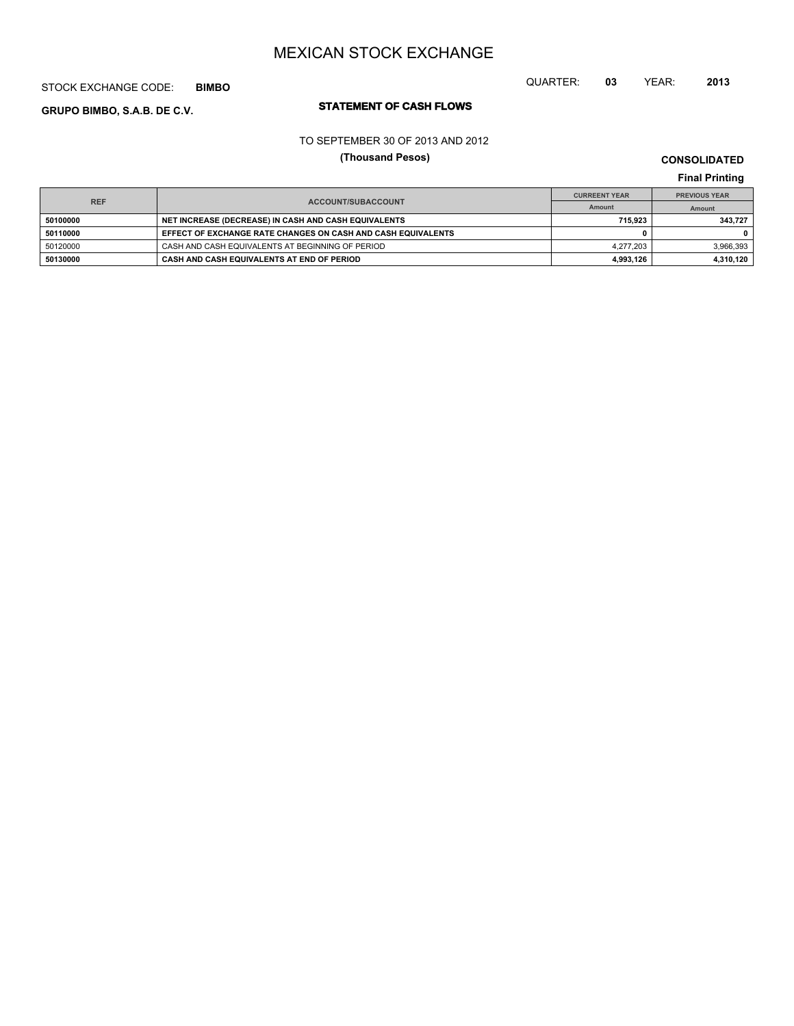#### STOCK EXCHANGE CODE: **BIMBO**

# **STATEMENT OF CASH FLOWS GRUPO BIMBO, S.A.B. DE C.V.**

TO SEPTEMBER 30 OF 2013 AND 2012

**(Thousand Pesos)**

**CONSOLIDATED Final Printing**

QUARTER: **03** YEAR: **2013**

**Final Printing ACCOUNT/SUBACCOUNT Amount REF CURREENT YEAR PREVIOUS YEAR Amount 50100000 NET INCREASE (DECREASE) IN CASH AND CASH EQUIVALENTS 715,923 343,727 50110000 EFFECT OF EXCHANGE RATE CHANGES ON CASH AND CASH EQUIVALENTS 0 0** 50120000 CASH AND CASH EQUIVALENTS AT BEGINNING OF PERIOD 4,277,203 4,277,203 3,966,393 **50130000 CASH AND CASH EQUIVALENTS AT END OF PERIOD 4,993,126 4,310,120**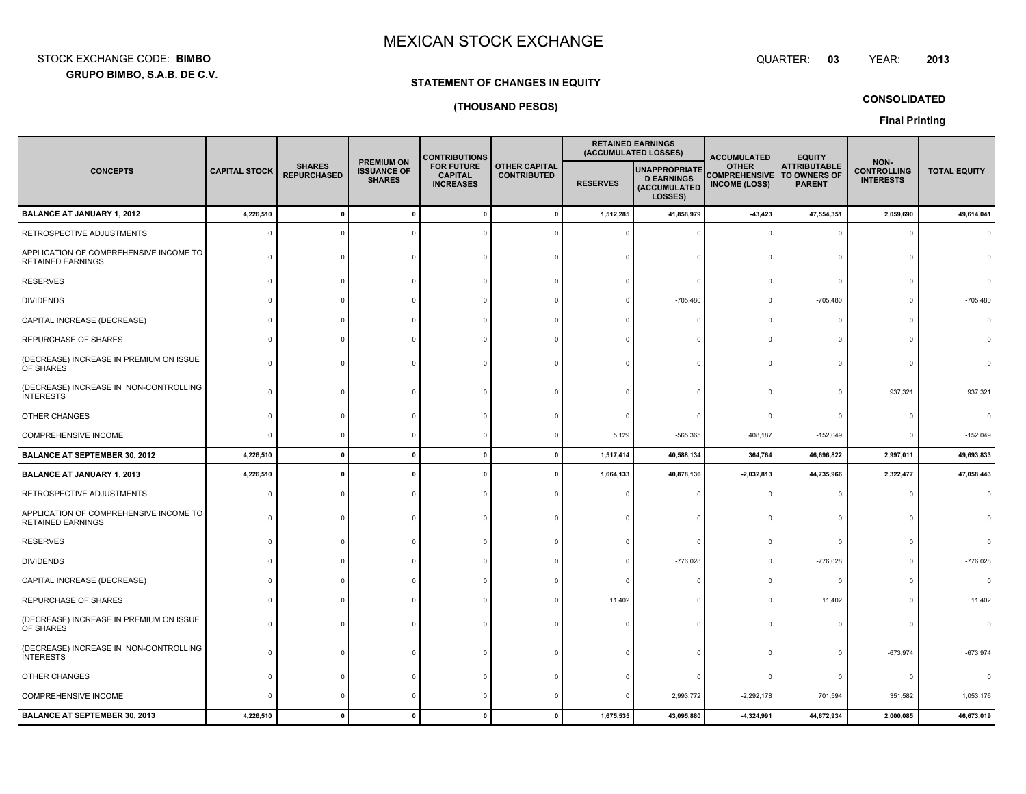**GRUPO BIMBO, S.A.B. DE C.V.** STOCK EXCHANGE CODE:**BIMBO**

#### : BIMBO QUARTER: **QUARTER: 03** YEAR: **<sup>2013</sup>**

#### **STATEMENT OF CHANGES IN EQUITY**

### **(THOUSAND PESOS)**

**CONSOLIDATED**

|                                                                    |                      |                                     |                                                          | <b>CONTRIBUTIONS</b>                                    | <b>RETAINED EARNINGS</b><br>(ACCUMULATED LOSSES) |                 |                                                                      |                                                              | <b>ACCUMULATED</b>                                          | <b>EQUITY</b>                                  |                     |  |
|--------------------------------------------------------------------|----------------------|-------------------------------------|----------------------------------------------------------|---------------------------------------------------------|--------------------------------------------------|-----------------|----------------------------------------------------------------------|--------------------------------------------------------------|-------------------------------------------------------------|------------------------------------------------|---------------------|--|
| <b>CONCEPTS</b>                                                    | <b>CAPITAL STOCK</b> | <b>SHARES</b><br><b>REPURCHASED</b> | <b>PREMIUM ON</b><br><b>ISSUANCE OF</b><br><b>SHARES</b> | <b>FOR FUTURE</b><br><b>CAPITAL</b><br><b>INCREASES</b> | <b>OTHER CAPITAL</b><br><b>CONTRIBUTED</b>       | <b>RESERVES</b> | <b>UNAPPROPRIATE</b><br><b>D EARNINGS</b><br>(ACCUMULATED<br>LOSSES) | <b>OTHER</b><br><b>COMPREHENSIVE</b><br><b>INCOME (LOSS)</b> | <b>ATTRIBUTABLE</b><br><b>TO OWNERS OF</b><br><b>PARENT</b> | NON-<br><b>CONTROLLING</b><br><b>INTERESTS</b> | <b>TOTAL EQUITY</b> |  |
| <b>BALANCE AT JANUARY 1, 2012</b>                                  | 4,226,510            | $\mathbf{0}$                        | $\Omega$                                                 |                                                         | $\mathbf{0}$                                     | 1,512,285       | 41,858,979                                                           | $-43,423$                                                    | 47,554,351                                                  | 2,059,690                                      | 49,614,041          |  |
| RETROSPECTIVE ADJUSTMENTS                                          | $\Omega$             |                                     |                                                          |                                                         |                                                  |                 |                                                                      |                                                              | $\Omega$                                                    | $\Omega$                                       |                     |  |
| APPLICATION OF COMPREHENSIVE INCOME TO<br><b>RETAINED EARNINGS</b> |                      |                                     |                                                          |                                                         |                                                  |                 |                                                                      |                                                              |                                                             |                                                |                     |  |
| <b>RESERVES</b>                                                    |                      |                                     |                                                          |                                                         |                                                  |                 |                                                                      |                                                              | $\Omega$                                                    |                                                |                     |  |
| <b>DIVIDENDS</b>                                                   |                      |                                     |                                                          |                                                         |                                                  |                 | $-705,480$                                                           |                                                              | $-705,480$                                                  |                                                | $-705,480$          |  |
| CAPITAL INCREASE (DECREASE)                                        |                      |                                     |                                                          |                                                         |                                                  |                 |                                                                      |                                                              | $\Omega$                                                    |                                                |                     |  |
| REPURCHASE OF SHARES                                               |                      |                                     |                                                          |                                                         |                                                  |                 |                                                                      |                                                              |                                                             |                                                |                     |  |
| (DECREASE) INCREASE IN PREMIUM ON ISSUE<br>OF SHARES               |                      |                                     |                                                          |                                                         |                                                  |                 |                                                                      |                                                              |                                                             |                                                |                     |  |
| (DECREASE) INCREASE IN NON-CONTROLLING<br><b>INTERESTS</b>         |                      |                                     |                                                          |                                                         |                                                  |                 |                                                                      |                                                              |                                                             | 937,321                                        | 937,321             |  |
| OTHER CHANGES                                                      |                      |                                     |                                                          |                                                         |                                                  |                 |                                                                      |                                                              |                                                             |                                                |                     |  |
| COMPREHENSIVE INCOME                                               | $\Omega$             |                                     |                                                          |                                                         |                                                  | 5,129           | $-565,365$                                                           | 408,187                                                      | $-152,049$                                                  | $\Omega$                                       | $-152,049$          |  |
| <b>BALANCE AT SEPTEMBER 30, 2012</b>                               | 4,226,510            | $\Omega$                            | $\mathbf{0}$                                             | $\Omega$                                                | $\mathbf{0}$                                     | 1,517,414       | 40,588,134                                                           | 364,764                                                      | 46,696,822                                                  | 2,997,011                                      | 49,693,833          |  |
| <b>BALANCE AT JANUARY 1, 2013</b>                                  | 4,226,510            | $\mathbf{0}$                        |                                                          |                                                         | $\mathbf{0}$                                     | 1,664,133       | 40,878,136                                                           | $-2,032,813$                                                 | 44,735,966                                                  | 2,322,477                                      | 47,058,443          |  |
| RETROSPECTIVE ADJUSTMENTS                                          | $\Omega$             |                                     |                                                          |                                                         |                                                  |                 |                                                                      |                                                              |                                                             |                                                |                     |  |
| APPLICATION OF COMPREHENSIVE INCOME TO<br><b>RETAINED EARNINGS</b> | $\Omega$             |                                     |                                                          |                                                         |                                                  |                 |                                                                      |                                                              | $\Omega$                                                    |                                                |                     |  |
| <b>RESERVES</b>                                                    |                      |                                     |                                                          |                                                         |                                                  |                 |                                                                      |                                                              | $\Omega$                                                    |                                                |                     |  |
| <b>DIVIDENDS</b>                                                   |                      |                                     |                                                          |                                                         |                                                  |                 | $-776,028$                                                           |                                                              | $-776,028$                                                  |                                                | $-776,028$          |  |
| CAPITAL INCREASE (DECREASE)                                        |                      |                                     |                                                          |                                                         |                                                  |                 |                                                                      |                                                              | $\Omega$                                                    |                                                |                     |  |
| REPURCHASE OF SHARES                                               |                      |                                     |                                                          |                                                         |                                                  | 11,402          |                                                                      |                                                              | 11,402                                                      |                                                | 11,402              |  |
| (DECREASE) INCREASE IN PREMIUM ON ISSUE<br>OF SHARES               |                      |                                     |                                                          |                                                         |                                                  |                 |                                                                      |                                                              |                                                             |                                                |                     |  |
| (DECREASE) INCREASE IN NON-CONTROLLING<br><b>INTERESTS</b>         |                      |                                     |                                                          |                                                         |                                                  |                 |                                                                      |                                                              |                                                             | $-673,974$                                     | $-673,974$          |  |
| OTHER CHANGES                                                      |                      |                                     |                                                          |                                                         |                                                  |                 |                                                                      |                                                              | $\Omega$                                                    | $\Omega$                                       |                     |  |
| COMPREHENSIVE INCOME                                               | $\Omega$             |                                     |                                                          |                                                         |                                                  |                 | 2,993,772                                                            | $-2,292,178$                                                 | 701,594                                                     | 351,582                                        | 1,053,176           |  |
| <b>BALANCE AT SEPTEMBER 30, 2013</b>                               | 4,226,510            |                                     | $\mathbf{r}$                                             |                                                         | $\Omega$                                         | 1,675,535       | 43,095,880                                                           | $-4,324,991$                                                 | 44,672,934                                                  | 2,000,085                                      | 46,673,019          |  |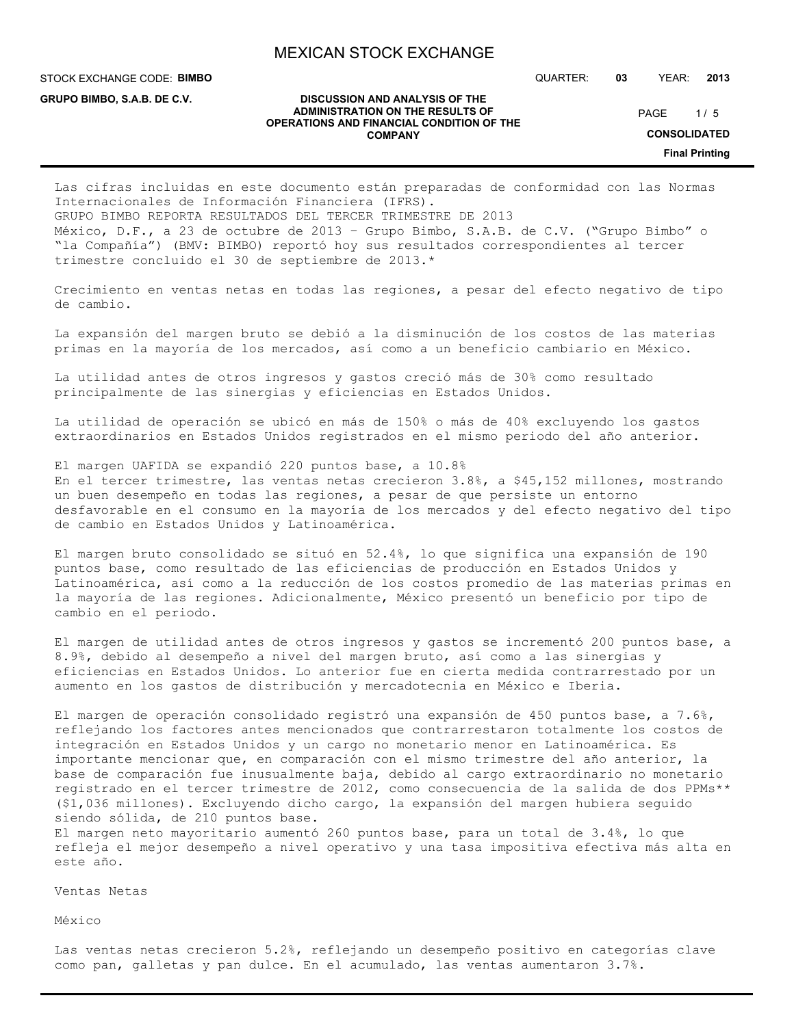**DISCUSSION AND ANALYSIS OF THE ADMINISTRATION ON THE RESULTS OF OPERATIONS AND FINANCIAL CONDITION OF THE COMPANY**

STOCK EXCHANGE CODE: **BIMBO**

**GRUPO BIMBO, S.A.B. DE C.V.**

QUARTER: **03** YEAR: **2013**

 $1/5$ PAGE

**CONSOLIDATED**

**Final Printing**

Las cifras incluidas en este documento están preparadas de conformidad con las Normas Internacionales de Información Financiera (IFRS). GRUPO BIMBO REPORTA RESULTADOS DEL TERCER TRIMESTRE DE 2013 México, D.F., a 23 de octubre de 2013 – Grupo Bimbo, S.A.B. de C.V. ("Grupo Bimbo" o "la Compañía") (BMV: BIMBO) reportó hoy sus resultados correspondientes al tercer trimestre concluido el 30 de septiembre de 2013.\*

Crecimiento en ventas netas en todas las regiones, a pesar del efecto negativo de tipo de cambio.

La expansión del margen bruto se debió a la disminución de los costos de las materias primas en la mayoría de los mercados, así como a un beneficio cambiario en México.

La utilidad antes de otros ingresos y gastos creció más de 30% como resultado principalmente de las sinergias y eficiencias en Estados Unidos.

La utilidad de operación se ubicó en más de 150% o más de 40% excluyendo los gastos extraordinarios en Estados Unidos registrados en el mismo periodo del año anterior.

El margen UAFIDA se expandió 220 puntos base, a 10.8% En el tercer trimestre, las ventas netas crecieron 3.8%, a \$45,152 millones, mostrando un buen desempeño en todas las regiones, a pesar de que persiste un entorno desfavorable en el consumo en la mayoría de los mercados y del efecto negativo del tipo de cambio en Estados Unidos y Latinoamérica.

El margen bruto consolidado se situó en 52.4%, lo que significa una expansión de 190 puntos base, como resultado de las eficiencias de producción en Estados Unidos y Latinoamérica, así como a la reducción de los costos promedio de las materias primas en la mayoría de las regiones. Adicionalmente, México presentó un beneficio por tipo de cambio en el periodo.

El margen de utilidad antes de otros ingresos y gastos se incrementó 200 puntos base, a 8.9%, debido al desempeño a nivel del margen bruto, así como a las sinergias y eficiencias en Estados Unidos. Lo anterior fue en cierta medida contrarrestado por un aumento en los gastos de distribución y mercadotecnia en México e Iberia.

El margen de operación consolidado registró una expansión de 450 puntos base, a 7.6%, reflejando los factores antes mencionados que contrarrestaron totalmente los costos de integración en Estados Unidos y un cargo no monetario menor en Latinoamérica. Es importante mencionar que, en comparación con el mismo trimestre del año anterior, la base de comparación fue inusualmente baja, debido al cargo extraordinario no monetario registrado en el tercer trimestre de 2012, como consecuencia de la salida de dos PPMs\*\* (\$1,036 millones). Excluyendo dicho cargo, la expansión del margen hubiera seguido siendo sólida, de 210 puntos base. El margen neto mayoritario aumentó 260 puntos base, para un total de 3.4%, lo que

refleja el mejor desempeño a nivel operativo y una tasa impositiva efectiva más alta en este año.

Ventas Netas

México

Las ventas netas crecieron 5.2%, reflejando un desempeño positivo en categorías clave como pan, galletas y pan dulce. En el acumulado, las ventas aumentaron 3.7%.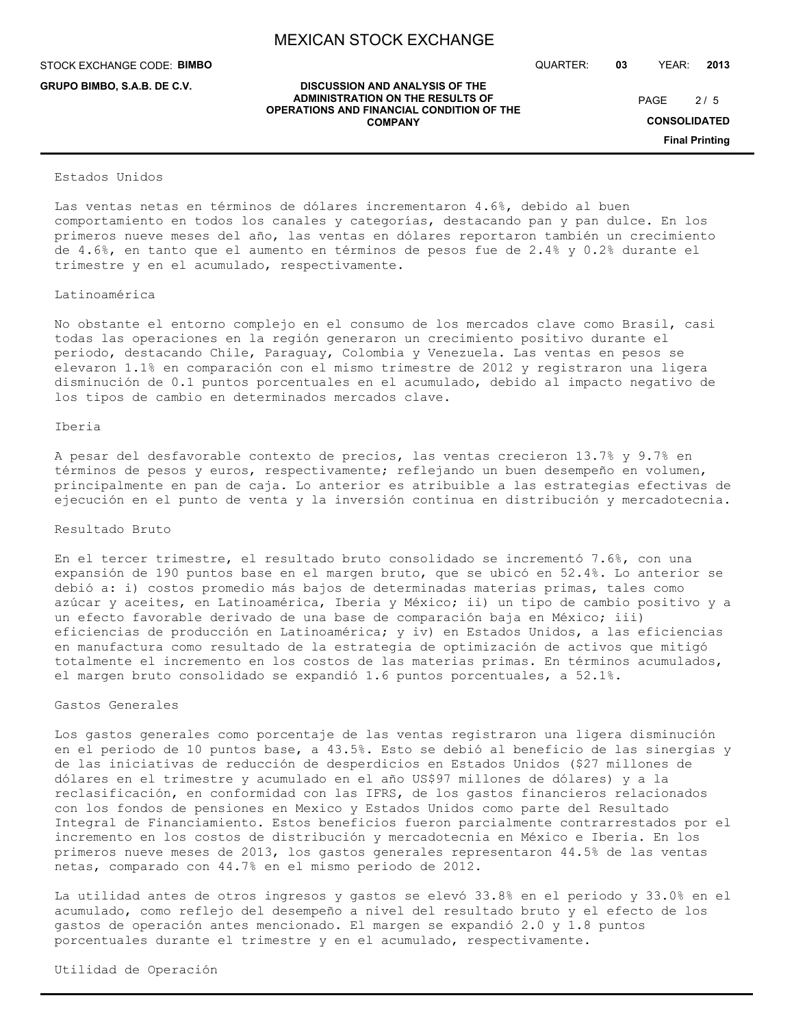**DISCUSSION AND ANALYSIS OF THE ADMINISTRATION ON THE RESULTS OF OPERATIONS AND FINANCIAL CONDITION OF THE COMPANY**

STOCK EXCHANGE CODE: **BIMBO**

**GRUPO BIMBO, S.A.B. DE C.V.**

QUARTER: **03** YEAR: **2013**

 $2/5$  $PAGE$ 

**CONSOLIDATED**

**Final Printing**

#### Estados Unidos

Las ventas netas en términos de dólares incrementaron 4.6%, debido al buen comportamiento en todos los canales y categorías, destacando pan y pan dulce. En los primeros nueve meses del año, las ventas en dólares reportaron también un crecimiento de 4.6%, en tanto que el aumento en términos de pesos fue de 2.4% y 0.2% durante el trimestre y en el acumulado, respectivamente.

#### Latinoamérica

No obstante el entorno complejo en el consumo de los mercados clave como Brasil, casi todas las operaciones en la región generaron un crecimiento positivo durante el periodo, destacando Chile, Paraguay, Colombia y Venezuela. Las ventas en pesos se elevaron 1.1% en comparación con el mismo trimestre de 2012 y registraron una ligera disminución de 0.1 puntos porcentuales en el acumulado, debido al impacto negativo de los tipos de cambio en determinados mercados clave.

#### Iberia

A pesar del desfavorable contexto de precios, las ventas crecieron 13.7% y 9.7% en términos de pesos y euros, respectivamente; reflejando un buen desempeño en volumen, principalmente en pan de caja. Lo anterior es atribuible a las estrategias efectivas de ejecución en el punto de venta y la inversión continua en distribución y mercadotecnia.

#### Resultado Bruto

En el tercer trimestre, el resultado bruto consolidado se incrementó 7.6%, con una expansión de 190 puntos base en el margen bruto, que se ubicó en 52.4%. Lo anterior se debió a: i) costos promedio más bajos de determinadas materias primas, tales como azúcar y aceites, en Latinoamérica, Iberia y México; ii) un tipo de cambio positivo y a un efecto favorable derivado de una base de comparación baja en México; iii) eficiencias de producción en Latinoamérica; y iv) en Estados Unidos, a las eficiencias en manufactura como resultado de la estrategia de optimización de activos que mitigó totalmente el incremento en los costos de las materias primas. En términos acumulados, el margen bruto consolidado se expandió 1.6 puntos porcentuales, a 52.1%.

#### Gastos Generales

Los gastos generales como porcentaje de las ventas registraron una ligera disminución en el periodo de 10 puntos base, a 43.5%. Esto se debió al beneficio de las sinergias y de las iniciativas de reducción de desperdicios en Estados Unidos (\$27 millones de dólares en el trimestre y acumulado en el año US\$97 millones de dólares) y a la reclasificación, en conformidad con las IFRS, de los gastos financieros relacionados con los fondos de pensiones en Mexico y Estados Unidos como parte del Resultado Integral de Financiamiento. Estos beneficios fueron parcialmente contrarrestados por el incremento en los costos de distribución y mercadotecnia en México e Iberia. En los primeros nueve meses de 2013, los gastos generales representaron 44.5% de las ventas netas, comparado con 44.7% en el mismo periodo de 2012.

La utilidad antes de otros ingresos y gastos se elevó 33.8% en el periodo y 33.0% en el acumulado, como reflejo del desempeño a nivel del resultado bruto y el efecto de los gastos de operación antes mencionado. El margen se expandió 2.0 y 1.8 puntos porcentuales durante el trimestre y en el acumulado, respectivamente.

Utilidad de Operación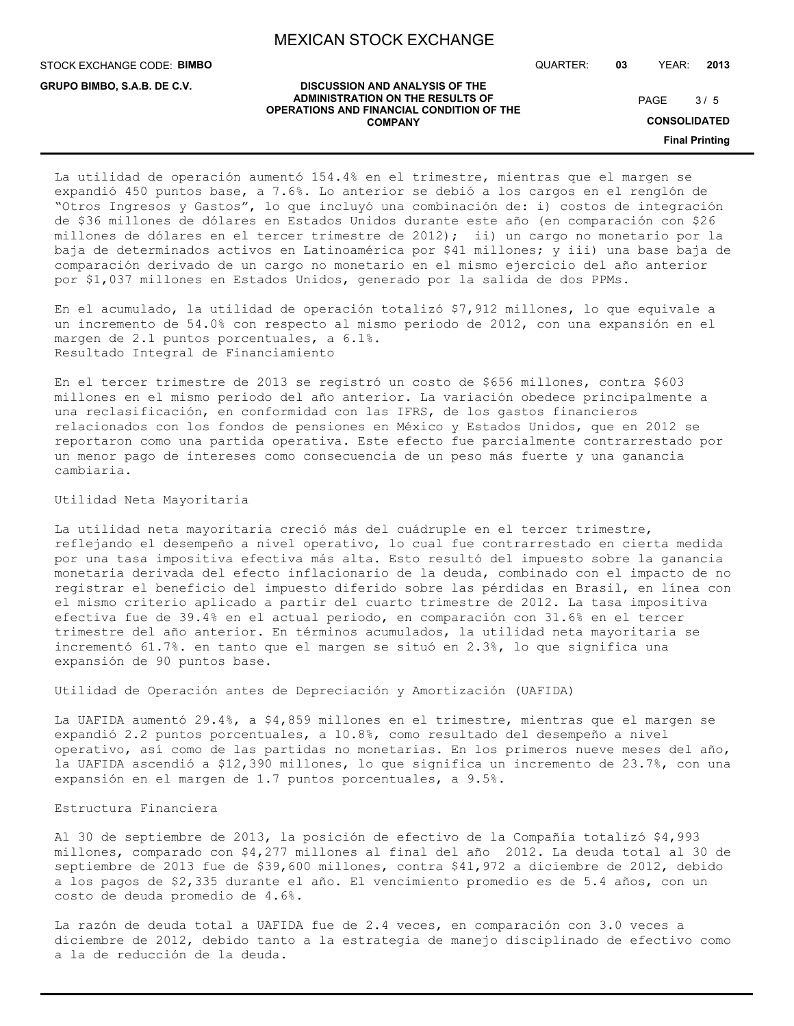STOCK EXCHANGE CODE: **BIMBO**

**GRUPO BIMBO, S.A.B. DE C.V.**

QUARTER: **03** YEAR: **2013**

#### **DISCUSSION AND ANALYSIS OF THE ADMINISTRATION ON THE RESULTS OF OPERATIONS AND FINANCIAL CONDITION OF THE COMPANY**

 $3/5$ PAGE

**CONSOLIDATED**

**Final Printing**

La utilidad de operación aumentó 154.4% en el trimestre, mientras que el margen se expandió 450 puntos base, a 7.6%. Lo anterior se debió a los cargos en el renglón de "Otros Ingresos y Gastos", lo que incluyó una combinación de: i) costos de integración de \$36 millones de dólares en Estados Unidos durante este año (en comparación con \$26 millones de dólares en el tercer trimestre de 2012); ii) un cargo no monetario por la baja de determinados activos en Latinoamérica por \$41 millones; y iii) una base baja de comparación derivado de un cargo no monetario en el mismo ejercicio del año anterior por \$1,037 millones en Estados Unidos, generado por la salida de dos PPMs.

En el acumulado, la utilidad de operación totalizó \$7,912 millones, lo que equivale a un incremento de 54.0% con respecto al mismo periodo de 2012, con una expansión en el margen de 2.1 puntos porcentuales, a 6.1%. Resultado Integral de Financiamiento

En el tercer trimestre de 2013 se registró un costo de \$656 millones, contra \$603 millones en el mismo periodo del año anterior. La variación obedece principalmente a una reclasificación, en conformidad con las IFRS, de los gastos financieros relacionados con los fondos de pensiones en México y Estados Unidos, que en 2012 se reportaron como una partida operativa. Este efecto fue parcialmente contrarrestado por un menor pago de intereses como consecuencia de un peso más fuerte y una ganancia cambiaria.

### Utilidad Neta Mayoritaria

La utilidad neta mayoritaria creció más del cuádruple en el tercer trimestre, reflejando el desempeño a nivel operativo, lo cual fue contrarrestado en cierta medida por una tasa impositiva efectiva más alta. Esto resultó del impuesto sobre la ganancia monetaria derivada del efecto inflacionario de la deuda, combinado con el impacto de no registrar el beneficio del impuesto diferido sobre las pérdidas en Brasil, en línea con el mismo criterio aplicado a partir del cuarto trimestre de 2012. La tasa impositiva efectiva fue de 39.4% en el actual periodo, en comparación con 31.6% en el tercer trimestre del año anterior. En términos acumulados, la utilidad neta mayoritaria se incrementó 61.7%. en tanto que el margen se situó en 2.3%, lo que significa una expansión de 90 puntos base.

Utilidad de Operación antes de Depreciación y Amortización (UAFIDA)

La UAFIDA aumentó 29.4%, a \$4,859 millones en el trimestre, mientras que el margen se expandió 2.2 puntos porcentuales, a 10.8%, como resultado del desempeño a nivel operativo, así como de las partidas no monetarias. En los primeros nueve meses del año, la UAFIDA ascendió a \$12,390 millones, lo que significa un incremento de 23.7%, con una expansión en el margen de 1.7 puntos porcentuales, a 9.5%.

#### Estructura Financiera

Al 30 de septiembre de 2013, la posición de efectivo de la Compañía totalizó \$4,993 millones, comparado con \$4,277 millones al final del año 2012. La deuda total al 30 de septiembre de 2013 fue de \$39,600 millones, contra \$41,972 a diciembre de 2012, debido a los pagos de \$2,335 durante el año. El vencimiento promedio es de 5.4 años, con un costo de deuda promedio de 4.6%.

La razón de deuda total a UAFIDA fue de 2.4 veces, en comparación con 3.0 veces a diciembre de 2012, debido tanto a la estrategia de manejo disciplinado de efectivo como a la de reducción de la deuda.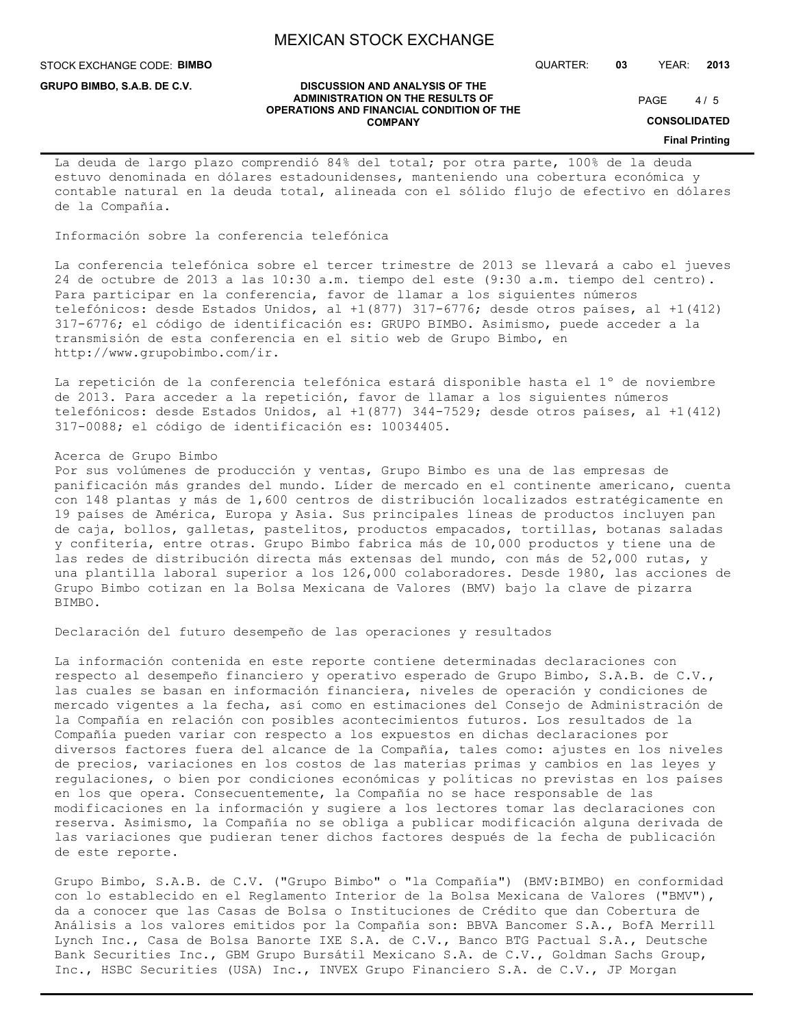**DISCUSSION AND ANALYSIS OF THE ADMINISTRATION ON THE RESULTS OF OPERATIONS AND FINANCIAL CONDITION OF THE COMPANY**

STOCK EXCHANGE CODE: **BIMBO**

**GRUPO BIMBO, S.A.B. DE C.V.**

QUARTER: **03** YEAR: **2013**

 $4/5$  $PAGE$ 

**CONSOLIDATED**

#### **Final Printing**

La deuda de largo plazo comprendió 84% del total; por otra parte, 100% de la deuda estuvo denominada en dólares estadounidenses, manteniendo una cobertura económica y contable natural en la deuda total, alineada con el sólido flujo de efectivo en dólares de la Compañía.

Información sobre la conferencia telefónica

La conferencia telefónica sobre el tercer trimestre de 2013 se llevará a cabo el jueves 24 de octubre de 2013 a las 10:30 a.m. tiempo del este (9:30 a.m. tiempo del centro). Para participar en la conferencia, favor de llamar a los siguientes números telefónicos: desde Estados Unidos, al +1(877) 317-6776; desde otros países, al +1(412) 317-6776; el código de identificación es: GRUPO BIMBO. Asimismo, puede acceder a la transmisión de esta conferencia en el sitio web de Grupo Bimbo, en http://www.grupobimbo.com/ir.

La repetición de la conferencia telefónica estará disponible hasta el 1º de noviembre de 2013. Para acceder a la repetición, favor de llamar a los siguientes números telefónicos: desde Estados Unidos, al +1(877) 344-7529; desde otros países, al +1(412) 317-0088; el código de identificación es: 10034405.

#### Acerca de Grupo Bimbo

Por sus volúmenes de producción y ventas, Grupo Bimbo es una de las empresas de panificación más grandes del mundo. Líder de mercado en el continente americano, cuenta con 148 plantas y más de 1,600 centros de distribución localizados estratégicamente en 19 países de América, Europa y Asia. Sus principales líneas de productos incluyen pan de caja, bollos, galletas, pastelitos, productos empacados, tortillas, botanas saladas y confitería, entre otras. Grupo Bimbo fabrica más de 10,000 productos y tiene una de las redes de distribución directa más extensas del mundo, con más de 52,000 rutas, y una plantilla laboral superior a los 126,000 colaboradores. Desde 1980, las acciones de Grupo Bimbo cotizan en la Bolsa Mexicana de Valores (BMV) bajo la clave de pizarra BIMBO.

Declaración del futuro desempeño de las operaciones y resultados

La información contenida en este reporte contiene determinadas declaraciones con respecto al desempeño financiero y operativo esperado de Grupo Bimbo, S.A.B. de C.V., las cuales se basan en información financiera, niveles de operación y condiciones de mercado vigentes a la fecha, así como en estimaciones del Consejo de Administración de la Compañía en relación con posibles acontecimientos futuros. Los resultados de la Compañía pueden variar con respecto a los expuestos en dichas declaraciones por diversos factores fuera del alcance de la Compañía, tales como: ajustes en los niveles de precios, variaciones en los costos de las materias primas y cambios en las leyes y regulaciones, o bien por condiciones económicas y políticas no previstas en los países en los que opera. Consecuentemente, la Compañía no se hace responsable de las modificaciones en la información y sugiere a los lectores tomar las declaraciones con reserva. Asimismo, la Compañía no se obliga a publicar modificación alguna derivada de las variaciones que pudieran tener dichos factores después de la fecha de publicación de este reporte.

Grupo Bimbo, S.A.B. de C.V. ("Grupo Bimbo" o "la Compañía") (BMV:BIMBO) en conformidad con lo establecido en el Reglamento Interior de la Bolsa Mexicana de Valores ("BMV"), da a conocer que las Casas de Bolsa o Instituciones de Crédito que dan Cobertura de Análisis a los valores emitidos por la Compañía son: BBVA Bancomer S.A., BofA Merrill Lynch Inc., Casa de Bolsa Banorte IXE S.A. de C.V., Banco BTG Pactual S.A., Deutsche Bank Securities Inc., GBM Grupo Bursátil Mexicano S.A. de C.V., Goldman Sachs Group, Inc., HSBC Securities (USA) Inc., INVEX Grupo Financiero S.A. de C.V., JP Morgan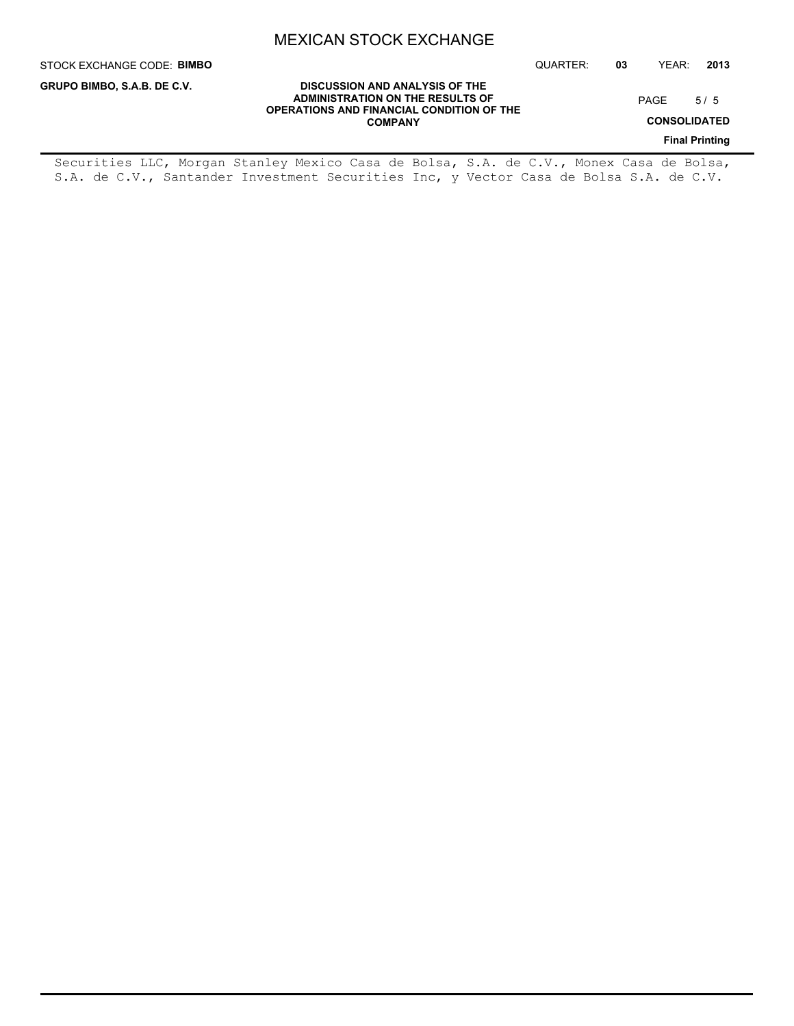QUARTER: **03** YEAR: **2013**

PAGE 5/5

**CONSOLIDATED**

**Final Printing**

**DISCUSSION AND ANALYSIS OF THE ADMINISTRATION ON THE RESULTS OF OPERATIONS AND FINANCIAL CONDITION OF THE COMPANY**

Securities LLC, Morgan Stanley Mexico Casa de Bolsa, S.A. de C.V., Monex Casa de Bolsa, S.A. de C.V., Santander Investment Securities Inc, y Vector Casa de Bolsa S.A. de C.V.

# STOCK EXCHANGE CODE: **BIMBO**

**GRUPO BIMBO, S.A.B. DE C.V.**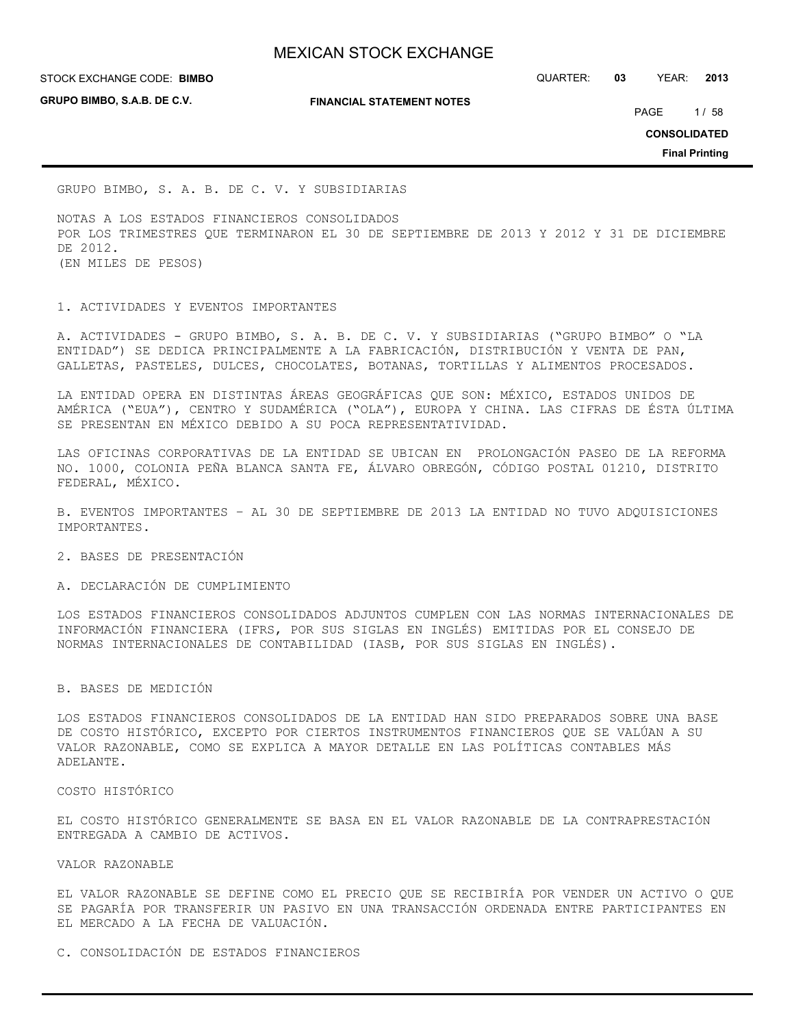**GRUPO BIMBO, S.A.B. DE C.V.**

**FINANCIAL STATEMENT NOTES**

STOCK EXCHANGE CODE: QUARTER: **03** YEAR: **2013 BIMBO**

PAGE 1/58

**CONSOLIDATED**

**Final Printing**

GRUPO BIMBO, S. A. B. DE C. V. Y SUBSIDIARIAS

NOTAS A LOS ESTADOS FINANCIEROS CONSOLIDADOS POR LOS TRIMESTRES QUE TERMINARON EL 30 DE SEPTIEMBRE DE 2013 Y 2012 Y 31 DE DICIEMBRE DE 2012. (EN MILES DE PESOS)

1. ACTIVIDADES Y EVENTOS IMPORTANTES

A. ACTIVIDADES - GRUPO BIMBO, S. A. B. DE C. V. Y SUBSIDIARIAS ("GRUPO BIMBO" O "LA ENTIDAD") SE DEDICA PRINCIPALMENTE A LA FABRICACIÓN, DISTRIBUCIÓN Y VENTA DE PAN, GALLETAS, PASTELES, DULCES, CHOCOLATES, BOTANAS, TORTILLAS Y ALIMENTOS PROCESADOS.

LA ENTIDAD OPERA EN DISTINTAS ÁREAS GEOGRÁFICAS QUE SON: MÉXICO, ESTADOS UNIDOS DE AMÉRICA ("EUA"), CENTRO Y SUDAMÉRICA ("OLA"), EUROPA Y CHINA. LAS CIFRAS DE ÉSTA ÚLTIMA SE PRESENTAN EN MÉXICO DEBIDO A SU POCA REPRESENTATIVIDAD.

LAS OFICINAS CORPORATIVAS DE LA ENTIDAD SE UBICAN EN PROLONGACIÓN PASEO DE LA REFORMA NO. 1000, COLONIA PEÑA BLANCA SANTA FE, ÁLVARO OBREGÓN, CÓDIGO POSTAL 01210, DISTRITO FEDERAL, MÉXICO.

B. EVENTOS IMPORTANTES – AL 30 DE SEPTIEMBRE DE 2013 LA ENTIDAD NO TUVO ADQUISICIONES IMPORTANTES.

2. BASES DE PRESENTACIÓN

A. DECLARACIÓN DE CUMPLIMIENTO

LOS ESTADOS FINANCIEROS CONSOLIDADOS ADJUNTOS CUMPLEN CON LAS NORMAS INTERNACIONALES DE INFORMACIÓN FINANCIERA (IFRS, POR SUS SIGLAS EN INGLÉS) EMITIDAS POR EL CONSEJO DE NORMAS INTERNACIONALES DE CONTABILIDAD (IASB, POR SUS SIGLAS EN INGLÉS).

#### B. BASES DE MEDICIÓN

LOS ESTADOS FINANCIEROS CONSOLIDADOS DE LA ENTIDAD HAN SIDO PREPARADOS SOBRE UNA BASE DE COSTO HISTÓRICO, EXCEPTO POR CIERTOS INSTRUMENTOS FINANCIEROS QUE SE VALÚAN A SU VALOR RAZONABLE, COMO SE EXPLICA A MAYOR DETALLE EN LAS POLÍTICAS CONTABLES MÁS ADELANTE.

COSTO HISTÓRICO

EL COSTO HISTÓRICO GENERALMENTE SE BASA EN EL VALOR RAZONABLE DE LA CONTRAPRESTACIÓN ENTREGADA A CAMBIO DE ACTIVOS.

VALOR RAZONABLE

EL VALOR RAZONABLE SE DEFINE COMO EL PRECIO QUE SE RECIBIRÍA POR VENDER UN ACTIVO O QUE SE PAGARÍA POR TRANSFERIR UN PASIVO EN UNA TRANSACCIÓN ORDENADA ENTRE PARTICIPANTES EN EL MERCADO A LA FECHA DE VALUACIÓN.

C. CONSOLIDACIÓN DE ESTADOS FINANCIEROS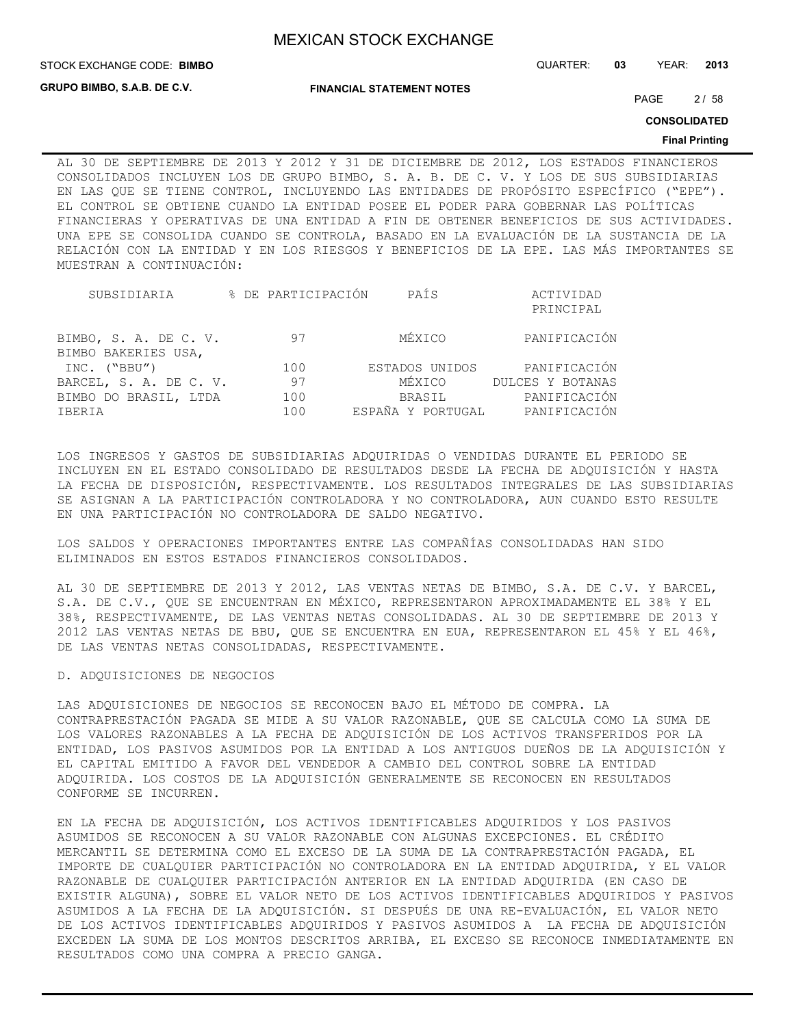STOCK EXCHANGE CODE: QUARTER: **03** YEAR: **2013 BIMBO**

**GRUPO BIMBO, S.A.B. DE C.V.**

**FINANCIAL STATEMENT NOTES**

PAGE 2/58

**CONSOLIDATED**

#### **Final Printing**

AL 30 DE SEPTIEMBRE DE 2013 Y 2012 Y 31 DE DICIEMBRE DE 2012, LOS ESTADOS FINANCIEROS CONSOLIDADOS INCLUYEN LOS DE GRUPO BIMBO, S. A. B. DE C. V. Y LOS DE SUS SUBSIDIARIAS EN LAS QUE SE TIENE CONTROL, INCLUYENDO LAS ENTIDADES DE PROPÓSITO ESPECÍFICO ("EPE"). EL CONTROL SE OBTIENE CUANDO LA ENTIDAD POSEE EL PODER PARA GOBERNAR LAS POLÍTICAS FINANCIERAS Y OPERATIVAS DE UNA ENTIDAD A FIN DE OBTENER BENEFICIOS DE SUS ACTIVIDADES. UNA EPE SE CONSOLIDA CUANDO SE CONTROLA, BASADO EN LA EVALUACIÓN DE LA SUSTANCIA DE LA RELACIÓN CON LA ENTIDAD Y EN LOS RIESGOS Y BENEFICIOS DE LA EPE. LAS MÁS IMPORTANTES SE MUESTRAN A CONTINUACIÓN:

| SUBSIDIARIA                                  | % DE PARTICIPACIÓN | PAÍS           | ACTIVIDAD                      |
|----------------------------------------------|--------------------|----------------|--------------------------------|
|                                              |                    |                | PRINCIPAL                      |
| BIMBO, S. A. DE C. V.<br>BIMBO BAKERIES USA, | 97                 | MÉXICO         | PANIFICACIÓN                   |
| INC. ("BBU")                                 | 100                | ESTADOS UNIDOS | PANIFICACIÓN                   |
| BARCEL, S. A. DE C. V.                       | 97                 | MÉXICO         | DULCES Y BOTANAS               |
| BIMBO DO BRASIL, LTDA                        | 100                | BRASIL         | PANIFICACIÓN                   |
| IBERIA                                       | 100                |                | ESPAÑA Y PORTUGAL PANIFICACIÓN |

LOS INGRESOS Y GASTOS DE SUBSIDIARIAS ADQUIRIDAS O VENDIDAS DURANTE EL PERIODO SE INCLUYEN EN EL ESTADO CONSOLIDADO DE RESULTADOS DESDE LA FECHA DE ADQUISICIÓN Y HASTA LA FECHA DE DISPOSICIÓN, RESPECTIVAMENTE. LOS RESULTADOS INTEGRALES DE LAS SUBSIDIARIAS SE ASIGNAN A LA PARTICIPACIÓN CONTROLADORA Y NO CONTROLADORA, AUN CUANDO ESTO RESULTE EN UNA PARTICIPACIÓN NO CONTROLADORA DE SALDO NEGATIVO.

LOS SALDOS Y OPERACIONES IMPORTANTES ENTRE LAS COMPAÑÍAS CONSOLIDADAS HAN SIDO ELIMINADOS EN ESTOS ESTADOS FINANCIEROS CONSOLIDADOS.

AL 30 DE SEPTIEMBRE DE 2013 Y 2012, LAS VENTAS NETAS DE BIMBO, S.A. DE C.V. Y BARCEL, S.A. DE C.V., QUE SE ENCUENTRAN EN MÉXICO, REPRESENTARON APROXIMADAMENTE EL 38% Y EL 38%, RESPECTIVAMENTE, DE LAS VENTAS NETAS CONSOLIDADAS. AL 30 DE SEPTIEMBRE DE 2013 Y 2012 LAS VENTAS NETAS DE BBU, QUE SE ENCUENTRA EN EUA, REPRESENTARON EL 45% Y EL 46%, DE LAS VENTAS NETAS CONSOLIDADAS, RESPECTIVAMENTE.

D. ADQUISICIONES DE NEGOCIOS

LAS ADQUISICIONES DE NEGOCIOS SE RECONOCEN BAJO EL MÉTODO DE COMPRA. LA CONTRAPRESTACIÓN PAGADA SE MIDE A SU VALOR RAZONABLE, QUE SE CALCULA COMO LA SUMA DE LOS VALORES RAZONABLES A LA FECHA DE ADQUISICIÓN DE LOS ACTIVOS TRANSFERIDOS POR LA ENTIDAD, LOS PASIVOS ASUMIDOS POR LA ENTIDAD A LOS ANTIGUOS DUEÑOS DE LA ADQUISICIÓN Y EL CAPITAL EMITIDO A FAVOR DEL VENDEDOR A CAMBIO DEL CONTROL SOBRE LA ENTIDAD ADQUIRIDA. LOS COSTOS DE LA ADQUISICIÓN GENERALMENTE SE RECONOCEN EN RESULTADOS CONFORME SE INCURREN.

EN LA FECHA DE ADQUISICIÓN, LOS ACTIVOS IDENTIFICABLES ADQUIRIDOS Y LOS PASIVOS ASUMIDOS SE RECONOCEN A SU VALOR RAZONABLE CON ALGUNAS EXCEPCIONES. EL CRÉDITO MERCANTIL SE DETERMINA COMO EL EXCESO DE LA SUMA DE LA CONTRAPRESTACIÓN PAGADA, EL IMPORTE DE CUALQUIER PARTICIPACIÓN NO CONTROLADORA EN LA ENTIDAD ADQUIRIDA, Y EL VALOR RAZONABLE DE CUALQUIER PARTICIPACIÓN ANTERIOR EN LA ENTIDAD ADQUIRIDA (EN CASO DE EXISTIR ALGUNA), SOBRE EL VALOR NETO DE LOS ACTIVOS IDENTIFICABLES ADQUIRIDOS Y PASIVOS ASUMIDOS A LA FECHA DE LA ADQUISICIÓN. SI DESPUÉS DE UNA RE-EVALUACIÓN, EL VALOR NETO DE LOS ACTIVOS IDENTIFICABLES ADQUIRIDOS Y PASIVOS ASUMIDOS A LA FECHA DE ADQUISICIÓN EXCEDEN LA SUMA DE LOS MONTOS DESCRITOS ARRIBA, EL EXCESO SE RECONOCE INMEDIATAMENTE EN RESULTADOS COMO UNA COMPRA A PRECIO GANGA.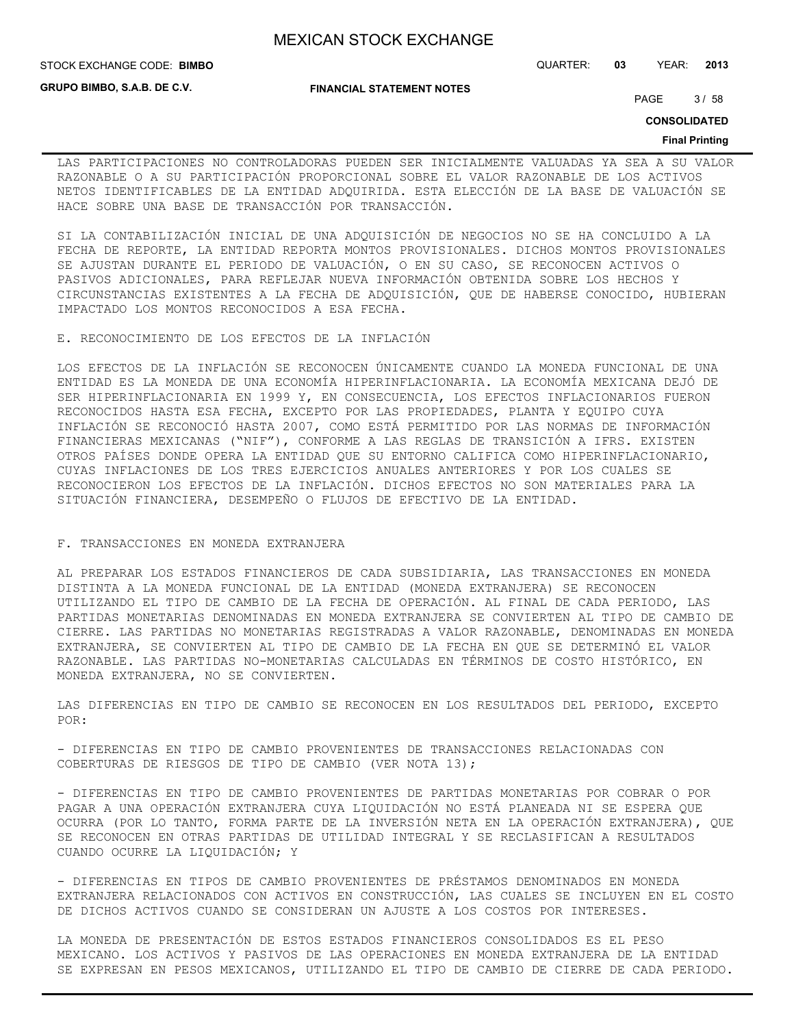**STOCK EXCHANGE CODE: BIMBO** 

**GRUPO BIMBO, S.A.B. DE C.V.**

**FINANCIAL STATEMENT NOTES**

STOCK EXCHANGE CODE: QUARTER: **03** YEAR: **2013**

PAGE 3/58

**CONSOLIDATED**

#### **Final Printing**

LAS PARTICIPACIONES NO CONTROLADORAS PUEDEN SER INICIALMENTE VALUADAS YA SEA A SU VALOR RAZONABLE O A SU PARTICIPACIÓN PROPORCIONAL SOBRE EL VALOR RAZONABLE DE LOS ACTIVOS NETOS IDENTIFICABLES DE LA ENTIDAD ADQUIRIDA. ESTA ELECCIÓN DE LA BASE DE VALUACIÓN SE HACE SOBRE UNA BASE DE TRANSACCIÓN POR TRANSACCIÓN.

SI LA CONTABILIZACIÓN INICIAL DE UNA ADQUISICIÓN DE NEGOCIOS NO SE HA CONCLUIDO A LA FECHA DE REPORTE, LA ENTIDAD REPORTA MONTOS PROVISIONALES. DICHOS MONTOS PROVISIONALES SE AJUSTAN DURANTE EL PERIODO DE VALUACIÓN, O EN SU CASO, SE RECONOCEN ACTIVOS O PASIVOS ADICIONALES, PARA REFLEJAR NUEVA INFORMACIÓN OBTENIDA SOBRE LOS HECHOS Y CIRCUNSTANCIAS EXISTENTES A LA FECHA DE ADQUISICIÓN, QUE DE HABERSE CONOCIDO, HUBIERAN IMPACTADO LOS MONTOS RECONOCIDOS A ESA FECHA.

E. RECONOCIMIENTO DE LOS EFECTOS DE LA INFLACIÓN

LOS EFECTOS DE LA INFLACIÓN SE RECONOCEN ÚNICAMENTE CUANDO LA MONEDA FUNCIONAL DE UNA ENTIDAD ES LA MONEDA DE UNA ECONOMÍA HIPERINFLACIONARIA. LA ECONOMÍA MEXICANA DEJÓ DE SER HIPERINFLACIONARIA EN 1999 Y, EN CONSECUENCIA, LOS EFECTOS INFLACIONARIOS FUERON RECONOCIDOS HASTA ESA FECHA, EXCEPTO POR LAS PROPIEDADES, PLANTA Y EQUIPO CUYA INFLACIÓN SE RECONOCIÓ HASTA 2007, COMO ESTÁ PERMITIDO POR LAS NORMAS DE INFORMACIÓN FINANCIERAS MEXICANAS ("NIF"), CONFORME A LAS REGLAS DE TRANSICIÓN A IFRS. EXISTEN OTROS PAÍSES DONDE OPERA LA ENTIDAD QUE SU ENTORNO CALIFICA COMO HIPERINFLACIONARIO, CUYAS INFLACIONES DE LOS TRES EJERCICIOS ANUALES ANTERIORES Y POR LOS CUALES SE RECONOCIERON LOS EFECTOS DE LA INFLACIÓN. DICHOS EFECTOS NO SON MATERIALES PARA LA SITUACIÓN FINANCIERA, DESEMPEÑO O FLUJOS DE EFECTIVO DE LA ENTIDAD.

#### F. TRANSACCIONES EN MONEDA EXTRANJERA

AL PREPARAR LOS ESTADOS FINANCIEROS DE CADA SUBSIDIARIA, LAS TRANSACCIONES EN MONEDA DISTINTA A LA MONEDA FUNCIONAL DE LA ENTIDAD (MONEDA EXTRANJERA) SE RECONOCEN UTILIZANDO EL TIPO DE CAMBIO DE LA FECHA DE OPERACIÓN. AL FINAL DE CADA PERIODO, LAS PARTIDAS MONETARIAS DENOMINADAS EN MONEDA EXTRANJERA SE CONVIERTEN AL TIPO DE CAMBIO DE CIERRE. LAS PARTIDAS NO MONETARIAS REGISTRADAS A VALOR RAZONABLE, DENOMINADAS EN MONEDA EXTRANJERA, SE CONVIERTEN AL TIPO DE CAMBIO DE LA FECHA EN QUE SE DETERMINÓ EL VALOR RAZONABLE. LAS PARTIDAS NO-MONETARIAS CALCULADAS EN TÉRMINOS DE COSTO HISTÓRICO, EN MONEDA EXTRANJERA, NO SE CONVIERTEN.

LAS DIFERENCIAS EN TIPO DE CAMBIO SE RECONOCEN EN LOS RESULTADOS DEL PERIODO, EXCEPTO POR:

- DIFERENCIAS EN TIPO DE CAMBIO PROVENIENTES DE TRANSACCIONES RELACIONADAS CON COBERTURAS DE RIESGOS DE TIPO DE CAMBIO (VER NOTA 13);

- DIFERENCIAS EN TIPO DE CAMBIO PROVENIENTES DE PARTIDAS MONETARIAS POR COBRAR O POR PAGAR A UNA OPERACIÓN EXTRANJERA CUYA LIQUIDACIÓN NO ESTÁ PLANEADA NI SE ESPERA QUE OCURRA (POR LO TANTO, FORMA PARTE DE LA INVERSIÓN NETA EN LA OPERACIÓN EXTRANJERA), QUE SE RECONOCEN EN OTRAS PARTIDAS DE UTILIDAD INTEGRAL Y SE RECLASIFICAN A RESULTADOS CUANDO OCURRE LA LIQUIDACIÓN; Y

- DIFERENCIAS EN TIPOS DE CAMBIO PROVENIENTES DE PRÉSTAMOS DENOMINADOS EN MONEDA EXTRANJERA RELACIONADOS CON ACTIVOS EN CONSTRUCCIÓN, LAS CUALES SE INCLUYEN EN EL COSTO DE DICHOS ACTIVOS CUANDO SE CONSIDERAN UN AJUSTE A LOS COSTOS POR INTERESES.

LA MONEDA DE PRESENTACIÓN DE ESTOS ESTADOS FINANCIEROS CONSOLIDADOS ES EL PESO MEXICANO. LOS ACTIVOS Y PASIVOS DE LAS OPERACIONES EN MONEDA EXTRANJERA DE LA ENTIDAD SE EXPRESAN EN PESOS MEXICANOS, UTILIZANDO EL TIPO DE CAMBIO DE CIERRE DE CADA PERIODO.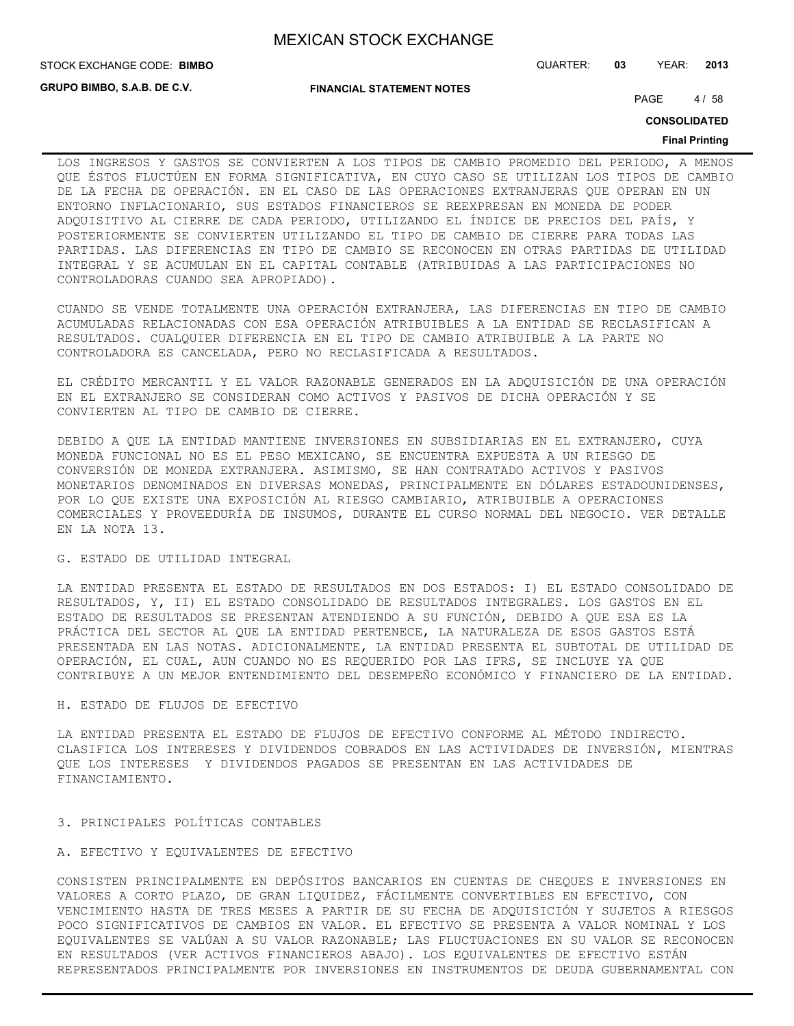**GRUPO BIMBO, S.A.B. DE C.V.**

**FINANCIAL STATEMENT NOTES**

STOCK EXCHANGE CODE: QUARTER: **03** YEAR: **2013 BIMBO**

PAGE 4/58

**CONSOLIDATED**

#### **Final Printing**

LOS INGRESOS Y GASTOS SE CONVIERTEN A LOS TIPOS DE CAMBIO PROMEDIO DEL PERIODO, A MENOS QUE ÉSTOS FLUCTÚEN EN FORMA SIGNIFICATIVA, EN CUYO CASO SE UTILIZAN LOS TIPOS DE CAMBIO DE LA FECHA DE OPERACIÓN. EN EL CASO DE LAS OPERACIONES EXTRANJERAS QUE OPERAN EN UN ENTORNO INFLACIONARIO, SUS ESTADOS FINANCIEROS SE REEXPRESAN EN MONEDA DE PODER ADQUISITIVO AL CIERRE DE CADA PERIODO, UTILIZANDO EL ÍNDICE DE PRECIOS DEL PAÍS, Y POSTERIORMENTE SE CONVIERTEN UTILIZANDO EL TIPO DE CAMBIO DE CIERRE PARA TODAS LAS PARTIDAS. LAS DIFERENCIAS EN TIPO DE CAMBIO SE RECONOCEN EN OTRAS PARTIDAS DE UTILIDAD INTEGRAL Y SE ACUMULAN EN EL CAPITAL CONTABLE (ATRIBUIDAS A LAS PARTICIPACIONES NO CONTROLADORAS CUANDO SEA APROPIADO).

CUANDO SE VENDE TOTALMENTE UNA OPERACIÓN EXTRANJERA, LAS DIFERENCIAS EN TIPO DE CAMBIO ACUMULADAS RELACIONADAS CON ESA OPERACIÓN ATRIBUIBLES A LA ENTIDAD SE RECLASIFICAN A RESULTADOS. CUALQUIER DIFERENCIA EN EL TIPO DE CAMBIO ATRIBUIBLE A LA PARTE NO CONTROLADORA ES CANCELADA, PERO NO RECLASIFICADA A RESULTADOS.

EL CRÉDITO MERCANTIL Y EL VALOR RAZONABLE GENERADOS EN LA ADQUISICIÓN DE UNA OPERACIÓN EN EL EXTRANJERO SE CONSIDERAN COMO ACTIVOS Y PASIVOS DE DICHA OPERACIÓN Y SE CONVIERTEN AL TIPO DE CAMBIO DE CIERRE.

DEBIDO A QUE LA ENTIDAD MANTIENE INVERSIONES EN SUBSIDIARIAS EN EL EXTRANJERO, CUYA MONEDA FUNCIONAL NO ES EL PESO MEXICANO, SE ENCUENTRA EXPUESTA A UN RIESGO DE CONVERSIÓN DE MONEDA EXTRANJERA. ASIMISMO, SE HAN CONTRATADO ACTIVOS Y PASIVOS MONETARIOS DENOMINADOS EN DIVERSAS MONEDAS, PRINCIPALMENTE EN DÓLARES ESTADOUNIDENSES, POR LO QUE EXISTE UNA EXPOSICIÓN AL RIESGO CAMBIARIO, ATRIBUIBLE A OPERACIONES COMERCIALES Y PROVEEDURÍA DE INSUMOS, DURANTE EL CURSO NORMAL DEL NEGOCIO. VER DETALLE EN LA NOTA 13.

### G. ESTADO DE UTILIDAD INTEGRAL

LA ENTIDAD PRESENTA EL ESTADO DE RESULTADOS EN DOS ESTADOS: I) EL ESTADO CONSOLIDADO DE RESULTADOS, Y, II) EL ESTADO CONSOLIDADO DE RESULTADOS INTEGRALES. LOS GASTOS EN EL ESTADO DE RESULTADOS SE PRESENTAN ATENDIENDO A SU FUNCIÓN, DEBIDO A QUE ESA ES LA PRÁCTICA DEL SECTOR AL QUE LA ENTIDAD PERTENECE, LA NATURALEZA DE ESOS GASTOS ESTÁ PRESENTADA EN LAS NOTAS. ADICIONALMENTE, LA ENTIDAD PRESENTA EL SUBTOTAL DE UTILIDAD DE OPERACIÓN, EL CUAL, AUN CUANDO NO ES REQUERIDO POR LAS IFRS, SE INCLUYE YA QUE CONTRIBUYE A UN MEJOR ENTENDIMIENTO DEL DESEMPEÑO ECONÓMICO Y FINANCIERO DE LA ENTIDAD.

#### H. ESTADO DE FLUJOS DE EFECTIVO

LA ENTIDAD PRESENTA EL ESTADO DE FLUJOS DE EFECTIVO CONFORME AL MÉTODO INDIRECTO. CLASIFICA LOS INTERESES Y DIVIDENDOS COBRADOS EN LAS ACTIVIDADES DE INVERSIÓN, MIENTRAS QUE LOS INTERESES Y DIVIDENDOS PAGADOS SE PRESENTAN EN LAS ACTIVIDADES DE FINANCIAMIENTO.

#### 3. PRINCIPALES POLÍTICAS CONTABLES

#### A. EFECTIVO Y EQUIVALENTES DE EFECTIVO

CONSISTEN PRINCIPALMENTE EN DEPÓSITOS BANCARIOS EN CUENTAS DE CHEQUES E INVERSIONES EN VALORES A CORTO PLAZO, DE GRAN LIQUIDEZ, FÁCILMENTE CONVERTIBLES EN EFECTIVO, CON VENCIMIENTO HASTA DE TRES MESES A PARTIR DE SU FECHA DE ADQUISICIÓN Y SUJETOS A RIESGOS POCO SIGNIFICATIVOS DE CAMBIOS EN VALOR. EL EFECTIVO SE PRESENTA A VALOR NOMINAL Y LOS EQUIVALENTES SE VALÚAN A SU VALOR RAZONABLE; LAS FLUCTUACIONES EN SU VALOR SE RECONOCEN EN RESULTADOS (VER ACTIVOS FINANCIEROS ABAJO). LOS EQUIVALENTES DE EFECTIVO ESTÁN REPRESENTADOS PRINCIPALMENTE POR INVERSIONES EN INSTRUMENTOS DE DEUDA GUBERNAMENTAL CON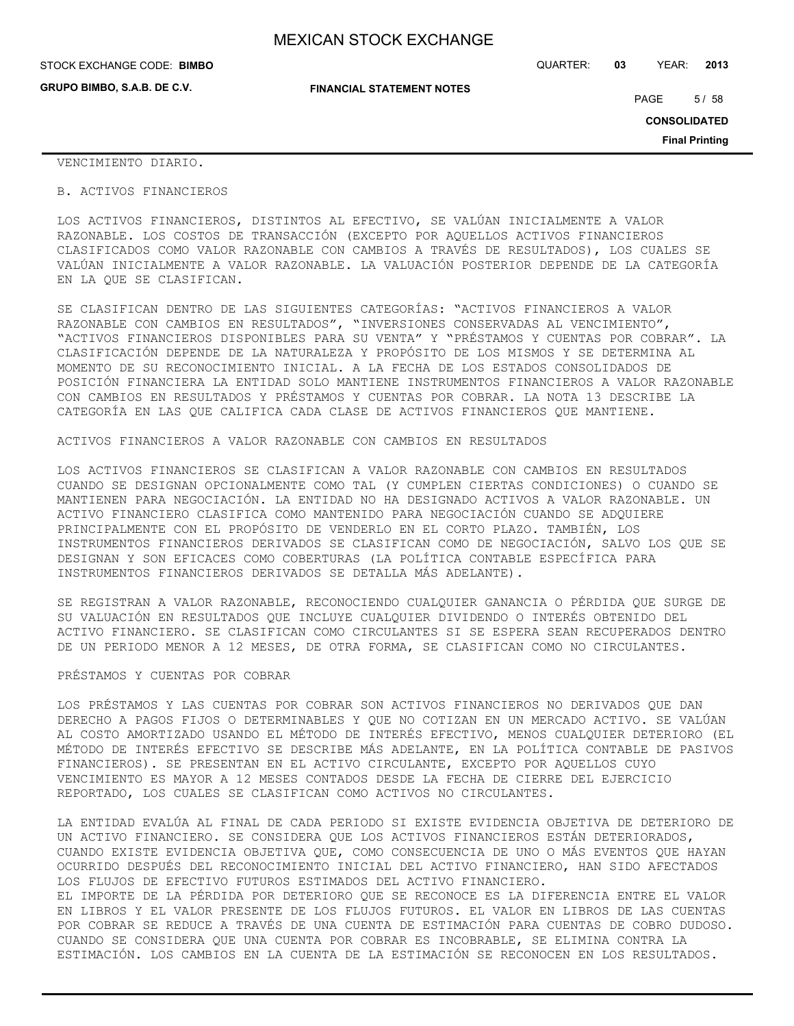| STOCK EXCHANGE CODE: BIMBO  |                                  | QUARTER: | 03 | YEAR:       | 2013 |
|-----------------------------|----------------------------------|----------|----|-------------|------|
| GRUPO BIMBO, S.A.B. DE C.V. | <b>FINANCIAL STATEMENT NOTES</b> |          |    | <b>PAGE</b> | 5/58 |

PAGE 5/58

**CONSOLIDATED**

**Final Printing**

#### VENCIMIENTO DIARIO.

#### B. ACTIVOS FINANCIEROS

LOS ACTIVOS FINANCIEROS, DISTINTOS AL EFECTIVO, SE VALÚAN INICIALMENTE A VALOR RAZONABLE. LOS COSTOS DE TRANSACCIÓN (EXCEPTO POR AQUELLOS ACTIVOS FINANCIEROS CLASIFICADOS COMO VALOR RAZONABLE CON CAMBIOS A TRAVÉS DE RESULTADOS), LOS CUALES SE VALÚAN INICIALMENTE A VALOR RAZONABLE. LA VALUACIÓN POSTERIOR DEPENDE DE LA CATEGORÍA EN LA QUE SE CLASIFICAN.

SE CLASIFICAN DENTRO DE LAS SIGUIENTES CATEGORÍAS: "ACTIVOS FINANCIEROS A VALOR RAZONABLE CON CAMBIOS EN RESULTADOS", "INVERSIONES CONSERVADAS AL VENCIMIENTO", "ACTIVOS FINANCIEROS DISPONIBLES PARA SU VENTA" Y "PRÉSTAMOS Y CUENTAS POR COBRAR". LA CLASIFICACIÓN DEPENDE DE LA NATURALEZA Y PROPÓSITO DE LOS MISMOS Y SE DETERMINA AL MOMENTO DE SU RECONOCIMIENTO INICIAL. A LA FECHA DE LOS ESTADOS CONSOLIDADOS DE POSICIÓN FINANCIERA LA ENTIDAD SOLO MANTIENE INSTRUMENTOS FINANCIEROS A VALOR RAZONABLE CON CAMBIOS EN RESULTADOS Y PRÉSTAMOS Y CUENTAS POR COBRAR. LA NOTA 13 DESCRIBE LA CATEGORÍA EN LAS QUE CALIFICA CADA CLASE DE ACTIVOS FINANCIEROS QUE MANTIENE.

#### ACTIVOS FINANCIEROS A VALOR RAZONABLE CON CAMBIOS EN RESULTADOS

LOS ACTIVOS FINANCIEROS SE CLASIFICAN A VALOR RAZONABLE CON CAMBIOS EN RESULTADOS CUANDO SE DESIGNAN OPCIONALMENTE COMO TAL (Y CUMPLEN CIERTAS CONDICIONES) O CUANDO SE MANTIENEN PARA NEGOCIACIÓN. LA ENTIDAD NO HA DESIGNADO ACTIVOS A VALOR RAZONABLE. UN ACTIVO FINANCIERO CLASIFICA COMO MANTENIDO PARA NEGOCIACIÓN CUANDO SE ADQUIERE PRINCIPALMENTE CON EL PROPÓSITO DE VENDERLO EN EL CORTO PLAZO. TAMBIÉN, LOS INSTRUMENTOS FINANCIEROS DERIVADOS SE CLASIFICAN COMO DE NEGOCIACIÓN, SALVO LOS QUE SE DESIGNAN Y SON EFICACES COMO COBERTURAS (LA POLÍTICA CONTABLE ESPECÍFICA PARA INSTRUMENTOS FINANCIEROS DERIVADOS SE DETALLA MÁS ADELANTE).

SE REGISTRAN A VALOR RAZONABLE, RECONOCIENDO CUALQUIER GANANCIA O PÉRDIDA QUE SURGE DE SU VALUACIÓN EN RESULTADOS QUE INCLUYE CUALQUIER DIVIDENDO O INTERÉS OBTENIDO DEL ACTIVO FINANCIERO. SE CLASIFICAN COMO CIRCULANTES SI SE ESPERA SEAN RECUPERADOS DENTRO DE UN PERIODO MENOR A 12 MESES, DE OTRA FORMA, SE CLASIFICAN COMO NO CIRCULANTES.

#### PRÉSTAMOS Y CUENTAS POR COBRAR

LOS PRÉSTAMOS Y LAS CUENTAS POR COBRAR SON ACTIVOS FINANCIEROS NO DERIVADOS QUE DAN DERECHO A PAGOS FIJOS O DETERMINABLES Y QUE NO COTIZAN EN UN MERCADO ACTIVO. SE VALÚAN AL COSTO AMORTIZADO USANDO EL MÉTODO DE INTERÉS EFECTIVO, MENOS CUALQUIER DETERIORO (EL MÉTODO DE INTERÉS EFECTIVO SE DESCRIBE MÁS ADELANTE, EN LA POLÍTICA CONTABLE DE PASIVOS FINANCIEROS). SE PRESENTAN EN EL ACTIVO CIRCULANTE, EXCEPTO POR AQUELLOS CUYO VENCIMIENTO ES MAYOR A 12 MESES CONTADOS DESDE LA FECHA DE CIERRE DEL EJERCICIO REPORTADO, LOS CUALES SE CLASIFICAN COMO ACTIVOS NO CIRCULANTES.

LA ENTIDAD EVALÚA AL FINAL DE CADA PERIODO SI EXISTE EVIDENCIA OBJETIVA DE DETERIORO DE UN ACTIVO FINANCIERO. SE CONSIDERA QUE LOS ACTIVOS FINANCIEROS ESTÁN DETERIORADOS, CUANDO EXISTE EVIDENCIA OBJETIVA QUE, COMO CONSECUENCIA DE UNO O MÁS EVENTOS QUE HAYAN OCURRIDO DESPUÉS DEL RECONOCIMIENTO INICIAL DEL ACTIVO FINANCIERO, HAN SIDO AFECTADOS LOS FLUJOS DE EFECTIVO FUTUROS ESTIMADOS DEL ACTIVO FINANCIERO. EL IMPORTE DE LA PÉRDIDA POR DETERIORO QUE SE RECONOCE ES LA DIFERENCIA ENTRE EL VALOR EN LIBROS Y EL VALOR PRESENTE DE LOS FLUJOS FUTUROS. EL VALOR EN LIBROS DE LAS CUENTAS POR COBRAR SE REDUCE A TRAVÉS DE UNA CUENTA DE ESTIMACIÓN PARA CUENTAS DE COBRO DUDOSO. CUANDO SE CONSIDERA QUE UNA CUENTA POR COBRAR ES INCOBRABLE, SE ELIMINA CONTRA LA ESTIMACIÓN. LOS CAMBIOS EN LA CUENTA DE LA ESTIMACIÓN SE RECONOCEN EN LOS RESULTADOS.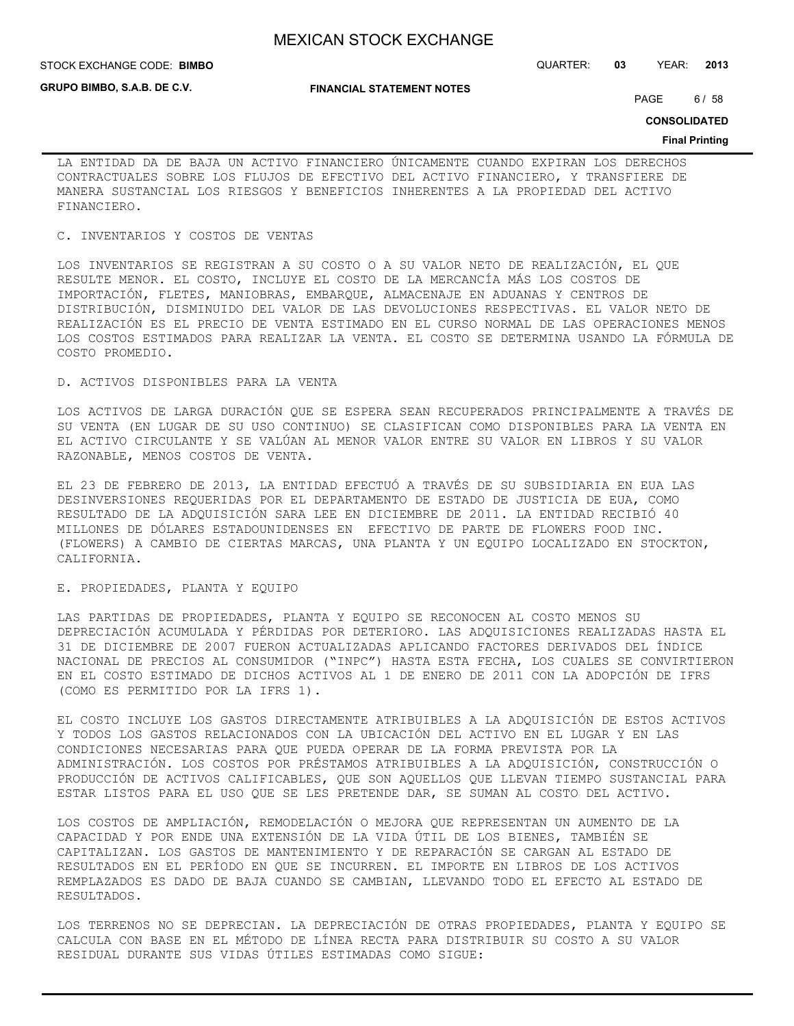**GRUPO BIMBO, S.A.B. DE C.V.**

**FINANCIAL STATEMENT NOTES**

STOCK EXCHANGE CODE: QUARTER: **03** YEAR: **2013 BIMBO**

PAGE 6/58

**CONSOLIDATED**

#### **Final Printing**

LA ENTIDAD DA DE BAJA UN ACTIVO FINANCIERO ÚNICAMENTE CUANDO EXPIRAN LOS DERECHOS CONTRACTUALES SOBRE LOS FLUJOS DE EFECTIVO DEL ACTIVO FINANCIERO, Y TRANSFIERE DE MANERA SUSTANCIAL LOS RIESGOS Y BENEFICIOS INHERENTES A LA PROPIEDAD DEL ACTIVO FINANCIERO.

#### C. INVENTARIOS Y COSTOS DE VENTAS

LOS INVENTARIOS SE REGISTRAN A SU COSTO O A SU VALOR NETO DE REALIZACIÓN, EL QUE RESULTE MENOR. EL COSTO, INCLUYE EL COSTO DE LA MERCANCÍA MÁS LOS COSTOS DE IMPORTACIÓN, FLETES, MANIOBRAS, EMBARQUE, ALMACENAJE EN ADUANAS Y CENTROS DE DISTRIBUCIÓN, DISMINUIDO DEL VALOR DE LAS DEVOLUCIONES RESPECTIVAS. EL VALOR NETO DE REALIZACIÓN ES EL PRECIO DE VENTA ESTIMADO EN EL CURSO NORMAL DE LAS OPERACIONES MENOS LOS COSTOS ESTIMADOS PARA REALIZAR LA VENTA. EL COSTO SE DETERMINA USANDO LA FÓRMULA DE COSTO PROMEDIO.

#### D. ACTIVOS DISPONIBLES PARA LA VENTA

LOS ACTIVOS DE LARGA DURACIÓN QUE SE ESPERA SEAN RECUPERADOS PRINCIPALMENTE A TRAVÉS DE SU VENTA (EN LUGAR DE SU USO CONTINUO) SE CLASIFICAN COMO DISPONIBLES PARA LA VENTA EN EL ACTIVO CIRCULANTE Y SE VALÚAN AL MENOR VALOR ENTRE SU VALOR EN LIBROS Y SU VALOR RAZONABLE, MENOS COSTOS DE VENTA.

EL 23 DE FEBRERO DE 2013, LA ENTIDAD EFECTUÓ A TRAVÉS DE SU SUBSIDIARIA EN EUA LAS DESINVERSIONES REQUERIDAS POR EL DEPARTAMENTO DE ESTADO DE JUSTICIA DE EUA, COMO RESULTADO DE LA ADQUISICIÓN SARA LEE EN DICIEMBRE DE 2011. LA ENTIDAD RECIBIÓ 40 MILLONES DE DÓLARES ESTADOUNIDENSES EN EFECTIVO DE PARTE DE FLOWERS FOOD INC. (FLOWERS) A CAMBIO DE CIERTAS MARCAS, UNA PLANTA Y UN EQUIPO LOCALIZADO EN STOCKTON, CALIFORNIA.

## E. PROPIEDADES, PLANTA Y EQUIPO

LAS PARTIDAS DE PROPIEDADES, PLANTA Y EQUIPO SE RECONOCEN AL COSTO MENOS SU DEPRECIACIÓN ACUMULADA Y PÉRDIDAS POR DETERIORO. LAS ADQUISICIONES REALIZADAS HASTA EL 31 DE DICIEMBRE DE 2007 FUERON ACTUALIZADAS APLICANDO FACTORES DERIVADOS DEL ÍNDICE NACIONAL DE PRECIOS AL CONSUMIDOR ("INPC") HASTA ESTA FECHA, LOS CUALES SE CONVIRTIERON EN EL COSTO ESTIMADO DE DICHOS ACTIVOS AL 1 DE ENERO DE 2011 CON LA ADOPCIÓN DE IFRS (COMO ES PERMITIDO POR LA IFRS 1).

EL COSTO INCLUYE LOS GASTOS DIRECTAMENTE ATRIBUIBLES A LA ADQUISICIÓN DE ESTOS ACTIVOS Y TODOS LOS GASTOS RELACIONADOS CON LA UBICACIÓN DEL ACTIVO EN EL LUGAR Y EN LAS CONDICIONES NECESARIAS PARA QUE PUEDA OPERAR DE LA FORMA PREVISTA POR LA ADMINISTRACIÓN. LOS COSTOS POR PRÉSTAMOS ATRIBUIBLES A LA ADQUISICIÓN, CONSTRUCCIÓN O PRODUCCIÓN DE ACTIVOS CALIFICABLES, QUE SON AQUELLOS QUE LLEVAN TIEMPO SUSTANCIAL PARA ESTAR LISTOS PARA EL USO QUE SE LES PRETENDE DAR, SE SUMAN AL COSTO DEL ACTIVO.

LOS COSTOS DE AMPLIACIÓN, REMODELACIÓN O MEJORA QUE REPRESENTAN UN AUMENTO DE LA CAPACIDAD Y POR ENDE UNA EXTENSIÓN DE LA VIDA ÚTIL DE LOS BIENES, TAMBIÉN SE CAPITALIZAN. LOS GASTOS DE MANTENIMIENTO Y DE REPARACIÓN SE CARGAN AL ESTADO DE RESULTADOS EN EL PERÍODO EN QUE SE INCURREN. EL IMPORTE EN LIBROS DE LOS ACTIVOS REMPLAZADOS ES DADO DE BAJA CUANDO SE CAMBIAN, LLEVANDO TODO EL EFECTO AL ESTADO DE RESULTADOS.

LOS TERRENOS NO SE DEPRECIAN. LA DEPRECIACIÓN DE OTRAS PROPIEDADES, PLANTA Y EQUIPO SE CALCULA CON BASE EN EL MÉTODO DE LÍNEA RECTA PARA DISTRIBUIR SU COSTO A SU VALOR RESIDUAL DURANTE SUS VIDAS ÚTILES ESTIMADAS COMO SIGUE: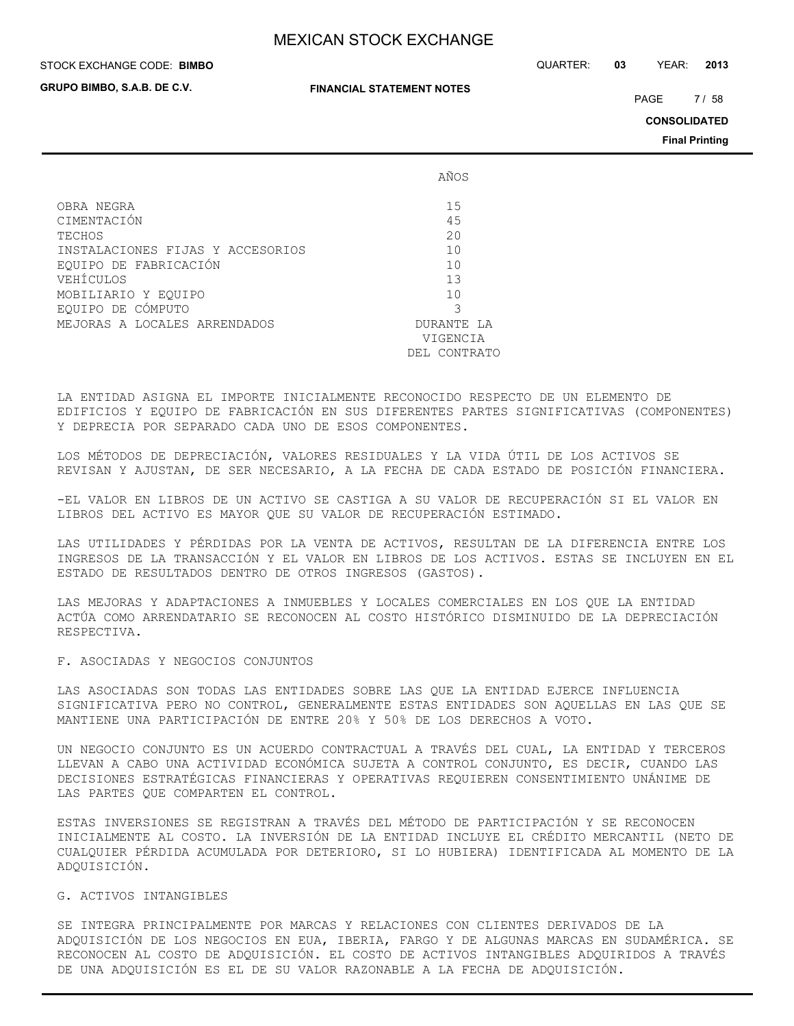#### STOCK EXCHANGE CODE: QUARTER: **03** YEAR: **2013 BIMBO**

**GRUPO BIMBO, S.A.B. DE C.V.**

#### **FINANCIAL STATEMENT NOTES**

PAGE 7/58

**CONSOLIDATED**

**Final Printing**

|                                  | AÑOS          |
|----------------------------------|---------------|
| OBRA NEGRA                       | 15            |
| CIMENTACIÓN                      | 45            |
| TECHOS                           | 20            |
| INSTALACIONES FIJAS Y ACCESORIOS | 10            |
| EOUIPO DE FABRICACIÓN            | 10            |
| VEHÍCULOS                        | 13            |
| MOBILIARIO Y EOUIPO              | 10            |
| EQUIPO DE CÓMPUTO                | 3             |
| MEJORAS A LOCALES ARRENDADOS     | DURANTE LA    |
|                                  | VIGENCIA      |
|                                  | DEI, CONTRATO |

LA ENTIDAD ASIGNA EL IMPORTE INICIALMENTE RECONOCIDO RESPECTO DE UN ELEMENTO DE EDIFICIOS Y EQUIPO DE FABRICACIÓN EN SUS DIFERENTES PARTES SIGNIFICATIVAS (COMPONENTES) Y DEPRECIA POR SEPARADO CADA UNO DE ESOS COMPONENTES.

LOS MÉTODOS DE DEPRECIACIÓN, VALORES RESIDUALES Y LA VIDA ÚTIL DE LOS ACTIVOS SE REVISAN Y AJUSTAN, DE SER NECESARIO, A LA FECHA DE CADA ESTADO DE POSICIÓN FINANCIERA.

-EL VALOR EN LIBROS DE UN ACTIVO SE CASTIGA A SU VALOR DE RECUPERACIÓN SI EL VALOR EN LIBROS DEL ACTIVO ES MAYOR QUE SU VALOR DE RECUPERACIÓN ESTIMADO.

LAS UTILIDADES Y PÉRDIDAS POR LA VENTA DE ACTIVOS, RESULTAN DE LA DIFERENCIA ENTRE LOS INGRESOS DE LA TRANSACCIÓN Y EL VALOR EN LIBROS DE LOS ACTIVOS. ESTAS SE INCLUYEN EN EL ESTADO DE RESULTADOS DENTRO DE OTROS INGRESOS (GASTOS).

LAS MEJORAS Y ADAPTACIONES A INMUEBLES Y LOCALES COMERCIALES EN LOS QUE LA ENTIDAD ACTÚA COMO ARRENDATARIO SE RECONOCEN AL COSTO HISTÓRICO DISMINUIDO DE LA DEPRECIACIÓN RESPECTIVA.

#### F. ASOCIADAS Y NEGOCIOS CONJUNTOS

LAS ASOCIADAS SON TODAS LAS ENTIDADES SOBRE LAS QUE LA ENTIDAD EJERCE INFLUENCIA SIGNIFICATIVA PERO NO CONTROL, GENERALMENTE ESTAS ENTIDADES SON AQUELLAS EN LAS QUE SE MANTIENE UNA PARTICIPACIÓN DE ENTRE 20% Y 50% DE LOS DERECHOS A VOTO.

UN NEGOCIO CONJUNTO ES UN ACUERDO CONTRACTUAL A TRAVÉS DEL CUAL, LA ENTIDAD Y TERCEROS LLEVAN A CABO UNA ACTIVIDAD ECONÓMICA SUJETA A CONTROL CONJUNTO, ES DECIR, CUANDO LAS DECISIONES ESTRATÉGICAS FINANCIERAS Y OPERATIVAS REQUIEREN CONSENTIMIENTO UNÁNIME DE LAS PARTES QUE COMPARTEN EL CONTROL.

ESTAS INVERSIONES SE REGISTRAN A TRAVÉS DEL MÉTODO DE PARTICIPACIÓN Y SE RECONOCEN INICIALMENTE AL COSTO. LA INVERSIÓN DE LA ENTIDAD INCLUYE EL CRÉDITO MERCANTIL (NETO DE CUALQUIER PÉRDIDA ACUMULADA POR DETERIORO, SI LO HUBIERA) IDENTIFICADA AL MOMENTO DE LA ADQUISICIÓN.

#### G. ACTIVOS INTANGIBLES

SE INTEGRA PRINCIPALMENTE POR MARCAS Y RELACIONES CON CLIENTES DERIVADOS DE LA ADQUISICIÓN DE LOS NEGOCIOS EN EUA, IBERIA, FARGO Y DE ALGUNAS MARCAS EN SUDAMÉRICA. SE RECONOCEN AL COSTO DE ADQUISICIÓN. EL COSTO DE ACTIVOS INTANGIBLES ADQUIRIDOS A TRAVÉS DE UNA ADQUISICIÓN ES EL DE SU VALOR RAZONABLE A LA FECHA DE ADQUISICIÓN.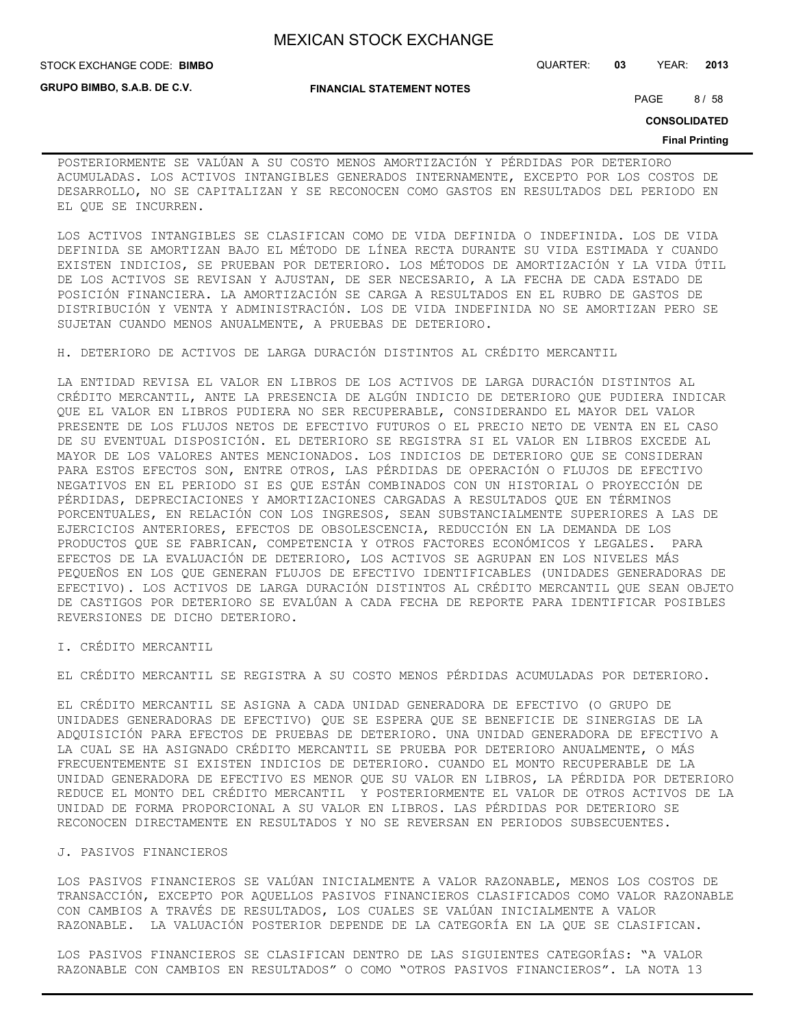**FINANCIAL STATEMENT NOTES**

STOCK EXCHANGE CODE: QUARTER: **03** YEAR: **2013 BIMBO**

**GRUPO BIMBO, S.A.B. DE C.V.**

PAGE 8/58

**CONSOLIDATED**

#### **Final Printing**

POSTERIORMENTE SE VALÚAN A SU COSTO MENOS AMORTIZACIÓN Y PÉRDIDAS POR DETERIORO ACUMULADAS. LOS ACTIVOS INTANGIBLES GENERADOS INTERNAMENTE, EXCEPTO POR LOS COSTOS DE DESARROLLO, NO SE CAPITALIZAN Y SE RECONOCEN COMO GASTOS EN RESULTADOS DEL PERIODO EN EL QUE SE INCURREN.

LOS ACTIVOS INTANGIBLES SE CLASIFICAN COMO DE VIDA DEFINIDA O INDEFINIDA. LOS DE VIDA DEFINIDA SE AMORTIZAN BAJO EL MÉTODO DE LÍNEA RECTA DURANTE SU VIDA ESTIMADA Y CUANDO EXISTEN INDICIOS, SE PRUEBAN POR DETERIORO. LOS MÉTODOS DE AMORTIZACIÓN Y LA VIDA ÚTIL DE LOS ACTIVOS SE REVISAN Y AJUSTAN, DE SER NECESARIO, A LA FECHA DE CADA ESTADO DE POSICIÓN FINANCIERA. LA AMORTIZACIÓN SE CARGA A RESULTADOS EN EL RUBRO DE GASTOS DE DISTRIBUCIÓN Y VENTA Y ADMINISTRACIÓN. LOS DE VIDA INDEFINIDA NO SE AMORTIZAN PERO SE SUJETAN CUANDO MENOS ANUALMENTE, A PRUEBAS DE DETERIORO.

H. DETERIORO DE ACTIVOS DE LARGA DURACIÓN DISTINTOS AL CRÉDITO MERCANTIL

LA ENTIDAD REVISA EL VALOR EN LIBROS DE LOS ACTIVOS DE LARGA DURACIÓN DISTINTOS AL CRÉDITO MERCANTIL, ANTE LA PRESENCIA DE ALGÚN INDICIO DE DETERIORO QUE PUDIERA INDICAR QUE EL VALOR EN LIBROS PUDIERA NO SER RECUPERABLE, CONSIDERANDO EL MAYOR DEL VALOR PRESENTE DE LOS FLUJOS NETOS DE EFECTIVO FUTUROS O EL PRECIO NETO DE VENTA EN EL CASO DE SU EVENTUAL DISPOSICIÓN. EL DETERIORO SE REGISTRA SI EL VALOR EN LIBROS EXCEDE AL MAYOR DE LOS VALORES ANTES MENCIONADOS. LOS INDICIOS DE DETERIORO QUE SE CONSIDERAN PARA ESTOS EFECTOS SON, ENTRE OTROS, LAS PÉRDIDAS DE OPERACIÓN O FLUJOS DE EFECTIVO NEGATIVOS EN EL PERIODO SI ES QUE ESTÁN COMBINADOS CON UN HISTORIAL O PROYECCIÓN DE PÉRDIDAS, DEPRECIACIONES Y AMORTIZACIONES CARGADAS A RESULTADOS QUE EN TÉRMINOS PORCENTUALES, EN RELACIÓN CON LOS INGRESOS, SEAN SUBSTANCIALMENTE SUPERIORES A LAS DE EJERCICIOS ANTERIORES, EFECTOS DE OBSOLESCENCIA, REDUCCIÓN EN LA DEMANDA DE LOS PRODUCTOS QUE SE FABRICAN, COMPETENCIA Y OTROS FACTORES ECONÓMICOS Y LEGALES. PARA EFECTOS DE LA EVALUACIÓN DE DETERIORO, LOS ACTIVOS SE AGRUPAN EN LOS NIVELES MÁS PEQUEÑOS EN LOS QUE GENERAN FLUJOS DE EFECTIVO IDENTIFICABLES (UNIDADES GENERADORAS DE EFECTIVO). LOS ACTIVOS DE LARGA DURACIÓN DISTINTOS AL CRÉDITO MERCANTIL QUE SEAN OBJETO DE CASTIGOS POR DETERIORO SE EVALÚAN A CADA FECHA DE REPORTE PARA IDENTIFICAR POSIBLES REVERSIONES DE DICHO DETERIORO.

I. CRÉDITO MERCANTIL

EL CRÉDITO MERCANTIL SE REGISTRA A SU COSTO MENOS PÉRDIDAS ACUMULADAS POR DETERIORO.

EL CRÉDITO MERCANTIL SE ASIGNA A CADA UNIDAD GENERADORA DE EFECTIVO (O GRUPO DE UNIDADES GENERADORAS DE EFECTIVO) QUE SE ESPERA QUE SE BENEFICIE DE SINERGIAS DE LA ADQUISICIÓN PARA EFECTOS DE PRUEBAS DE DETERIORO. UNA UNIDAD GENERADORA DE EFECTIVO A LA CUAL SE HA ASIGNADO CRÉDITO MERCANTIL SE PRUEBA POR DETERIORO ANUALMENTE, O MÁS FRECUENTEMENTE SI EXISTEN INDICIOS DE DETERIORO. CUANDO EL MONTO RECUPERABLE DE LA UNIDAD GENERADORA DE EFECTIVO ES MENOR QUE SU VALOR EN LIBROS, LA PÉRDIDA POR DETERIORO REDUCE EL MONTO DEL CRÉDITO MERCANTIL Y POSTERIORMENTE EL VALOR DE OTROS ACTIVOS DE LA UNIDAD DE FORMA PROPORCIONAL A SU VALOR EN LIBROS. LAS PÉRDIDAS POR DETERIORO SE RECONOCEN DIRECTAMENTE EN RESULTADOS Y NO SE REVERSAN EN PERIODOS SUBSECUENTES.

#### J. PASIVOS FINANCIEROS

LOS PASIVOS FINANCIEROS SE VALÚAN INICIALMENTE A VALOR RAZONABLE, MENOS LOS COSTOS DE TRANSACCIÓN, EXCEPTO POR AQUELLOS PASIVOS FINANCIEROS CLASIFICADOS COMO VALOR RAZONABLE CON CAMBIOS A TRAVÉS DE RESULTADOS, LOS CUALES SE VALÚAN INICIALMENTE A VALOR RAZONABLE. LA VALUACIÓN POSTERIOR DEPENDE DE LA CATEGORÍA EN LA QUE SE CLASIFICAN.

LOS PASIVOS FINANCIEROS SE CLASIFICAN DENTRO DE LAS SIGUIENTES CATEGORÍAS: "A VALOR RAZONABLE CON CAMBIOS EN RESULTADOS" O COMO "OTROS PASIVOS FINANCIEROS". LA NOTA 13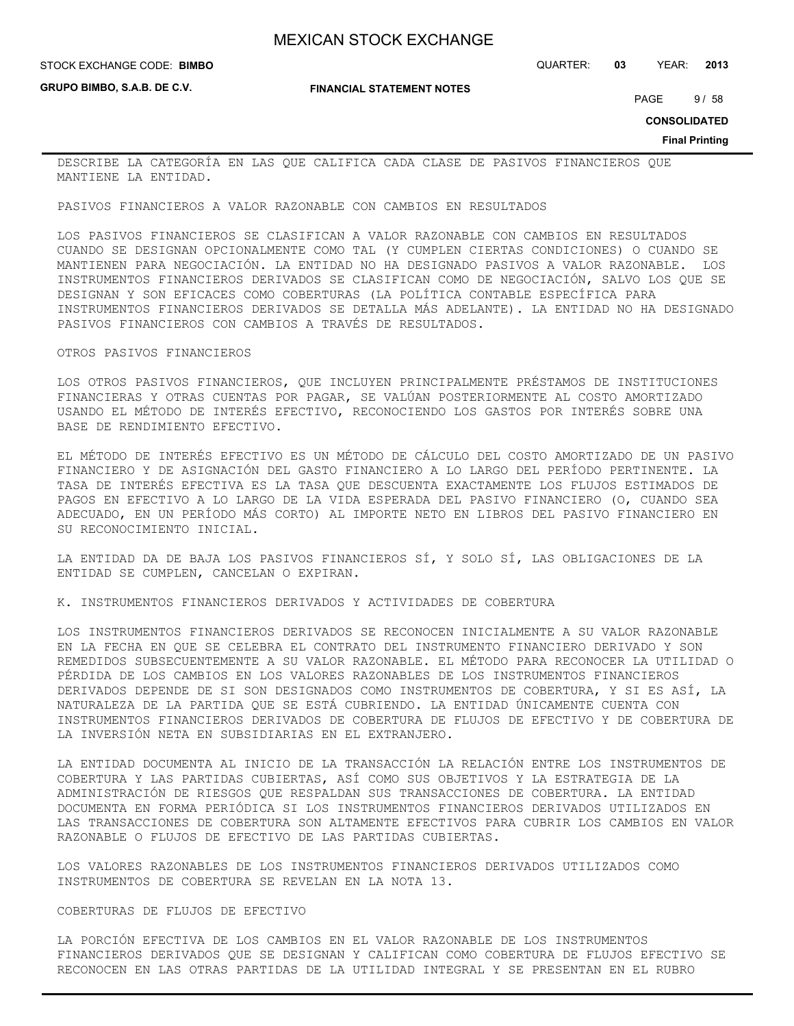**GRUPO BIMBO, S.A.B. DE C.V.**

**FINANCIAL STATEMENT NOTES**

STOCK EXCHANGE CODE: QUARTER: **03** YEAR: **2013 BIMBO**

PAGE 9/58

**CONSOLIDATED**

**Final Printing**

DESCRIBE LA CATEGORÍA EN LAS QUE CALIFICA CADA CLASE DE PASIVOS FINANCIEROS QUE MANTIENE LA ENTIDAD.

PASIVOS FINANCIEROS A VALOR RAZONABLE CON CAMBIOS EN RESULTADOS

LOS PASIVOS FINANCIEROS SE CLASIFICAN A VALOR RAZONABLE CON CAMBIOS EN RESULTADOS CUANDO SE DESIGNAN OPCIONALMENTE COMO TAL (Y CUMPLEN CIERTAS CONDICIONES) O CUANDO SE MANTIENEN PARA NEGOCIACIÓN. LA ENTIDAD NO HA DESIGNADO PASIVOS A VALOR RAZONABLE. LOS INSTRUMENTOS FINANCIEROS DERIVADOS SE CLASIFICAN COMO DE NEGOCIACIÓN, SALVO LOS QUE SE DESIGNAN Y SON EFICACES COMO COBERTURAS (LA POLÍTICA CONTABLE ESPECÍFICA PARA INSTRUMENTOS FINANCIEROS DERIVADOS SE DETALLA MÁS ADELANTE). LA ENTIDAD NO HA DESIGNADO PASIVOS FINANCIEROS CON CAMBIOS A TRAVÉS DE RESULTADOS.

#### OTROS PASIVOS FINANCIEROS

LOS OTROS PASIVOS FINANCIEROS, QUE INCLUYEN PRINCIPALMENTE PRÉSTAMOS DE INSTITUCIONES FINANCIERAS Y OTRAS CUENTAS POR PAGAR, SE VALÚAN POSTERIORMENTE AL COSTO AMORTIZADO USANDO EL MÉTODO DE INTERÉS EFECTIVO, RECONOCIENDO LOS GASTOS POR INTERÉS SOBRE UNA BASE DE RENDIMIENTO EFECTIVO.

EL MÉTODO DE INTERÉS EFECTIVO ES UN MÉTODO DE CÁLCULO DEL COSTO AMORTIZADO DE UN PASIVO FINANCIERO Y DE ASIGNACIÓN DEL GASTO FINANCIERO A LO LARGO DEL PERÍODO PERTINENTE. LA TASA DE INTERÉS EFECTIVA ES LA TASA QUE DESCUENTA EXACTAMENTE LOS FLUJOS ESTIMADOS DE PAGOS EN EFECTIVO A LO LARGO DE LA VIDA ESPERADA DEL PASIVO FINANCIERO (O, CUANDO SEA ADECUADO, EN UN PERÍODO MÁS CORTO) AL IMPORTE NETO EN LIBROS DEL PASIVO FINANCIERO EN SU RECONOCIMIENTO INICIAL.

LA ENTIDAD DA DE BAJA LOS PASIVOS FINANCIEROS SÍ, Y SOLO SÍ, LAS OBLIGACIONES DE LA ENTIDAD SE CUMPLEN, CANCELAN O EXPIRAN.

K. INSTRUMENTOS FINANCIEROS DERIVADOS Y ACTIVIDADES DE COBERTURA

LOS INSTRUMENTOS FINANCIEROS DERIVADOS SE RECONOCEN INICIALMENTE A SU VALOR RAZONABLE EN LA FECHA EN QUE SE CELEBRA EL CONTRATO DEL INSTRUMENTO FINANCIERO DERIVADO Y SON REMEDIDOS SUBSECUENTEMENTE A SU VALOR RAZONABLE. EL MÉTODO PARA RECONOCER LA UTILIDAD O PÉRDIDA DE LOS CAMBIOS EN LOS VALORES RAZONABLES DE LOS INSTRUMENTOS FINANCIEROS DERIVADOS DEPENDE DE SI SON DESIGNADOS COMO INSTRUMENTOS DE COBERTURA, Y SI ES ASÍ, LA NATURALEZA DE LA PARTIDA QUE SE ESTÁ CUBRIENDO. LA ENTIDAD ÚNICAMENTE CUENTA CON INSTRUMENTOS FINANCIEROS DERIVADOS DE COBERTURA DE FLUJOS DE EFECTIVO Y DE COBERTURA DE LA INVERSIÓN NETA EN SUBSIDIARIAS EN EL EXTRANJERO.

LA ENTIDAD DOCUMENTA AL INICIO DE LA TRANSACCIÓN LA RELACIÓN ENTRE LOS INSTRUMENTOS DE COBERTURA Y LAS PARTIDAS CUBIERTAS, ASÍ COMO SUS OBJETIVOS Y LA ESTRATEGIA DE LA ADMINISTRACIÓN DE RIESGOS QUE RESPALDAN SUS TRANSACCIONES DE COBERTURA. LA ENTIDAD DOCUMENTA EN FORMA PERIÓDICA SI LOS INSTRUMENTOS FINANCIEROS DERIVADOS UTILIZADOS EN LAS TRANSACCIONES DE COBERTURA SON ALTAMENTE EFECTIVOS PARA CUBRIR LOS CAMBIOS EN VALOR RAZONABLE O FLUJOS DE EFECTIVO DE LAS PARTIDAS CUBIERTAS.

LOS VALORES RAZONABLES DE LOS INSTRUMENTOS FINANCIEROS DERIVADOS UTILIZADOS COMO INSTRUMENTOS DE COBERTURA SE REVELAN EN LA NOTA 13.

#### COBERTURAS DE FLUJOS DE EFECTIVO

LA PORCIÓN EFECTIVA DE LOS CAMBIOS EN EL VALOR RAZONABLE DE LOS INSTRUMENTOS FINANCIEROS DERIVADOS QUE SE DESIGNAN Y CALIFICAN COMO COBERTURA DE FLUJOS EFECTIVO SE RECONOCEN EN LAS OTRAS PARTIDAS DE LA UTILIDAD INTEGRAL Y SE PRESENTAN EN EL RUBRO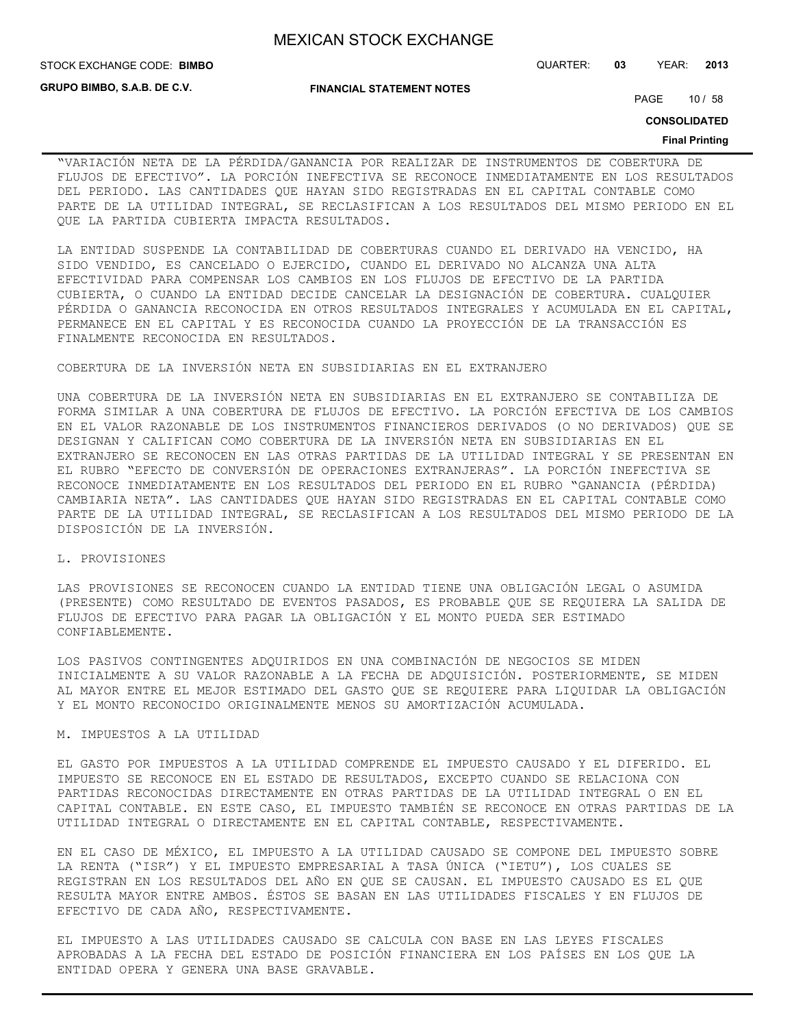**STOCK EXCHANGE CODE: BIMBO** 

**GRUPO BIMBO, S.A.B. DE C.V.**

#### **FINANCIAL STATEMENT NOTES**

STOCK EXCHANGE CODE: QUARTER: **03** YEAR: **2013**

PAGE 10 / 58

**CONSOLIDATED**

#### **Final Printing**

"VARIACIÓN NETA DE LA PÉRDIDA/GANANCIA POR REALIZAR DE INSTRUMENTOS DE COBERTURA DE FLUJOS DE EFECTIVO". LA PORCIÓN INEFECTIVA SE RECONOCE INMEDIATAMENTE EN LOS RESULTADOS DEL PERIODO. LAS CANTIDADES QUE HAYAN SIDO REGISTRADAS EN EL CAPITAL CONTABLE COMO PARTE DE LA UTILIDAD INTEGRAL, SE RECLASIFICAN A LOS RESULTADOS DEL MISMO PERIODO EN EL QUE LA PARTIDA CUBIERTA IMPACTA RESULTADOS.

LA ENTIDAD SUSPENDE LA CONTABILIDAD DE COBERTURAS CUANDO EL DERIVADO HA VENCIDO, HA SIDO VENDIDO, ES CANCELADO O EJERCIDO, CUANDO EL DERIVADO NO ALCANZA UNA ALTA EFECTIVIDAD PARA COMPENSAR LOS CAMBIOS EN LOS FLUJOS DE EFECTIVO DE LA PARTIDA CUBIERTA, O CUANDO LA ENTIDAD DECIDE CANCELAR LA DESIGNACIÓN DE COBERTURA. CUALQUIER PÉRDIDA O GANANCIA RECONOCIDA EN OTROS RESULTADOS INTEGRALES Y ACUMULADA EN EL CAPITAL, PERMANECE EN EL CAPITAL Y ES RECONOCIDA CUANDO LA PROYECCIÓN DE LA TRANSACCIÓN ES FINALMENTE RECONOCIDA EN RESULTADOS.

#### COBERTURA DE LA INVERSIÓN NETA EN SUBSIDIARIAS EN EL EXTRANJERO

UNA COBERTURA DE LA INVERSIÓN NETA EN SUBSIDIARIAS EN EL EXTRANJERO SE CONTABILIZA DE FORMA SIMILAR A UNA COBERTURA DE FLUJOS DE EFECTIVO. LA PORCIÓN EFECTIVA DE LOS CAMBIOS EN EL VALOR RAZONABLE DE LOS INSTRUMENTOS FINANCIEROS DERIVADOS (O NO DERIVADOS) QUE SE DESIGNAN Y CALIFICAN COMO COBERTURA DE LA INVERSIÓN NETA EN SUBSIDIARIAS EN EL EXTRANJERO SE RECONOCEN EN LAS OTRAS PARTIDAS DE LA UTILIDAD INTEGRAL Y SE PRESENTAN EN EL RUBRO "EFECTO DE CONVERSIÓN DE OPERACIONES EXTRANJERAS". LA PORCIÓN INEFECTIVA SE RECONOCE INMEDIATAMENTE EN LOS RESULTADOS DEL PERIODO EN EL RUBRO "GANANCIA (PÉRDIDA) CAMBIARIA NETA". LAS CANTIDADES QUE HAYAN SIDO REGISTRADAS EN EL CAPITAL CONTABLE COMO PARTE DE LA UTILIDAD INTEGRAL, SE RECLASIFICAN A LOS RESULTADOS DEL MISMO PERIODO DE LA DISPOSICIÓN DE LA INVERSIÓN.

#### L. PROVISIONES

LAS PROVISIONES SE RECONOCEN CUANDO LA ENTIDAD TIENE UNA OBLIGACIÓN LEGAL O ASUMIDA (PRESENTE) COMO RESULTADO DE EVENTOS PASADOS, ES PROBABLE QUE SE REQUIERA LA SALIDA DE FLUJOS DE EFECTIVO PARA PAGAR LA OBLIGACIÓN Y EL MONTO PUEDA SER ESTIMADO CONFIABLEMENTE.

LOS PASIVOS CONTINGENTES ADQUIRIDOS EN UNA COMBINACIÓN DE NEGOCIOS SE MIDEN INICIALMENTE A SU VALOR RAZONABLE A LA FECHA DE ADQUISICIÓN. POSTERIORMENTE, SE MIDEN AL MAYOR ENTRE EL MEJOR ESTIMADO DEL GASTO QUE SE REQUIERE PARA LIQUIDAR LA OBLIGACIÓN Y EL MONTO RECONOCIDO ORIGINALMENTE MENOS SU AMORTIZACIÓN ACUMULADA.

### M. IMPUESTOS A LA UTILIDAD

EL GASTO POR IMPUESTOS A LA UTILIDAD COMPRENDE EL IMPUESTO CAUSADO Y EL DIFERIDO. EL IMPUESTO SE RECONOCE EN EL ESTADO DE RESULTADOS, EXCEPTO CUANDO SE RELACIONA CON PARTIDAS RECONOCIDAS DIRECTAMENTE EN OTRAS PARTIDAS DE LA UTILIDAD INTEGRAL O EN EL CAPITAL CONTABLE. EN ESTE CASO, EL IMPUESTO TAMBIÉN SE RECONOCE EN OTRAS PARTIDAS DE LA UTILIDAD INTEGRAL O DIRECTAMENTE EN EL CAPITAL CONTABLE, RESPECTIVAMENTE.

EN EL CASO DE MÉXICO, EL IMPUESTO A LA UTILIDAD CAUSADO SE COMPONE DEL IMPUESTO SOBRE LA RENTA ("ISR") Y EL IMPUESTO EMPRESARIAL A TASA ÚNICA ("IETU"), LOS CUALES SE REGISTRAN EN LOS RESULTADOS DEL AÑO EN QUE SE CAUSAN. EL IMPUESTO CAUSADO ES EL QUE RESULTA MAYOR ENTRE AMBOS. ÉSTOS SE BASAN EN LAS UTILIDADES FISCALES Y EN FLUJOS DE EFECTIVO DE CADA AÑO, RESPECTIVAMENTE.

EL IMPUESTO A LAS UTILIDADES CAUSADO SE CALCULA CON BASE EN LAS LEYES FISCALES APROBADAS A LA FECHA DEL ESTADO DE POSICIÓN FINANCIERA EN LOS PAÍSES EN LOS QUE LA ENTIDAD OPERA Y GENERA UNA BASE GRAVABLE.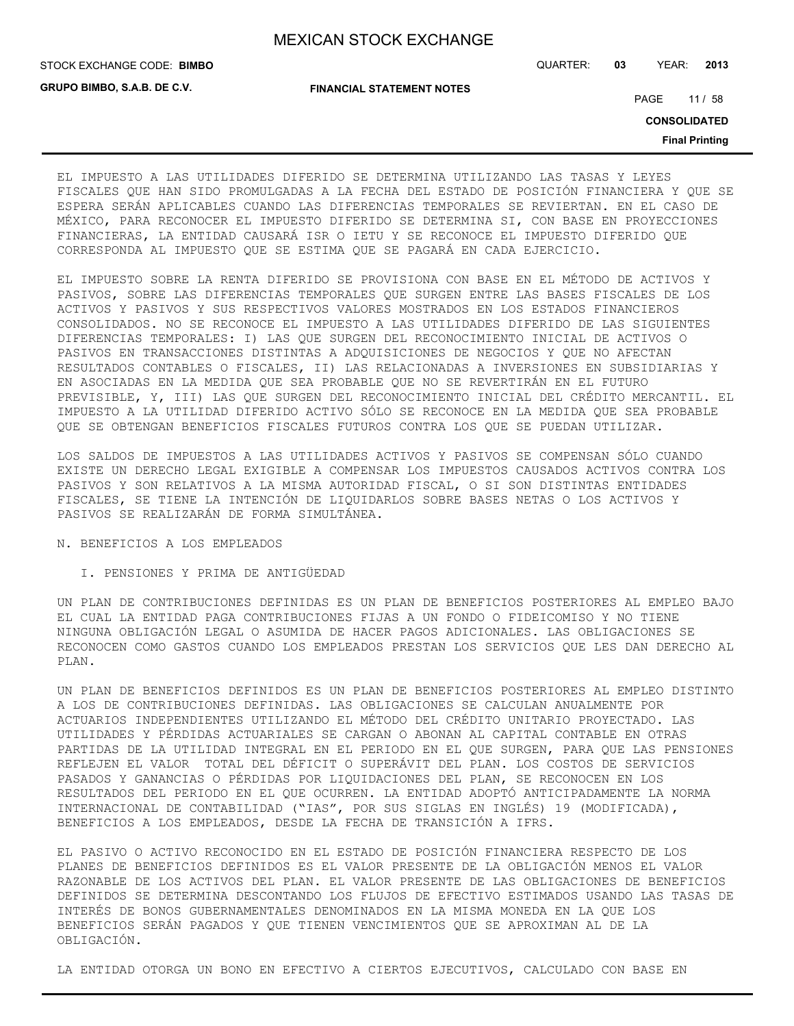**GRUPO BIMBO, S.A.B. DE C.V.**

STOCK EXCHANGE CODE: QUARTER: **03** YEAR: **2013 BIMBO**

**FINANCIAL STATEMENT NOTES**

PAGE 11 / 58

**CONSOLIDATED**

**Final Printing**

EL IMPUESTO A LAS UTILIDADES DIFERIDO SE DETERMINA UTILIZANDO LAS TASAS Y LEYES FISCALES QUE HAN SIDO PROMULGADAS A LA FECHA DEL ESTADO DE POSICIÓN FINANCIERA Y QUE SE ESPERA SERÁN APLICABLES CUANDO LAS DIFERENCIAS TEMPORALES SE REVIERTAN. EN EL CASO DE MÉXICO, PARA RECONOCER EL IMPUESTO DIFERIDO SE DETERMINA SI, CON BASE EN PROYECCIONES FINANCIERAS, LA ENTIDAD CAUSARÁ ISR O IETU Y SE RECONOCE EL IMPUESTO DIFERIDO QUE CORRESPONDA AL IMPUESTO QUE SE ESTIMA QUE SE PAGARÁ EN CADA EJERCICIO.

EL IMPUESTO SOBRE LA RENTA DIFERIDO SE PROVISIONA CON BASE EN EL MÉTODO DE ACTIVOS Y PASIVOS, SOBRE LAS DIFERENCIAS TEMPORALES QUE SURGEN ENTRE LAS BASES FISCALES DE LOS ACTIVOS Y PASIVOS Y SUS RESPECTIVOS VALORES MOSTRADOS EN LOS ESTADOS FINANCIEROS CONSOLIDADOS. NO SE RECONOCE EL IMPUESTO A LAS UTILIDADES DIFERIDO DE LAS SIGUIENTES DIFERENCIAS TEMPORALES: I) LAS QUE SURGEN DEL RECONOCIMIENTO INICIAL DE ACTIVOS O PASIVOS EN TRANSACCIONES DISTINTAS A ADQUISICIONES DE NEGOCIOS Y QUE NO AFECTAN RESULTADOS CONTABLES O FISCALES, II) LAS RELACIONADAS A INVERSIONES EN SUBSIDIARIAS Y EN ASOCIADAS EN LA MEDIDA QUE SEA PROBABLE QUE NO SE REVERTIRÁN EN EL FUTURO PREVISIBLE, Y, III) LAS QUE SURGEN DEL RECONOCIMIENTO INICIAL DEL CRÉDITO MERCANTIL. EL IMPUESTO A LA UTILIDAD DIFERIDO ACTIVO SÓLO SE RECONOCE EN LA MEDIDA QUE SEA PROBABLE QUE SE OBTENGAN BENEFICIOS FISCALES FUTUROS CONTRA LOS QUE SE PUEDAN UTILIZAR.

LOS SALDOS DE IMPUESTOS A LAS UTILIDADES ACTIVOS Y PASIVOS SE COMPENSAN SÓLO CUANDO EXISTE UN DERECHO LEGAL EXIGIBLE A COMPENSAR LOS IMPUESTOS CAUSADOS ACTIVOS CONTRA LOS PASIVOS Y SON RELATIVOS A LA MISMA AUTORIDAD FISCAL, O SI SON DISTINTAS ENTIDADES FISCALES, SE TIENE LA INTENCIÓN DE LIQUIDARLOS SOBRE BASES NETAS O LOS ACTIVOS Y PASIVOS SE REALIZARÁN DE FORMA SIMULTÁNEA.

#### N. BENEFICIOS A LOS EMPLEADOS

#### I. PENSIONES Y PRIMA DE ANTIGÜEDAD

UN PLAN DE CONTRIBUCIONES DEFINIDAS ES UN PLAN DE BENEFICIOS POSTERIORES AL EMPLEO BAJO EL CUAL LA ENTIDAD PAGA CONTRIBUCIONES FIJAS A UN FONDO O FIDEICOMISO Y NO TIENE NINGUNA OBLIGACIÓN LEGAL O ASUMIDA DE HACER PAGOS ADICIONALES. LAS OBLIGACIONES SE RECONOCEN COMO GASTOS CUANDO LOS EMPLEADOS PRESTAN LOS SERVICIOS QUE LES DAN DERECHO AL PLAN.

UN PLAN DE BENEFICIOS DEFINIDOS ES UN PLAN DE BENEFICIOS POSTERIORES AL EMPLEO DISTINTO A LOS DE CONTRIBUCIONES DEFINIDAS. LAS OBLIGACIONES SE CALCULAN ANUALMENTE POR ACTUARIOS INDEPENDIENTES UTILIZANDO EL MÉTODO DEL CRÉDITO UNITARIO PROYECTADO. LAS UTILIDADES Y PÉRDIDAS ACTUARIALES SE CARGAN O ABONAN AL CAPITAL CONTABLE EN OTRAS PARTIDAS DE LA UTILIDAD INTEGRAL EN EL PERIODO EN EL QUE SURGEN, PARA QUE LAS PENSIONES REFLEJEN EL VALOR TOTAL DEL DÉFICIT O SUPERÁVIT DEL PLAN. LOS COSTOS DE SERVICIOS PASADOS Y GANANCIAS O PÉRDIDAS POR LIQUIDACIONES DEL PLAN, SE RECONOCEN EN LOS RESULTADOS DEL PERIODO EN EL QUE OCURREN. LA ENTIDAD ADOPTÓ ANTICIPADAMENTE LA NORMA INTERNACIONAL DE CONTABILIDAD ("IAS", POR SUS SIGLAS EN INGLÉS) 19 (MODIFICADA), BENEFICIOS A LOS EMPLEADOS, DESDE LA FECHA DE TRANSICIÓN A IFRS.

EL PASIVO O ACTIVO RECONOCIDO EN EL ESTADO DE POSICIÓN FINANCIERA RESPECTO DE LOS PLANES DE BENEFICIOS DEFINIDOS ES EL VALOR PRESENTE DE LA OBLIGACIÓN MENOS EL VALOR RAZONABLE DE LOS ACTIVOS DEL PLAN. EL VALOR PRESENTE DE LAS OBLIGACIONES DE BENEFICIOS DEFINIDOS SE DETERMINA DESCONTANDO LOS FLUJOS DE EFECTIVO ESTIMADOS USANDO LAS TASAS DE INTERÉS DE BONOS GUBERNAMENTALES DENOMINADOS EN LA MISMA MONEDA EN LA QUE LOS BENEFICIOS SERÁN PAGADOS Y QUE TIENEN VENCIMIENTOS QUE SE APROXIMAN AL DE LA OBLIGACIÓN.

LA ENTIDAD OTORGA UN BONO EN EFECTIVO A CIERTOS EJECUTIVOS, CALCULADO CON BASE EN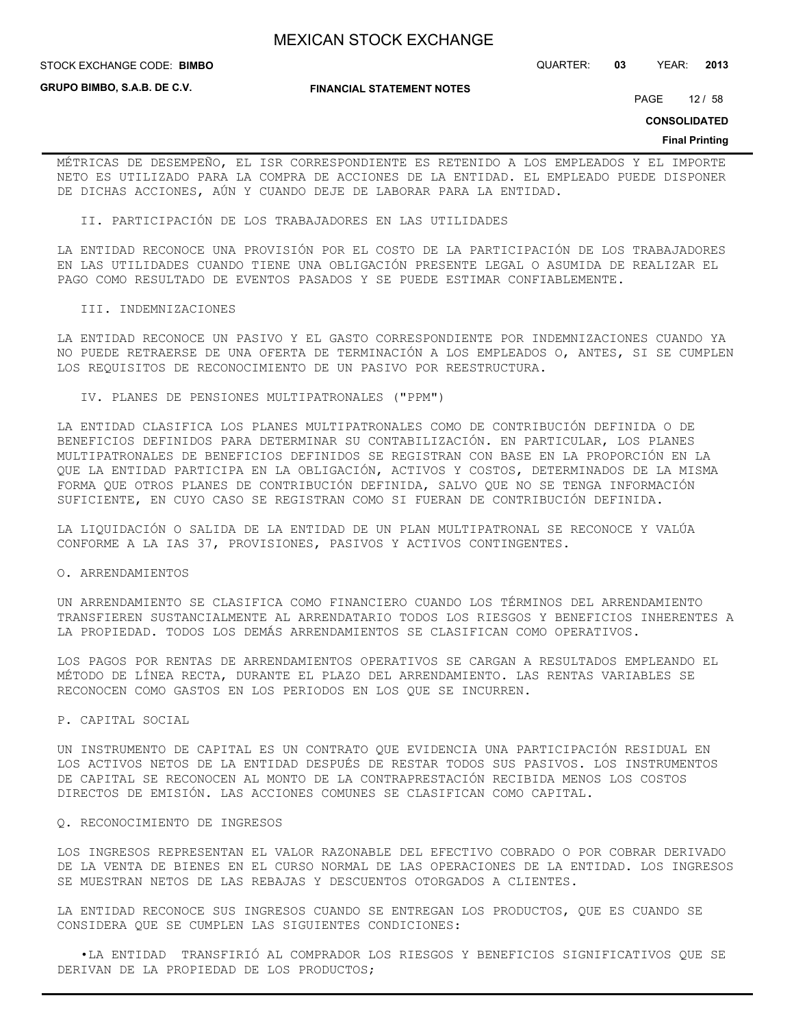#### STOCK EXCHANGE CODE: QUARTER: **03** YEAR: **2013 BIMBO**

**GRUPO BIMBO, S.A.B. DE C.V.**

#### **FINANCIAL STATEMENT NOTES**

PAGE 12 / 58

**CONSOLIDATED**

#### **Final Printing**

MÉTRICAS DE DESEMPEÑO, EL ISR CORRESPONDIENTE ES RETENIDO A LOS EMPLEADOS Y EL IMPORTE NETO ES UTILIZADO PARA LA COMPRA DE ACCIONES DE LA ENTIDAD. EL EMPLEADO PUEDE DISPONER DE DICHAS ACCIONES, AÚN Y CUANDO DEJE DE LABORAR PARA LA ENTIDAD.

II. PARTICIPACIÓN DE LOS TRABAJADORES EN LAS UTILIDADES

LA ENTIDAD RECONOCE UNA PROVISIÓN POR EL COSTO DE LA PARTICIPACIÓN DE LOS TRABAJADORES EN LAS UTILIDADES CUANDO TIENE UNA OBLIGACIÓN PRESENTE LEGAL O ASUMIDA DE REALIZAR EL PAGO COMO RESULTADO DE EVENTOS PASADOS Y SE PUEDE ESTIMAR CONFIABLEMENTE.

#### III. INDEMNIZACIONES

LA ENTIDAD RECONOCE UN PASIVO Y EL GASTO CORRESPONDIENTE POR INDEMNIZACIONES CUANDO YA NO PUEDE RETRAERSE DE UNA OFERTA DE TERMINACIÓN A LOS EMPLEADOS O, ANTES, SI SE CUMPLEN LOS REQUISITOS DE RECONOCIMIENTO DE UN PASIVO POR REESTRUCTURA.

IV. PLANES DE PENSIONES MULTIPATRONALES ("PPM")

LA ENTIDAD CLASIFICA LOS PLANES MULTIPATRONALES COMO DE CONTRIBUCIÓN DEFINIDA O DE BENEFICIOS DEFINIDOS PARA DETERMINAR SU CONTABILIZACIÓN. EN PARTICULAR, LOS PLANES MULTIPATRONALES DE BENEFICIOS DEFINIDOS SE REGISTRAN CON BASE EN LA PROPORCIÓN EN LA QUE LA ENTIDAD PARTICIPA EN LA OBLIGACIÓN, ACTIVOS Y COSTOS, DETERMINADOS DE LA MISMA FORMA QUE OTROS PLANES DE CONTRIBUCIÓN DEFINIDA, SALVO QUE NO SE TENGA INFORMACIÓN SUFICIENTE, EN CUYO CASO SE REGISTRAN COMO SI FUERAN DE CONTRIBUCIÓN DEFINIDA.

LA LIQUIDACIÓN O SALIDA DE LA ENTIDAD DE UN PLAN MULTIPATRONAL SE RECONOCE Y VALÚA CONFORME A LA IAS 37, PROVISIONES, PASIVOS Y ACTIVOS CONTINGENTES.

#### O. ARRENDAMIENTOS

UN ARRENDAMIENTO SE CLASIFICA COMO FINANCIERO CUANDO LOS TÉRMINOS DEL ARRENDAMIENTO TRANSFIEREN SUSTANCIALMENTE AL ARRENDATARIO TODOS LOS RIESGOS Y BENEFICIOS INHERENTES A LA PROPIEDAD. TODOS LOS DEMÁS ARRENDAMIENTOS SE CLASIFICAN COMO OPERATIVOS.

LOS PAGOS POR RENTAS DE ARRENDAMIENTOS OPERATIVOS SE CARGAN A RESULTADOS EMPLEANDO EL MÉTODO DE LÍNEA RECTA, DURANTE EL PLAZO DEL ARRENDAMIENTO. LAS RENTAS VARIABLES SE RECONOCEN COMO GASTOS EN LOS PERIODOS EN LOS QUE SE INCURREN.

P. CAPITAL SOCIAL

UN INSTRUMENTO DE CAPITAL ES UN CONTRATO QUE EVIDENCIA UNA PARTICIPACIÓN RESIDUAL EN LOS ACTIVOS NETOS DE LA ENTIDAD DESPUÉS DE RESTAR TODOS SUS PASIVOS. LOS INSTRUMENTOS DE CAPITAL SE RECONOCEN AL MONTO DE LA CONTRAPRESTACIÓN RECIBIDA MENOS LOS COSTOS DIRECTOS DE EMISIÓN. LAS ACCIONES COMUNES SE CLASIFICAN COMO CAPITAL.

#### Q. RECONOCIMIENTO DE INGRESOS

LOS INGRESOS REPRESENTAN EL VALOR RAZONABLE DEL EFECTIVO COBRADO O POR COBRAR DERIVADO DE LA VENTA DE BIENES EN EL CURSO NORMAL DE LAS OPERACIONES DE LA ENTIDAD. LOS INGRESOS SE MUESTRAN NETOS DE LAS REBAJAS Y DESCUENTOS OTORGADOS A CLIENTES.

LA ENTIDAD RECONOCE SUS INGRESOS CUANDO SE ENTREGAN LOS PRODUCTOS, QUE ES CUANDO SE CONSIDERA QUE SE CUMPLEN LAS SIGUIENTES CONDICIONES:

 •LA ENTIDAD TRANSFIRIÓ AL COMPRADOR LOS RIESGOS Y BENEFICIOS SIGNIFICATIVOS QUE SE DERIVAN DE LA PROPIEDAD DE LOS PRODUCTOS;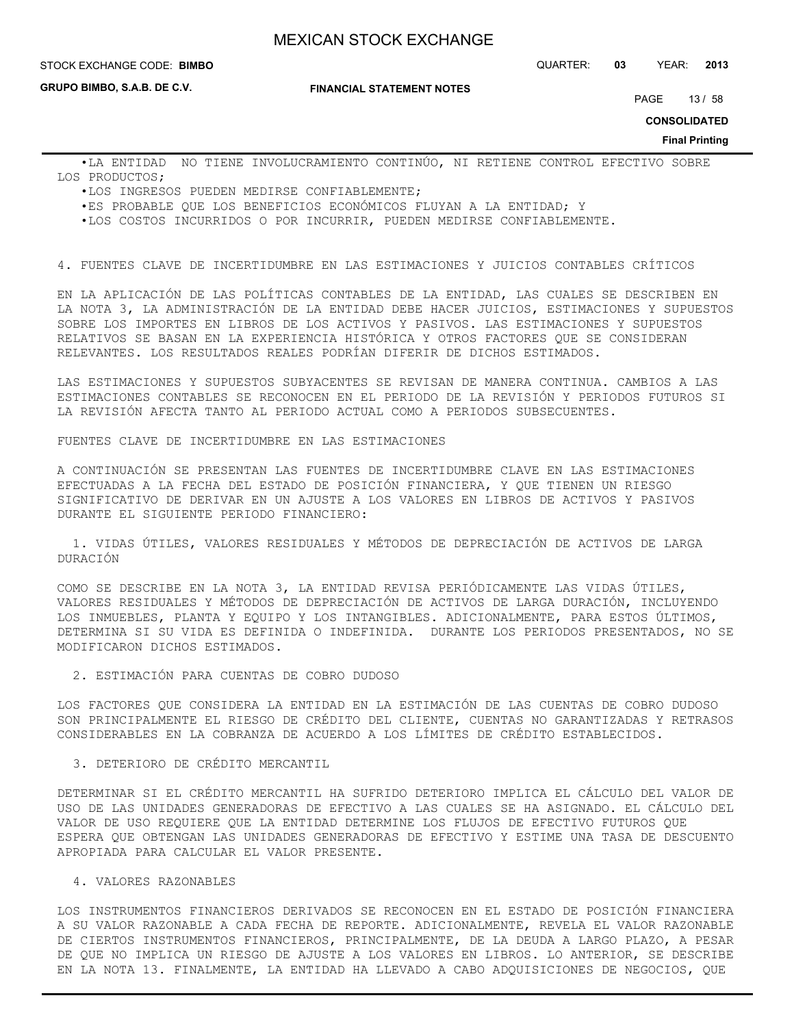#### **STOCK EXCHANGE CODE: BIMBO**

**GRUPO BIMBO, S.A.B. DE C.V.**

**FINANCIAL STATEMENT NOTES**

STOCK EXCHANGE CODE: QUARTER: **03** YEAR: **2013**

PAGE 13 / 58

**CONSOLIDATED**

**Final Printing**

 •LA ENTIDAD NO TIENE INVOLUCRAMIENTO CONTINÚO, NI RETIENE CONTROL EFECTIVO SOBRE LOS PRODUCTOS;

- •LOS INGRESOS PUEDEN MEDIRSE CONFIABLEMENTE;
- •ES PROBABLE QUE LOS BENEFICIOS ECONÓMICOS FLUYAN A LA ENTIDAD; Y

•LOS COSTOS INCURRIDOS O POR INCURRIR, PUEDEN MEDIRSE CONFIABLEMENTE.

4. FUENTES CLAVE DE INCERTIDUMBRE EN LAS ESTIMACIONES Y JUICIOS CONTABLES CRÍTICOS

EN LA APLICACIÓN DE LAS POLÍTICAS CONTABLES DE LA ENTIDAD, LAS CUALES SE DESCRIBEN EN LA NOTA 3, LA ADMINISTRACIÓN DE LA ENTIDAD DEBE HACER JUICIOS, ESTIMACIONES Y SUPUESTOS SOBRE LOS IMPORTES EN LIBROS DE LOS ACTIVOS Y PASIVOS. LAS ESTIMACIONES Y SUPUESTOS RELATIVOS SE BASAN EN LA EXPERIENCIA HISTÓRICA Y OTROS FACTORES QUE SE CONSIDERAN RELEVANTES. LOS RESULTADOS REALES PODRÍAN DIFERIR DE DICHOS ESTIMADOS.

LAS ESTIMACIONES Y SUPUESTOS SUBYACENTES SE REVISAN DE MANERA CONTINUA. CAMBIOS A LAS ESTIMACIONES CONTABLES SE RECONOCEN EN EL PERIODO DE LA REVISIÓN Y PERIODOS FUTUROS SI LA REVISIÓN AFECTA TANTO AL PERIODO ACTUAL COMO A PERIODOS SUBSECUENTES.

FUENTES CLAVE DE INCERTIDUMBRE EN LAS ESTIMACIONES

A CONTINUACIÓN SE PRESENTAN LAS FUENTES DE INCERTIDUMBRE CLAVE EN LAS ESTIMACIONES EFECTUADAS A LA FECHA DEL ESTADO DE POSICIÓN FINANCIERA, Y QUE TIENEN UN RIESGO SIGNIFICATIVO DE DERIVAR EN UN AJUSTE A LOS VALORES EN LIBROS DE ACTIVOS Y PASIVOS DURANTE EL SIGUIENTE PERIODO FINANCIERO:

 1. VIDAS ÚTILES, VALORES RESIDUALES Y MÉTODOS DE DEPRECIACIÓN DE ACTIVOS DE LARGA DURACIÓN

COMO SE DESCRIBE EN LA NOTA 3, LA ENTIDAD REVISA PERIÓDICAMENTE LAS VIDAS ÚTILES, VALORES RESIDUALES Y MÉTODOS DE DEPRECIACIÓN DE ACTIVOS DE LARGA DURACIÓN, INCLUYENDO LOS INMUEBLES, PLANTA Y EQUIPO Y LOS INTANGIBLES. ADICIONALMENTE, PARA ESTOS ÚLTIMOS, DETERMINA SI SU VIDA ES DEFINIDA O INDEFINIDA. DURANTE LOS PERIODOS PRESENTADOS, NO SE MODIFICARON DICHOS ESTIMADOS.

2. ESTIMACIÓN PARA CUENTAS DE COBRO DUDOSO

LOS FACTORES QUE CONSIDERA LA ENTIDAD EN LA ESTIMACIÓN DE LAS CUENTAS DE COBRO DUDOSO SON PRINCIPALMENTE EL RIESGO DE CRÉDITO DEL CLIENTE, CUENTAS NO GARANTIZADAS Y RETRASOS CONSIDERABLES EN LA COBRANZA DE ACUERDO A LOS LÍMITES DE CRÉDITO ESTABLECIDOS.

#### 3. DETERIORO DE CRÉDITO MERCANTIL

DETERMINAR SI EL CRÉDITO MERCANTIL HA SUFRIDO DETERIORO IMPLICA EL CÁLCULO DEL VALOR DE USO DE LAS UNIDADES GENERADORAS DE EFECTIVO A LAS CUALES SE HA ASIGNADO. EL CÁLCULO DEL VALOR DE USO REQUIERE QUE LA ENTIDAD DETERMINE LOS FLUJOS DE EFECTIVO FUTUROS QUE ESPERA QUE OBTENGAN LAS UNIDADES GENERADORAS DE EFECTIVO Y ESTIME UNA TASA DE DESCUENTO APROPIADA PARA CALCULAR EL VALOR PRESENTE.

## 4. VALORES RAZONABLES

LOS INSTRUMENTOS FINANCIEROS DERIVADOS SE RECONOCEN EN EL ESTADO DE POSICIÓN FINANCIERA A SU VALOR RAZONABLE A CADA FECHA DE REPORTE. ADICIONALMENTE, REVELA EL VALOR RAZONABLE DE CIERTOS INSTRUMENTOS FINANCIEROS, PRINCIPALMENTE, DE LA DEUDA A LARGO PLAZO, A PESAR DE QUE NO IMPLICA UN RIESGO DE AJUSTE A LOS VALORES EN LIBROS. LO ANTERIOR, SE DESCRIBE EN LA NOTA 13. FINALMENTE, LA ENTIDAD HA LLEVADO A CABO ADQUISICIONES DE NEGOCIOS, QUE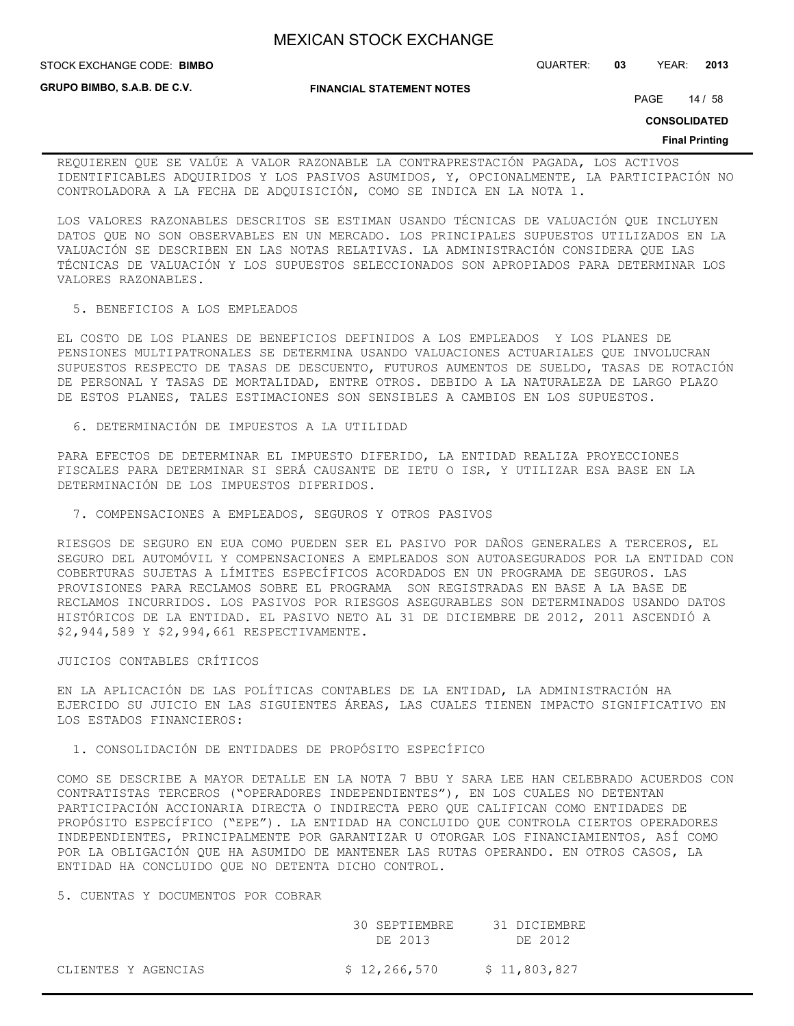STOCK EXCHANGE CODE: QUARTER: **03** YEAR: **2013 BIMBO**

**GRUPO BIMBO, S.A.B. DE C.V.**

**FINANCIAL STATEMENT NOTES**

PAGE 14 / 58

**CONSOLIDATED**

#### **Final Printing**

REQUIEREN QUE SE VALÚE A VALOR RAZONABLE LA CONTRAPRESTACIÓN PAGADA, LOS ACTIVOS IDENTIFICABLES ADQUIRIDOS Y LOS PASIVOS ASUMIDOS, Y, OPCIONALMENTE, LA PARTICIPACIÓN NO CONTROLADORA A LA FECHA DE ADQUISICIÓN, COMO SE INDICA EN LA NOTA 1.

LOS VALORES RAZONABLES DESCRITOS SE ESTIMAN USANDO TÉCNICAS DE VALUACIÓN QUE INCLUYEN DATOS QUE NO SON OBSERVABLES EN UN MERCADO. LOS PRINCIPALES SUPUESTOS UTILIZADOS EN LA VALUACIÓN SE DESCRIBEN EN LAS NOTAS RELATIVAS. LA ADMINISTRACIÓN CONSIDERA QUE LAS TÉCNICAS DE VALUACIÓN Y LOS SUPUESTOS SELECCIONADOS SON APROPIADOS PARA DETERMINAR LOS VALORES RAZONABLES.

#### 5. BENEFICIOS A LOS EMPLEADOS

EL COSTO DE LOS PLANES DE BENEFICIOS DEFINIDOS A LOS EMPLEADOS Y LOS PLANES DE PENSIONES MULTIPATRONALES SE DETERMINA USANDO VALUACIONES ACTUARIALES QUE INVOLUCRAN SUPUESTOS RESPECTO DE TASAS DE DESCUENTO, FUTUROS AUMENTOS DE SUELDO, TASAS DE ROTACIÓN DE PERSONAL Y TASAS DE MORTALIDAD, ENTRE OTROS. DEBIDO A LA NATURALEZA DE LARGO PLAZO DE ESTOS PLANES, TALES ESTIMACIONES SON SENSIBLES A CAMBIOS EN LOS SUPUESTOS.

6. DETERMINACIÓN DE IMPUESTOS A LA UTILIDAD

PARA EFECTOS DE DETERMINAR EL IMPUESTO DIFERIDO, LA ENTIDAD REALIZA PROYECCIONES FISCALES PARA DETERMINAR SI SERÁ CAUSANTE DE IETU O ISR, Y UTILIZAR ESA BASE EN LA DETERMINACIÓN DE LOS IMPUESTOS DIFERIDOS.

### 7. COMPENSACIONES A EMPLEADOS, SEGUROS Y OTROS PASIVOS

RIESGOS DE SEGURO EN EUA COMO PUEDEN SER EL PASIVO POR DAÑOS GENERALES A TERCEROS, EL SEGURO DEL AUTOMÓVIL Y COMPENSACIONES A EMPLEADOS SON AUTOASEGURADOS POR LA ENTIDAD CON COBERTURAS SUJETAS A LÍMITES ESPECÍFICOS ACORDADOS EN UN PROGRAMA DE SEGUROS. LAS PROVISIONES PARA RECLAMOS SOBRE EL PROGRAMA SON REGISTRADAS EN BASE A LA BASE DE RECLAMOS INCURRIDOS. LOS PASIVOS POR RIESGOS ASEGURABLES SON DETERMINADOS USANDO DATOS HISTÓRICOS DE LA ENTIDAD. EL PASIVO NETO AL 31 DE DICIEMBRE DE 2012, 2011 ASCENDIÓ A \$2,944,589 Y \$2,994,661 RESPECTIVAMENTE.

#### JUICIOS CONTABLES CRÍTICOS

EN LA APLICACIÓN DE LAS POLÍTICAS CONTABLES DE LA ENTIDAD, LA ADMINISTRACIÓN HA EJERCIDO SU JUICIO EN LAS SIGUIENTES ÁREAS, LAS CUALES TIENEN IMPACTO SIGNIFICATIVO EN LOS ESTADOS FINANCIEROS:

#### 1. CONSOLIDACIÓN DE ENTIDADES DE PROPÓSITO ESPECÍFICO

COMO SE DESCRIBE A MAYOR DETALLE EN LA NOTA 7 BBU Y SARA LEE HAN CELEBRADO ACUERDOS CON CONTRATISTAS TERCEROS ("OPERADORES INDEPENDIENTES"), EN LOS CUALES NO DETENTAN PARTICIPACIÓN ACCIONARIA DIRECTA O INDIRECTA PERO QUE CALIFICAN COMO ENTIDADES DE PROPÓSITO ESPECÍFICO ("EPE"). LA ENTIDAD HA CONCLUIDO QUE CONTROLA CIERTOS OPERADORES INDEPENDIENTES, PRINCIPALMENTE POR GARANTIZAR U OTORGAR LOS FINANCIAMIENTOS, ASÍ COMO POR LA OBLIGACIÓN QUE HA ASUMIDO DE MANTENER LAS RUTAS OPERANDO. EN OTROS CASOS, LA ENTIDAD HA CONCLUIDO QUE NO DETENTA DICHO CONTROL.

#### 5. CUENTAS Y DOCUMENTOS POR COBRAR

|                     | 30 SEPTIEMBRE<br>DE 2013 | 31 DICIEMBRE<br>DE 2012 |
|---------------------|--------------------------|-------------------------|
| CLIENTES Y AGENCIAS | \$12,266,570             | \$11,803,827            |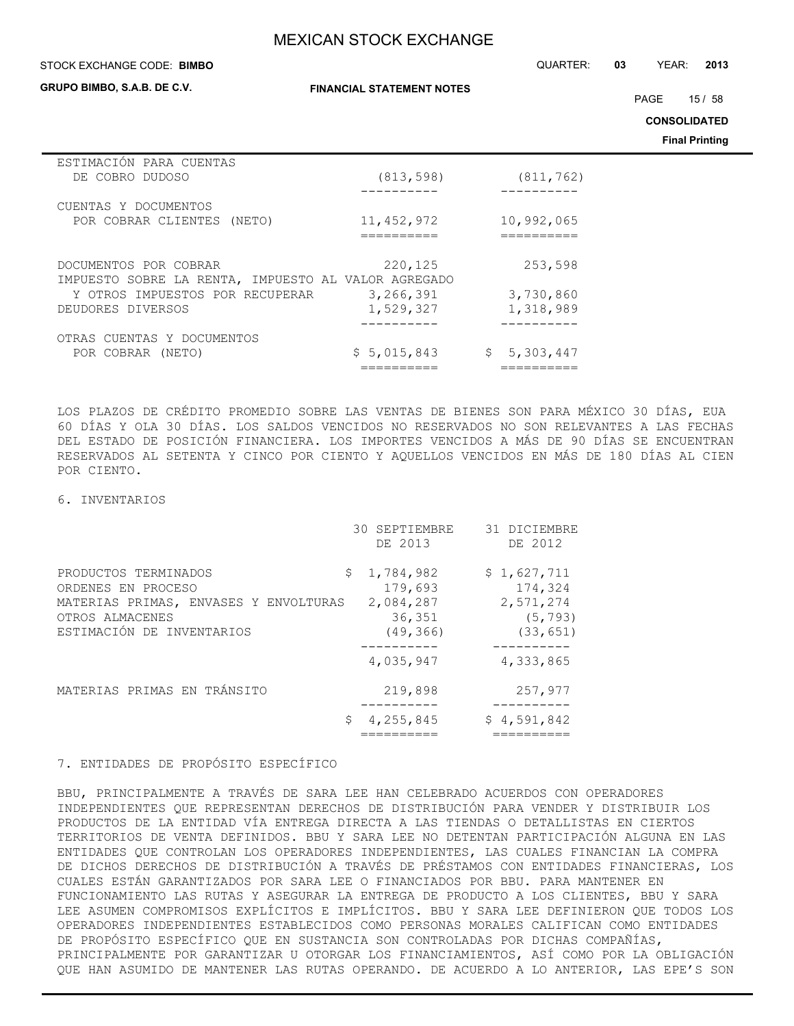#### STOCK EXCHANGE CODE: QUARTER: **03** YEAR: **2013 BIMBO**

**GRUPO BIMBO, S.A.B. DE C.V.**

**FINANCIAL STATEMENT NOTES**

PAGE 15 / 58

**CONSOLIDATED**

**Final Printing**

| ESTIMACIÓN PARA CUENTAS<br>DE COBRO DUDOSO                                                                                           | (813, 598)                        | (811, 762)                        |
|--------------------------------------------------------------------------------------------------------------------------------------|-----------------------------------|-----------------------------------|
| CUENTAS Y DOCUMENTOS<br>POR COBRAR CLIENTES (NETO)                                                                                   | 11, 452, 972                      | 10,992,065                        |
| DOCUMENTOS POR COBRAR<br>IMPUESTO SOBRE LA RENTA, IMPUESTO AL VALOR AGREGADO<br>Y OTROS IMPUESTOS POR RECUPERAR<br>DEUDORES DIVERSOS | 220,125<br>3,266,391<br>1,529,327 | 253,598<br>3,730,860<br>1,318,989 |
| OTRAS CUENTAS Y DOCUMENTOS<br>POR COBRAR (NETO)                                                                                      | \$5,015,843                       | \$5,303,447                       |

LOS PLAZOS DE CRÉDITO PROMEDIO SOBRE LAS VENTAS DE BIENES SON PARA MÉXICO 30 DÍAS, EUA 60 DÍAS Y OLA 30 DÍAS. LOS SALDOS VENCIDOS NO RESERVADOS NO SON RELEVANTES A LAS FECHAS DEL ESTADO DE POSICIÓN FINANCIERA. LOS IMPORTES VENCIDOS A MÁS DE 90 DÍAS SE ENCUENTRAN RESERVADOS AL SETENTA Y CINCO POR CIENTO Y AQUELLOS VENCIDOS EN MÁS DE 180 DÍAS AL CIEN POR CIENTO.

#### 6. INVENTARIOS

|                                                                                                                                     | 30 SEPTIEMBRE<br>DE 2013                                       | 31 DICIEMBRE<br>DE 2012                                      |
|-------------------------------------------------------------------------------------------------------------------------------------|----------------------------------------------------------------|--------------------------------------------------------------|
| PRODUCTOS TERMINADOS<br>ORDENES EN PROCESO<br>MATERIAS PRIMAS, ENVASES Y ENVOLTURAS<br>OTROS ALMACENES<br>ESTIMACIÓN DE INVENTARIOS | 1,784,982<br>\$<br>179,693<br>2,084,287<br>36,351<br>(49, 366) | \$1,627,711<br>174,324<br>2,571,274<br>(5, 793)<br>(33, 651) |
|                                                                                                                                     | 4,035,947                                                      | 4,333,865                                                    |
| MATERIAS PRIMAS EN TRÁNSITO                                                                                                         | 219,898                                                        | 257,977                                                      |
|                                                                                                                                     | 4,255,845<br>\$.                                               | \$4,591,842                                                  |

## 7. ENTIDADES DE PROPÓSITO ESPECÍFICO

BBU, PRINCIPALMENTE A TRAVÉS DE SARA LEE HAN CELEBRADO ACUERDOS CON OPERADORES INDEPENDIENTES QUE REPRESENTAN DERECHOS DE DISTRIBUCIÓN PARA VENDER Y DISTRIBUIR LOS PRODUCTOS DE LA ENTIDAD VÍA ENTREGA DIRECTA A LAS TIENDAS O DETALLISTAS EN CIERTOS TERRITORIOS DE VENTA DEFINIDOS. BBU Y SARA LEE NO DETENTAN PARTICIPACIÓN ALGUNA EN LAS ENTIDADES QUE CONTROLAN LOS OPERADORES INDEPENDIENTES, LAS CUALES FINANCIAN LA COMPRA DE DICHOS DERECHOS DE DISTRIBUCIÓN A TRAVÉS DE PRÉSTAMOS CON ENTIDADES FINANCIERAS, LOS CUALES ESTÁN GARANTIZADOS POR SARA LEE O FINANCIADOS POR BBU. PARA MANTENER EN FUNCIONAMIENTO LAS RUTAS Y ASEGURAR LA ENTREGA DE PRODUCTO A LOS CLIENTES, BBU Y SARA LEE ASUMEN COMPROMISOS EXPLÍCITOS E IMPLÍCITOS. BBU Y SARA LEE DEFINIERON QUE TODOS LOS OPERADORES INDEPENDIENTES ESTABLECIDOS COMO PERSONAS MORALES CALIFICAN COMO ENTIDADES DE PROPÓSITO ESPECÍFICO QUE EN SUSTANCIA SON CONTROLADAS POR DICHAS COMPAÑÍAS, PRINCIPALMENTE POR GARANTIZAR U OTORGAR LOS FINANCIAMIENTOS, ASÍ COMO POR LA OBLIGACIÓN QUE HAN ASUMIDO DE MANTENER LAS RUTAS OPERANDO. DE ACUERDO A LO ANTERIOR, LAS EPE'S SON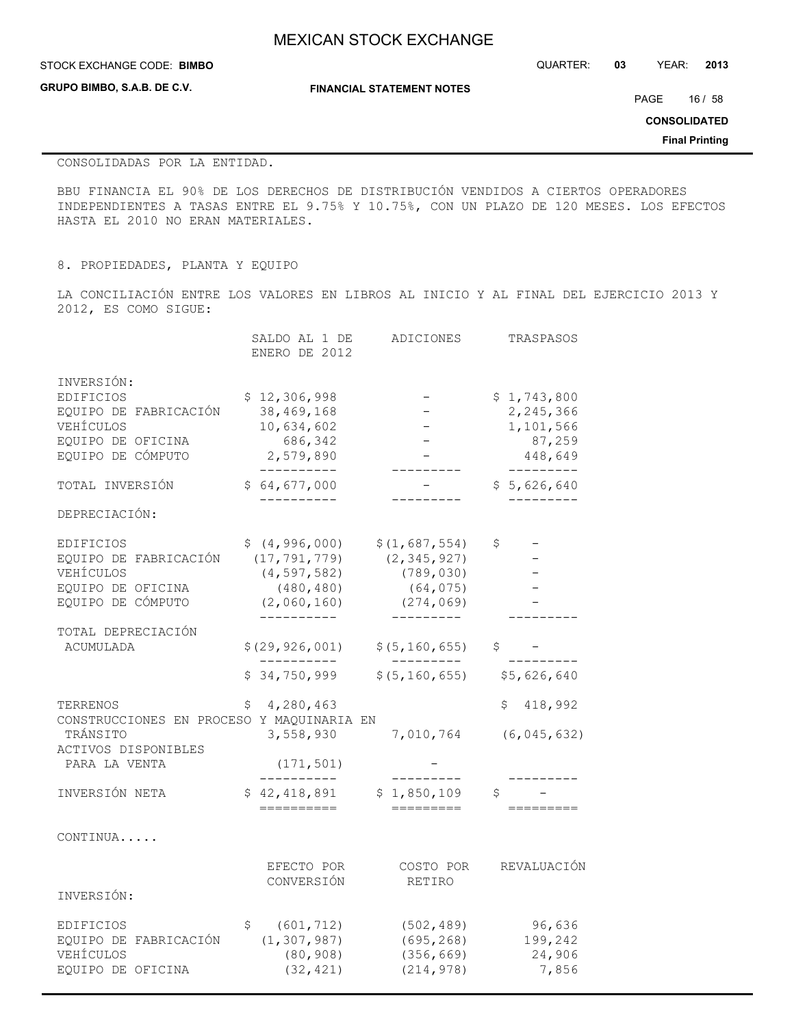**GRUPO BIMBO, S.A.B. DE C.V.**

**FINANCIAL STATEMENT NOTES**

STOCK EXCHANGE CODE: QUARTER: **03** YEAR: **2013 BIMBO**

PAGE 16 / 58

**CONSOLIDATED**

**Final Printing**

### CONSOLIDADAS POR LA ENTIDAD.

BBU FINANCIA EL 90% DE LOS DERECHOS DE DISTRIBUCIÓN VENDIDOS A CIERTOS OPERADORES INDEPENDIENTES A TASAS ENTRE EL 9.75% Y 10.75%, CON UN PLAZO DE 120 MESES. LOS EFECTOS HASTA EL 2010 NO ERAN MATERIALES.

8. PROPIEDADES, PLANTA Y EQUIPO

LA CONCILIACIÓN ENTRE LOS VALORES EN LIBROS AL INICIO Y AL FINAL DEL EJERCICIO 2013 Y 2012, ES COMO SIGUE:

|                                           | SALDO AL 1 DE<br>ENERO DE 2012 | ADICIONES        | TRASPASOS            |
|-------------------------------------------|--------------------------------|------------------|----------------------|
| INVERSIÓN:                                |                                |                  |                      |
| EDIFICIOS                                 | \$12,306,998                   |                  | \$1,743,800          |
| EQUIPO DE FABRICACIÓN                     | 38,469,168                     |                  | 2,245,366            |
| VEHÍCULOS                                 | 10,634,602                     |                  | 1,101,566            |
| EQUIPO DE OFICINA                         | 686,342                        |                  | 87,259               |
| EQUIPO DE CÓMPUTO                         | 2,579,890<br>-----------       |                  | 448,649<br>_________ |
| TOTAL INVERSIÓN                           | \$64,677,000                   |                  | \$5,626,640          |
| DEPRECIACIÓN:                             |                                |                  |                      |
| EDIFICIOS                                 | \$(4, 996, 000)                | \$(1,687,554)    | \$                   |
| EQUIPO DE FABRICACIÓN                     | (17, 791, 779)                 | (2, 345, 927)    |                      |
| VEHÍCULOS                                 | (4, 597, 582)                  | (789, 030)       |                      |
| EQUIPO DE OFICINA                         | (480, 480)                     | (64, 075)        |                      |
| EQUIPO DE CÓMPUTO                         | (2,060,160)                    | (274, 069)       |                      |
|                                           |                                |                  |                      |
| TOTAL DEPRECIACIÓN                        |                                |                  |                      |
| <b>ACUMULADA</b>                          | \$(29, 926, 001)               | \$(5, 160, 655)  | \$                   |
|                                           | \$34,750,999                   | \$ (5, 160, 655) | \$5,626,640          |
| TERRENOS                                  | 4,280,463<br>Ş                 |                  | 418,992<br>S         |
| CONSTRUCCIONES EN PROCESO Y MAQUINARIA EN |                                |                  |                      |
| TRÁNSITO                                  | 3,558,930                      | 7,010,764        | (6, 045, 632)        |
| ACTIVOS DISPONIBLES                       |                                |                  |                      |
| PARA LA VENTA                             | (171, 501)                     |                  |                      |
| INVERSIÓN NETA                            | \$42,418,891                   | \$1,850,109      | \$                   |
|                                           | ==========                     | =========        |                      |
| CONTINUA                                  |                                |                  |                      |
|                                           | EFECTO POR                     | COSTO POR        | REVALUACIÓN          |
|                                           | CONVERSIÓN                     | RETIRO           |                      |
| INVERSIÓN:                                |                                |                  |                      |
| EDIFICIOS                                 | (601, 712)<br>\$.              | (502, 489)       | 96,636               |
| EQUIPO DE FABRICACIÓN                     | (1, 307, 987)                  | (695, 268)       | 199,242              |
| VEHÍCULOS                                 | (80, 908)                      | (356, 669)       | 24,906               |
| EQUIPO DE OFICINA                         | (32, 421)                      | (214, 978)       | 7,856                |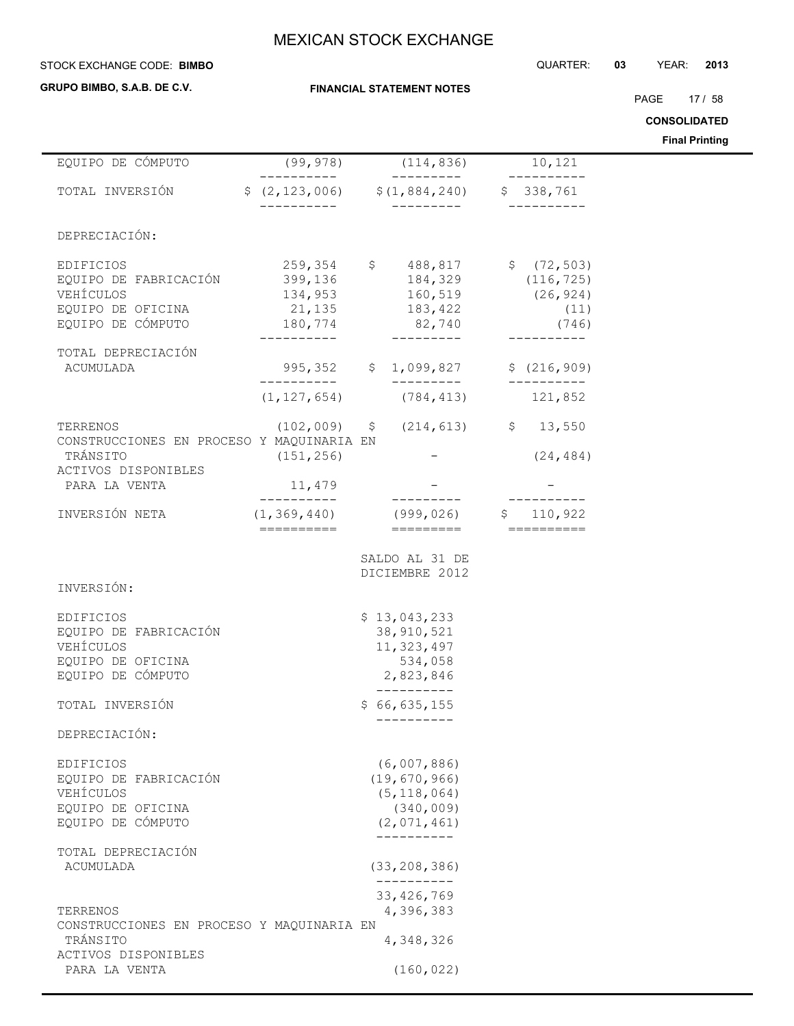### **STOCK EXCHANGE CODE: BIMBO**

**GRUPO BIMBO, S.A.B. DE C.V.**

**FINANCIAL STATEMENT NOTES**

PAGE 17 / 58

**CONSOLIDATED**

|                                                       |                         |                                                  |                     | <b>Final Printing</b> |
|-------------------------------------------------------|-------------------------|--------------------------------------------------|---------------------|-----------------------|
| EQUIPO DE CÓMPUTO                                     | (99, 978)<br>---------- | (114, 836)<br>----------                         | 10,121<br>--------- |                       |
| TOTAL INVERSIÓN                                       |                         | $$ (2, 123, 006)$ $$ (1, 884, 240)$ $$ 338, 761$ |                     |                       |
| DEPRECIACIÓN:                                         |                         |                                                  |                     |                       |
| EDIFICIOS                                             |                         | 259,354 \$ 488,817 \$ (72,503)                   |                     |                       |
| EQUIPO DE FABRICACIÓN                                 |                         | 399,136 184,329                                  | (116, 725)          |                       |
| VEHÍCULOS                                             | 134,953                 | 160,519                                          | (26, 924)           |                       |
| EQUIPO DE OFICINA                                     | 21,135                  | 183,422                                          | (11)                |                       |
| EQUIPO DE CÓMPUTO                                     | 180,774<br>-----------  | 82,740<br>---------                              | (746)<br>__________ |                       |
| TOTAL DEPRECIACIÓN                                    |                         |                                                  |                     |                       |
| ACUMULADA                                             |                         | 995,352 \$ 1,099,827                             | \$(216, 909)        |                       |
|                                                       |                         |                                                  | -----------         |                       |
|                                                       |                         | $(1, 127, 654)$ $(784, 413)$                     | 121,852             |                       |
| TERRENOS                                              |                         | $(102,009)$ \$ $(214,613)$ \$ 13,550             |                     |                       |
| CONSTRUCCIONES EN PROCESO Y MAQUINARIA EN             |                         |                                                  |                     |                       |
| TRÁNSITO                                              | (151, 256)              |                                                  | (24, 484)           |                       |
| ACTIVOS DISPONIBLES                                   |                         |                                                  |                     |                       |
| PARA LA VENTA                                         | 11,479<br>----------    | ----------                                       |                     |                       |
| INVERSIÓN NETA                                        |                         | $(1, 369, 440)$ (999,026) \$ 110,922             |                     |                       |
|                                                       | ==========              | =========                                        |                     |                       |
|                                                       |                         | SALDO AL 31 DE                                   |                     |                       |
|                                                       |                         | DICIEMBRE 2012                                   |                     |                       |
| INVERSIÓN:                                            |                         |                                                  |                     |                       |
| EDIFICIOS                                             |                         | \$13,043,233                                     |                     |                       |
| EQUIPO DE FABRICACIÓN                                 |                         | 38, 910, 521                                     |                     |                       |
| VEHÍCULOS                                             |                         | 11, 323, 497                                     |                     |                       |
| EQUIPO DE OFICINA                                     |                         | 534,058                                          |                     |                       |
| EQUIPO DE CÓMPUTO                                     |                         | 2,823,846                                        |                     |                       |
| TOTAL INVERSIÓN                                       |                         | \$66,635,155                                     |                     |                       |
|                                                       |                         |                                                  |                     |                       |
| DEPRECIACIÓN:                                         |                         |                                                  |                     |                       |
| EDIFICIOS                                             |                         | (6,007,886)                                      |                     |                       |
| EQUIPO DE FABRICACIÓN                                 |                         | (19, 670, 966)                                   |                     |                       |
| VEHÍCULOS                                             |                         | (5, 118, 064)                                    |                     |                       |
| EQUIPO DE OFICINA                                     |                         | (340, 009)                                       |                     |                       |
| EQUIPO DE CÓMPUTO                                     |                         | (2,071,461)<br>----------                        |                     |                       |
| TOTAL DEPRECIACIÓN                                    |                         |                                                  |                     |                       |
| ACUMULADA                                             |                         | (33, 208, 386)                                   |                     |                       |
|                                                       |                         | ----------                                       |                     |                       |
|                                                       |                         | 33, 426, 769                                     |                     |                       |
| TERRENOS<br>CONSTRUCCIONES EN PROCESO Y MAQUINARIA EN |                         | 4,396,383                                        |                     |                       |
| TRÁNSITO                                              |                         | 4,348,326                                        |                     |                       |
| ACTIVOS DISPONIBLES                                   |                         |                                                  |                     |                       |
| PARA LA VENTA                                         |                         | (160, 022)                                       |                     |                       |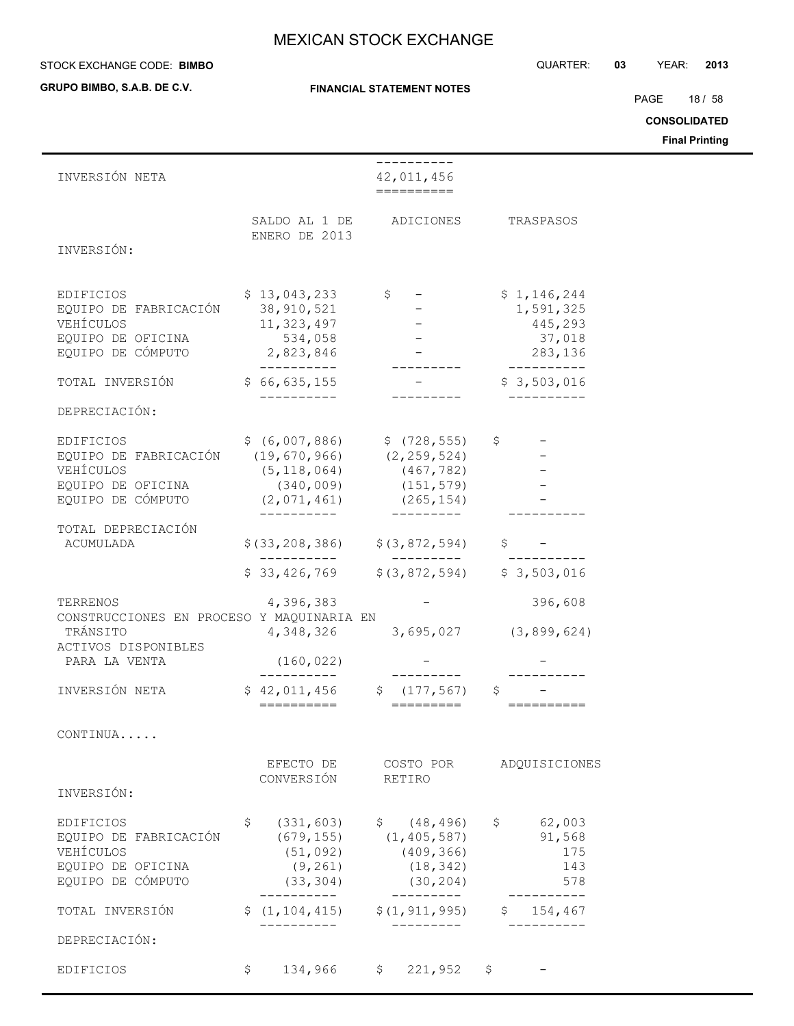#### STOCK EXCHANGE CODE: QUARTER: **03** YEAR: **2013 BIMBO**

**GRUPO BIMBO, S.A.B. DE C.V.**

#### **FINANCIAL STATEMENT NOTES**

PAGE 18 / 58

**CONSOLIDATED**

| INVERSIÓN NETA                                              |                                               | ----------<br>42,011,456                   |                                       |
|-------------------------------------------------------------|-----------------------------------------------|--------------------------------------------|---------------------------------------|
| INVERSIÓN:                                                  | ENERO DE 2013                                 | SALDO AL 1 DE ADICIONES                    | TRASPASOS                             |
| EDIFICIOS                                                   | $$13,043,233$ $$5$                            |                                            | \$1,146,244                           |
| EQUIPO DE FABRICACIÓN 38,910,521                            |                                               |                                            | 1,591,325                             |
| VEHÍCULOS                                                   | 11, 323, 497                                  |                                            | 445,293                               |
| EQUIPO DE OFICINA<br>EQUIPO DE CÓMPUTO                      | 534,058<br>2,823,846                          |                                            | 37,018<br>283,136                     |
| TOTAL INVERSIÓN                                             | \$66,635,155                                  |                                            | $-$ \$ 3,503,016                      |
|                                                             |                                               |                                            |                                       |
| DEPRECIACIÓN:                                               |                                               |                                            |                                       |
| EDIFICIOS                                                   | $$ (6,007,886)$ $$ (728,555)$ $$ -$           |                                            |                                       |
| EQUIPO DE FABRICACIÓN (19,670,966) (2,259,524)<br>VEHÍCULOS | $(5, 118, 064)$ $(467, 782)$                  |                                            |                                       |
| EQUIPO DE OFICINA                                           |                                               | $(340, 009)$ $(151, 579)$                  |                                       |
| EQUIPO DE CÓMPUTO (2,071,461) (265,154)                     |                                               |                                            |                                       |
| TOTAL DEPRECIACIÓN                                          |                                               |                                            |                                       |
| ACUMULADA                                                   | $$(33, 208, 386)$ $$(3, 872, 594)$            |                                            |                                       |
|                                                             | $$33,426,769$ $$(3,872,594)$ $$3,503,016$     |                                            |                                       |
| TERRENOS                                                    |                                               | $4,396,383$ -                              | 396,608                               |
| CONSTRUCCIONES EN PROCESO Y MAQUINARIA EN                   |                                               |                                            |                                       |
| TRÁNSITO<br>ACTIVOS DISPONIBLES                             |                                               |                                            | 4, 348, 326 3, 695, 027 (3, 899, 624) |
| PARA LA VENTA                                               | (160, 022)                                    |                                            |                                       |
| INVERSIÓN NETA                                              | $$42,011,456$ $$(177,567)$                    |                                            |                                       |
|                                                             |                                               |                                            | \$<br>==========                      |
| CONTINUA                                                    |                                               |                                            |                                       |
|                                                             | EFECTO DE                                     | COSTO POR                                  | ADQUISICIONES                         |
|                                                             | CONVERSIÓN                                    | RETIRO                                     |                                       |
| INVERSIÓN:                                                  |                                               |                                            |                                       |
| <b>EDIFICIOS</b>                                            | \$                                            | $(331, 603)$ \$ $(48, 496)$                | \$62,003                              |
| EQUIPO DE FABRICACIÓN<br>VEHÍCULOS                          | (51, 092)                                     | $(679, 155)$ $(1, 405, 587)$<br>(409, 366) | 91,568<br>175                         |
| EQUIPO DE OFICINA                                           | (9, 261)                                      | (18, 342)                                  | 143                                   |
| EQUIPO DE CÓMPUTO                                           | (33, 304)<br>-----------                      | (30, 204)<br>----------                    | 578<br>--------                       |
| TOTAL INVERSIÓN                                             | $$(1, 104, 415)$ $$(1, 911, 995)$ $$154, 467$ |                                            |                                       |
| DEPRECIACIÓN:                                               | .                                             | ----------                                 |                                       |
|                                                             |                                               |                                            |                                       |
| EDIFICIOS                                                   | \$                                            | 134,966 \$ 221,952 \$                      | $\overline{\phantom{m}}$              |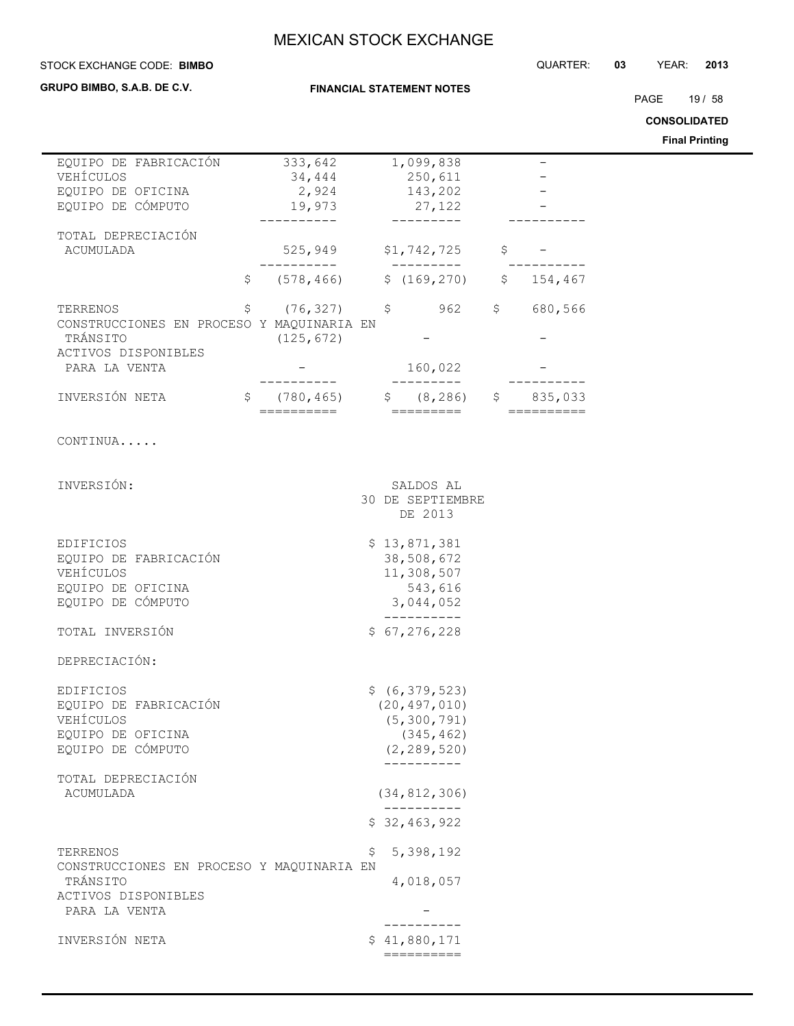**FINANCIAL STATEMENT NOTES**

#### STOCK EXCHANGE CODE: QUARTER: **03** YEAR: **2013 BIMBO**

**GRUPO BIMBO, S.A.B. DE C.V.**

PAGE 19 / 58

**CONSOLIDATED**

| EQUIPO DE FABRICACIÓN<br>VEHÍCULOS<br>EQUIPO DE OFICINA                                                         | 333,642<br>34,444<br>2,924                     | 1,099,838<br>250,611<br>143,202                                                                 | $\qquad \qquad -$ |
|-----------------------------------------------------------------------------------------------------------------|------------------------------------------------|-------------------------------------------------------------------------------------------------|-------------------|
| EQUIPO DE CÓMPUTO                                                                                               | 19,973                                         | 27,122                                                                                          |                   |
| TOTAL DEPRECIACIÓN<br>ACUMULADA                                                                                 | 525,949                                        | \$1,742,725                                                                                     | \$                |
| \$                                                                                                              | ________<br>(578, 466)                         | _________<br>\$(169, 270)                                                                       | \$154,467         |
| \$<br>TERRENOS<br>CONSTRUCCIONES EN PROCESO Y MAQUINARIA EN<br>TRÁNSITO<br>ACTIVOS DISPONIBLES<br>PARA LA VENTA | $(76, 327)$ \$<br>(125, 672)                   | 962<br>160,022                                                                                  | \$680,566         |
| INVERSIÓN NETA                                                                                                  | $\hat{\mathsf{S}}$<br>(780, 465)<br>========== | $$ (8, 286)$ \$ 835,033<br>=========                                                            | ==========        |
| CONTINUA                                                                                                        |                                                |                                                                                                 |                   |
| INVERSIÓN:                                                                                                      |                                                | SALDOS AL<br>30 DE SEPTIEMBRE<br>DE 2013                                                        |                   |
| EDIFICIOS<br>EQUIPO DE FABRICACIÓN<br>VEHÍCULOS<br>EQUIPO DE OFICINA<br>EQUIPO DE CÓMPUTO                       |                                                | \$13,871,381<br>38,508,672<br>11,308,507<br>543,616<br>3,044,052                                |                   |
| TOTAL INVERSIÓN                                                                                                 |                                                | \$67, 276, 228                                                                                  |                   |
| DEPRECIACIÓN:                                                                                                   |                                                |                                                                                                 |                   |
| EDIFICIOS<br>EQUIPO DE FABRICACIÓN<br>VEHÍCULOS<br>EQUIPO DE OFICINA<br>EQUIPO DE CÓMPUTO                       |                                                | \$(6, 379, 523)<br>(20, 497, 010)<br>(5, 300, 791)<br>(345, 462)<br>(2, 289, 520)<br>---------- |                   |
| TOTAL DEPRECIACIÓN<br><b>ACUMULADA</b>                                                                          |                                                | (34, 812, 306)                                                                                  |                   |
|                                                                                                                 |                                                | -----------<br>\$32,463,922                                                                     |                   |
| TERRENOS<br>CONSTRUCCIONES EN PROCESO Y MAQUINARIA EN<br>TRÁNSITO<br>ACTIVOS DISPONIBLES                        |                                                | 5,398,192<br>\$<br>4,018,057                                                                    |                   |
| PARA LA VENTA                                                                                                   |                                                | ----------                                                                                      |                   |
| INVERSIÓN NETA                                                                                                  |                                                | \$41,880,171<br>$=$ =========                                                                   |                   |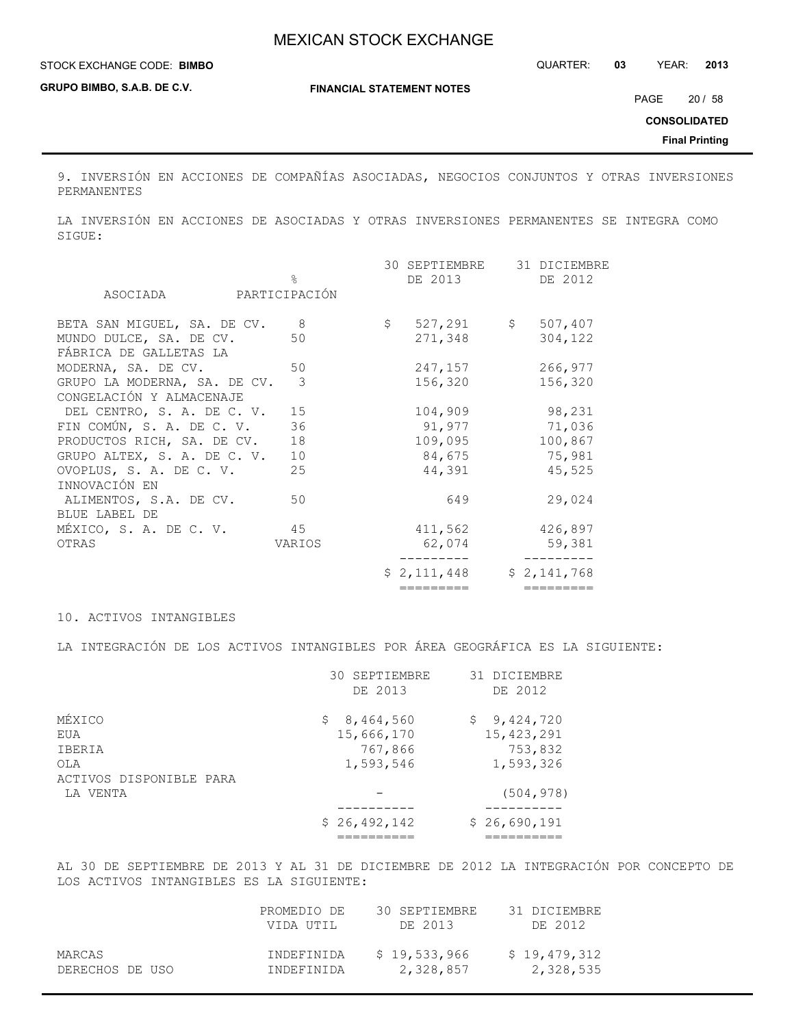**GRUPO BIMBO, S.A.B. DE C.V.**

**FINANCIAL STATEMENT NOTES**

PAGE 20 / 58

**CONSOLIDATED**

**Final Printing**

9. INVERSIÓN EN ACCIONES DE COMPAÑÍAS ASOCIADAS, NEGOCIOS CONJUNTOS Y OTRAS INVERSIONES PERMANENTES

LA INVERSIÓN EN ACCIONES DE ASOCIADAS Y OTRAS INVERSIONES PERMANENTES SE INTEGRA COMO SIGUE:

|                                                          |                            | 30 SEPTIEMBRE | 31 DICIEMBRE            |
|----------------------------------------------------------|----------------------------|---------------|-------------------------|
| ASOCIADA                                                 | $\approx$<br>PARTICIPACIÓN | DE 2013       | DE 2012                 |
| BETA SAN MIGUEL, SA. DE CV.                              | - 8                        | $\mathsf{S}$  | $527,291$ \$<br>507,407 |
| MUNDO DULCE, SA. DE CV.<br>FÁBRICA DE GALLETAS LA        | 50                         | 271,348       | 304,122                 |
| MODERNA, SA. DE CV.                                      | 50                         | 247,157       | 266,977                 |
| GRUPO LA MODERNA, SA. DE CV.<br>CONGELACIÓN Y ALMACENAJE | 3                          | 156,320       | 156,320                 |
| DEL CENTRO, S. A. DE C. V.                               | 15                         | 104,909       | 98,231                  |
| FIN COMÚN, S. A. DE C. V.                                | 36                         | 91,977        | 71,036                  |
| PRODUCTOS RICH, SA. DE CV.                               | 18                         | 109,095       | 100,867                 |
| GRUPO ALTEX, S. A. DE C. V.                              | 10                         | 84,675        | 75,981                  |
| OVOPLUS, S. A. DE C. V.<br>INNOVACIÓN EN                 | 25                         | 44,391        | 45,525                  |
| ALIMENTOS, S.A. DE CV.<br><b>BLUE LABEL DE</b>           | 50                         | 649           | 29,024                  |
| MÉXICO, S. A. DE C. V.                                   | 45                         | 411,562       | 426,897                 |
| OTRAS                                                    | VARIOS                     | 62,074        | 59,381                  |
|                                                          |                            | \$2,111,448   | \$2,141,768             |
|                                                          |                            | =========     | =========               |

#### 10. ACTIVOS INTANGIBLES

LA INTEGRACIÓN DE LOS ACTIVOS INTANGIBLES POR ÁREA GEOGRÁFICA ES LA SIGUIENTE:

|                         | 30 SEPTIEMBRE<br>DE 2013 | 31 DICIEMBRE<br>DE 2012 |
|-------------------------|--------------------------|-------------------------|
| MÉXICO                  | \$8,464,560              | \$9,424,720             |
| EUA                     | 15,666,170               | 15,423,291              |
| IBERIA                  | 767,866                  | 753,832                 |
| OLA                     | 1,593,546                | 1,593,326               |
| ACTIVOS DISPONIBLE PARA |                          |                         |
| LA VENTA                |                          | (504, 978)              |
|                         |                          |                         |
|                         | \$26,492,142             | \$26,690,191            |
|                         |                          |                         |

AL 30 DE SEPTIEMBRE DE 2013 Y AL 31 DE DICIEMBRE DE 2012 LA INTEGRACIÓN POR CONCEPTO DE LOS ACTIVOS INTANGIBLES ES LA SIGUIENTE:

|                 | PROMEDIO DE | 30 SEPTIEMBRE | 31 DICIEMBRE |
|-----------------|-------------|---------------|--------------|
|                 | VIDA UTIL   | DE 2013       | DE 2012      |
| MARCAS          | INDEFINIDA  | \$19,533,966  | \$19,479,312 |
| DERECHOS DE USO | TNDEFINIDA  | 2,328,857     | 2,328,535    |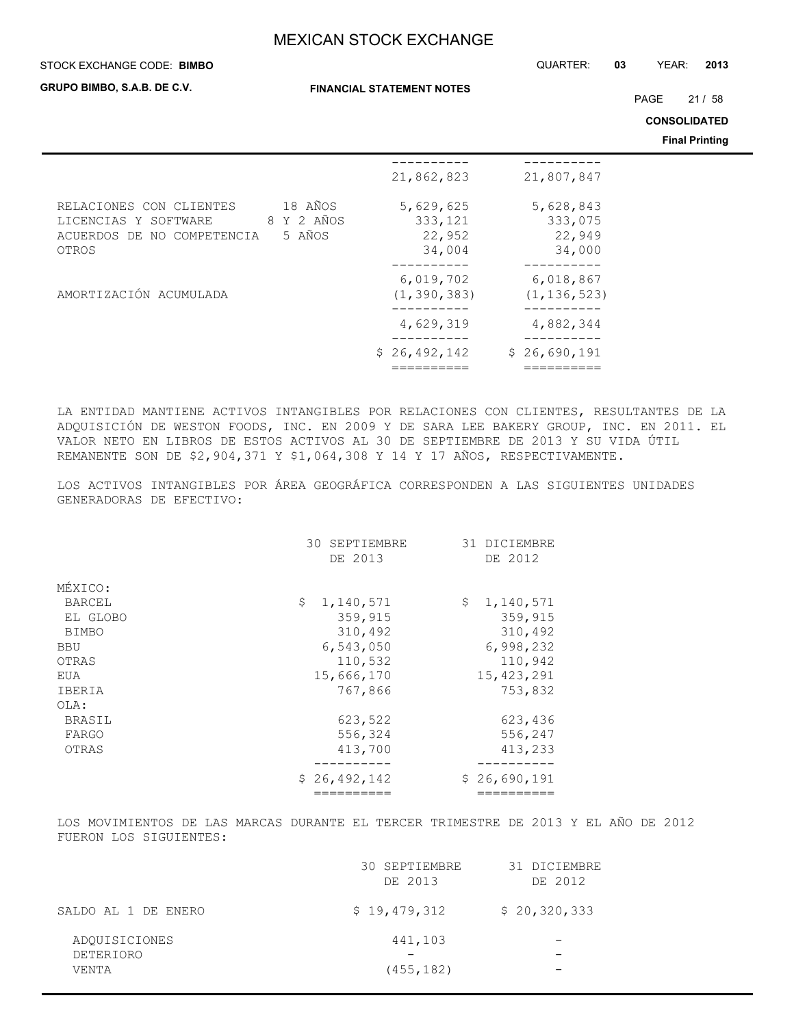**STOCK EXCHANGE CODE: BIMBO** 

**GRUPO BIMBO, S.A.B. DE C.V.**

**FINANCIAL STATEMENT NOTES**

STOCK EXCHANGE CODE: QUARTER: **03** YEAR: **2013**

PAGE 21 / 58

**CONSOLIDATED**

**Final Printing**

|                                                                                                                           |                                          |                                          | <b>Final Printing</b> |
|---------------------------------------------------------------------------------------------------------------------------|------------------------------------------|------------------------------------------|-----------------------|
|                                                                                                                           | 21,862,823                               | 21,807,847                               |                       |
| 18 AÑOS<br>RELACIONES CON CLIENTES<br>8 Y 2 AÑOS<br>LICENCIAS Y SOFTWARE<br>5 AÑOS<br>ACUERDOS DE NO COMPETENCIA<br>OTROS | 5,629,625<br>333,121<br>22,952<br>34,004 | 5,628,843<br>333,075<br>22,949<br>34,000 |                       |
| AMORTIZACIÓN ACUMULADA                                                                                                    | 6,019,702<br>(1, 390, 383)               | 6,018,867<br>(1, 136, 523)               |                       |
|                                                                                                                           | 4,629,319                                | 4,882,344                                |                       |
|                                                                                                                           | \$26,492,142                             | \$26,690,191                             |                       |

LA ENTIDAD MANTIENE ACTIVOS INTANGIBLES POR RELACIONES CON CLIENTES, RESULTANTES DE LA ADQUISICIÓN DE WESTON FOODS, INC. EN 2009 Y DE SARA LEE BAKERY GROUP, INC. EN 2011. EL VALOR NETO EN LIBROS DE ESTOS ACTIVOS AL 30 DE SEPTIEMBRE DE 2013 Y SU VIDA ÚTIL REMANENTE SON DE \$2,904,371 Y \$1,064,308 Y 14 Y 17 AÑOS, RESPECTIVAMENTE.

LOS ACTIVOS INTANGIBLES POR ÁREA GEOGRÁFICA CORRESPONDEN A LAS SIGUIENTES UNIDADES GENERADORAS DE EFECTIVO:

|               | SEPTIEMBRE<br>30.<br>DE 2013 | 31 DICIEMBRE<br>DE 2012 |
|---------------|------------------------------|-------------------------|
| MÉXICO:       |                              |                         |
| <b>BARCEL</b> | \$<br>1,140,571              | \$<br>1,140,571         |
| EL GLOBO      | 359,915                      | 359,915                 |
| <b>BIMBO</b>  | 310,492                      | 310,492                 |
| <b>BBU</b>    | 6,543,050                    | 6,998,232               |
| OTRAS         | 110,532                      | 110,942                 |
| EUA           | 15,666,170                   | 15, 423, 291            |
| IBERIA        | 767,866                      | 753,832                 |
| OLA:          |                              |                         |
| BRASIL        | 623,522                      | 623,436                 |
| FARGO         | 556,324                      | 556,247                 |
| OTRAS         | 413,700                      | 413,233                 |
|               |                              |                         |
|               | \$26,492,142                 | \$26,690,191            |
|               |                              |                         |

LOS MOVIMIENTOS DE LAS MARCAS DURANTE EL TERCER TRIMESTRE DE 2013 Y EL AÑO DE 2012 FUERON LOS SIGUIENTES:

|                                     | 30 SEPTIEMBRE<br>DE 2013 | 31 DICIEMBRE<br>DE 2012 |
|-------------------------------------|--------------------------|-------------------------|
| SALDO AL 1 DE ENERO                 | \$19,479,312             | \$20,320,333            |
| ADOUISICIONES<br>DETERIORO<br>VENTA | 441,103                  |                         |
|                                     | (455, 182)               | –                       |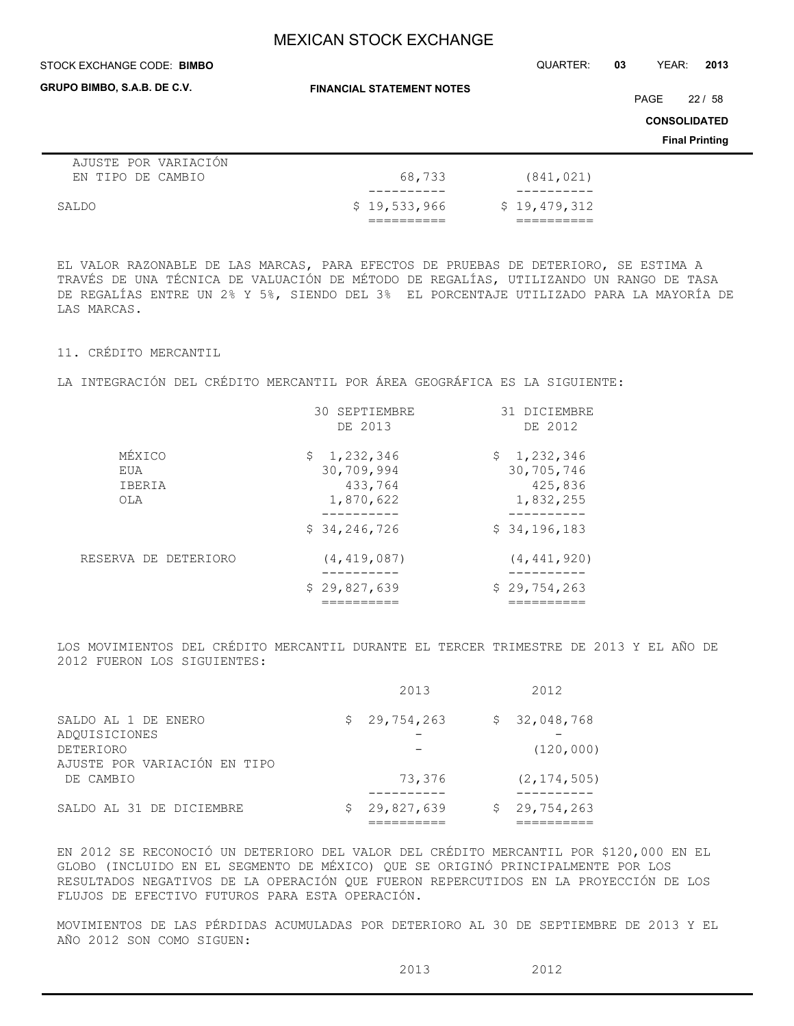## **FINANCIAL STATEMENT NOTES** STOCK EXCHANGE CODE: QUARTER: **03** YEAR: **2013 BIMBO CONSOLIDATED Final Printing GRUPO BIMBO, S.A.B. DE C.V.** PAGE 22 / 58 AJUSTE POR VARIACIÓN EN TIPO DE CAMBIO 68,733 (841,021) ---------- ---------- SALDO \$ 19,533,966 \$ 19,479,312 ========== ==========

EL VALOR RAZONABLE DE LAS MARCAS, PARA EFECTOS DE PRUEBAS DE DETERIORO, SE ESTIMA A TRAVÉS DE UNA TÉCNICA DE VALUACIÓN DE MÉTODO DE REGALÍAS, UTILIZANDO UN RANGO DE TASA DE REGALÍAS ENTRE UN 2% Y 5%, SIENDO DEL 3% EL PORCENTAJE UTILIZADO PARA LA MAYORÍA DE LAS MARCAS.

## 11. CRÉDITO MERCANTIL

LA INTEGRACIÓN DEL CRÉDITO MERCANTIL POR ÁREA GEOGRÁFICA ES LA SIGUIENTE:

|                                | 30 SEPTIEMBRE<br>DE 2013                          | 31 DICIEMBRE<br>DE 2012                           |
|--------------------------------|---------------------------------------------------|---------------------------------------------------|
| MÉXICO<br>EUA<br>IBERIA<br>OLA | \$1,232,346<br>30,709,994<br>433,764<br>1,870,622 | \$1,232,346<br>30,705,746<br>425,836<br>1,832,255 |
|                                | \$34, 246, 726                                    | \$34,196,183                                      |
| RESERVA DE DETERIORO           | (4, 419, 087)                                     | (4, 441, 920)                                     |
|                                | \$29,827,639                                      | \$29,754,263                                      |

LOS MOVIMIENTOS DEL CRÉDITO MERCANTIL DURANTE EL TERCER TRIMESTRE DE 2013 Y EL AÑO DE 2012 FUERON LOS SIGUIENTES:

|                                                          | 2013         | 2012                       |
|----------------------------------------------------------|--------------|----------------------------|
| SALDO AL 1 DE ENERO<br>ADQUISICIONES<br><b>DETERIORO</b> | \$29,754,263 | \$32,048,768<br>(120, 000) |
| AJUSTE POR VARIACIÓN EN TIPO<br>DE CAMBIO                | 73,376       | (2, 174, 505)              |
| SALDO AL 31 DE DICIEMBRE                                 | 29,827,639   | \$29,754,263               |

EN 2012 SE RECONOCIÓ UN DETERIORO DEL VALOR DEL CRÉDITO MERCANTIL POR \$120,000 EN EL GLOBO (INCLUIDO EN EL SEGMENTO DE MÉXICO) QUE SE ORIGINÓ PRINCIPALMENTE POR LOS RESULTADOS NEGATIVOS DE LA OPERACIÓN QUE FUERON REPERCUTIDOS EN LA PROYECCIÓN DE LOS FLUJOS DE EFECTIVO FUTUROS PARA ESTA OPERACIÓN.

MOVIMIENTOS DE LAS PÉRDIDAS ACUMULADAS POR DETERIORO AL 30 DE SEPTIEMBRE DE 2013 Y EL AÑO 2012 SON COMO SIGUEN:

2013 2012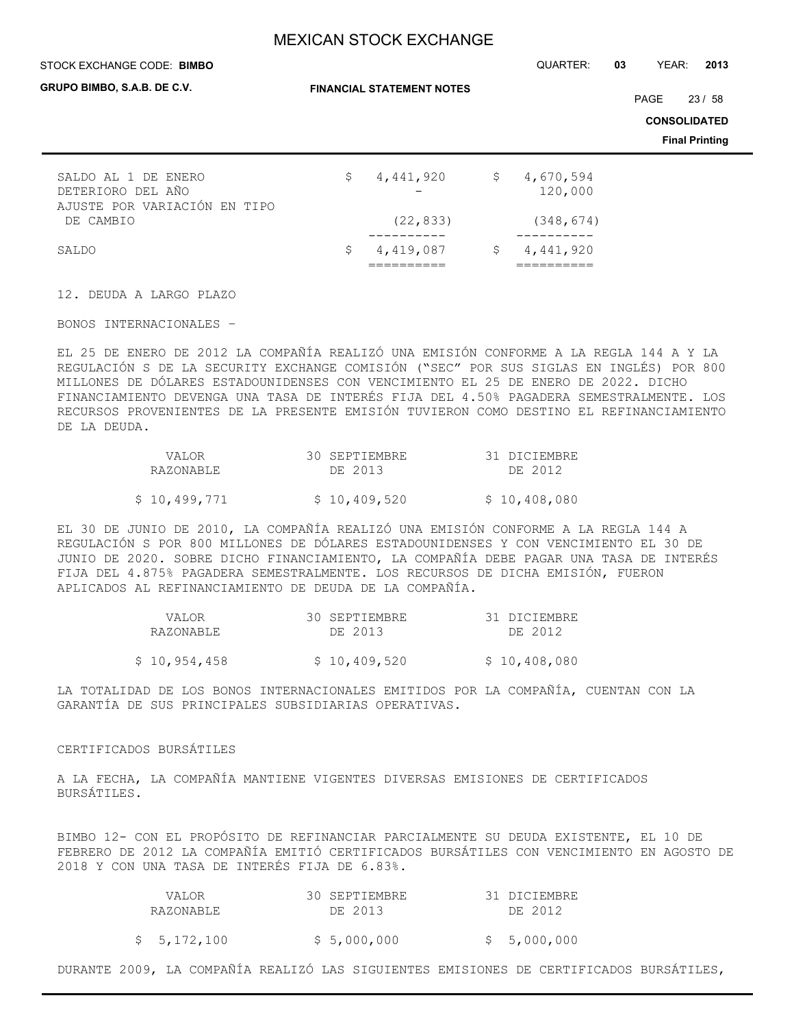#### STOCK EXCHANGE CODE: QUARTER: **03** YEAR: **2013 BIMBO**

| GRUPO BIMBO, S.A.B. DE C.V.                                              |     | <b>FINANCIAL STATEMENT NOTES</b> | PAGE | 23/58                |  |                                              |
|--------------------------------------------------------------------------|-----|----------------------------------|------|----------------------|--|----------------------------------------------|
|                                                                          |     |                                  |      |                      |  | <b>CONSOLIDATED</b><br><b>Final Printing</b> |
| SALDO AL 1 DE ENERO<br>DETERIORO DEL AÑO<br>AJUSTE POR VARIACIÓN EN TIPO | \$. | 4,441,920                        | \$   | 4,670,594<br>120,000 |  |                                              |
| DE CAMBIO                                                                |     | (22, 833)                        |      | (348, 674)           |  |                                              |
| SALDO                                                                    | \$  | 4,419,087                        | Ş.   | 4,441,920            |  |                                              |

12. DEUDA A LARGO PLAZO

BONOS INTERNACIONALES –

EL 25 DE ENERO DE 2012 LA COMPAÑÍA REALIZÓ UNA EMISIÓN CONFORME A LA REGLA 144 A Y LA REGULACIÓN S DE LA SECURITY EXCHANGE COMISIÓN ("SEC" POR SUS SIGLAS EN INGLÉS) POR 800 MILLONES DE DÓLARES ESTADOUNIDENSES CON VENCIMIENTO EL 25 DE ENERO DE 2022. DICHO FINANCIAMIENTO DEVENGA UNA TASA DE INTERÉS FIJA DEL 4.50% PAGADERA SEMESTRALMENTE. LOS RECURSOS PROVENIENTES DE LA PRESENTE EMISIÓN TUVIERON COMO DESTINO EL REFINANCIAMIENTO DE LA DEUDA.

| VALOR.       | 30 SEPTIEMBRE | 31 DICIEMBRE |
|--------------|---------------|--------------|
| RAZONABLE    | DE 2013       | DE 2012      |
| \$10,499,771 | \$10,409,520  | \$10,408,080 |

EL 30 DE JUNIO DE 2010, LA COMPAÑÍA REALIZÓ UNA EMISIÓN CONFORME A LA REGLA 144 A REGULACIÓN S POR 800 MILLONES DE DÓLARES ESTADOUNIDENSES Y CON VENCIMIENTO EL 30 DE JUNIO DE 2020. SOBRE DICHO FINANCIAMIENTO, LA COMPAÑÍA DEBE PAGAR UNA TASA DE INTERÉS FIJA DEL 4.875% PAGADERA SEMESTRALMENTE. LOS RECURSOS DE DICHA EMISIÓN, FUERON APLICADOS AL REFINANCIAMIENTO DE DEUDA DE LA COMPAÑÍA.

| VALOR        | 30 SEPTIEMBRE | 31 DICIEMBRE |
|--------------|---------------|--------------|
| RAZONABLE    | DE 2013       | DE 2012      |
| \$10,954,458 | \$10,409,520  | \$10,408,080 |
|              |               |              |

LA TOTALIDAD DE LOS BONOS INTERNACIONALES EMITIDOS POR LA COMPAÑÍA, CUENTAN CON LA GARANTÍA DE SUS PRINCIPALES SUBSIDIARIAS OPERATIVAS.

## CERTIFICADOS BURSÁTILES

A LA FECHA, LA COMPAÑÍA MANTIENE VIGENTES DIVERSAS EMISIONES DE CERTIFICADOS BURSÁTILES.

BIMBO 12- CON EL PROPÓSITO DE REFINANCIAR PARCIALMENTE SU DEUDA EXISTENTE, EL 10 DE FEBRERO DE 2012 LA COMPAÑÍA EMITIÓ CERTIFICADOS BURSÁTILES CON VENCIMIENTO EN AGOSTO DE 2018 Y CON UNA TASA DE INTERÉS FIJA DE 6.83%.

| VALOR<br>RAZONABLE | 30 SEPTIEMBRE<br>DE 2013 | 31 DICIEMBRE<br>DE 2012 |
|--------------------|--------------------------|-------------------------|
| \$5,172,100        | \$5,000,000              | \$5,000,000             |

DURANTE 2009, LA COMPAÑÍA REALIZÓ LAS SIGUIENTES EMISIONES DE CERTIFICADOS BURSÁTILES,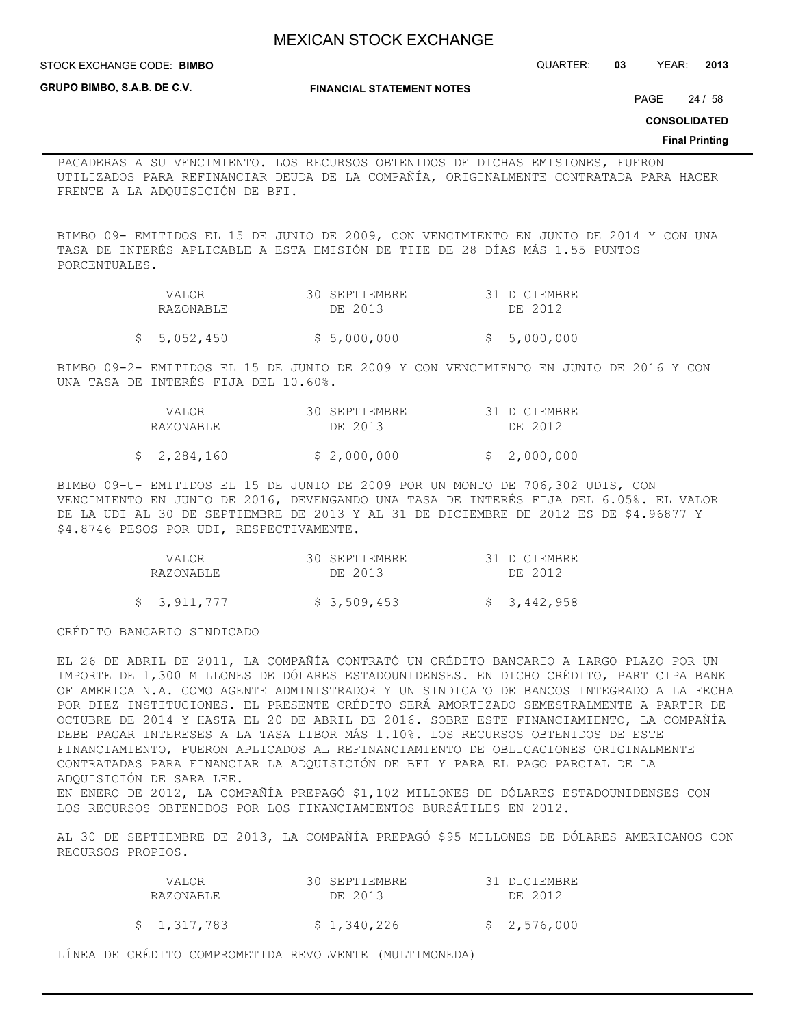**STOCK EXCHANGE CODE: BIMBO** 

STOCK EXCHANGE CODE: QUARTER: **03** YEAR: **2013**

**GRUPO BIMBO, S.A.B. DE C.V.**

**FINANCIAL STATEMENT NOTES**

PAGE 24 / 58

**CONSOLIDATED**

#### **Final Printing**

PAGADERAS A SU VENCIMIENTO. LOS RECURSOS OBTENIDOS DE DICHAS EMISIONES, FUERON UTILIZADOS PARA REFINANCIAR DEUDA DE LA COMPAÑÍA, ORIGINALMENTE CONTRATADA PARA HACER FRENTE A LA ADQUISICIÓN DE BFI.

BIMBO 09- EMITIDOS EL 15 DE JUNIO DE 2009, CON VENCIMIENTO EN JUNIO DE 2014 Y CON UNA TASA DE INTERÉS APLICABLE A ESTA EMISIÓN DE TIIE DE 28 DÍAS MÁS 1.55 PUNTOS PORCENTUALES.

| VALOR     | 30 SEPTIEMBRE | 31 DICIEMBRE |
|-----------|---------------|--------------|
| RAZONABLE | DE 2013       | DE 2012      |

 $$5,052,450$   $$5,000,000$   $$5,000,000$ 

BIMBO 09-2- EMITIDOS EL 15 DE JUNIO DE 2009 Y CON VENCIMIENTO EN JUNIO DE 2016 Y CON UNA TASA DE INTERÉS FIJA DEL 10.60%.

| VALOR       | 30 SEPTIEMBRE | 31 DICIEMBRE |
|-------------|---------------|--------------|
| RAZONABLE   | DE 2013       | DE 2012      |
| \$2,284,160 | \$2,000,000   | \$2,000,000  |

BIMBO 09-U- EMITIDOS EL 15 DE JUNIO DE 2009 POR UN MONTO DE 706,302 UDIS, CON VENCIMIENTO EN JUNIO DE 2016, DEVENGANDO UNA TASA DE INTERÉS FIJA DEL 6.05%. EL VALOR DE LA UDI AL 30 DE SEPTIEMBRE DE 2013 Y AL 31 DE DICIEMBRE DE 2012 ES DE \$4.96877 Y \$4.8746 PESOS POR UDI, RESPECTIVAMENTE.

| VALOR       | 30 SEPTIEMBRE | 31 DICIEMBRE |
|-------------|---------------|--------------|
| RAZONABLE   | DE 2013       | DE 2012      |
| \$3,911,777 | \$ 3,509,453  | \$3,442,958  |

CRÉDITO BANCARIO SINDICADO

EL 26 DE ABRIL DE 2011, LA COMPAÑÍA CONTRATÓ UN CRÉDITO BANCARIO A LARGO PLAZO POR UN IMPORTE DE 1,300 MILLONES DE DÓLARES ESTADOUNIDENSES. EN DICHO CRÉDITO, PARTICIPA BANK OF AMERICA N.A. COMO AGENTE ADMINISTRADOR Y UN SINDICATO DE BANCOS INTEGRADO A LA FECHA POR DIEZ INSTITUCIONES. EL PRESENTE CRÉDITO SERÁ AMORTIZADO SEMESTRALMENTE A PARTIR DE OCTUBRE DE 2014 Y HASTA EL 20 DE ABRIL DE 2016. SOBRE ESTE FINANCIAMIENTO, LA COMPAÑÍA DEBE PAGAR INTERESES A LA TASA LIBOR MÁS 1.10%. LOS RECURSOS OBTENIDOS DE ESTE FINANCIAMIENTO, FUERON APLICADOS AL REFINANCIAMIENTO DE OBLIGACIONES ORIGINALMENTE CONTRATADAS PARA FINANCIAR LA ADQUISICIÓN DE BFI Y PARA EL PAGO PARCIAL DE LA ADQUISICIÓN DE SARA LEE. EN ENERO DE 2012, LA COMPAÑÍA PREPAGÓ \$1,102 MILLONES DE DÓLARES ESTADOUNIDENSES CON LOS RECURSOS OBTENIDOS POR LOS FINANCIAMIENTOS BURSÁTILES EN 2012.

AL 30 DE SEPTIEMBRE DE 2013, LA COMPAÑÍA PREPAGÓ \$95 MILLONES DE DÓLARES AMERICANOS CON RECURSOS PROPIOS.

| VALOR.<br>RAZONABLE | 30 SEPTIEMBRE<br>DE 2013 | 31 DICIEMBRE<br>DE 2012 |
|---------------------|--------------------------|-------------------------|
| \$1,317,783         | \$1,340,226              | \$2,576,000             |

LÍNEA DE CRÉDITO COMPROMETIDA REVOLVENTE (MULTIMONEDA)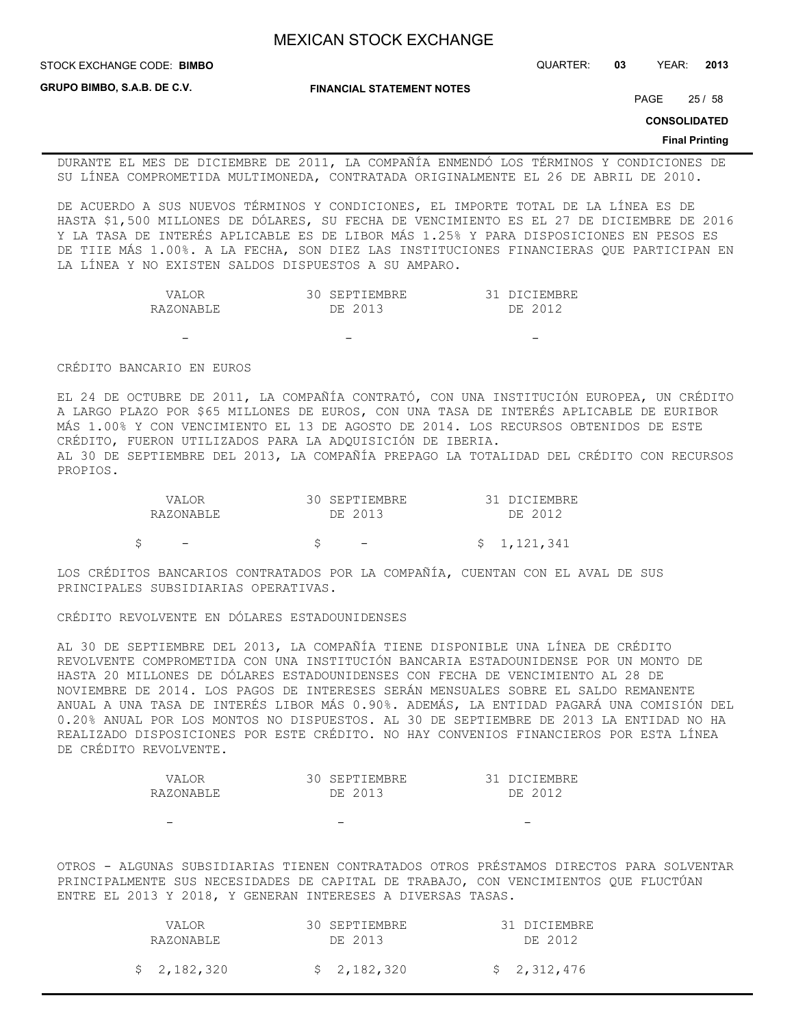STOCK EXCHANGE CODE: QUARTER: **03** YEAR: **2013 BIMBO**

**GRUPO BIMBO, S.A.B. DE C.V.**

**FINANCIAL STATEMENT NOTES**

PAGE 25 / 58

**CONSOLIDATED**

#### **Final Printing**

DURANTE EL MES DE DICIEMBRE DE 2011, LA COMPAÑÍA ENMENDÓ LOS TÉRMINOS Y CONDICIONES DE SU LÍNEA COMPROMETIDA MULTIMONEDA, CONTRATADA ORIGINALMENTE EL 26 DE ABRIL DE 2010.

DE ACUERDO A SUS NUEVOS TÉRMINOS Y CONDICIONES, EL IMPORTE TOTAL DE LA LÍNEA ES DE HASTA \$1,500 MILLONES DE DÓLARES, SU FECHA DE VENCIMIENTO ES EL 27 DE DICIEMBRE DE 2016 Y LA TASA DE INTERÉS APLICABLE ES DE LIBOR MÁS 1.25% Y PARA DISPOSICIONES EN PESOS ES DE TIIE MÁS 1.00%. A LA FECHA, SON DIEZ LAS INSTITUCIONES FINANCIERAS QUE PARTICIPAN EN LA LÍNEA Y NO EXISTEN SALDOS DISPUESTOS A SU AMPARO.

| JAT.OR    | <b>SEPTIEMBRE</b> | DICIEMBRE  |
|-----------|-------------------|------------|
| RAZONARLE | ่วกา จ<br>DF.     | つれた<br>∩F. |

- - -

CRÉDITO BANCARIO EN EUROS

EL 24 DE OCTUBRE DE 2011, LA COMPAÑÍA CONTRATÓ, CON UNA INSTITUCIÓN EUROPEA, UN CRÉDITO A LARGO PLAZO POR \$65 MILLONES DE EUROS, CON UNA TASA DE INTERÉS APLICABLE DE EURIBOR MÁS 1.00% Y CON VENCIMIENTO EL 13 DE AGOSTO DE 2014. LOS RECURSOS OBTENIDOS DE ESTE CRÉDITO, FUERON UTILIZADOS PARA LA ADQUISICIÓN DE IBERIA. AL 30 DE SEPTIEMBRE DEL 2013, LA COMPAÑÍA PREPAGO LA TOTALIDAD DEL CRÉDITO CON RECURSOS PROPIOS.

| VALOR     | 30 SEPTIEMBRE            | 31 DICIEMBRE |
|-----------|--------------------------|--------------|
| RAZONABLE | DE 2013                  | DE 2012      |
|           |                          |              |
|           | $\overline{\phantom{a}}$ | \$1,121,341  |

LOS CRÉDITOS BANCARIOS CONTRATADOS POR LA COMPAÑÍA, CUENTAN CON EL AVAL DE SUS PRINCIPALES SUBSIDIARIAS OPERATIVAS.

CRÉDITO REVOLVENTE EN DÓLARES ESTADOUNIDENSES

AL 30 DE SEPTIEMBRE DEL 2013, LA COMPAÑÍA TIENE DISPONIBLE UNA LÍNEA DE CRÉDITO REVOLVENTE COMPROMETIDA CON UNA INSTITUCIÓN BANCARIA ESTADOUNIDENSE POR UN MONTO DE HASTA 20 MILLONES DE DÓLARES ESTADOUNIDENSES CON FECHA DE VENCIMIENTO AL 28 DE NOVIEMBRE DE 2014. LOS PAGOS DE INTERESES SERÁN MENSUALES SOBRE EL SALDO REMANENTE ANUAL A UNA TASA DE INTERÉS LIBOR MÁS 0.90%. ADEMÁS, LA ENTIDAD PAGARÁ UNA COMISIÓN DEL 0.20% ANUAL POR LOS MONTOS NO DISPUESTOS. AL 30 DE SEPTIEMBRE DE 2013 LA ENTIDAD NO HA REALIZADO DISPOSICIONES POR ESTE CRÉDITO. NO HAY CONVENIOS FINANCIEROS POR ESTA LÍNEA DE CRÉDITO REVOLVENTE.

| VALOR     | 30 SEPTIEMBRE | 31 DICIEMBRE |
|-----------|---------------|--------------|
| RAZONABLE | DE 2013       | DE 2012      |
|           |               |              |
|           |               |              |

OTROS - ALGUNAS SUBSIDIARIAS TIENEN CONTRATADOS OTROS PRÉSTAMOS DIRECTOS PARA SOLVENTAR PRINCIPALMENTE SUS NECESIDADES DE CAPITAL DE TRABAJO, CON VENCIMIENTOS QUE FLUCTÚAN ENTRE EL 2013 Y 2018, Y GENERAN INTERESES A DIVERSAS TASAS.

| VALOR       | 30 SEPTIEMBRE | 31 DICIEMBRE |
|-------------|---------------|--------------|
| RAZONABLE   | DE 2013       | DE 2012      |
| \$2,182,320 | \$2,182,320   | \$2,312,476  |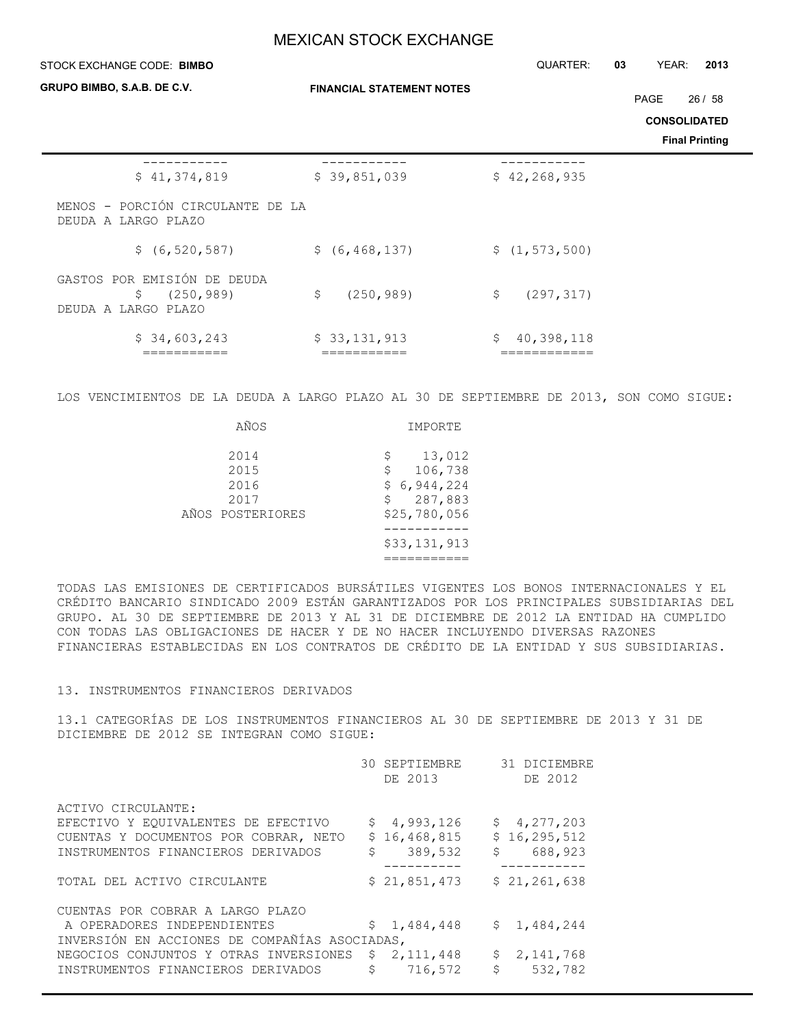| STOCK EXCHANGE CODE: BIMBO                                             |                                  | QUARTER:                         | YEAR:<br>2013<br>03   |
|------------------------------------------------------------------------|----------------------------------|----------------------------------|-----------------------|
| GRUPO BIMBO, S.A.B. DE C.V.                                            | <b>FINANCIAL STATEMENT NOTES</b> |                                  | PAGE<br>26/58         |
|                                                                        |                                  |                                  | <b>CONSOLIDATED</b>   |
|                                                                        |                                  |                                  | <b>Final Printing</b> |
| \$41,374,819                                                           | \$39,851,039                     | \$42, 268, 935                   |                       |
| MENOS - PORCIÓN CIRCULANTE DE LA<br>DEUDA A LARGO PLAZO                |                                  |                                  |                       |
| \$ (6, 520, 587)                                                       | \$ (6, 468, 137)                 | \$(1, 573, 500)                  |                       |
| GASTOS POR EMISIÓN DE DEUDA<br>(250, 989)<br>\$<br>DEUDA A LARGO PLAZO | \$<br>(250, 989)                 | \$<br>(297, 317)                 |                       |
| \$34,603,243<br>===========                                            | \$33,131,913<br>===========      | \$<br>40,398,118<br>============ |                       |

LOS VENCIMIENTOS DE LA DEUDA A LARGO PLAZO AL 30 DE SEPTIEMBRE DE 2013, SON COMO SIGUE:

| AÑOS                                             | IMPORTE                                                                       |
|--------------------------------------------------|-------------------------------------------------------------------------------|
| 2014<br>2015<br>2016<br>2017<br>AÑOS POSTERIORES | 13,012<br>\$<br>106,738<br>\$<br>\$6,944,224<br>287,883<br>\$<br>\$25,780,056 |
|                                                  | \$33,131,913                                                                  |

TODAS LAS EMISIONES DE CERTIFICADOS BURSÁTILES VIGENTES LOS BONOS INTERNACIONALES Y EL CRÉDITO BANCARIO SINDICADO 2009 ESTÁN GARANTIZADOS POR LOS PRINCIPALES SUBSIDIARIAS DEL GRUPO. AL 30 DE SEPTIEMBRE DE 2013 Y AL 31 DE DICIEMBRE DE 2012 LA ENTIDAD HA CUMPLIDO CON TODAS LAS OBLIGACIONES DE HACER Y DE NO HACER INCLUYENDO DIVERSAS RAZONES FINANCIERAS ESTABLECIDAS EN LOS CONTRATOS DE CRÉDITO DE LA ENTIDAD Y SUS SUBSIDIARIAS.

## 13. INSTRUMENTOS FINANCIEROS DERIVADOS

13.1 CATEGORÍAS DE LOS INSTRUMENTOS FINANCIEROS AL 30 DE SEPTIEMBRE DE 2013 Y 31 DE DICIEMBRE DE 2012 SE INTEGRAN COMO SIGUE:

|                                               |     | 30 SEPTIEMBRE<br>DE 2013 |              | 31 DICIEMBRE<br>DE 2012 |
|-----------------------------------------------|-----|--------------------------|--------------|-------------------------|
| ACTIVO CIRCULANTE:                            |     |                          |              |                         |
| EFECTIVO Y EQUIVALENTES DE EFECTIVO           |     | \$4,993,126              |              | \$4,277,203             |
| CUENTAS Y DOCUMENTOS POR COBRAR, NETO         |     | \$16,468,815             |              | \$16, 295, 512          |
| INSTRUMENTOS FINANCIEROS DERIVADOS            | \$  | 389,532                  | \$           | 688,923                 |
|                                               |     |                          |              |                         |
| TOTAL DEL ACTIVO CIRCULANTE                   |     | \$21,851,473             |              | \$21,261,638            |
| CUENTAS POR COBRAR A LARGO PLAZO              |     |                          |              |                         |
| A OPERADORES INDEPENDIENTES                   | \$  | 1,484,448                | $\mathsf{S}$ | 1,484,244               |
| INVERSIÓN EN ACCIONES DE COMPAÑÍAS ASOCIADAS, |     |                          |              |                         |
| NEGOCIOS CONJUNTOS Y OTRAS INVERSIONES        | \$. | 2, 111, 448              | \$           | 2, 141, 768             |
| INSTRUMENTOS FINANCIEROS DERIVADOS            | Ŝ   | 716,572                  | \$           | 532,782                 |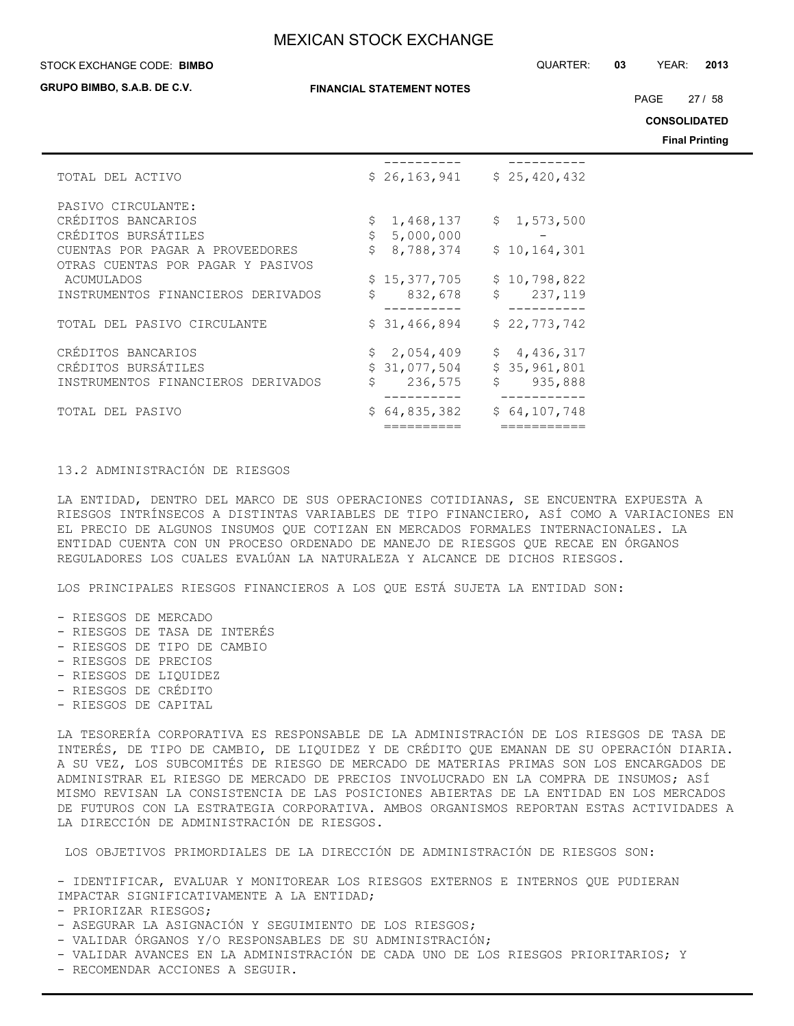**GRUPO BIMBO, S.A.B. DE C.V.**

**FINANCIAL STATEMENT NOTES**

STOCK EXCHANGE CODE: QUARTER: **03** YEAR: **2013 BIMBO**

PAGE 27 / 58

**CONSOLIDATED**

**Final Printing**

|                                                                      |                                          |                             | Final P |
|----------------------------------------------------------------------|------------------------------------------|-----------------------------|---------|
| TOTAL DEL ACTIVO                                                     |                                          | $$26,163,941$ $$25,420,432$ |         |
| PASIVO CIRCULANTE:                                                   |                                          |                             |         |
| CRÉDITOS BANCARIOS<br>CRÉDITOS BURSÁTILES                            | $\mathsf{S}$<br>1,468,137<br>\$5,000,000 | \$1,573,500                 |         |
| CUENTAS POR PAGAR A PROVEEDORES<br>OTRAS CUENTAS POR PAGAR Y PASIVOS | \$8,788,374                              | \$10,164,301                |         |
| ACUMULADOS                                                           | \$15,377,705                             | \$10,798,822<br>\$ 237,119  |         |
| INSTRUMENTOS FINANCIEROS DERIVADOS                                   | \$.<br>832,678                           |                             |         |
| TOTAL DEL PASIVO CIRCULANTE                                          | \$31,466,894                             | \$22,773,742                |         |
| CRÉDITOS BANCARIOS                                                   | \$2,054,409                              | \$4,436,317                 |         |
| CRÉDITOS BURSÁTILES<br>INSTRUMENTOS FINANCIEROS DERIVADOS            | \$31,077,504<br>\$<br>236,575            | \$35,961,801<br>\$935,888   |         |
| TOTAL DEL PASIVO                                                     | \$64,835,382                             | \$64,107,748                |         |
|                                                                      |                                          |                             |         |

## 13.2 ADMINISTRACIÓN DE RIESGOS

LA ENTIDAD, DENTRO DEL MARCO DE SUS OPERACIONES COTIDIANAS, SE ENCUENTRA EXPUESTA A RIESGOS INTRÍNSECOS A DISTINTAS VARIABLES DE TIPO FINANCIERO, ASÍ COMO A VARIACIONES EN EL PRECIO DE ALGUNOS INSUMOS QUE COTIZAN EN MERCADOS FORMALES INTERNACIONALES. LA ENTIDAD CUENTA CON UN PROCESO ORDENADO DE MANEJO DE RIESGOS QUE RECAE EN ÓRGANOS REGULADORES LOS CUALES EVALÚAN LA NATURALEZA Y ALCANCE DE DICHOS RIESGOS.

LOS PRINCIPALES RIESGOS FINANCIEROS A LOS QUE ESTÁ SUJETA LA ENTIDAD SON:

- RIESGOS DE MERCADO
- RIESGOS DE TASA DE INTERÉS
- RIESGOS DE TIPO DE CAMBIO
- RIESGOS DE PRECIOS
- RIESGOS DE LIQUIDEZ
- RIESGOS DE CRÉDITO
- RIESGOS DE CAPITAL

LA TESORERÍA CORPORATIVA ES RESPONSABLE DE LA ADMINISTRACIÓN DE LOS RIESGOS DE TASA DE INTERÉS, DE TIPO DE CAMBIO, DE LIQUIDEZ Y DE CRÉDITO QUE EMANAN DE SU OPERACIÓN DIARIA. A SU VEZ, LOS SUBCOMITÉS DE RIESGO DE MERCADO DE MATERIAS PRIMAS SON LOS ENCARGADOS DE ADMINISTRAR EL RIESGO DE MERCADO DE PRECIOS INVOLUCRADO EN LA COMPRA DE INSUMOS; ASÍ MISMO REVISAN LA CONSISTENCIA DE LAS POSICIONES ABIERTAS DE LA ENTIDAD EN LOS MERCADOS DE FUTUROS CON LA ESTRATEGIA CORPORATIVA. AMBOS ORGANISMOS REPORTAN ESTAS ACTIVIDADES A LA DIRECCIÓN DE ADMINISTRACIÓN DE RIESGOS.

LOS OBJETIVOS PRIMORDIALES DE LA DIRECCIÓN DE ADMINISTRACIÓN DE RIESGOS SON:

- IDENTIFICAR, EVALUAR Y MONITOREAR LOS RIESGOS EXTERNOS E INTERNOS QUE PUDIERAN IMPACTAR SIGNIFICATIVAMENTE A LA ENTIDAD;

- PRIORIZAR RIESGOS;

- ASEGURAR LA ASIGNACIÓN Y SEGUIMIENTO DE LOS RIESGOS;
- VALIDAR ÓRGANOS Y/O RESPONSABLES DE SU ADMINISTRACIÓN;
- VALIDAR AVANCES EN LA ADMINISTRACIÓN DE CADA UNO DE LOS RIESGOS PRIORITARIOS; Y
- RECOMENDAR ACCIONES A SEGUIR.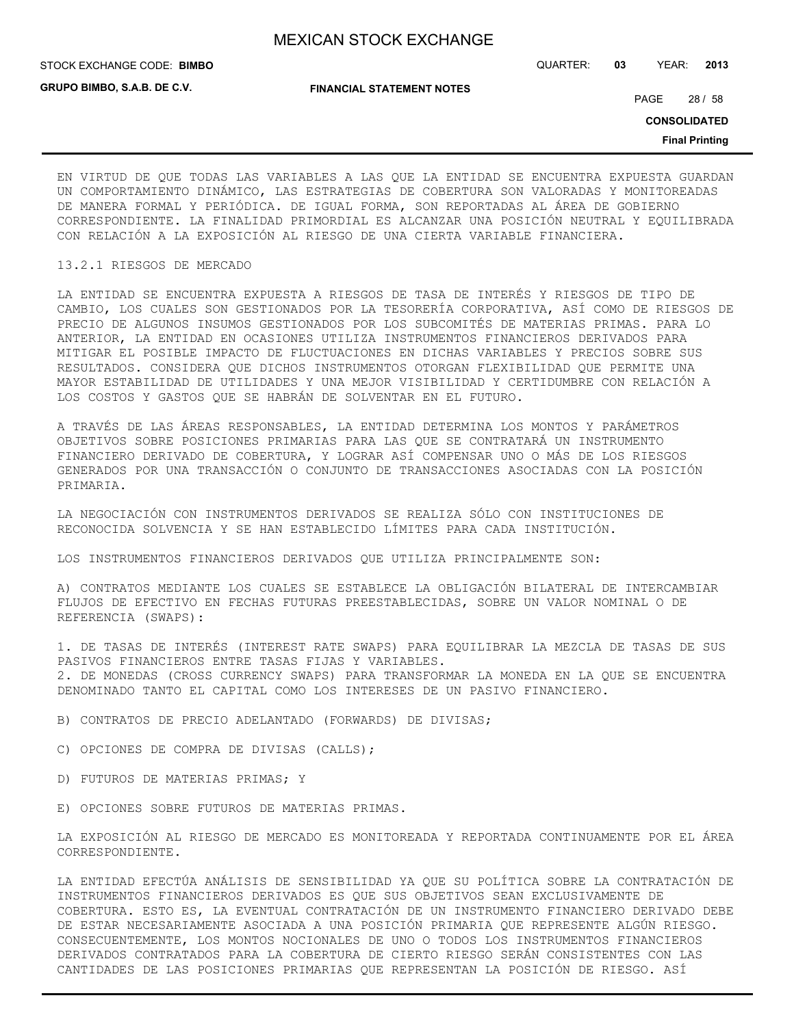**GRUPO BIMBO, S.A.B. DE C.V.**

STOCK EXCHANGE CODE: QUARTER: **03** YEAR: **2013 BIMBO**

**FINANCIAL STATEMENT NOTES**

PAGE 28 / 58

**CONSOLIDATED**

**Final Printing**

EN VIRTUD DE QUE TODAS LAS VARIABLES A LAS QUE LA ENTIDAD SE ENCUENTRA EXPUESTA GUARDAN UN COMPORTAMIENTO DINÁMICO, LAS ESTRATEGIAS DE COBERTURA SON VALORADAS Y MONITOREADAS DE MANERA FORMAL Y PERIÓDICA. DE IGUAL FORMA, SON REPORTADAS AL ÁREA DE GOBIERNO CORRESPONDIENTE. LA FINALIDAD PRIMORDIAL ES ALCANZAR UNA POSICIÓN NEUTRAL Y EQUILIBRADA CON RELACIÓN A LA EXPOSICIÓN AL RIESGO DE UNA CIERTA VARIABLE FINANCIERA.

## 13.2.1 RIESGOS DE MERCADO

LA ENTIDAD SE ENCUENTRA EXPUESTA A RIESGOS DE TASA DE INTERÉS Y RIESGOS DE TIPO DE CAMBIO, LOS CUALES SON GESTIONADOS POR LA TESORERÍA CORPORATIVA, ASÍ COMO DE RIESGOS DE PRECIO DE ALGUNOS INSUMOS GESTIONADOS POR LOS SUBCOMITÉS DE MATERIAS PRIMAS. PARA LO ANTERIOR, LA ENTIDAD EN OCASIONES UTILIZA INSTRUMENTOS FINANCIEROS DERIVADOS PARA MITIGAR EL POSIBLE IMPACTO DE FLUCTUACIONES EN DICHAS VARIABLES Y PRECIOS SOBRE SUS RESULTADOS. CONSIDERA QUE DICHOS INSTRUMENTOS OTORGAN FLEXIBILIDAD QUE PERMITE UNA MAYOR ESTABILIDAD DE UTILIDADES Y UNA MEJOR VISIBILIDAD Y CERTIDUMBRE CON RELACIÓN A LOS COSTOS Y GASTOS QUE SE HABRÁN DE SOLVENTAR EN EL FUTURO.

A TRAVÉS DE LAS ÁREAS RESPONSABLES, LA ENTIDAD DETERMINA LOS MONTOS Y PARÁMETROS OBJETIVOS SOBRE POSICIONES PRIMARIAS PARA LAS QUE SE CONTRATARÁ UN INSTRUMENTO FINANCIERO DERIVADO DE COBERTURA, Y LOGRAR ASÍ COMPENSAR UNO O MÁS DE LOS RIESGOS GENERADOS POR UNA TRANSACCIÓN O CONJUNTO DE TRANSACCIONES ASOCIADAS CON LA POSICIÓN PRIMARIA.

LA NEGOCIACIÓN CON INSTRUMENTOS DERIVADOS SE REALIZA SÓLO CON INSTITUCIONES DE RECONOCIDA SOLVENCIA Y SE HAN ESTABLECIDO LÍMITES PARA CADA INSTITUCIÓN.

LOS INSTRUMENTOS FINANCIEROS DERIVADOS QUE UTILIZA PRINCIPALMENTE SON:

A) CONTRATOS MEDIANTE LOS CUALES SE ESTABLECE LA OBLIGACIÓN BILATERAL DE INTERCAMBIAR FLUJOS DE EFECTIVO EN FECHAS FUTURAS PREESTABLECIDAS, SOBRE UN VALOR NOMINAL O DE REFERENCIA (SWAPS):

1. DE TASAS DE INTERÉS (INTEREST RATE SWAPS) PARA EQUILIBRAR LA MEZCLA DE TASAS DE SUS PASIVOS FINANCIEROS ENTRE TASAS FIJAS Y VARIABLES. 2. DE MONEDAS (CROSS CURRENCY SWAPS) PARA TRANSFORMAR LA MONEDA EN LA QUE SE ENCUENTRA DENOMINADO TANTO EL CAPITAL COMO LOS INTERESES DE UN PASIVO FINANCIERO.

B) CONTRATOS DE PRECIO ADELANTADO (FORWARDS) DE DIVISAS;

C) OPCIONES DE COMPRA DE DIVISAS (CALLS);

- D) FUTUROS DE MATERIAS PRIMAS; Y
- E) OPCIONES SOBRE FUTUROS DE MATERIAS PRIMAS.

LA EXPOSICIÓN AL RIESGO DE MERCADO ES MONITOREADA Y REPORTADA CONTINUAMENTE POR EL ÁREA CORRESPONDIENTE.

LA ENTIDAD EFECTÚA ANÁLISIS DE SENSIBILIDAD YA QUE SU POLÍTICA SOBRE LA CONTRATACIÓN DE INSTRUMENTOS FINANCIEROS DERIVADOS ES QUE SUS OBJETIVOS SEAN EXCLUSIVAMENTE DE COBERTURA. ESTO ES, LA EVENTUAL CONTRATACIÓN DE UN INSTRUMENTO FINANCIERO DERIVADO DEBE DE ESTAR NECESARIAMENTE ASOCIADA A UNA POSICIÓN PRIMARIA QUE REPRESENTE ALGÚN RIESGO. CONSECUENTEMENTE, LOS MONTOS NOCIONALES DE UNO O TODOS LOS INSTRUMENTOS FINANCIEROS DERIVADOS CONTRATADOS PARA LA COBERTURA DE CIERTO RIESGO SERÁN CONSISTENTES CON LAS CANTIDADES DE LAS POSICIONES PRIMARIAS QUE REPRESENTAN LA POSICIÓN DE RIESGO. ASÍ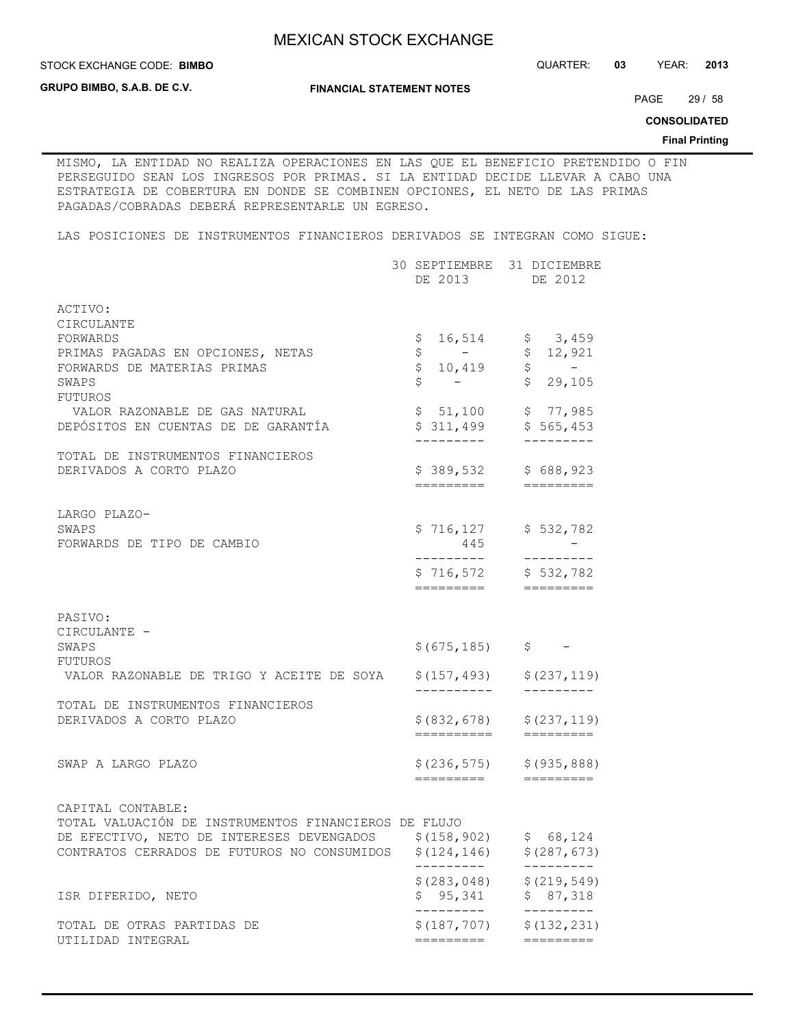STOCK EXCHANGE CODE: QUARTER: **03** YEAR: **2013**

**GRUPO BIMBO, S.A.B. DE C.V.**

**STOCK EXCHANGE CODE: BIMBO** 

**FINANCIAL STATEMENT NOTES**

PAGE 29 / 58

**CONSOLIDATED**

**Final Printing**

MISMO, LA ENTIDAD NO REALIZA OPERACIONES EN LAS QUE EL BENEFICIO PRETENDIDO O FIN PERSEGUIDO SEAN LOS INGRESOS POR PRIMAS. SI LA ENTIDAD DECIDE LLEVAR A CABO UNA ESTRATEGIA DE COBERTURA EN DONDE SE COMBINEN OPCIONES, EL NETO DE LAS PRIMAS PAGADAS/COBRADAS DEBERÁ REPRESENTARLE UN EGRESO.

LAS POSICIONES DE INSTRUMENTOS FINANCIEROS DERIVADOS SE INTEGRAN COMO SIGUE:

|                                                                                                                                                                                            | 30 SEPTIEMBRE 31 DICIEMBRE<br>DE 2013 DE 2012                    |                                                                                                   |
|--------------------------------------------------------------------------------------------------------------------------------------------------------------------------------------------|------------------------------------------------------------------|---------------------------------------------------------------------------------------------------|
| ACTIVO:<br>CIRCULANTE<br>FORWARDS<br>PRIMAS PAGADAS EN OPCIONES, NETAS<br>FORWARDS DE MATERIAS PRIMAS<br>SWAPS<br>FUTUROS                                                                  | \$<br>$\begin{array}{ccc} 5 & - \\ 5 & 10,419 \end{array}$<br>\$ | $16,514$ \$ 3,459<br>\$12,921<br>$\begin{array}{cc} \xi & - \\ \xi & 29,105 \end{array}$          |
| VALOR RAZONABLE DE GAS NATURAL<br>DEPÓSITOS EN CUENTAS DE DE GARANTÍA                                                                                                                      | _________                                                        | $$51,100$ $$77,985$<br>$$311,499$ $$565,453$<br>---------                                         |
| TOTAL DE INSTRUMENTOS FINANCIEROS<br>DERIVADOS A CORTO PLAZO                                                                                                                               |                                                                  | \$389,532 \$688,923                                                                               |
| LARGO PLAZO-<br>SWAPS<br>FORWARDS DE TIPO DE CAMBIO                                                                                                                                        | 445<br>---------<br>=========                                    | \$716,127 \$532,782<br>----------<br>$$716,572$ $$532,782$<br>$=$ $=$ $=$ $=$ $=$ $=$ $=$ $=$ $=$ |
| PASIVO:<br>CIRCULANTE -<br>SWAPS<br>FUTUROS<br>VALOR RAZONABLE DE TRIGO Y ACEITE DE SOYA                                                                                                   | \$(675, 185)<br>\$(157, 493)                                     | $\hat{\mathsf{S}}$ $-$<br>\$(237, 119)                                                            |
| TOTAL DE INSTRUMENTOS FINANCIEROS<br>DERIVADOS A CORTO PLAZO                                                                                                                               | -----------<br>==========                                        | ----------<br>$$ (832, 678)$ $$ (237, 119)$<br>$=$ $=$ $=$ $=$ $=$ $=$ $=$ $=$ $=$                |
| SWAP A LARGO PLAZO                                                                                                                                                                         | =========                                                        | $$(236, 575)$ $$(935, 888)$<br>=========                                                          |
| CAPITAL CONTABLE:<br>TOTAL VALUACIÓN DE INSTRUMENTOS FINANCIEROS DE FLUJO<br>DE EFECTIVO, NETO DE INTERESES DEVENGADOS \$(158,902) \$68,124<br>CONTRATOS CERRADOS DE FUTUROS NO CONSUMIDOS | \$(124, 146)<br>---------                                        | \$(287, 673)<br>--------                                                                          |
| ISR DIFERIDO, NETO                                                                                                                                                                         | \$(283, 048)<br>\$95,341                                         | \$(219, 549)<br>\$87,318                                                                          |
| TOTAL DE OTRAS PARTIDAS DE<br>UTILIDAD INTEGRAL                                                                                                                                            | \$(187, 707)<br>=========                                        | \$(132, 231)<br>$=$ = = = = = = = =                                                               |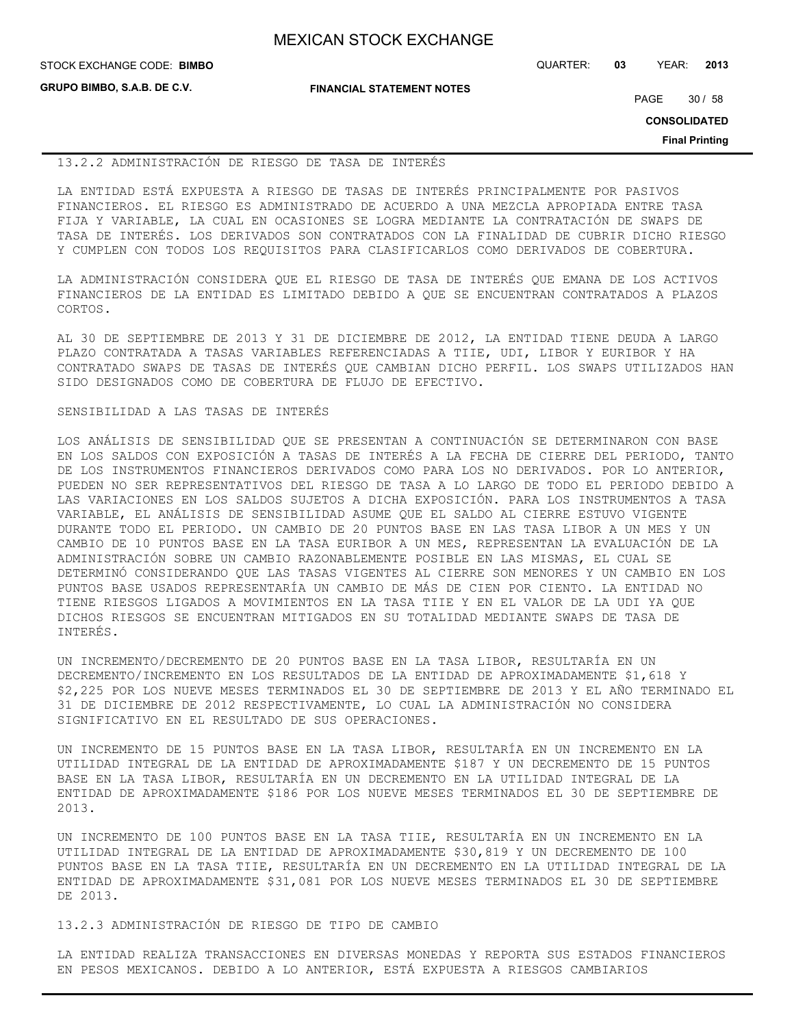| <b>MEXICAN STOCK EXCHANGE</b> |  |  |  |
|-------------------------------|--|--|--|
|-------------------------------|--|--|--|

**GRUPO BIMBO, S.A.B. DE C.V.**

STOCK EXCHANGE CODE: QUARTER: **03** YEAR: **2013 BIMBO**

**FINANCIAL STATEMENT NOTES**

PAGE 30 / 58

**CONSOLIDATED**

**Final Printing**

#### 13.2.2 ADMINISTRACIÓN DE RIESGO DE TASA DE INTERÉS

LA ENTIDAD ESTÁ EXPUESTA A RIESGO DE TASAS DE INTERÉS PRINCIPALMENTE POR PASIVOS FINANCIEROS. EL RIESGO ES ADMINISTRADO DE ACUERDO A UNA MEZCLA APROPIADA ENTRE TASA FIJA Y VARIABLE, LA CUAL EN OCASIONES SE LOGRA MEDIANTE LA CONTRATACIÓN DE SWAPS DE TASA DE INTERÉS. LOS DERIVADOS SON CONTRATADOS CON LA FINALIDAD DE CUBRIR DICHO RIESGO Y CUMPLEN CON TODOS LOS REQUISITOS PARA CLASIFICARLOS COMO DERIVADOS DE COBERTURA.

LA ADMINISTRACIÓN CONSIDERA QUE EL RIESGO DE TASA DE INTERÉS QUE EMANA DE LOS ACTIVOS FINANCIEROS DE LA ENTIDAD ES LIMITADO DEBIDO A QUE SE ENCUENTRAN CONTRATADOS A PLAZOS CORTOS.

AL 30 DE SEPTIEMBRE DE 2013 Y 31 DE DICIEMBRE DE 2012, LA ENTIDAD TIENE DEUDA A LARGO PLAZO CONTRATADA A TASAS VARIABLES REFERENCIADAS A TIIE, UDI, LIBOR Y EURIBOR Y HA CONTRATADO SWAPS DE TASAS DE INTERÉS QUE CAMBIAN DICHO PERFIL. LOS SWAPS UTILIZADOS HAN SIDO DESIGNADOS COMO DE COBERTURA DE FLUJO DE EFECTIVO.

### SENSIBILIDAD A LAS TASAS DE INTERÉS

LOS ANÁLISIS DE SENSIBILIDAD QUE SE PRESENTAN A CONTINUACIÓN SE DETERMINARON CON BASE EN LOS SALDOS CON EXPOSICIÓN A TASAS DE INTERÉS A LA FECHA DE CIERRE DEL PERIODO, TANTO DE LOS INSTRUMENTOS FINANCIEROS DERIVADOS COMO PARA LOS NO DERIVADOS. POR LO ANTERIOR, PUEDEN NO SER REPRESENTATIVOS DEL RIESGO DE TASA A LO LARGO DE TODO EL PERIODO DEBIDO A LAS VARIACIONES EN LOS SALDOS SUJETOS A DICHA EXPOSICIÓN. PARA LOS INSTRUMENTOS A TASA VARIABLE, EL ANÁLISIS DE SENSIBILIDAD ASUME QUE EL SALDO AL CIERRE ESTUVO VIGENTE DURANTE TODO EL PERIODO. UN CAMBIO DE 20 PUNTOS BASE EN LAS TASA LIBOR A UN MES Y UN CAMBIO DE 10 PUNTOS BASE EN LA TASA EURIBOR A UN MES, REPRESENTAN LA EVALUACIÓN DE LA ADMINISTRACIÓN SOBRE UN CAMBIO RAZONABLEMENTE POSIBLE EN LAS MISMAS, EL CUAL SE DETERMINÓ CONSIDERANDO QUE LAS TASAS VIGENTES AL CIERRE SON MENORES Y UN CAMBIO EN LOS PUNTOS BASE USADOS REPRESENTARÍA UN CAMBIO DE MÁS DE CIEN POR CIENTO. LA ENTIDAD NO TIENE RIESGOS LIGADOS A MOVIMIENTOS EN LA TASA TIIE Y EN EL VALOR DE LA UDI YA QUE DICHOS RIESGOS SE ENCUENTRAN MITIGADOS EN SU TOTALIDAD MEDIANTE SWAPS DE TASA DE INTERÉS.

UN INCREMENTO/DECREMENTO DE 20 PUNTOS BASE EN LA TASA LIBOR, RESULTARÍA EN UN DECREMENTO/INCREMENTO EN LOS RESULTADOS DE LA ENTIDAD DE APROXIMADAMENTE \$1,618 Y \$2,225 POR LOS NUEVE MESES TERMINADOS EL 30 DE SEPTIEMBRE DE 2013 Y EL AÑO TERMINADO EL 31 DE DICIEMBRE DE 2012 RESPECTIVAMENTE, LO CUAL LA ADMINISTRACIÓN NO CONSIDERA SIGNIFICATIVO EN EL RESULTADO DE SUS OPERACIONES.

UN INCREMENTO DE 15 PUNTOS BASE EN LA TASA LIBOR, RESULTARÍA EN UN INCREMENTO EN LA UTILIDAD INTEGRAL DE LA ENTIDAD DE APROXIMADAMENTE \$187 Y UN DECREMENTO DE 15 PUNTOS BASE EN LA TASA LIBOR, RESULTARÍA EN UN DECREMENTO EN LA UTILIDAD INTEGRAL DE LA ENTIDAD DE APROXIMADAMENTE \$186 POR LOS NUEVE MESES TERMINADOS EL 30 DE SEPTIEMBRE DE 2013.

UN INCREMENTO DE 100 PUNTOS BASE EN LA TASA TIIE, RESULTARÍA EN UN INCREMENTO EN LA UTILIDAD INTEGRAL DE LA ENTIDAD DE APROXIMADAMENTE \$30,819 Y UN DECREMENTO DE 100 PUNTOS BASE EN LA TASA TIIE, RESULTARÍA EN UN DECREMENTO EN LA UTILIDAD INTEGRAL DE LA ENTIDAD DE APROXIMADAMENTE \$31,081 POR LOS NUEVE MESES TERMINADOS EL 30 DE SEPTIEMBRE DE 2013.

13.2.3 ADMINISTRACIÓN DE RIESGO DE TIPO DE CAMBIO

LA ENTIDAD REALIZA TRANSACCIONES EN DIVERSAS MONEDAS Y REPORTA SUS ESTADOS FINANCIEROS EN PESOS MEXICANOS. DEBIDO A LO ANTERIOR, ESTÁ EXPUESTA A RIESGOS CAMBIARIOS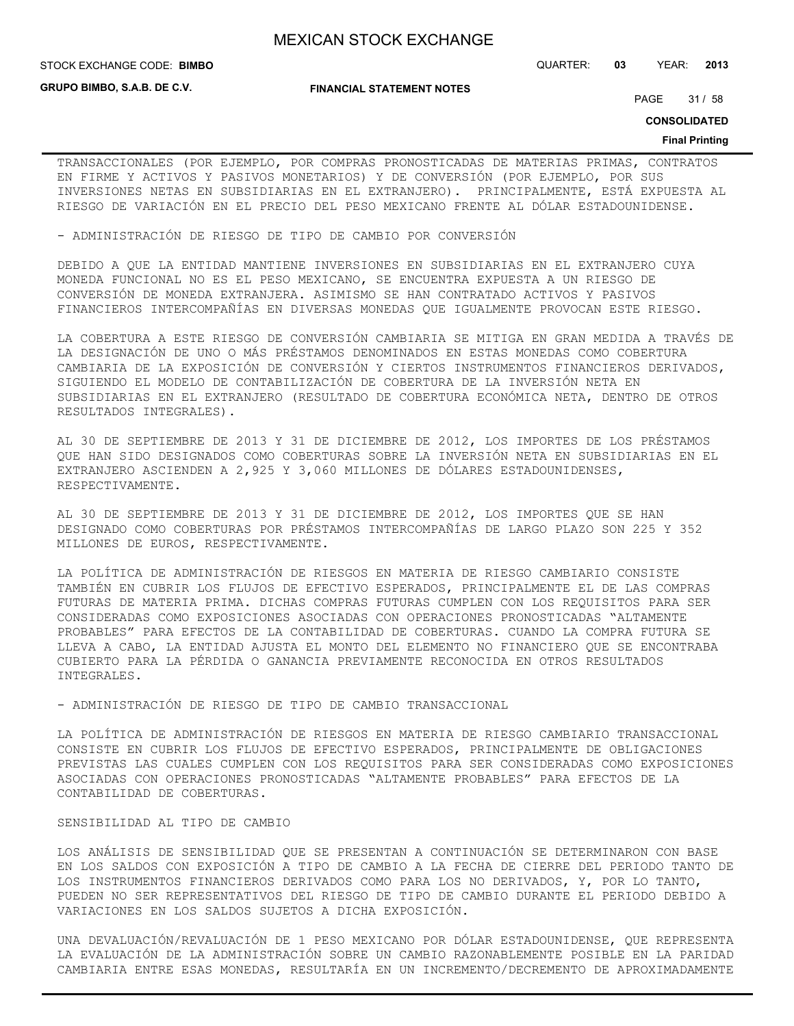**STOCK EXCHANGE CODE: BIMBO** 

**GRUPO BIMBO, S.A.B. DE C.V.**

**FINANCIAL STATEMENT NOTES**

STOCK EXCHANGE CODE: QUARTER: **03** YEAR: **2013**

PAGE 31 / 58

**CONSOLIDATED**

#### **Final Printing**

TRANSACCIONALES (POR EJEMPLO, POR COMPRAS PRONOSTICADAS DE MATERIAS PRIMAS, CONTRATOS EN FIRME Y ACTIVOS Y PASIVOS MONETARIOS) Y DE CONVERSIÓN (POR EJEMPLO, POR SUS INVERSIONES NETAS EN SUBSIDIARIAS EN EL EXTRANJERO). PRINCIPALMENTE, ESTÁ EXPUESTA AL RIESGO DE VARIACIÓN EN EL PRECIO DEL PESO MEXICANO FRENTE AL DÓLAR ESTADOUNIDENSE.

- ADMINISTRACIÓN DE RIESGO DE TIPO DE CAMBIO POR CONVERSIÓN

DEBIDO A QUE LA ENTIDAD MANTIENE INVERSIONES EN SUBSIDIARIAS EN EL EXTRANJERO CUYA MONEDA FUNCIONAL NO ES EL PESO MEXICANO, SE ENCUENTRA EXPUESTA A UN RIESGO DE CONVERSIÓN DE MONEDA EXTRANJERA. ASIMISMO SE HAN CONTRATADO ACTIVOS Y PASIVOS FINANCIEROS INTERCOMPAÑÍAS EN DIVERSAS MONEDAS QUE IGUALMENTE PROVOCAN ESTE RIESGO.

LA COBERTURA A ESTE RIESGO DE CONVERSIÓN CAMBIARIA SE MITIGA EN GRAN MEDIDA A TRAVÉS DE LA DESIGNACIÓN DE UNO O MÁS PRÉSTAMOS DENOMINADOS EN ESTAS MONEDAS COMO COBERTURA CAMBIARIA DE LA EXPOSICIÓN DE CONVERSIÓN Y CIERTOS INSTRUMENTOS FINANCIEROS DERIVADOS, SIGUIENDO EL MODELO DE CONTABILIZACIÓN DE COBERTURA DE LA INVERSIÓN NETA EN SUBSIDIARIAS EN EL EXTRANJERO (RESULTADO DE COBERTURA ECONÓMICA NETA, DENTRO DE OTROS RESULTADOS INTEGRALES).

AL 30 DE SEPTIEMBRE DE 2013 Y 31 DE DICIEMBRE DE 2012, LOS IMPORTES DE LOS PRÉSTAMOS QUE HAN SIDO DESIGNADOS COMO COBERTURAS SOBRE LA INVERSIÓN NETA EN SUBSIDIARIAS EN EL EXTRANJERO ASCIENDEN A 2,925 Y 3,060 MILLONES DE DÓLARES ESTADOUNIDENSES, RESPECTIVAMENTE.

AL 30 DE SEPTIEMBRE DE 2013 Y 31 DE DICIEMBRE DE 2012, LOS IMPORTES QUE SE HAN DESIGNADO COMO COBERTURAS POR PRÉSTAMOS INTERCOMPAÑÍAS DE LARGO PLAZO SON 225 Y 352 MILLONES DE EUROS, RESPECTIVAMENTE.

LA POLÍTICA DE ADMINISTRACIÓN DE RIESGOS EN MATERIA DE RIESGO CAMBIARIO CONSISTE TAMBIÉN EN CUBRIR LOS FLUJOS DE EFECTIVO ESPERADOS, PRINCIPALMENTE EL DE LAS COMPRAS FUTURAS DE MATERIA PRIMA. DICHAS COMPRAS FUTURAS CUMPLEN CON LOS REQUISITOS PARA SER CONSIDERADAS COMO EXPOSICIONES ASOCIADAS CON OPERACIONES PRONOSTICADAS "ALTAMENTE PROBABLES" PARA EFECTOS DE LA CONTABILIDAD DE COBERTURAS. CUANDO LA COMPRA FUTURA SE LLEVA A CABO, LA ENTIDAD AJUSTA EL MONTO DEL ELEMENTO NO FINANCIERO QUE SE ENCONTRABA CUBIERTO PARA LA PÉRDIDA O GANANCIA PREVIAMENTE RECONOCIDA EN OTROS RESULTADOS INTEGRALES.

- ADMINISTRACIÓN DE RIESGO DE TIPO DE CAMBIO TRANSACCIONAL

LA POLÍTICA DE ADMINISTRACIÓN DE RIESGOS EN MATERIA DE RIESGO CAMBIARIO TRANSACCIONAL CONSISTE EN CUBRIR LOS FLUJOS DE EFECTIVO ESPERADOS, PRINCIPALMENTE DE OBLIGACIONES PREVISTAS LAS CUALES CUMPLEN CON LOS REQUISITOS PARA SER CONSIDERADAS COMO EXPOSICIONES ASOCIADAS CON OPERACIONES PRONOSTICADAS "ALTAMENTE PROBABLES" PARA EFECTOS DE LA CONTABILIDAD DE COBERTURAS.

#### SENSIBILIDAD AL TIPO DE CAMBIO

LOS ANÁLISIS DE SENSIBILIDAD QUE SE PRESENTAN A CONTINUACIÓN SE DETERMINARON CON BASE EN LOS SALDOS CON EXPOSICIÓN A TIPO DE CAMBIO A LA FECHA DE CIERRE DEL PERIODO TANTO DE LOS INSTRUMENTOS FINANCIEROS DERIVADOS COMO PARA LOS NO DERIVADOS, Y, POR LO TANTO, PUEDEN NO SER REPRESENTATIVOS DEL RIESGO DE TIPO DE CAMBIO DURANTE EL PERIODO DEBIDO A VARIACIONES EN LOS SALDOS SUJETOS A DICHA EXPOSICIÓN.

UNA DEVALUACIÓN/REVALUACIÓN DE 1 PESO MEXICANO POR DÓLAR ESTADOUNIDENSE, QUE REPRESENTA LA EVALUACIÓN DE LA ADMINISTRACIÓN SOBRE UN CAMBIO RAZONABLEMENTE POSIBLE EN LA PARIDAD CAMBIARIA ENTRE ESAS MONEDAS, RESULTARÍA EN UN INCREMENTO/DECREMENTO DE APROXIMADAMENTE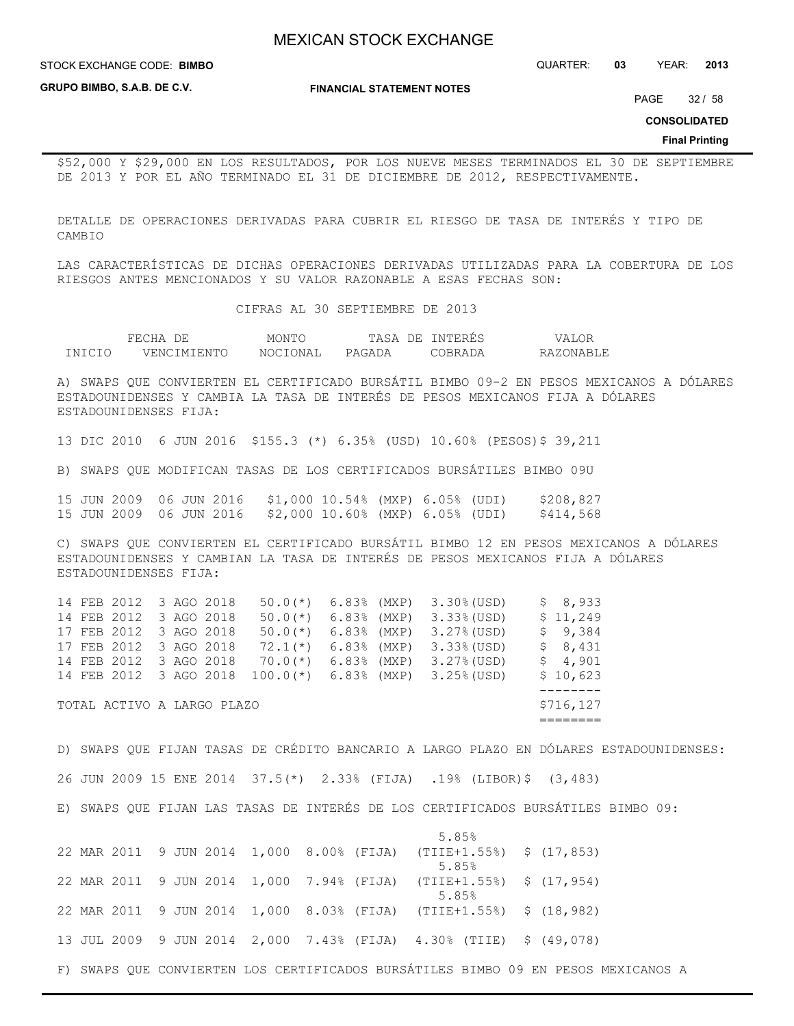STOCK EXCHANGE CODE: QUARTER: **03** YEAR: **2013 BIMBO**

**GRUPO BIMBO, S.A.B. DE C.V.**

**FINANCIAL STATEMENT NOTES**

PAGE 32 / 58

**CONSOLIDATED**

#### **Final Printing**

\$52,000 Y \$29,000 EN LOS RESULTADOS, POR LOS NUEVE MESES TERMINADOS EL 30 DE SEPTIEMBRE DE 2013 Y POR EL AÑO TERMINADO EL 31 DE DICIEMBRE DE 2012, RESPECTIVAMENTE.

DETALLE DE OPERACIONES DERIVADAS PARA CUBRIR EL RIESGO DE TASA DE INTERÉS Y TIPO DE CAMBIO

LAS CARACTERÍSTICAS DE DICHAS OPERACIONES DERIVADAS UTILIZADAS PARA LA COBERTURA DE LOS RIESGOS ANTES MENCIONADOS Y SU VALOR RAZONABLE A ESAS FECHAS SON:

CIFRAS AL 30 SEPTIEMBRE DE 2013

|        | HIHU.<br>دے ،       | MONT(                | ПΆ.<br>7F.<br>$\leq \Delta$ | NTERES    | Alur      |
|--------|---------------------|----------------------|-----------------------------|-----------|-----------|
| TNICIO | JENC.<br>LM T E NTO | <b>IN AT</b><br>MUU. | PAGADA                      | 1 R R ∆ I | RAZONARLE |

A) SWAPS QUE CONVIERTEN EL CERTIFICADO BURSÁTIL BIMBO 09-2 EN PESOS MEXICANOS A DÓLARES ESTADOUNIDENSES Y CAMBIA LA TASA DE INTERÉS DE PESOS MEXICANOS FIJA A DÓLARES ESTADOUNIDENSES FIJA:

13 DIC 2010 6 JUN 2016 \$155.3 (\*) 6.35% (USD) 10.60% (PESOS)\$ 39,211

B) SWAPS QUE MODIFICAN TASAS DE LOS CERTIFICADOS BURSÁTILES BIMBO 09U

15 JUN 2009 06 JUN 2016 \$1,000 10.54% (MXP) 6.05% (UDI) \$208,827 15 JUN 2009 06 JUN 2016 \$2,000 10.60% (MXP) 6.05% (UDI) \$414,568

C) SWAPS QUE CONVIERTEN EL CERTIFICADO BURSÁTIL BIMBO 12 EN PESOS MEXICANOS A DÓLARES ESTADOUNIDENSES Y CAMBIAN LA TASA DE INTERÉS DE PESOS MEXICANOS FIJA A DÓLARES ESTADOUNIDENSES FIJA:

|  | TOTAL ACTIVO A LARGO PLAZO |  |                        |               |                                      | \$716,127 |
|--|----------------------------|--|------------------------|---------------|--------------------------------------|-----------|
|  |                            |  |                        |               |                                      |           |
|  | 14 FEB 2012 3 AGO 2018     |  | $100.0$ (*)            | 6.83% (MXP)   | $3.25%$ (USD)                        | \$10,623  |
|  | 14 FEB 2012 3 AGO 2018     |  | $70.0(*)$              | $6.83%$ (MXP) | $3.27%$ (USD)                        | \$4,901   |
|  | 17 FEB 2012 3 AGO 2018     |  | $72.1(*)$              | $6.83%$ (MXP) | 3.33% (USD)                          | \$8,431   |
|  | 17 FEB 2012 3 AGO 2018     |  | $50.0$ (*)             | $6.83%$ (MXP) | $3.27%$ (USD)                        | \$9,384   |
|  | 14 FEB 2012 3 AGO 2018     |  | $50.0$ (*) 6.83% (MXP) |               | $3.33$ (USD)                         | \$11,249  |
|  | 14 FEB 2012 3 AGO 2018     |  |                        |               | $50.0$ (*) $6.83$ (MXP) $3.30$ (USD) | \$8,933   |

D) SWAPS QUE FIJAN TASAS DE CRÉDITO BANCARIO A LARGO PLAZO EN DÓLARES ESTADOUNIDENSES: 26 JUN 2009 15 ENE 2014 37.5(\*) 2.33% (FIJA) .19% (LIBOR)\$ (3,483) E) SWAPS QUE FIJAN LAS TASAS DE INTERÉS DE LOS CERTIFICADOS BURSÁTILES BIMBO 09:

 $5.85%$ 22 MAR 2011 9 JUN 2014 1,000 8.00% (FIJA) (TIIE+1.55%) \$ (17,853)  $5.85%$ 22 MAR 2011 9 JUN 2014 1,000 7.94% (FIJA) (TIIE+1.55%) \$ (17,954)  $5.85%$ 22 MAR 2011 9 JUN 2014 1,000 8.03% (FIJA) (TIIE+1.55%) \$ (18,982) 13 JUL 2009 9 JUN 2014 2,000 7.43% (FIJA) 4.30% (TIIE) \$ (49,078) F) SWAPS QUE CONVIERTEN LOS CERTIFICADOS BURSÁTILES BIMBO 09 EN PESOS MEXICANOS A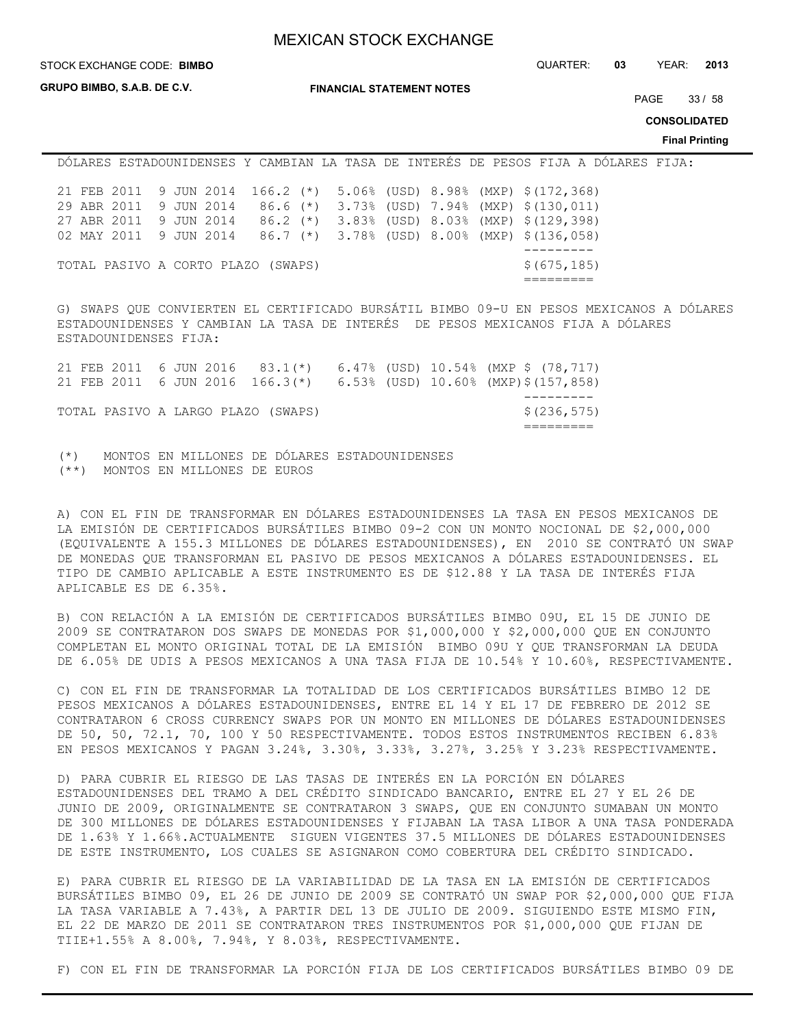**GRUPO BIMBO, S.A.B. DE C.V.**

**FINANCIAL STATEMENT NOTES**

STOCK EXCHANGE CODE: QUARTER: **03** YEAR: **2013 BIMBO**

PAGE 33 / 58

**CONSOLIDATED**

**Final Printing**

DÓLARES ESTADOUNIDENSES Y CAMBIAN LA TASA DE INTERÉS DE PESOS FIJA A DÓLARES FIJA: 21 FEB 2011 9 JUN 2014 166.2 (\*) 5.06% (USD) 8.98% (MXP) \$(172,368) 29 ABR 2011 9 JUN 2014 86.6 (\*) 3.73% (USD) 7.94% (MXP) \$(130,011) 27 ABR 2011 9 JUN 2014 86.2 (\*) 3.83% (USD) 8.03% (MXP) \$(129,398) 02 MAY 2011 9 JUN 2014 86.7 (\*) 3.78% (USD) 8.00% (MXP) \$(136,058) --------- TOTAL PASIVO A CORTO PLAZO (SWAPS)  $\frac{1}{5}(675,185)$ =========

G) SWAPS QUE CONVIERTEN EL CERTIFICADO BURSÁTIL BIMBO 09-U EN PESOS MEXICANOS A DÓLARES ESTADOUNIDENSES Y CAMBIAN LA TASA DE INTERÉS DE PESOS MEXICANOS FIJA A DÓLARES ESTADOUNIDENSES FIJA:

|                                    |  |  |  | 21 FEB 2011 6 JUN 2016 83.1(*) 6.47% (USD) 10.54% (MXP \$ (78,717)<br>21 FEB 2011 6 JUN 2016 166.3(*) 6.53% (USD) 10.60% (MXP)\$(157,858) |
|------------------------------------|--|--|--|-------------------------------------------------------------------------------------------------------------------------------------------|
| TOTAL PASIVO A LARGO PLAZO (SWAPS) |  |  |  | \$(236,575)                                                                                                                               |

(\*) MONTOS EN MILLONES DE DÓLARES ESTADOUNIDENSES (\*\*) MONTOS EN MILLONES DE EUROS

A) CON EL FIN DE TRANSFORMAR EN DÓLARES ESTADOUNIDENSES LA TASA EN PESOS MEXICANOS DE LA EMISIÓN DE CERTIFICADOS BURSÁTILES BIMBO 09-2 CON UN MONTO NOCIONAL DE \$2,000,000 (EQUIVALENTE A 155.3 MILLONES DE DÓLARES ESTADOUNIDENSES), EN 2010 SE CONTRATÓ UN SWAP DE MONEDAS QUE TRANSFORMAN EL PASIVO DE PESOS MEXICANOS A DÓLARES ESTADOUNIDENSES. EL TIPO DE CAMBIO APLICABLE A ESTE INSTRUMENTO ES DE \$12.88 Y LA TASA DE INTERÉS FIJA APLICABLE ES DE 6.35%.

B) CON RELACIÓN A LA EMISIÓN DE CERTIFICADOS BURSÁTILES BIMBO 09U, EL 15 DE JUNIO DE 2009 SE CONTRATARON DOS SWAPS DE MONEDAS POR \$1,000,000 Y \$2,000,000 QUE EN CONJUNTO COMPLETAN EL MONTO ORIGINAL TOTAL DE LA EMISIÓN BIMBO 09U Y QUE TRANSFORMAN LA DEUDA DE 6.05% DE UDIS A PESOS MEXICANOS A UNA TASA FIJA DE 10.54% Y 10.60%, RESPECTIVAMENTE.

C) CON EL FIN DE TRANSFORMAR LA TOTALIDAD DE LOS CERTIFICADOS BURSÁTILES BIMBO 12 DE PESOS MEXICANOS A DÓLARES ESTADOUNIDENSES, ENTRE EL 14 Y EL 17 DE FEBRERO DE 2012 SE CONTRATARON 6 CROSS CURRENCY SWAPS POR UN MONTO EN MILLONES DE DÓLARES ESTADOUNIDENSES DE 50, 50, 72.1, 70, 100 Y 50 RESPECTIVAMENTE. TODOS ESTOS INSTRUMENTOS RECIBEN 6.83% EN PESOS MEXICANOS Y PAGAN 3.24%, 3.30%, 3.33%, 3.27%, 3.25% Y 3.23% RESPECTIVAMENTE.

D) PARA CUBRIR EL RIESGO DE LAS TASAS DE INTERÉS EN LA PORCIÓN EN DÓLARES ESTADOUNIDENSES DEL TRAMO A DEL CRÉDITO SINDICADO BANCARIO, ENTRE EL 27 Y EL 26 DE JUNIO DE 2009, ORIGINALMENTE SE CONTRATARON 3 SWAPS, QUE EN CONJUNTO SUMABAN UN MONTO DE 300 MILLONES DE DÓLARES ESTADOUNIDENSES Y FIJABAN LA TASA LIBOR A UNA TASA PONDERADA DE 1.63% Y 1.66%.ACTUALMENTE SIGUEN VIGENTES 37.5 MILLONES DE DÓLARES ESTADOUNIDENSES DE ESTE INSTRUMENTO, LOS CUALES SE ASIGNARON COMO COBERTURA DEL CRÉDITO SINDICADO.

E) PARA CUBRIR EL RIESGO DE LA VARIABILIDAD DE LA TASA EN LA EMISIÓN DE CERTIFICADOS BURSÁTILES BIMBO 09, EL 26 DE JUNIO DE 2009 SE CONTRATÓ UN SWAP POR \$2,000,000 QUE FIJA LA TASA VARIABLE A 7.43%, A PARTIR DEL 13 DE JULIO DE 2009. SIGUIENDO ESTE MISMO FIN, EL 22 DE MARZO DE 2011 SE CONTRATARON TRES INSTRUMENTOS POR \$1,000,000 QUE FIJAN DE TIIE+1.55% A 8.00%, 7.94%, Y 8.03%, RESPECTIVAMENTE.

F) CON EL FIN DE TRANSFORMAR LA PORCIÓN FIJA DE LOS CERTIFICADOS BURSÁTILES BIMBO 09 DE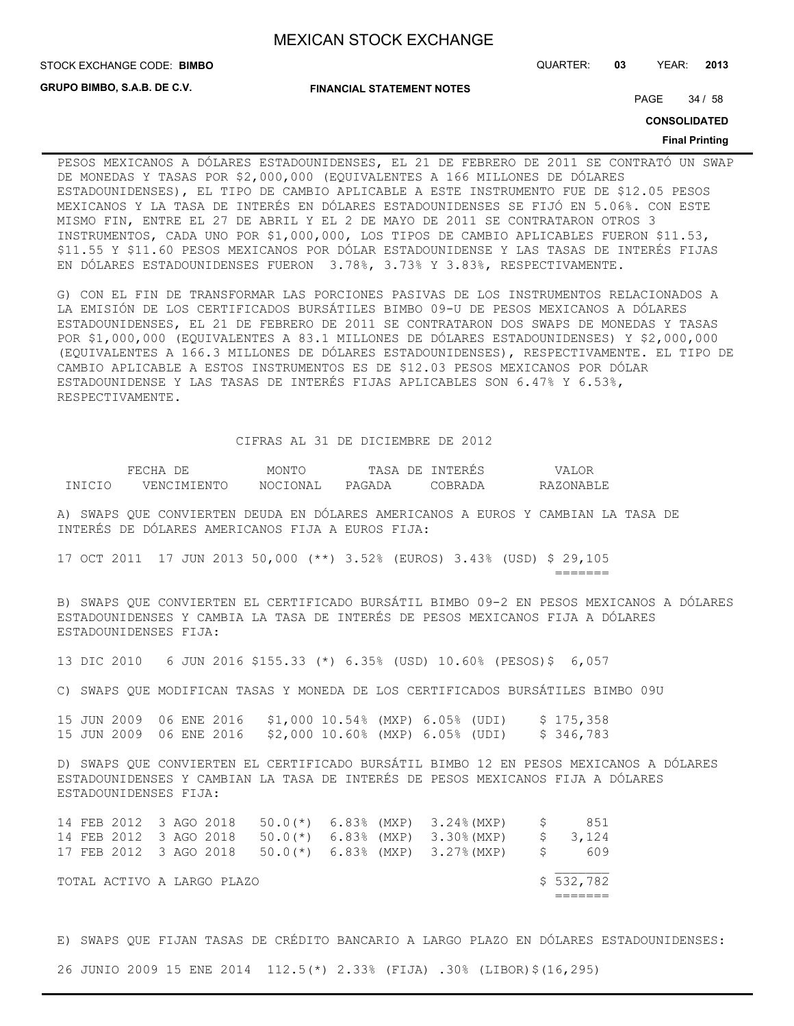**GRUPO BIMBO, S.A.B. DE C.V.**

**FINANCIAL STATEMENT NOTES**

STOCK EXCHANGE CODE: QUARTER: **03** YEAR: **2013 BIMBO**

PAGE 34 / 58

**CONSOLIDATED**

#### **Final Printing**

PESOS MEXICANOS A DÓLARES ESTADOUNIDENSES, EL 21 DE FEBRERO DE 2011 SE CONTRATÓ UN SWAP DE MONEDAS Y TASAS POR \$2,000,000 (EQUIVALENTES A 166 MILLONES DE DÓLARES ESTADOUNIDENSES), EL TIPO DE CAMBIO APLICABLE A ESTE INSTRUMENTO FUE DE \$12.05 PESOS MEXICANOS Y LA TASA DE INTERÉS EN DÓLARES ESTADOUNIDENSES SE FIJÓ EN 5.06%. CON ESTE MISMO FIN, ENTRE EL 27 DE ABRIL Y EL 2 DE MAYO DE 2011 SE CONTRATARON OTROS 3 INSTRUMENTOS, CADA UNO POR \$1,000,000, LOS TIPOS DE CAMBIO APLICABLES FUERON \$11.53, \$11.55 Y \$11.60 PESOS MEXICANOS POR DÓLAR ESTADOUNIDENSE Y LAS TASAS DE INTERÉS FIJAS EN DÓLARES ESTADOUNIDENSES FUERON 3.78%, 3.73% Y 3.83%, RESPECTIVAMENTE.

G) CON EL FIN DE TRANSFORMAR LAS PORCIONES PASIVAS DE LOS INSTRUMENTOS RELACIONADOS A LA EMISIÓN DE LOS CERTIFICADOS BURSÁTILES BIMBO 09-U DE PESOS MEXICANOS A DÓLARES ESTADOUNIDENSES, EL 21 DE FEBRERO DE 2011 SE CONTRATARON DOS SWAPS DE MONEDAS Y TASAS POR \$1,000,000 (EQUIVALENTES A 83.1 MILLONES DE DÓLARES ESTADOUNIDENSES) Y \$2,000,000 (EQUIVALENTES A 166.3 MILLONES DE DÓLARES ESTADOUNIDENSES), RESPECTIVAMENTE. EL TIPO DE CAMBIO APLICABLE A ESTOS INSTRUMENTOS ES DE \$12.03 PESOS MEXICANOS POR DÓLAR ESTADOUNIDENSE Y LAS TASAS DE INTERÉS FIJAS APLICABLES SON 6.47% Y 6.53%, RESPECTIVAMENTE.

#### CIFRAS AL 31 DE DICIEMBRE DE 2012

|         | HIHIL               | MONT <sub>(</sub> | DE.<br>∴Δ.<br>$\leq \Delta$ | 'NTERES   | Δ         |
|---------|---------------------|-------------------|-----------------------------|-----------|-----------|
| TNTCTO. | JENC.<br>LM T E NTO | ו ב זחר<br>NOC 1  | PAGADA                      | 1 R R ∆ I | RAZONARLE |

A) SWAPS QUE CONVIERTEN DEUDA EN DÓLARES AMERICANOS A EUROS Y CAMBIAN LA TASA DE INTERÉS DE DÓLARES AMERICANOS FIJA A EUROS FIJA:

17 OCT 2011 17 JUN 2013 50,000 (\*\*) 3.52% (EUROS) 3.43% (USD) \$ 29,105 =======

B) SWAPS QUE CONVIERTEN EL CERTIFICADO BURSÁTIL BIMBO 09-2 EN PESOS MEXICANOS A DÓLARES ESTADOUNIDENSES Y CAMBIA LA TASA DE INTERÉS DE PESOS MEXICANOS FIJA A DÓLARES ESTADOUNIDENSES FIJA:

13 DIC 2010 6 JUN 2016 \$155.33 (\*) 6.35% (USD) 10.60% (PESOS)\$ 6,057

C) SWAPS QUE MODIFICAN TASAS Y MONEDA DE LOS CERTIFICADOS BURSÁTILES BIMBO 09U

15 JUN 2009 06 ENE 2016 \$1,000 10.54% (MXP) 6.05% (UDI) \$ 175,358 15 JUN 2009 06 ENE 2016 \$2,000 10.60% (MXP) 6.05% (UDI) \$ 346,783

D) SWAPS QUE CONVIERTEN EL CERTIFICADO BURSÁTIL BIMBO 12 EN PESOS MEXICANOS A DÓLARES ESTADOUNIDENSES Y CAMBIAN LA TASA DE INTERÉS DE PESOS MEXICANOS FIJA A DÓLARES ESTADOUNIDENSES FIJA:

|  |                        |  | 14 FEB 2012 3 AGO 2018     |  | 50.0(*) 6.83% (MXP) 3.24%(MXP) \$                        | 851       |
|--|------------------------|--|----------------------------|--|----------------------------------------------------------|-----------|
|  | 14 FEB 2012 3 AGO 2018 |  |                            |  | 50.0(*) 6.83% (MXP) 3.30%(MXP)                           | \$ 3,124  |
|  |                        |  |                            |  | 17 FEB 2012 3 AGO 2018 50.0(*) 6.83% (MXP) 3.27%(MXP) \$ | 609       |
|  |                        |  | TOTAL ACTIVO A LARGO PLAZO |  |                                                          | \$532,782 |
|  |                        |  |                            |  |                                                          |           |

E) SWAPS QUE FIJAN TASAS DE CRÉDITO BANCARIO A LARGO PLAZO EN DÓLARES ESTADOUNIDENSES:

26 JUNIO 2009 15 ENE 2014 112.5(\*) 2.33% (FIJA) .30% (LIBOR)\$(16,295)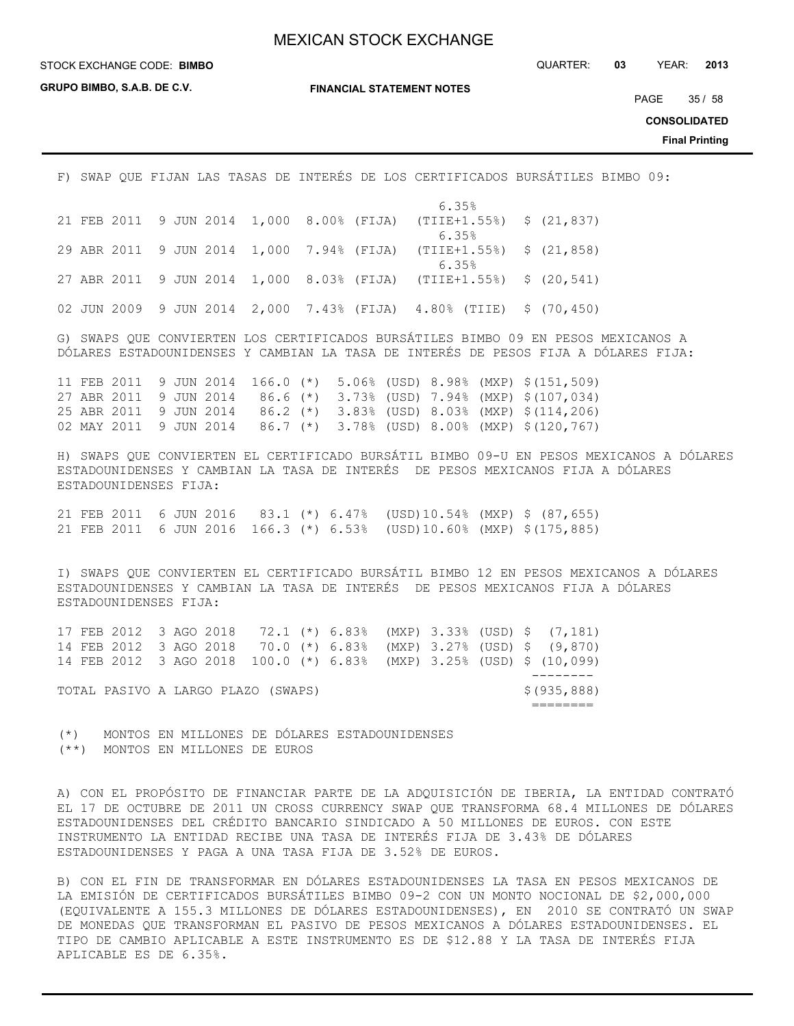**GRUPO BIMBO, S.A.B. DE C.V.**

**FINANCIAL STATEMENT NOTES**

STOCK EXCHANGE CODE: QUARTER: **03** YEAR: **2013 BIMBO**

PAGE 35 / 58

**CONSOLIDATED**

**Final Printing**

F) SWAP QUE FIJAN LAS TASAS DE INTERÉS DE LOS CERTIFICADOS BURSÁTILES BIMBO 09:

|  |  |  |  | 6.35%                                                              |  |
|--|--|--|--|--------------------------------------------------------------------|--|
|  |  |  |  | 21 FEB 2011 9 JUN 2014 1,000 8.00% (FIJA) (TIIE+1.55%) \$ (21,837) |  |
|  |  |  |  | 6.35%                                                              |  |
|  |  |  |  | 29 ABR 2011 9 JUN 2014 1,000 7.94% (FIJA) (TIIE+1.55%) \$ (21,858) |  |
|  |  |  |  | 6.35%                                                              |  |
|  |  |  |  | 27 ABR 2011 9 JUN 2014 1,000 8.03% (FIJA) (TIIE+1.55%) \$ (20,541) |  |
|  |  |  |  |                                                                    |  |
|  |  |  |  | 02 JUN 2009 9 JUN 2014 2,000 7.43% (FIJA) 4.80% (TIIE) \$ (70,450) |  |

G) SWAPS QUE CONVIERTEN LOS CERTIFICADOS BURSÁTILES BIMBO 09 EN PESOS MEXICANOS A DÓLARES ESTADOUNIDENSES Y CAMBIAN LA TASA DE INTERÉS DE PESOS FIJA A DÓLARES FIJA:

11 FEB 2011 9 JUN 2014 166.0 (\*) 5.06% (USD) 8.98% (MXP) \$(151,509) 27 ABR 2011 9 JUN 2014 86.6 (\*) 3.73% (USD) 7.94% (MXP) \$(107,034) 25 ABR 2011 9 JUN 2014 86.2 (\*) 3.83% (USD) 8.03% (MXP) \$(114,206) 02 MAY 2011 9 JUN 2014 86.7 (\*) 3.78% (USD) 8.00% (MXP) \$(120,767)

H) SWAPS QUE CONVIERTEN EL CERTIFICADO BURSÁTIL BIMBO 09-U EN PESOS MEXICANOS A DÓLARES ESTADOUNIDENSES Y CAMBIAN LA TASA DE INTERÉS DE PESOS MEXICANOS FIJA A DÓLARES ESTADOUNIDENSES FIJA:

21 FEB 2011 6 JUN 2016 83.1 (\*) 6.47% (USD)10.54% (MXP) \$ (87,655) 21 FEB 2011 6 JUN 2016 166.3 (\*) 6.53% (USD)10.60% (MXP) \$(175,885)

I) SWAPS QUE CONVIERTEN EL CERTIFICADO BURSÁTIL BIMBO 12 EN PESOS MEXICANOS A DÓLARES ESTADOUNIDENSES Y CAMBIAN LA TASA DE INTERÉS DE PESOS MEXICANOS FIJA A DÓLARES ESTADOUNIDENSES FIJA:

|  |                                    |  |  |  |  |  | 17 FEB 2012 3 AGO 2018 72.1 (*) 6.83% (MXP) 3.33% (USD) \$ (7,181)   |
|--|------------------------------------|--|--|--|--|--|----------------------------------------------------------------------|
|  |                                    |  |  |  |  |  | 14 FEB 2012 3 AGO 2018 70.0 (*) 6.83% (MXP) 3.27% (USD) \$ (9,870)   |
|  |                                    |  |  |  |  |  | 14 FEB 2012 3 AGO 2018 100.0 (*) 6.83% (MXP) 3.25% (USD) \$ (10,099) |
|  |                                    |  |  |  |  |  |                                                                      |
|  | TOTAL PASIVO A LARGO PLAZO (SWAPS) |  |  |  |  |  | \$(935,888)                                                          |
|  |                                    |  |  |  |  |  |                                                                      |

(\*) MONTOS EN MILLONES DE DÓLARES ESTADOUNIDENSES (\*\*) MONTOS EN MILLONES DE EUROS

A) CON EL PROPÓSITO DE FINANCIAR PARTE DE LA ADQUISICIÓN DE IBERIA, LA ENTIDAD CONTRATÓ EL 17 DE OCTUBRE DE 2011 UN CROSS CURRENCY SWAP QUE TRANSFORMA 68.4 MILLONES DE DÓLARES ESTADOUNIDENSES DEL CRÉDITO BANCARIO SINDICADO A 50 MILLONES DE EUROS. CON ESTE INSTRUMENTO LA ENTIDAD RECIBE UNA TASA DE INTERÉS FIJA DE 3.43% DE DÓLARES ESTADOUNIDENSES Y PAGA A UNA TASA FIJA DE 3.52% DE EUROS.

B) CON EL FIN DE TRANSFORMAR EN DÓLARES ESTADOUNIDENSES LA TASA EN PESOS MEXICANOS DE LA EMISIÓN DE CERTIFICADOS BURSÁTILES BIMBO 09-2 CON UN MONTO NOCIONAL DE \$2,000,000 (EQUIVALENTE A 155.3 MILLONES DE DÓLARES ESTADOUNIDENSES), EN 2010 SE CONTRATÓ UN SWAP DE MONEDAS QUE TRANSFORMAN EL PASIVO DE PESOS MEXICANOS A DÓLARES ESTADOUNIDENSES. EL TIPO DE CAMBIO APLICABLE A ESTE INSTRUMENTO ES DE \$12.88 Y LA TASA DE INTERÉS FIJA APLICABLE ES DE 6.35%.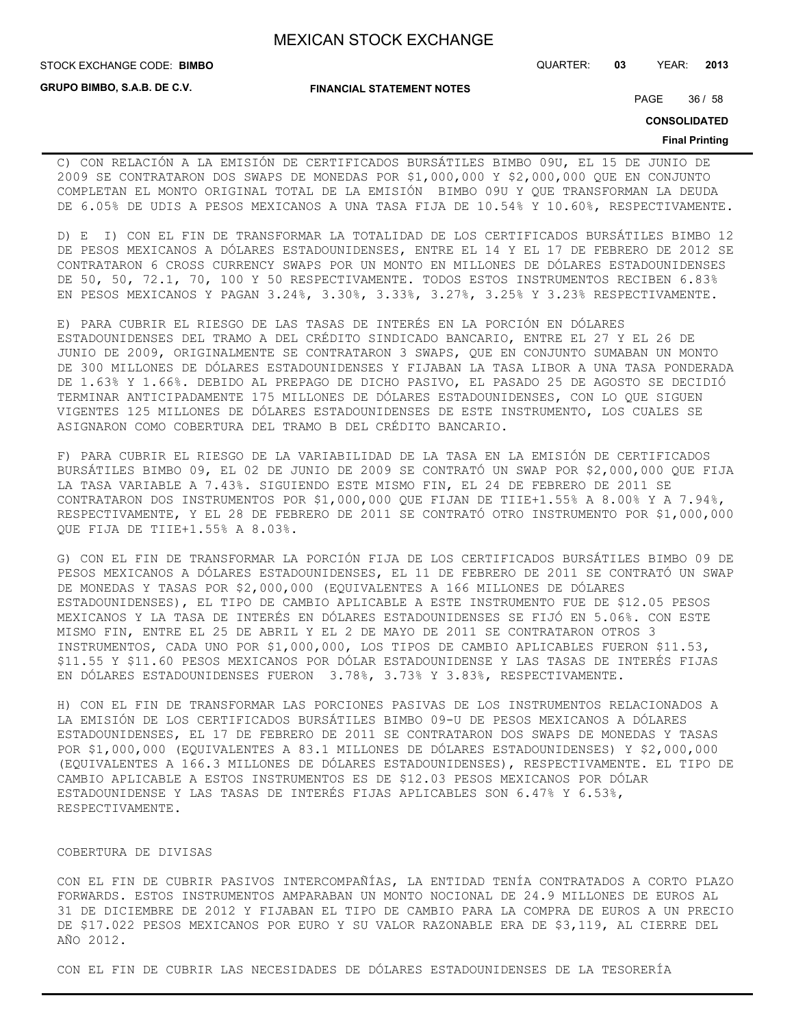**GRUPO BIMBO, S.A.B. DE C.V.**

STOCK EXCHANGE CODE: QUARTER: **03** YEAR: **2013 BIMBO**

**FINANCIAL STATEMENT NOTES**

PAGE 36 / 58

**CONSOLIDATED**

#### **Final Printing**

C) CON RELACIÓN A LA EMISIÓN DE CERTIFICADOS BURSÁTILES BIMBO 09U, EL 15 DE JUNIO DE 2009 SE CONTRATARON DOS SWAPS DE MONEDAS POR \$1,000,000 Y \$2,000,000 QUE EN CONJUNTO COMPLETAN EL MONTO ORIGINAL TOTAL DE LA EMISIÓN BIMBO 09U Y QUE TRANSFORMAN LA DEUDA DE 6.05% DE UDIS A PESOS MEXICANOS A UNA TASA FIJA DE 10.54% Y 10.60%, RESPECTIVAMENTE.

D) E I) CON EL FIN DE TRANSFORMAR LA TOTALIDAD DE LOS CERTIFICADOS BURSÁTILES BIMBO 12 DE PESOS MEXICANOS A DÓLARES ESTADOUNIDENSES, ENTRE EL 14 Y EL 17 DE FEBRERO DE 2012 SE CONTRATARON 6 CROSS CURRENCY SWAPS POR UN MONTO EN MILLONES DE DÓLARES ESTADOUNIDENSES DE 50, 50, 72.1, 70, 100 Y 50 RESPECTIVAMENTE. TODOS ESTOS INSTRUMENTOS RECIBEN 6.83% EN PESOS MEXICANOS Y PAGAN 3.24%, 3.30%, 3.33%, 3.27%, 3.25% Y 3.23% RESPECTIVAMENTE.

E) PARA CUBRIR EL RIESGO DE LAS TASAS DE INTERÉS EN LA PORCIÓN EN DÓLARES ESTADOUNIDENSES DEL TRAMO A DEL CRÉDITO SINDICADO BANCARIO, ENTRE EL 27 Y EL 26 DE JUNIO DE 2009, ORIGINALMENTE SE CONTRATARON 3 SWAPS, QUE EN CONJUNTO SUMABAN UN MONTO DE 300 MILLONES DE DÓLARES ESTADOUNIDENSES Y FIJABAN LA TASA LIBOR A UNA TASA PONDERADA DE 1.63% Y 1.66%. DEBIDO AL PREPAGO DE DICHO PASIVO, EL PASADO 25 DE AGOSTO SE DECIDIÓ TERMINAR ANTICIPADAMENTE 175 MILLONES DE DÓLARES ESTADOUNIDENSES, CON LO QUE SIGUEN VIGENTES 125 MILLONES DE DÓLARES ESTADOUNIDENSES DE ESTE INSTRUMENTO, LOS CUALES SE ASIGNARON COMO COBERTURA DEL TRAMO B DEL CRÉDITO BANCARIO.

F) PARA CUBRIR EL RIESGO DE LA VARIABILIDAD DE LA TASA EN LA EMISIÓN DE CERTIFICADOS BURSÁTILES BIMBO 09, EL 02 DE JUNIO DE 2009 SE CONTRATÓ UN SWAP POR \$2,000,000 QUE FIJA LA TASA VARIABLE A 7.43%. SIGUIENDO ESTE MISMO FIN, EL 24 DE FEBRERO DE 2011 SE CONTRATARON DOS INSTRUMENTOS POR \$1,000,000 QUE FIJAN DE TIIE+1.55% A 8.00% Y A 7.94%, RESPECTIVAMENTE, Y EL 28 DE FEBRERO DE 2011 SE CONTRATÓ OTRO INSTRUMENTO POR \$1,000,000 QUE FIJA DE TIIE+1.55% A 8.03%.

G) CON EL FIN DE TRANSFORMAR LA PORCIÓN FIJA DE LOS CERTIFICADOS BURSÁTILES BIMBO 09 DE PESOS MEXICANOS A DÓLARES ESTADOUNIDENSES, EL 11 DE FEBRERO DE 2011 SE CONTRATÓ UN SWAP DE MONEDAS Y TASAS POR \$2,000,000 (EQUIVALENTES A 166 MILLONES DE DÓLARES ESTADOUNIDENSES), EL TIPO DE CAMBIO APLICABLE A ESTE INSTRUMENTO FUE DE \$12.05 PESOS MEXICANOS Y LA TASA DE INTERÉS EN DÓLARES ESTADOUNIDENSES SE FIJÓ EN 5.06%. CON ESTE MISMO FIN, ENTRE EL 25 DE ABRIL Y EL 2 DE MAYO DE 2011 SE CONTRATARON OTROS 3 INSTRUMENTOS, CADA UNO POR \$1,000,000, LOS TIPOS DE CAMBIO APLICABLES FUERON \$11.53, \$11.55 Y \$11.60 PESOS MEXICANOS POR DÓLAR ESTADOUNIDENSE Y LAS TASAS DE INTERÉS FIJAS EN DÓLARES ESTADOUNIDENSES FUERON 3.78%, 3.73% Y 3.83%, RESPECTIVAMENTE.

H) CON EL FIN DE TRANSFORMAR LAS PORCIONES PASIVAS DE LOS INSTRUMENTOS RELACIONADOS A LA EMISIÓN DE LOS CERTIFICADOS BURSÁTILES BIMBO 09-U DE PESOS MEXICANOS A DÓLARES ESTADOUNIDENSES, EL 17 DE FEBRERO DE 2011 SE CONTRATARON DOS SWAPS DE MONEDAS Y TASAS POR \$1,000,000 (EQUIVALENTES A 83.1 MILLONES DE DÓLARES ESTADOUNIDENSES) Y \$2,000,000 (EQUIVALENTES A 166.3 MILLONES DE DÓLARES ESTADOUNIDENSES), RESPECTIVAMENTE. EL TIPO DE CAMBIO APLICABLE A ESTOS INSTRUMENTOS ES DE \$12.03 PESOS MEXICANOS POR DÓLAR ESTADOUNIDENSE Y LAS TASAS DE INTERÉS FIJAS APLICABLES SON 6.47% Y 6.53%, RESPECTIVAMENTE.

## COBERTURA DE DIVISAS

CON EL FIN DE CUBRIR PASIVOS INTERCOMPAÑÍAS, LA ENTIDAD TENÍA CONTRATADOS A CORTO PLAZO FORWARDS. ESTOS INSTRUMENTOS AMPARABAN UN MONTO NOCIONAL DE 24.9 MILLONES DE EUROS AL 31 DE DICIEMBRE DE 2012 Y FIJABAN EL TIPO DE CAMBIO PARA LA COMPRA DE EUROS A UN PRECIO DE \$17.022 PESOS MEXICANOS POR EURO Y SU VALOR RAZONABLE ERA DE \$3,119, AL CIERRE DEL AÑO 2012.

CON EL FIN DE CUBRIR LAS NECESIDADES DE DÓLARES ESTADOUNIDENSES DE LA TESORERÍA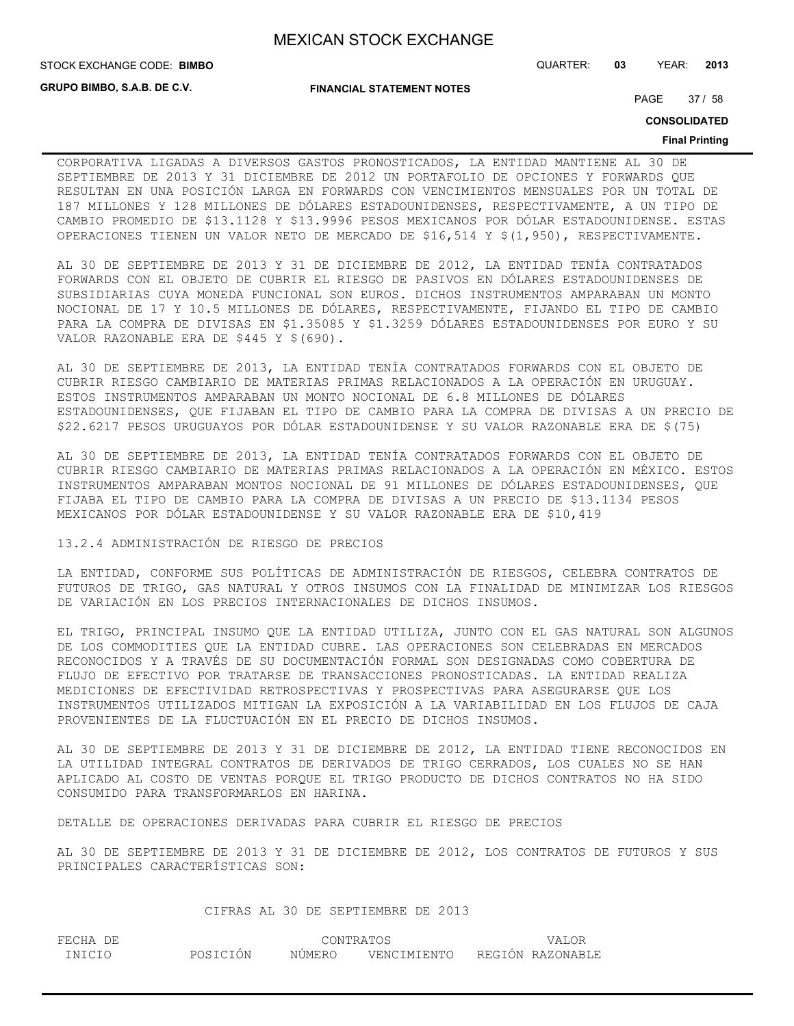**GRUPO BIMBO, S.A.B. DE C.V.**

**FINANCIAL STATEMENT NOTES**

STOCK EXCHANGE CODE: QUARTER: **03** YEAR: **2013 BIMBO**

PAGE 37 / 58

**CONSOLIDATED**

#### **Final Printing**

CORPORATIVA LIGADAS A DIVERSOS GASTOS PRONOSTICADOS, LA ENTIDAD MANTIENE AL 30 DE SEPTIEMBRE DE 2013 Y 31 DICIEMBRE DE 2012 UN PORTAFOLIO DE OPCIONES Y FORWARDS QUE RESULTAN EN UNA POSICIÓN LARGA EN FORWARDS CON VENCIMIENTOS MENSUALES POR UN TOTAL DE 187 MILLONES Y 128 MILLONES DE DÓLARES ESTADOUNIDENSES, RESPECTIVAMENTE, A UN TIPO DE CAMBIO PROMEDIO DE \$13.1128 Y \$13.9996 PESOS MEXICANOS POR DÓLAR ESTADOUNIDENSE. ESTAS OPERACIONES TIENEN UN VALOR NETO DE MERCADO DE \$16,514 Y \$(1,950), RESPECTIVAMENTE.

AL 30 DE SEPTIEMBRE DE 2013 Y 31 DE DICIEMBRE DE 2012, LA ENTIDAD TENÍA CONTRATADOS FORWARDS CON EL OBJETO DE CUBRIR EL RIESGO DE PASIVOS EN DÓLARES ESTADOUNIDENSES DE SUBSIDIARIAS CUYA MONEDA FUNCIONAL SON EUROS. DICHOS INSTRUMENTOS AMPARABAN UN MONTO NOCIONAL DE 17 Y 10.5 MILLONES DE DÓLARES, RESPECTIVAMENTE, FIJANDO EL TIPO DE CAMBIO PARA LA COMPRA DE DIVISAS EN \$1.35085 Y \$1.3259 DÓLARES ESTADOUNIDENSES POR EURO Y SU VALOR RAZONABLE ERA DE \$445 Y \$(690).

AL 30 DE SEPTIEMBRE DE 2013, LA ENTIDAD TENÍA CONTRATADOS FORWARDS CON EL OBJETO DE CUBRIR RIESGO CAMBIARIO DE MATERIAS PRIMAS RELACIONADOS A LA OPERACIÓN EN URUGUAY. ESTOS INSTRUMENTOS AMPARABAN UN MONTO NOCIONAL DE 6.8 MILLONES DE DÓLARES ESTADOUNIDENSES, QUE FIJABAN EL TIPO DE CAMBIO PARA LA COMPRA DE DIVISAS A UN PRECIO DE \$22.6217 PESOS URUGUAYOS POR DÓLAR ESTADOUNIDENSE Y SU VALOR RAZONABLE ERA DE \$(75)

AL 30 DE SEPTIEMBRE DE 2013, LA ENTIDAD TENÍA CONTRATADOS FORWARDS CON EL OBJETO DE CUBRIR RIESGO CAMBIARIO DE MATERIAS PRIMAS RELACIONADOS A LA OPERACIÓN EN MÉXICO. ESTOS INSTRUMENTOS AMPARABAN MONTOS NOCIONAL DE 91 MILLONES DE DÓLARES ESTADOUNIDENSES, QUE FIJABA EL TIPO DE CAMBIO PARA LA COMPRA DE DIVISAS A UN PRECIO DE \$13.1134 PESOS MEXICANOS POR DÓLAR ESTADOUNIDENSE Y SU VALOR RAZONABLE ERA DE \$10,419

13.2.4 ADMINISTRACIÓN DE RIESGO DE PRECIOS

LA ENTIDAD, CONFORME SUS POLÍTICAS DE ADMINISTRACIÓN DE RIESGOS, CELEBRA CONTRATOS DE FUTUROS DE TRIGO, GAS NATURAL Y OTROS INSUMOS CON LA FINALIDAD DE MINIMIZAR LOS RIESGOS DE VARIACIÓN EN LOS PRECIOS INTERNACIONALES DE DICHOS INSUMOS.

EL TRIGO, PRINCIPAL INSUMO QUE LA ENTIDAD UTILIZA, JUNTO CON EL GAS NATURAL SON ALGUNOS DE LOS COMMODITIES QUE LA ENTIDAD CUBRE. LAS OPERACIONES SON CELEBRADAS EN MERCADOS RECONOCIDOS Y A TRAVÉS DE SU DOCUMENTACIÓN FORMAL SON DESIGNADAS COMO COBERTURA DE FLUJO DE EFECTIVO POR TRATARSE DE TRANSACCIONES PRONOSTICADAS. LA ENTIDAD REALIZA MEDICIONES DE EFECTIVIDAD RETROSPECTIVAS Y PROSPECTIVAS PARA ASEGURARSE QUE LOS INSTRUMENTOS UTILIZADOS MITIGAN LA EXPOSICIÓN A LA VARIABILIDAD EN LOS FLUJOS DE CAJA PROVENIENTES DE LA FLUCTUACIÓN EN EL PRECIO DE DICHOS INSUMOS.

AL 30 DE SEPTIEMBRE DE 2013 Y 31 DE DICIEMBRE DE 2012, LA ENTIDAD TIENE RECONOCIDOS EN LA UTILIDAD INTEGRAL CONTRATOS DE DERIVADOS DE TRIGO CERRADOS, LOS CUALES NO SE HAN APLICADO AL COSTO DE VENTAS PORQUE EL TRIGO PRODUCTO DE DICHOS CONTRATOS NO HA SIDO CONSUMIDO PARA TRANSFORMARLOS EN HARINA.

DETALLE DE OPERACIONES DERIVADAS PARA CUBRIR EL RIESGO DE PRECIOS

AL 30 DE SEPTIEMBRE DE 2013 Y 31 DE DICIEMBRE DE 2012, LOS CONTRATOS DE FUTUROS Y SUS PRINCIPALES CARACTERÍSTICAS SON:

CIFRAS AL 30 DE SEPTIEMBRE DE 2013

| FECHA DE |          |        | CONTRATOS   |                  | <b>VALOR</b> |
|----------|----------|--------|-------------|------------------|--------------|
| INICIO   | POSICIÓN | NÚMERO | VENCIMIENTO | REGIÓN RAZONABLE |              |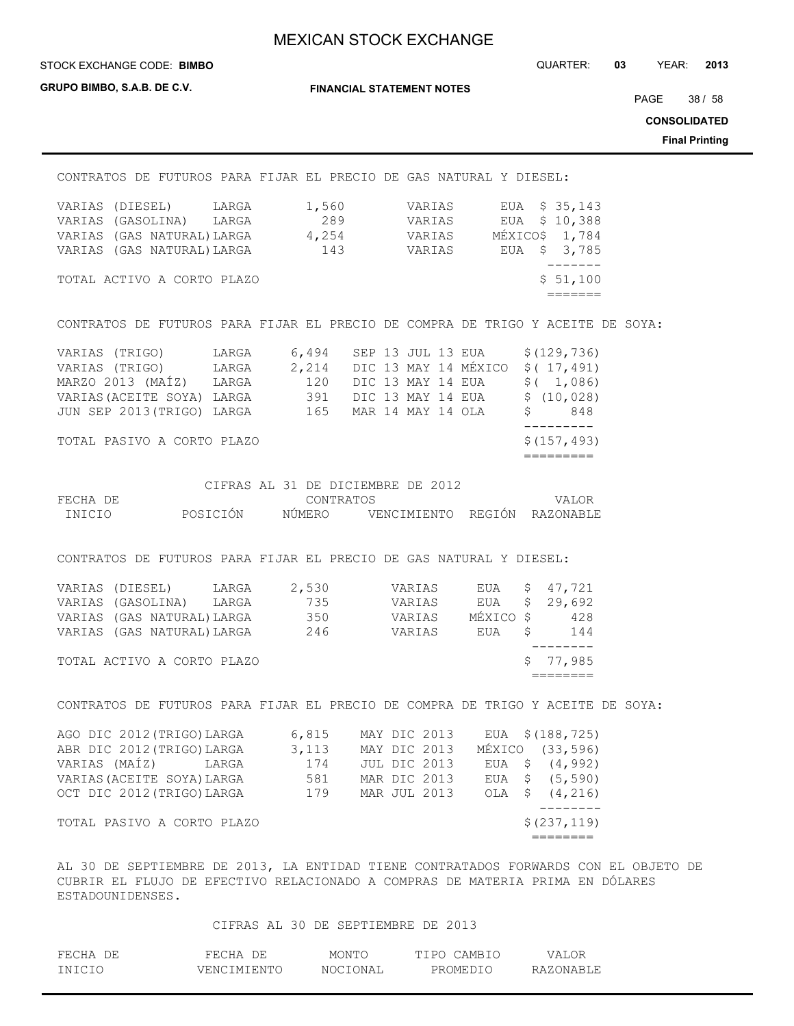**GRUPO BIMBO, S.A.B. DE C.V.**

**FINANCIAL STATEMENT NOTES**

STOCK EXCHANGE CODE: QUARTER: **03** YEAR: **2013 BIMBO**

PAGE 38 / 58

**CONSOLIDATED**

**Final Printing**

|                                                                                                                                                                                                                                                                                                             |                                                |                                     | <b>001100LID</b><br><b>Final Pri</b> |
|-------------------------------------------------------------------------------------------------------------------------------------------------------------------------------------------------------------------------------------------------------------------------------------------------------------|------------------------------------------------|-------------------------------------|--------------------------------------|
| CONTRATOS DE FUTUROS PARA FIJAR EL PRECIO DE GAS NATURAL Y DIESEL:                                                                                                                                                                                                                                          |                                                |                                     |                                      |
| VARIAS (DIESEL) LARGA 1,560 VARIAS EUA \$35,143                                                                                                                                                                                                                                                             |                                                |                                     |                                      |
| VARIAS (GASOLINA) LARGA                                                                                                                                                                                                                                                                                     |                                                | 289 VARIAS EUA \$10,388             |                                      |
| VARIAS (GAS NATURAL) LARGA 4,254 VARIAS MÉXICOS 1,784                                                                                                                                                                                                                                                       |                                                |                                     |                                      |
| VARIAS (GAS NATURAL) LARGA 143 VARIAS EUA \$3,785                                                                                                                                                                                                                                                           |                                                | ________                            |                                      |
| TOTAL ACTIVO A CORTO PLAZO                                                                                                                                                                                                                                                                                  |                                                | \$51,100<br>$=$ $=$ $=$ $=$ $=$ $=$ |                                      |
| CONTRATOS DE FUTUROS PARA FIJAR EL PRECIO DE COMPRA DE TRIGO Y ACEITE DE SOYA:                                                                                                                                                                                                                              |                                                |                                     |                                      |
| VARIAS (TRIGO) LARGA 6,494 SEP 13 JUL 13 EUA \$ (129,736)                                                                                                                                                                                                                                                   |                                                |                                     |                                      |
| VARIAS (TRIGO) LARGA 2,214 DIC 13 MAY 14 MÉXICO \$ (17,491)                                                                                                                                                                                                                                                 |                                                |                                     |                                      |
| MARZO 2013 (MAÍZ) LARGA 120 DIC 13 MAY 14 EUA \$ (1,086)                                                                                                                                                                                                                                                    |                                                |                                     |                                      |
| VARIAS (ACEITE SOYA) LARGA 391 DIC 13 MAY 14 EUA \$ (10,028)                                                                                                                                                                                                                                                |                                                |                                     |                                      |
| JUN SEP 2013 (TRIGO) LARGA 165 MAR 14 MAY 14 OLA \$848                                                                                                                                                                                                                                                      |                                                |                                     |                                      |
| TOTAL PASIVO A CORTO PLAZO                                                                                                                                                                                                                                                                                  |                                                | \$(157, 493)<br>=========           |                                      |
| FECHA DE                                                                                                                                                                                                                                                                                                    | CIFRAS AL 31 DE DICIEMBRE DE 2012<br>CONTRATOS | VALOR                               |                                      |
| INICIO POSICIÓN NÚMERO VENCIMIENTO REGIÓN RAZONABLE                                                                                                                                                                                                                                                         |                                                |                                     |                                      |
| CONTRATOS DE FUTUROS PARA FIJAR EL PRECIO DE GAS NATURAL Y DIESEL:<br>VARIAS (DIESEL) LARGA 2,530 VARIAS EUA \$ 47,721<br>VARIAS (GASOLINA) LARGA 735 VARIAS EUA \$29,692<br>VARIAS (GAS NATURAL)LARGA 350 VARIAS MÉXICO \$428<br>VARIAS (GAS NATURAL) LARGA 246 VARIAS EUA Ș<br>TOTAL ACTIVO A CORTO PLAZO |                                                | 144<br>-----<br>\$77,985            |                                      |
| CONTRATOS DE FUTUROS PARA FIJAR EL PRECIO DE COMPRA DE TRIGO Y ACEITE DE SOYA:                                                                                                                                                                                                                              |                                                | $=$ $=$ $=$ $=$ $=$ $=$ $=$         |                                      |
| AGO DIC 2012 (TRIGO) LARGA 6,815 MAY DIC 2013 EUA \$ (188,725)                                                                                                                                                                                                                                              |                                                |                                     |                                      |
| ABR DIC 2012 (TRIGO) LARGA 3, 113 MAY DIC 2013 MÉXICO (33, 596)                                                                                                                                                                                                                                             |                                                |                                     |                                      |
| VARIAS (MAÍZ) LARGA 174 JUL DIC 2013 EUA \$ (4,992)                                                                                                                                                                                                                                                         |                                                |                                     |                                      |
| VARIAS (ACEITE SOYA) LARGA 581 MAR DIC 2013 EUA \$ (5,590)                                                                                                                                                                                                                                                  |                                                |                                     |                                      |
| OCT DIC 2012 (TRIGO) LARGA 179 MAR JUL 2013 OLA \$ (4,216)                                                                                                                                                                                                                                                  |                                                |                                     |                                      |
| TOTAL PASIVO A CORTO PLAZO                                                                                                                                                                                                                                                                                  |                                                | $- - - - - - - -$<br>\$(237, 119)   |                                      |
|                                                                                                                                                                                                                                                                                                             |                                                | ========                            |                                      |
| AL 30 DE SEPTIEMBRE DE 2013, LA ENTIDAD TIENE CONTRATADOS FORWARDS CON EL OBJETO DE<br>CUBRIR EL FLUJO DE EFECTIVO RELACIONADO A COMPRAS DE MATERIA PRIMA EN DÓLARES<br>ESTADOUNIDENSES.                                                                                                                    |                                                |                                     |                                      |

## CIFRAS AL 30 DE SEPTIEMBRE DE 2013

| FECHA DE | FECHA DE    | MONTO    | TIPO CAMBIO | VALOR     |
|----------|-------------|----------|-------------|-----------|
| INICIO   | VENCIMIENTO | NOCIONAL | PROMEDIO    | RAZONABLE |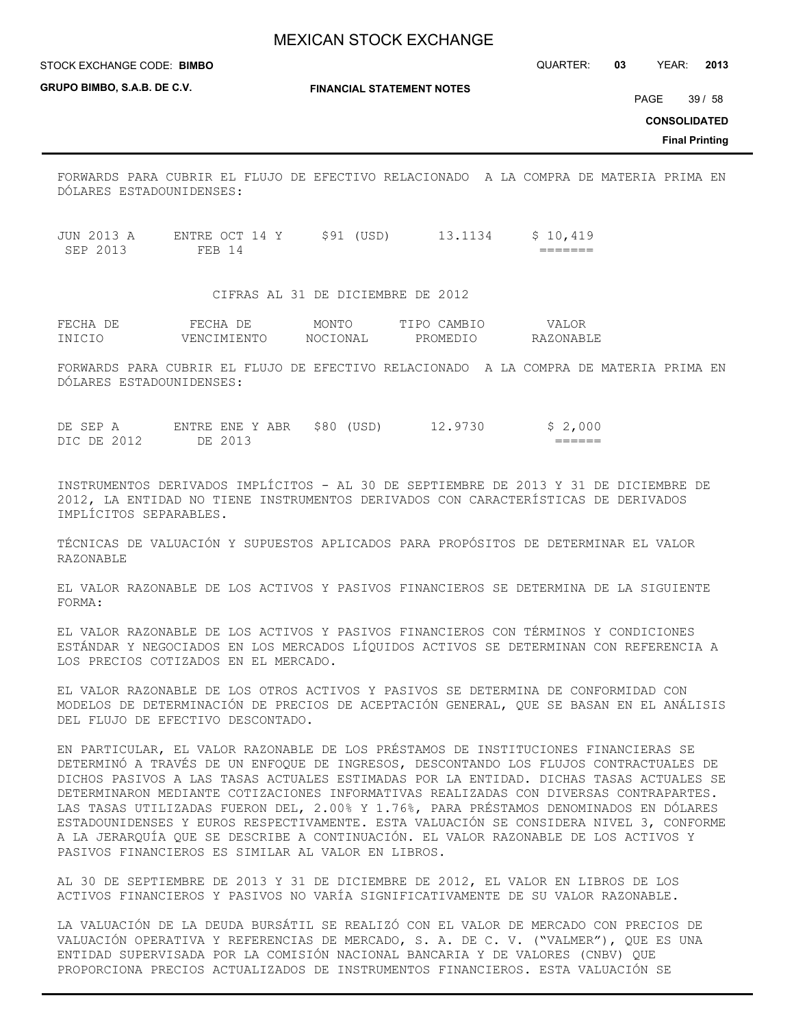STOCK EXCHANGE CODE: QUARTER: **03** YEAR: **2013 BIMBO**

**GRUPO BIMBO, S.A.B. DE C.V.**

**FINANCIAL STATEMENT NOTES**

PAGE 39 / 58

**CONSOLIDATED**

**Final Printing**

FORWARDS PARA CUBRIR EL FLUJO DE EFECTIVO RELACIONADO A LA COMPRA DE MATERIA PRIMA EN DÓLARES ESTADOUNIDENSES:

JUN 2013 A ENTRE OCT 14 Y \$91 (USD) 13.1134 \$ 10,419 SEP 2013 FEB 14 =======

CIFRAS AL 31 DE DICIEMBRE DE 2012

| FECHA I | FECHA       | MONTO    | TIPO CAMBIO | VALOR     |
|---------|-------------|----------|-------------|-----------|
| INICIO  | VENCIMIENTO | NOCIONAL | PROMEDIO    | RAZONABLE |

FORWARDS PARA CUBRIR EL FLUJO DE EFECTIVO RELACIONADO A LA COMPRA DE MATERIA PRIMA EN DÓLARES ESTADOUNIDENSES:

DE SEP A ENTRE ENE Y ABR \$80 (USD) 12.9730 \$ 2,000 DIC DE 2012 DE 2013 ======

INSTRUMENTOS DERIVADOS IMPLÍCITOS - AL 30 DE SEPTIEMBRE DE 2013 Y 31 DE DICIEMBRE DE 2012, LA ENTIDAD NO TIENE INSTRUMENTOS DERIVADOS CON CARACTERÍSTICAS DE DERIVADOS IMPLÍCITOS SEPARABLES.

TÉCNICAS DE VALUACIÓN Y SUPUESTOS APLICADOS PARA PROPÓSITOS DE DETERMINAR EL VALOR RAZONABLE

EL VALOR RAZONABLE DE LOS ACTIVOS Y PASIVOS FINANCIEROS SE DETERMINA DE LA SIGUIENTE FORMA:

EL VALOR RAZONABLE DE LOS ACTIVOS Y PASIVOS FINANCIEROS CON TÉRMINOS Y CONDICIONES ESTÁNDAR Y NEGOCIADOS EN LOS MERCADOS LÍQUIDOS ACTIVOS SE DETERMINAN CON REFERENCIA A LOS PRECIOS COTIZADOS EN EL MERCADO.

EL VALOR RAZONABLE DE LOS OTROS ACTIVOS Y PASIVOS SE DETERMINA DE CONFORMIDAD CON MODELOS DE DETERMINACIÓN DE PRECIOS DE ACEPTACIÓN GENERAL, QUE SE BASAN EN EL ANÁLISIS DEL FLUJO DE EFECTIVO DESCONTADO.

EN PARTICULAR, EL VALOR RAZONABLE DE LOS PRÉSTAMOS DE INSTITUCIONES FINANCIERAS SE DETERMINÓ A TRAVÉS DE UN ENFOQUE DE INGRESOS, DESCONTANDO LOS FLUJOS CONTRACTUALES DE DICHOS PASIVOS A LAS TASAS ACTUALES ESTIMADAS POR LA ENTIDAD. DICHAS TASAS ACTUALES SE DETERMINARON MEDIANTE COTIZACIONES INFORMATIVAS REALIZADAS CON DIVERSAS CONTRAPARTES. LAS TASAS UTILIZADAS FUERON DEL, 2.00% Y 1.76%, PARA PRÉSTAMOS DENOMINADOS EN DÓLARES ESTADOUNIDENSES Y EUROS RESPECTIVAMENTE. ESTA VALUACIÓN SE CONSIDERA NIVEL 3, CONFORME A LA JERARQUÍA QUE SE DESCRIBE A CONTINUACIÓN. EL VALOR RAZONABLE DE LOS ACTIVOS Y PASIVOS FINANCIEROS ES SIMILAR AL VALOR EN LIBROS.

AL 30 DE SEPTIEMBRE DE 2013 Y 31 DE DICIEMBRE DE 2012, EL VALOR EN LIBROS DE LOS ACTIVOS FINANCIEROS Y PASIVOS NO VARÍA SIGNIFICATIVAMENTE DE SU VALOR RAZONABLE.

LA VALUACIÓN DE LA DEUDA BURSÁTIL SE REALIZÓ CON EL VALOR DE MERCADO CON PRECIOS DE VALUACIÓN OPERATIVA Y REFERENCIAS DE MERCADO, S. A. DE C. V. ("VALMER"), QUE ES UNA ENTIDAD SUPERVISADA POR LA COMISIÓN NACIONAL BANCARIA Y DE VALORES (CNBV) QUE PROPORCIONA PRECIOS ACTUALIZADOS DE INSTRUMENTOS FINANCIEROS. ESTA VALUACIÓN SE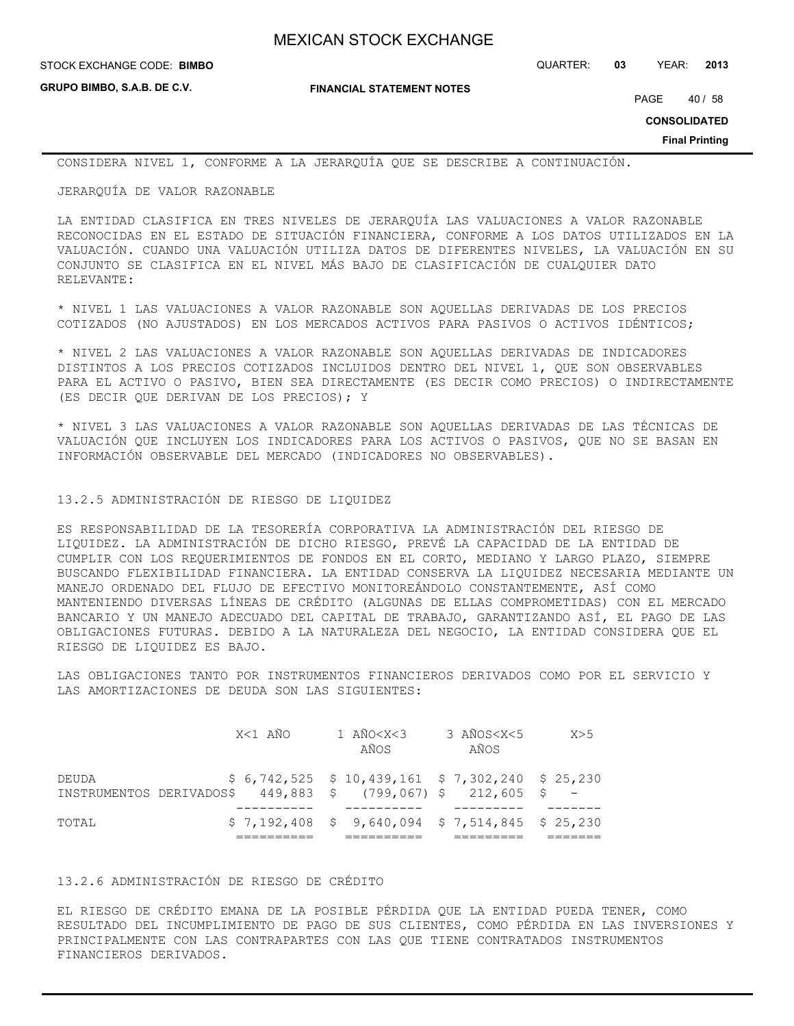**GRUPO BIMBO, S.A.B. DE C.V.**

**FINANCIAL STATEMENT NOTES**

STOCK EXCHANGE CODE: QUARTER: **03** YEAR: **2013 BIMBO**

PAGE 40 / 58

**CONSOLIDATED**

**Final Printing**

CONSIDERA NIVEL 1, CONFORME A LA JERARQUÍA QUE SE DESCRIBE A CONTINUACIÓN.

JERARQUÍA DE VALOR RAZONABLE

LA ENTIDAD CLASIFICA EN TRES NIVELES DE JERARQUÍA LAS VALUACIONES A VALOR RAZONABLE RECONOCIDAS EN EL ESTADO DE SITUACIÓN FINANCIERA, CONFORME A LOS DATOS UTILIZADOS EN LA VALUACIÓN. CUANDO UNA VALUACIÓN UTILIZA DATOS DE DIFERENTES NIVELES, LA VALUACIÓN EN SU CONJUNTO SE CLASIFICA EN EL NIVEL MÁS BAJO DE CLASIFICACIÓN DE CUALQUIER DATO RELEVANTE:

\* NIVEL 1 LAS VALUACIONES A VALOR RAZONABLE SON AQUELLAS DERIVADAS DE LOS PRECIOS COTIZADOS (NO AJUSTADOS) EN LOS MERCADOS ACTIVOS PARA PASIVOS O ACTIVOS IDÉNTICOS;

\* NIVEL 2 LAS VALUACIONES A VALOR RAZONABLE SON AQUELLAS DERIVADAS DE INDICADORES DISTINTOS A LOS PRECIOS COTIZADOS INCLUIDOS DENTRO DEL NIVEL 1, QUE SON OBSERVABLES PARA EL ACTIVO O PASIVO, BIEN SEA DIRECTAMENTE (ES DECIR COMO PRECIOS) O INDIRECTAMENTE (ES DECIR QUE DERIVAN DE LOS PRECIOS); Y

\* NIVEL 3 LAS VALUACIONES A VALOR RAZONABLE SON AQUELLAS DERIVADAS DE LAS TÉCNICAS DE VALUACIÓN QUE INCLUYEN LOS INDICADORES PARA LOS ACTIVOS O PASIVOS, QUE NO SE BASAN EN INFORMACIÓN OBSERVABLE DEL MERCADO (INDICADORES NO OBSERVABLES).

## 13.2.5 ADMINISTRACIÓN DE RIESGO DE LIQUIDEZ

ES RESPONSABILIDAD DE LA TESORERÍA CORPORATIVA LA ADMINISTRACIÓN DEL RIESGO DE LIQUIDEZ. LA ADMINISTRACIÓN DE DICHO RIESGO, PREVÉ LA CAPACIDAD DE LA ENTIDAD DE CUMPLIR CON LOS REQUERIMIENTOS DE FONDOS EN EL CORTO, MEDIANO Y LARGO PLAZO, SIEMPRE BUSCANDO FLEXIBILIDAD FINANCIERA. LA ENTIDAD CONSERVA LA LIQUIDEZ NECESARIA MEDIANTE UN MANEJO ORDENADO DEL FLUJO DE EFECTIVO MONITOREÁNDOLO CONSTANTEMENTE, ASÍ COMO MANTENIENDO DIVERSAS LÍNEAS DE CRÉDITO (ALGUNAS DE ELLAS COMPROMETIDAS) CON EL MERCADO BANCARIO Y UN MANEJO ADECUADO DEL CAPITAL DE TRABAJO, GARANTIZANDO ASÍ, EL PAGO DE LAS OBLIGACIONES FUTURAS. DEBIDO A LA NATURALEZA DEL NEGOCIO, LA ENTIDAD CONSIDERA QUE EL RIESGO DE LIQUIDEZ ES BAJO.

LAS OBLIGACIONES TANTO POR INSTRUMENTOS FINANCIEROS DERIVADOS COMO POR EL SERVICIO Y LAS AMORTIZACIONES DE DEUDA SON LAS SIGUIENTES:

| TOTAL |                                                            | $$7,192,408$ $$9,640,094$ $$7,514,845$ $$25,230$  |                              |     |
|-------|------------------------------------------------------------|---------------------------------------------------|------------------------------|-----|
|       |                                                            |                                                   |                              |     |
| DEUDA | INSTRUMENTOS DERIVADOS\$449,883 \$ (799,067) \$212,605 \$- | $$6,742,525$ $$10,439,161$ $$7,302,240$ $$25,230$ |                              |     |
|       | X<1 AÑO                                                    | 1 AÑO <x<3<br>AÑOS</x<3<br>                       | 3 AÑOS <x<5<br>AÑOS</x<5<br> | X>5 |

## 13.2.6 ADMINISTRACIÓN DE RIESGO DE CRÉDITO

EL RIESGO DE CRÉDITO EMANA DE LA POSIBLE PÉRDIDA QUE LA ENTIDAD PUEDA TENER, COMO RESULTADO DEL INCUMPLIMIENTO DE PAGO DE SUS CLIENTES, COMO PÉRDIDA EN LAS INVERSIONES Y PRINCIPALMENTE CON LAS CONTRAPARTES CON LAS QUE TIENE CONTRATADOS INSTRUMENTOS FINANCIEROS DERIVADOS.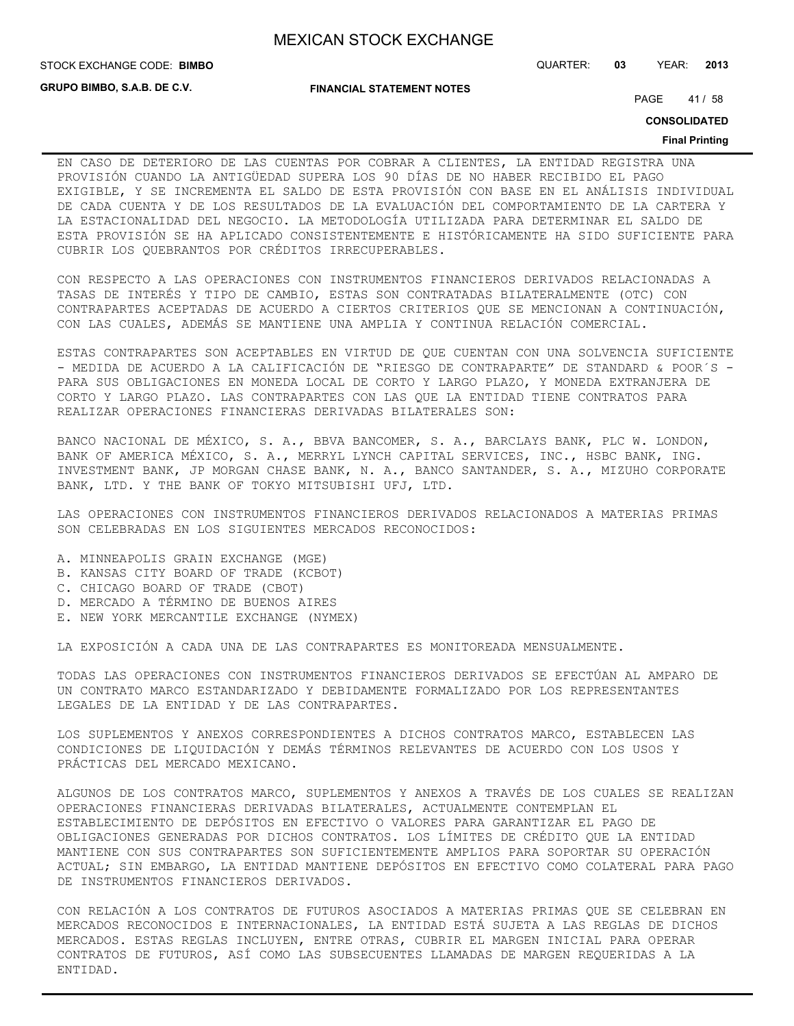**GRUPO BIMBO, S.A.B. DE C.V.**

**FINANCIAL STATEMENT NOTES**

STOCK EXCHANGE CODE: QUARTER: **03** YEAR: **2013 BIMBO**

PAGE 41/58

**CONSOLIDATED**

#### **Final Printing**

EN CASO DE DETERIORO DE LAS CUENTAS POR COBRAR A CLIENTES, LA ENTIDAD REGISTRA UNA PROVISIÓN CUANDO LA ANTIGÜEDAD SUPERA LOS 90 DÍAS DE NO HABER RECIBIDO EL PAGO EXIGIBLE, Y SE INCREMENTA EL SALDO DE ESTA PROVISIÓN CON BASE EN EL ANÁLISIS INDIVIDUAL DE CADA CUENTA Y DE LOS RESULTADOS DE LA EVALUACIÓN DEL COMPORTAMIENTO DE LA CARTERA Y LA ESTACIONALIDAD DEL NEGOCIO. LA METODOLOGÍA UTILIZADA PARA DETERMINAR EL SALDO DE ESTA PROVISIÓN SE HA APLICADO CONSISTENTEMENTE E HISTÓRICAMENTE HA SIDO SUFICIENTE PARA CUBRIR LOS QUEBRANTOS POR CRÉDITOS IRRECUPERABLES.

CON RESPECTO A LAS OPERACIONES CON INSTRUMENTOS FINANCIEROS DERIVADOS RELACIONADAS A TASAS DE INTERÉS Y TIPO DE CAMBIO, ESTAS SON CONTRATADAS BILATERALMENTE (OTC) CON CONTRAPARTES ACEPTADAS DE ACUERDO A CIERTOS CRITERIOS QUE SE MENCIONAN A CONTINUACIÓN, CON LAS CUALES, ADEMÁS SE MANTIENE UNA AMPLIA Y CONTINUA RELACIÓN COMERCIAL.

ESTAS CONTRAPARTES SON ACEPTABLES EN VIRTUD DE QUE CUENTAN CON UNA SOLVENCIA SUFICIENTE - MEDIDA DE ACUERDO A LA CALIFICACIÓN DE "RIESGO DE CONTRAPARTE" DE STANDARD & POOR´S - PARA SUS OBLIGACIONES EN MONEDA LOCAL DE CORTO Y LARGO PLAZO, Y MONEDA EXTRANJERA DE CORTO Y LARGO PLAZO. LAS CONTRAPARTES CON LAS QUE LA ENTIDAD TIENE CONTRATOS PARA REALIZAR OPERACIONES FINANCIERAS DERIVADAS BILATERALES SON:

BANCO NACIONAL DE MÉXICO, S. A., BBVA BANCOMER, S. A., BARCLAYS BANK, PLC W. LONDON, BANK OF AMERICA MÉXICO, S. A., MERRYL LYNCH CAPITAL SERVICES, INC., HSBC BANK, ING. INVESTMENT BANK, JP MORGAN CHASE BANK, N. A., BANCO SANTANDER, S. A., MIZUHO CORPORATE BANK, LTD. Y THE BANK OF TOKYO MITSUBISHI UFJ, LTD.

LAS OPERACIONES CON INSTRUMENTOS FINANCIEROS DERIVADOS RELACIONADOS A MATERIAS PRIMAS SON CELEBRADAS EN LOS SIGUIENTES MERCADOS RECONOCIDOS:

- A. MINNEAPOLIS GRAIN EXCHANGE (MGE)
- B. KANSAS CITY BOARD OF TRADE (KCBOT)
- C. CHICAGO BOARD OF TRADE (CBOT)
- D. MERCADO A TÉRMINO DE BUENOS AIRES
- E. NEW YORK MERCANTILE EXCHANGE (NYMEX)

LA EXPOSICIÓN A CADA UNA DE LAS CONTRAPARTES ES MONITOREADA MENSUALMENTE.

TODAS LAS OPERACIONES CON INSTRUMENTOS FINANCIEROS DERIVADOS SE EFECTÚAN AL AMPARO DE UN CONTRATO MARCO ESTANDARIZADO Y DEBIDAMENTE FORMALIZADO POR LOS REPRESENTANTES LEGALES DE LA ENTIDAD Y DE LAS CONTRAPARTES.

LOS SUPLEMENTOS Y ANEXOS CORRESPONDIENTES A DICHOS CONTRATOS MARCO, ESTABLECEN LAS CONDICIONES DE LIQUIDACIÓN Y DEMÁS TÉRMINOS RELEVANTES DE ACUERDO CON LOS USOS Y PRÁCTICAS DEL MERCADO MEXICANO.

ALGUNOS DE LOS CONTRATOS MARCO, SUPLEMENTOS Y ANEXOS A TRAVÉS DE LOS CUALES SE REALIZAN OPERACIONES FINANCIERAS DERIVADAS BILATERALES, ACTUALMENTE CONTEMPLAN EL ESTABLECIMIENTO DE DEPÓSITOS EN EFECTIVO O VALORES PARA GARANTIZAR EL PAGO DE OBLIGACIONES GENERADAS POR DICHOS CONTRATOS. LOS LÍMITES DE CRÉDITO QUE LA ENTIDAD MANTIENE CON SUS CONTRAPARTES SON SUFICIENTEMENTE AMPLIOS PARA SOPORTAR SU OPERACIÓN ACTUAL; SIN EMBARGO, LA ENTIDAD MANTIENE DEPÓSITOS EN EFECTIVO COMO COLATERAL PARA PAGO DE INSTRUMENTOS FINANCIEROS DERIVADOS.

CON RELACIÓN A LOS CONTRATOS DE FUTUROS ASOCIADOS A MATERIAS PRIMAS QUE SE CELEBRAN EN MERCADOS RECONOCIDOS E INTERNACIONALES, LA ENTIDAD ESTÁ SUJETA A LAS REGLAS DE DICHOS MERCADOS. ESTAS REGLAS INCLUYEN, ENTRE OTRAS, CUBRIR EL MARGEN INICIAL PARA OPERAR CONTRATOS DE FUTUROS, ASÍ COMO LAS SUBSECUENTES LLAMADAS DE MARGEN REQUERIDAS A LA ENTIDAD.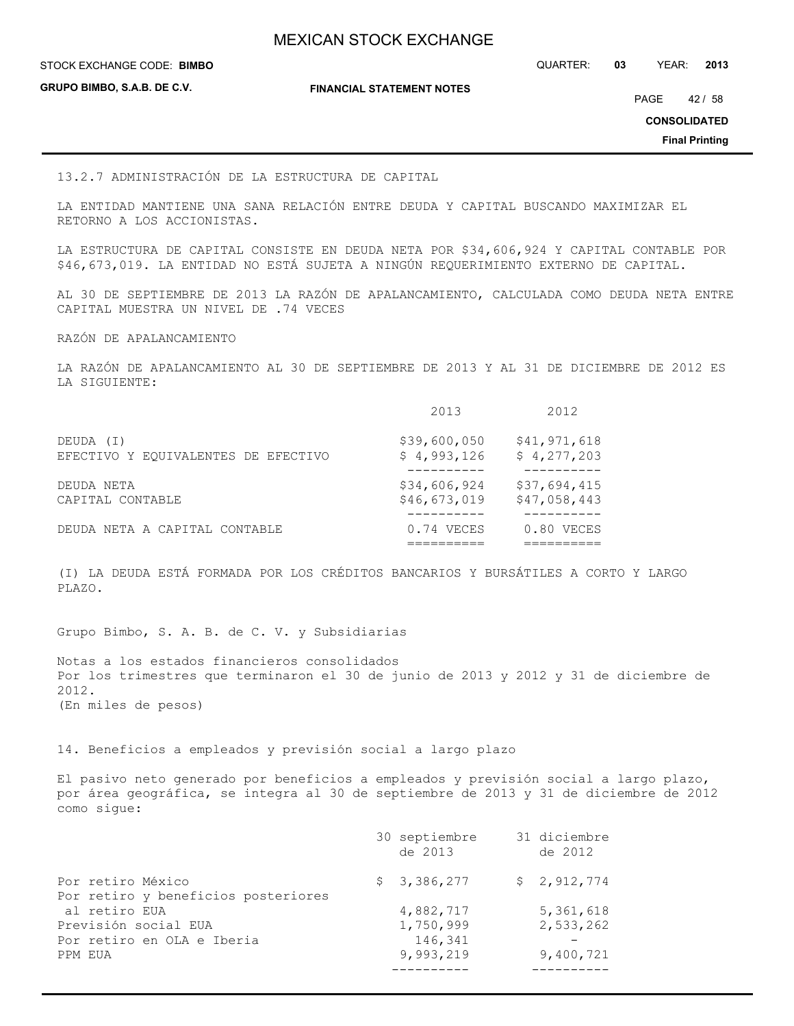**GRUPO BIMBO, S.A.B. DE C.V.**

**FINANCIAL STATEMENT NOTES**

STOCK EXCHANGE CODE: QUARTER: **03** YEAR: **2013 BIMBO**

PAGE 42 / 58

**CONSOLIDATED**

**Final Printing**

13.2.7 ADMINISTRACIÓN DE LA ESTRUCTURA DE CAPITAL

LA ENTIDAD MANTIENE UNA SANA RELACIÓN ENTRE DEUDA Y CAPITAL BUSCANDO MAXIMIZAR EL RETORNO A LOS ACCIONISTAS.

LA ESTRUCTURA DE CAPITAL CONSISTE EN DEUDA NETA POR \$34,606,924 Y CAPITAL CONTABLE POR \$46,673,019. LA ENTIDAD NO ESTÁ SUJETA A NINGÚN REQUERIMIENTO EXTERNO DE CAPITAL.

AL 30 DE SEPTIEMBRE DE 2013 LA RAZÓN DE APALANCAMIENTO, CALCULADA COMO DEUDA NETA ENTRE CAPITAL MUESTRA UN NIVEL DE .74 VECES

RAZÓN DE APALANCAMIENTO

LA RAZÓN DE APALANCAMIENTO AL 30 DE SEPTIEMBRE DE 2013 Y AL 31 DE DICIEMBRE DE 2012 ES LA SIGUIENTE:

|                                     | 2013         | 2012         |
|-------------------------------------|--------------|--------------|
| DEUDA (I)                           | \$39,600,050 | \$41,971,618 |
| EFECTIVO Y EQUIVALENTES DE EFECTIVO | \$4,993,126  | \$4,277,203  |
| DEUDA NETA                          | \$34,606,924 | \$37,694,415 |
| CAPITAL CONTABLE                    | \$46,673,019 | \$47,058,443 |
| DEUDA NETA A CAPITAL CONTABLE       | $0.74$ VECES | $0.80$ VECES |

(I) LA DEUDA ESTÁ FORMADA POR LOS CRÉDITOS BANCARIOS Y BURSÁTILES A CORTO Y LARGO PLAZO.

Grupo Bimbo, S. A. B. de C. V. y Subsidiarias

Notas a los estados financieros consolidados Por los trimestres que terminaron el 30 de junio de 2013 y 2012 y 31 de diciembre de 2012. (En miles de pesos)

14. Beneficios a empleados y previsión social a largo plazo

El pasivo neto generado por beneficios a empleados y previsión social a largo plazo, por área geográfica, se integra al 30 de septiembre de 2013 y 31 de diciembre de 2012 como sigue:

|                                     | 30 septiembre<br>de 2013 | 31 diciembre<br>de 2012 |
|-------------------------------------|--------------------------|-------------------------|
| Por retiro México                   | \$3,386,277              | \$2,912,774             |
| Por retiro y beneficios posteriores |                          |                         |
| al retiro EUA                       | 4,882,717                | 5,361,618               |
| Previsión social EUA                | 1,750,999                | 2,533,262               |
| Por retiro en OLA e Iberia          | 146,341                  |                         |
| PPM EUA                             | 9,993,219                | 9,400,721               |
|                                     |                          |                         |
|                                     |                          |                         |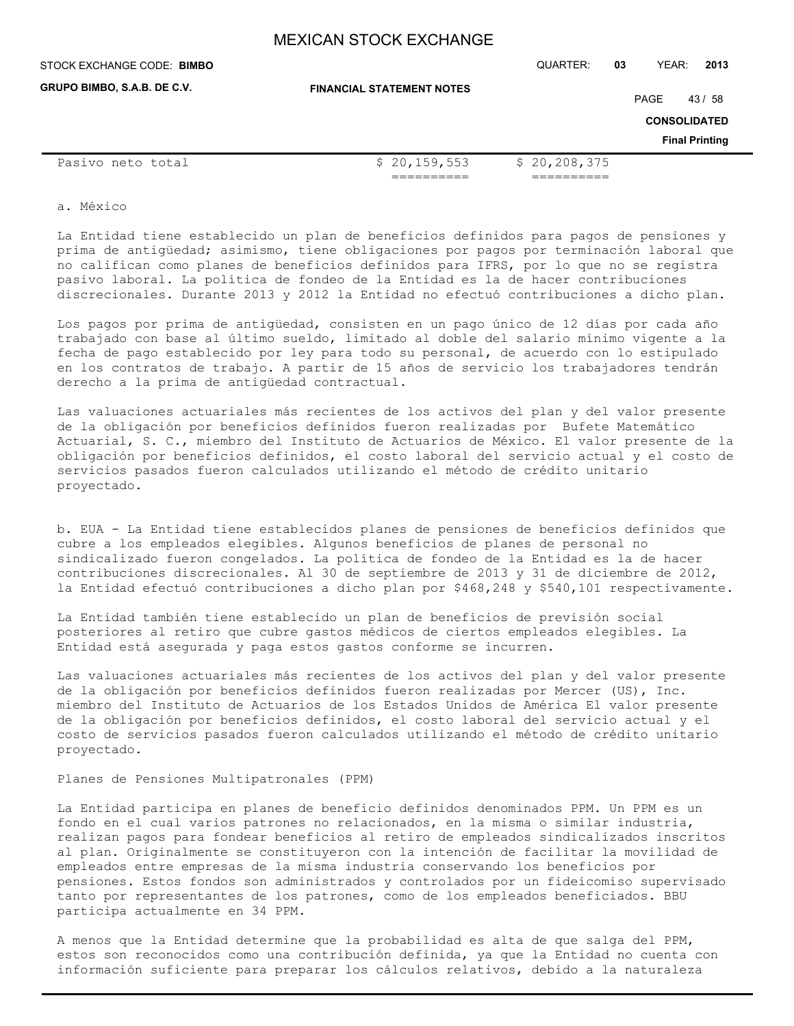| STOCK EXCHANGE CODE: BIMBO  |                                  | QUARTER:       | 03   | YEAR:               | 2013                  |
|-----------------------------|----------------------------------|----------------|------|---------------------|-----------------------|
| GRUPO BIMBO, S.A.B. DE C.V. | <b>FINANCIAL STATEMENT NOTES</b> |                | PAGE |                     | 43/58                 |
|                             |                                  |                |      | <b>CONSOLIDATED</b> |                       |
|                             |                                  |                |      |                     | <b>Final Printing</b> |
| Pasivo neto total           | \$20,159,553                     | \$20, 208, 375 |      |                     |                       |
|                             |                                  |                |      |                     |                       |

a. México

La Entidad tiene establecido un plan de beneficios definidos para pagos de pensiones y prima de antigüedad; asimismo, tiene obligaciones por pagos por terminación laboral que no califican como planes de beneficios definidos para IFRS, por lo que no se registra pasivo laboral. La política de fondeo de la Entidad es la de hacer contribuciones discrecionales. Durante 2013 y 2012 la Entidad no efectuó contribuciones a dicho plan.

Los pagos por prima de antigüedad, consisten en un pago único de 12 días por cada año trabajado con base al último sueldo, limitado al doble del salario mínimo vigente a la fecha de pago establecido por ley para todo su personal, de acuerdo con lo estipulado en los contratos de trabajo. A partir de 15 años de servicio los trabajadores tendrán derecho a la prima de antigüedad contractual.

Las valuaciones actuariales más recientes de los activos del plan y del valor presente de la obligación por beneficios definidos fueron realizadas por Bufete Matemático Actuarial, S. C., miembro del Instituto de Actuarios de México. El valor presente de la obligación por beneficios definidos, el costo laboral del servicio actual y el costo de servicios pasados fueron calculados utilizando el método de crédito unitario proyectado.

b. EUA - La Entidad tiene establecidos planes de pensiones de beneficios definidos que cubre a los empleados elegibles. Algunos beneficios de planes de personal no sindicalizado fueron congelados. La política de fondeo de la Entidad es la de hacer contribuciones discrecionales. Al 30 de septiembre de 2013 y 31 de diciembre de 2012, la Entidad efectuó contribuciones a dicho plan por \$468,248 y \$540,101 respectivamente.

La Entidad también tiene establecido un plan de beneficios de previsión social posteriores al retiro que cubre gastos médicos de ciertos empleados elegibles. La Entidad está asegurada y paga estos gastos conforme se incurren.

Las valuaciones actuariales más recientes de los activos del plan y del valor presente de la obligación por beneficios definidos fueron realizadas por Mercer (US), Inc. miembro del Instituto de Actuarios de los Estados Unidos de América El valor presente de la obligación por beneficios definidos, el costo laboral del servicio actual y el costo de servicios pasados fueron calculados utilizando el método de crédito unitario proyectado.

Planes de Pensiones Multipatronales (PPM)

La Entidad participa en planes de beneficio definidos denominados PPM. Un PPM es un fondo en el cual varios patrones no relacionados, en la misma o similar industria, realizan pagos para fondear beneficios al retiro de empleados sindicalizados inscritos al plan. Originalmente se constituyeron con la intención de facilitar la movilidad de empleados entre empresas de la misma industria conservando los beneficios por pensiones. Estos fondos son administrados y controlados por un fideicomiso supervisado tanto por representantes de los patrones, como de los empleados beneficiados. BBU participa actualmente en 34 PPM.

A menos que la Entidad determine que la probabilidad es alta de que salga del PPM, estos son reconocidos como una contribución definida, ya que la Entidad no cuenta con información suficiente para preparar los cálculos relativos, debido a la naturaleza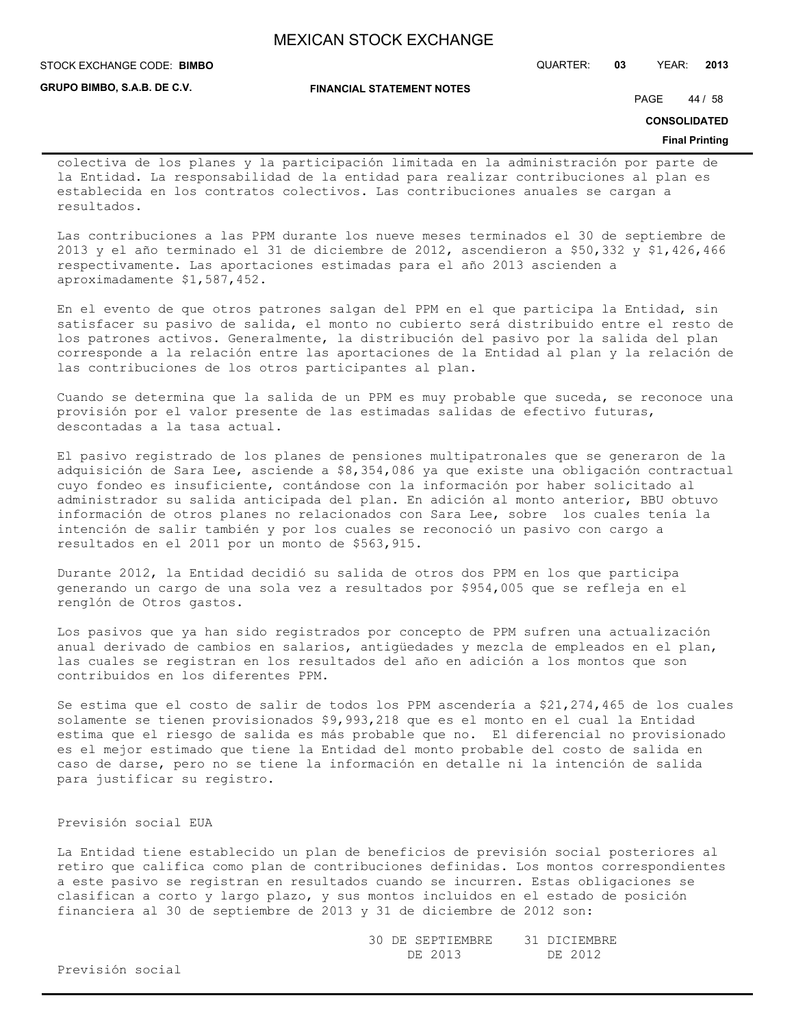**GRUPO BIMBO, S.A.B. DE C.V.**

STOCK EXCHANGE CODE: QUARTER: **03** YEAR: **2013 BIMBO**

**FINANCIAL STATEMENT NOTES**

PAGE 44 / 58

**CONSOLIDATED**

#### **Final Printing**

colectiva de los planes y la participación limitada en la administración por parte de la Entidad. La responsabilidad de la entidad para realizar contribuciones al plan es establecida en los contratos colectivos. Las contribuciones anuales se cargan a resultados.

Las contribuciones a las PPM durante los nueve meses terminados el 30 de septiembre de 2013 y el año terminado el 31 de diciembre de 2012, ascendieron a \$50,332 y \$1,426,466 respectivamente. Las aportaciones estimadas para el año 2013 ascienden a aproximadamente \$1,587,452.

En el evento de que otros patrones salgan del PPM en el que participa la Entidad, sin satisfacer su pasivo de salida, el monto no cubierto será distribuido entre el resto de los patrones activos. Generalmente, la distribución del pasivo por la salida del plan corresponde a la relación entre las aportaciones de la Entidad al plan y la relación de las contribuciones de los otros participantes al plan.

Cuando se determina que la salida de un PPM es muy probable que suceda, se reconoce una provisión por el valor presente de las estimadas salidas de efectivo futuras, descontadas a la tasa actual.

El pasivo registrado de los planes de pensiones multipatronales que se generaron de la adquisición de Sara Lee, asciende a \$8,354,086 ya que existe una obligación contractual cuyo fondeo es insuficiente, contándose con la información por haber solicitado al administrador su salida anticipada del plan. En adición al monto anterior, BBU obtuvo información de otros planes no relacionados con Sara Lee, sobre los cuales tenía la intención de salir también y por los cuales se reconoció un pasivo con cargo a resultados en el 2011 por un monto de \$563,915.

Durante 2012, la Entidad decidió su salida de otros dos PPM en los que participa generando un cargo de una sola vez a resultados por \$954,005 que se refleja en el renglón de Otros gastos.

Los pasivos que ya han sido registrados por concepto de PPM sufren una actualización anual derivado de cambios en salarios, antigüedades y mezcla de empleados en el plan, las cuales se registran en los resultados del año en adición a los montos que son contribuidos en los diferentes PPM.

Se estima que el costo de salir de todos los PPM ascendería a \$21,274,465 de los cuales solamente se tienen provisionados \$9,993,218 que es el monto en el cual la Entidad estima que el riesgo de salida es más probable que no. El diferencial no provisionado es el mejor estimado que tiene la Entidad del monto probable del costo de salida en caso de darse, pero no se tiene la información en detalle ni la intención de salida para justificar su registro.

## Previsión social EUA

La Entidad tiene establecido un plan de beneficios de previsión social posteriores al retiro que califica como plan de contribuciones definidas. Los montos correspondientes a este pasivo se registran en resultados cuando se incurren. Estas obligaciones se clasifican a corto y largo plazo, y sus montos incluidos en el estado de posición financiera al 30 de septiembre de 2013 y 31 de diciembre de 2012 son:

> 30 DE SEPTIEMBRE 31 DICIEMBRE DE 2013 DE 2012

Previsión social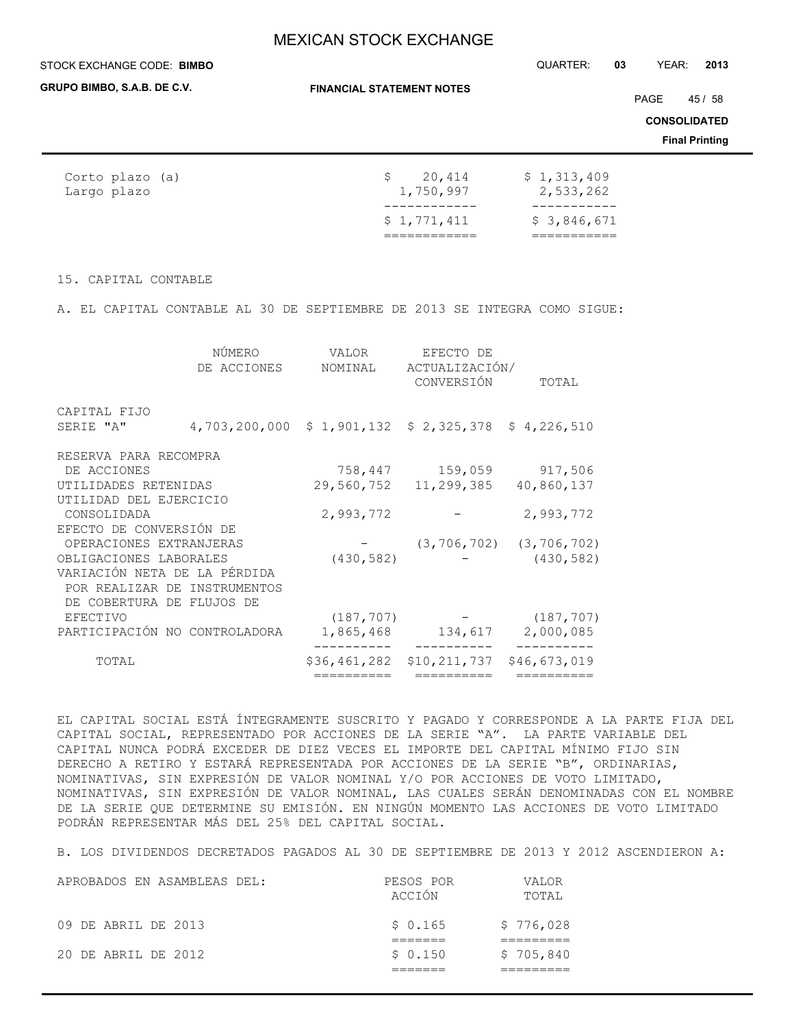#### STOCK EXCHANGE CODE: QUARTER: **03** YEAR: **2013 BIMBO**

**GRUPO BIMBO, S.A.B. DE C.V.**

**FINANCIAL STATEMENT NOTES**

PAGE 45 / 58

**CONSOLIDATED**

**Final Printing**

| Corto plazo (a) | 20,414      | \$1,313,409 |
|-----------------|-------------|-------------|
| Largo plazo     | 1,750,997   | 2,533,262   |
|                 | \$1,771,411 | \$3,846,671 |

### 15. CAPITAL CONTABLE

A. EL CAPITAL CONTABLE AL 30 DE SEPTIEMBRE DE 2013 SE INTEGRA COMO SIGUE:

|                              | NÚMERO                                            | VALOR        | EFECTO DE                    |                                 |
|------------------------------|---------------------------------------------------|--------------|------------------------------|---------------------------------|
|                              | DE ACCIONES                                       | NOMINAL      | ACTUALIZACIÓN/<br>CONVERSIÓN | TOTAL                           |
| CAPITAL FIJO                 |                                                   |              |                              |                                 |
| SERIE "A"                    | 4,703,200,000 \$1,901,132 \$2,325,378 \$4,226,510 |              |                              |                                 |
| RESERVA PARA RECOMPRA        |                                                   |              |                              |                                 |
| DE ACCIONES                  |                                                   |              | 758,447 159,059              | 917,506                         |
| UTILIDADES RETENIDAS         |                                                   |              | 29,560,752 11,299,385        | 40,860,137                      |
| UTILIDAD DEL EJERCICIO       |                                                   |              |                              |                                 |
| CONSOLIDADA                  |                                                   | 2,993,772    |                              | 2,993,772                       |
| EFECTO DE CONVERSIÓN DE      |                                                   |              |                              |                                 |
| OPERACIONES EXTRANJERAS      |                                                   |              |                              | $(3, 706, 702)$ $(3, 706, 702)$ |
| OBLIGACIONES LABORALES       |                                                   | (430, 582)   |                              | (430, 582)                      |
| VARIACIÓN NETA DE LA PÉRDIDA |                                                   |              |                              |                                 |
|                              | POR REALIZAR DE INSTRUMENTOS                      |              |                              |                                 |
| DE COBERTURA DE FLUJOS DE    |                                                   |              |                              |                                 |
| <b>EFECTIVO</b>              |                                                   | (187, 707)   |                              | (187, 707)                      |
|                              | PARTICIPACIÓN NO CONTROLADORA                     | 1,865,468    | 134,617                      | 2,000,085                       |
| TOTAL                        |                                                   | \$36,461,282 | \$10,211,737                 | \$46,673,019                    |
|                              |                                                   | =========    | ==========                   | ==========                      |

EL CAPITAL SOCIAL ESTÁ ÍNTEGRAMENTE SUSCRITO Y PAGADO Y CORRESPONDE A LA PARTE FIJA DEL CAPITAL SOCIAL, REPRESENTADO POR ACCIONES DE LA SERIE "A". LA PARTE VARIABLE DEL CAPITAL NUNCA PODRÁ EXCEDER DE DIEZ VECES EL IMPORTE DEL CAPITAL MÍNIMO FIJO SIN DERECHO A RETIRO Y ESTARÁ REPRESENTADA POR ACCIONES DE LA SERIE "B", ORDINARIAS, NOMINATIVAS, SIN EXPRESIÓN DE VALOR NOMINAL Y/O POR ACCIONES DE VOTO LIMITADO, NOMINATIVAS, SIN EXPRESIÓN DE VALOR NOMINAL, LAS CUALES SERÁN DENOMINADAS CON EL NOMBRE DE LA SERIE QUE DETERMINE SU EMISIÓN. EN NINGÚN MOMENTO LAS ACCIONES DE VOTO LIMITADO PODRÁN REPRESENTAR MÁS DEL 25% DEL CAPITAL SOCIAL.

B. LOS DIVIDENDOS DECRETADOS PAGADOS AL 30 DE SEPTIEMBRE DE 2013 Y 2012 ASCENDIERON A:

| APROBADOS EN ASAMBLEAS DEL: | PESOS POR<br>ACCIÓN | <b>VALOR</b><br>TOTAL |
|-----------------------------|---------------------|-----------------------|
| 09 DE ABRIL DE 2013         | \$0.165             | \$776,028             |
| 20 DE ABRIL DE 2012         | \$0.150             | \$705,840             |
|                             |                     |                       |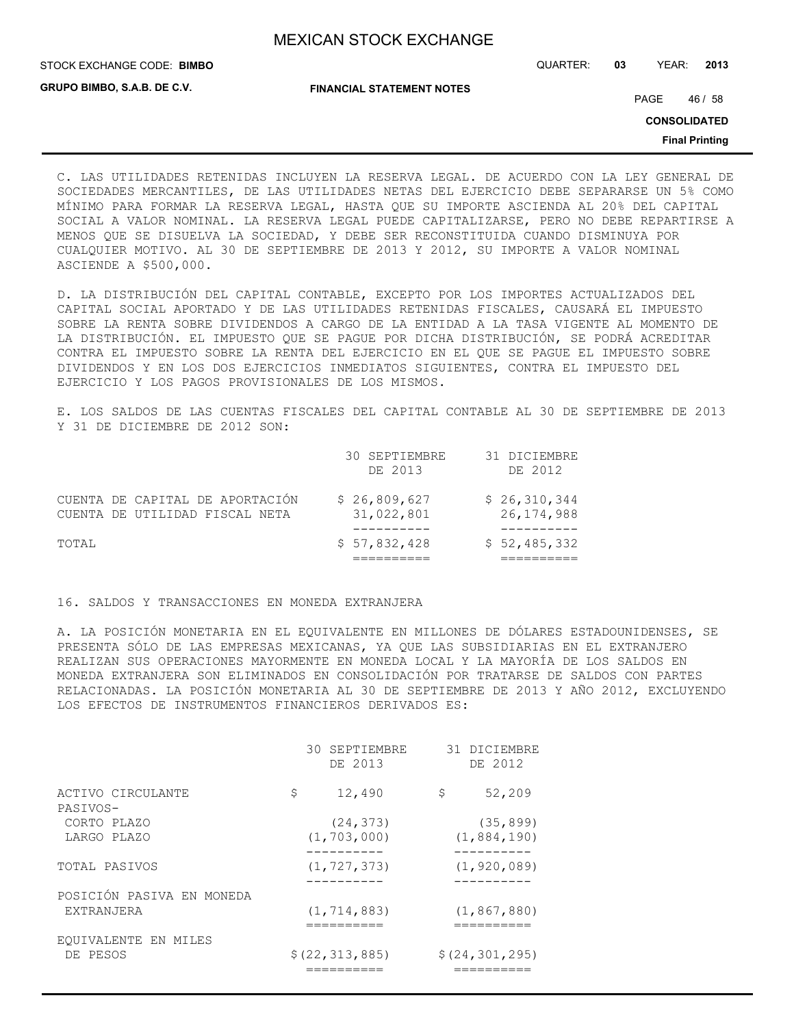STOCK EXCHANGE CODE: QUARTER: **03** YEAR: **2013 BIMBO**

**GRUPO BIMBO, S.A.B. DE C.V.**

**FINANCIAL STATEMENT NOTES**

PAGE 46 / 58

**CONSOLIDATED**

**Final Printing**

C. LAS UTILIDADES RETENIDAS INCLUYEN LA RESERVA LEGAL. DE ACUERDO CON LA LEY GENERAL DE SOCIEDADES MERCANTILES, DE LAS UTILIDADES NETAS DEL EJERCICIO DEBE SEPARARSE UN 5% COMO MÍNIMO PARA FORMAR LA RESERVA LEGAL, HASTA QUE SU IMPORTE ASCIENDA AL 20% DEL CAPITAL SOCIAL A VALOR NOMINAL. LA RESERVA LEGAL PUEDE CAPITALIZARSE, PERO NO DEBE REPARTIRSE A MENOS QUE SE DISUELVA LA SOCIEDAD, Y DEBE SER RECONSTITUIDA CUANDO DISMINUYA POR CUALQUIER MOTIVO. AL 30 DE SEPTIEMBRE DE 2013 Y 2012, SU IMPORTE A VALOR NOMINAL ASCIENDE A \$500,000.

D. LA DISTRIBUCIÓN DEL CAPITAL CONTABLE, EXCEPTO POR LOS IMPORTES ACTUALIZADOS DEL CAPITAL SOCIAL APORTADO Y DE LAS UTILIDADES RETENIDAS FISCALES, CAUSARÁ EL IMPUESTO SOBRE LA RENTA SOBRE DIVIDENDOS A CARGO DE LA ENTIDAD A LA TASA VIGENTE AL MOMENTO DE LA DISTRIBUCIÓN. EL IMPUESTO QUE SE PAGUE POR DICHA DISTRIBUCIÓN, SE PODRÁ ACREDITAR CONTRA EL IMPUESTO SOBRE LA RENTA DEL EJERCICIO EN EL QUE SE PAGUE EL IMPUESTO SOBRE DIVIDENDOS Y EN LOS DOS EJERCICIOS INMEDIATOS SIGUIENTES, CONTRA EL IMPUESTO DEL EJERCICIO Y LOS PAGOS PROVISIONALES DE LOS MISMOS.

E. LOS SALDOS DE LAS CUENTAS FISCALES DEL CAPITAL CONTABLE AL 30 DE SEPTIEMBRE DE 2013 Y 31 DE DICIEMBRE DE 2012 SON:

|                                                                   | 30 SEPTIEMBRE<br>DE 2013   | 31 DICIEMBRE<br>DE 2012      |
|-------------------------------------------------------------------|----------------------------|------------------------------|
| CUENTA DE CAPITAL DE APORTACIÓN<br>CUENTA DE UTILIDAD FISCAL NETA | \$26,809,627<br>31,022,801 | \$26,310,344<br>26, 174, 988 |
| TOTAL                                                             | \$57,832,428               | \$52,485,332                 |

16. SALDOS Y TRANSACCIONES EN MONEDA EXTRANJERA

A. LA POSICIÓN MONETARIA EN EL EQUIVALENTE EN MILLONES DE DÓLARES ESTADOUNIDENSES, SE PRESENTA SÓLO DE LAS EMPRESAS MEXICANAS, YA QUE LAS SUBSIDIARIAS EN EL EXTRANJERO REALIZAN SUS OPERACIONES MAYORMENTE EN MONEDA LOCAL Y LA MAYORÍA DE LOS SALDOS EN MONEDA EXTRANJERA SON ELIMINADOS EN CONSOLIDACIÓN POR TRATARSE DE SALDOS CON PARTES RELACIONADAS. LA POSICIÓN MONETARIA AL 30 DE SEPTIEMBRE DE 2013 Y AÑO 2012, EXCLUYENDO LOS EFECTOS DE INSTRUMENTOS FINANCIEROS DERIVADOS ES:

|                               | 30 SEPTIEMBRE<br>DE 2013 | 31 DICIEMBRE<br>DE 2012 |
|-------------------------------|--------------------------|-------------------------|
| ACTIVO CIRCULANTE<br>PASIVOS- | \$<br>12,490             | \$<br>52,209            |
| CORTO PLAZO                   | (24, 373)                | (35, 899)               |
| LARGO PLAZO                   | (1, 703, 000)            | (1,884,190)             |
| TOTAL PASIVOS                 | (1, 727, 373)            | (1, 920, 089)           |
| POSICIÓN PASIVA EN MONEDA     |                          |                         |
| EXTRANJERA                    | (1, 714, 883)            | (1, 867, 880)           |
| EQUIVALENTE EN MILES          |                          |                         |
| DE PESOS                      | \$(22, 313, 885)         | \$(24, 301, 295)        |
|                               |                          |                         |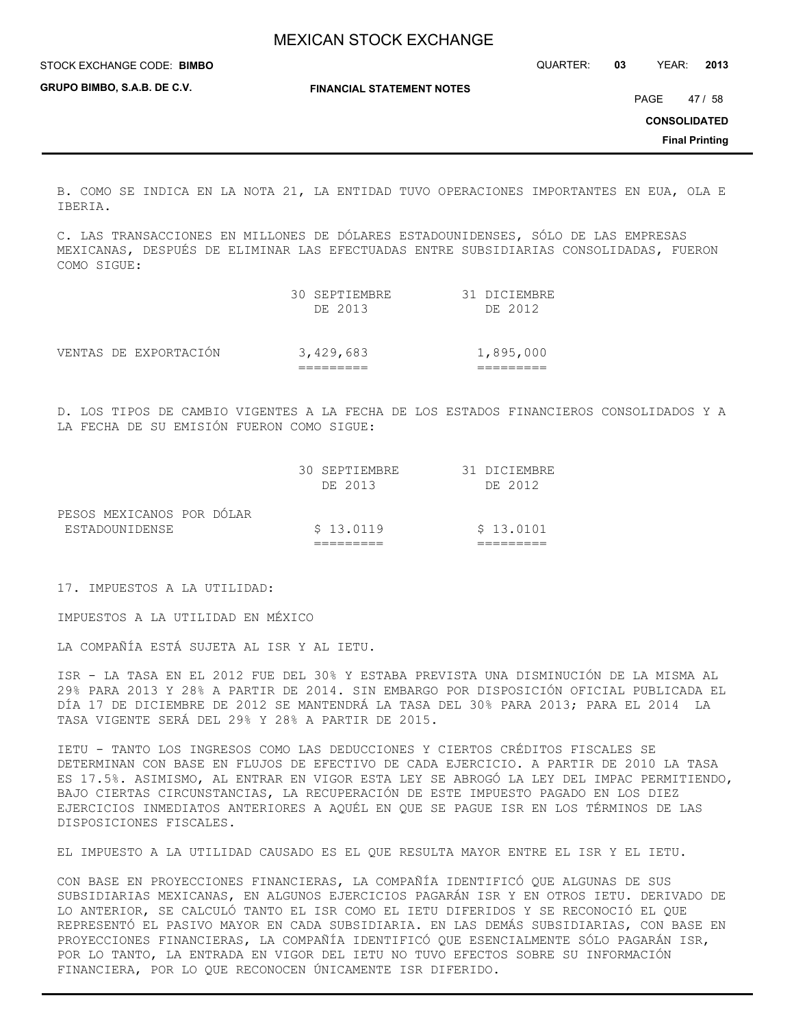| STOCK EXCHANGE CODE: BIMBO  |                                  | QUARTER: | 03 | YEAR:               | 2013                  |
|-----------------------------|----------------------------------|----------|----|---------------------|-----------------------|
| GRUPO BIMBO, S.A.B. DE C.V. | <b>FINANCIAL STATEMENT NOTES</b> |          |    | PAGE                | 47 / 58               |
|                             |                                  |          |    | <b>CONSOLIDATED</b> |                       |
|                             |                                  |          |    |                     | <b>Final Printing</b> |

B. COMO SE INDICA EN LA NOTA 21, LA ENTIDAD TUVO OPERACIONES IMPORTANTES EN EUA, OLA E IBERIA.

C. LAS TRANSACCIONES EN MILLONES DE DÓLARES ESTADOUNIDENSES, SÓLO DE LAS EMPRESAS MEXICANAS, DESPUÉS DE ELIMINAR LAS EFECTUADAS ENTRE SUBSIDIARIAS CONSOLIDADAS, FUERON COMO SIGUE:

|                       | 30 SEPTIEMBRE<br>DE 2013 | 31 DICIEMBRE<br>DE 2012 |
|-----------------------|--------------------------|-------------------------|
| VENTAS DE EXPORTACIÓN | 3,429,683                | 1,895,000               |

D. LOS TIPOS DE CAMBIO VIGENTES A LA FECHA DE LOS ESTADOS FINANCIEROS CONSOLIDADOS Y A LA FECHA DE SU EMISIÓN FUERON COMO SIGUE:

|                                             | 30 SEPTIEMBRE<br>DE 2013 | 31 DICIEMBRE<br>DE 2012 |
|---------------------------------------------|--------------------------|-------------------------|
| PESOS MEXICANOS POR DÓLAR<br>ESTADOUNIDENSE | \$13.0119                | \$13.0101               |
|                                             |                          |                         |

17. IMPUESTOS A LA UTILIDAD:

IMPUESTOS A LA UTILIDAD EN MÉXICO

LA COMPAÑÍA ESTÁ SUJETA AL ISR Y AL IETU.

ISR - LA TASA EN EL 2012 FUE DEL 30% Y ESTABA PREVISTA UNA DISMINUCIÓN DE LA MISMA AL 29% PARA 2013 Y 28% A PARTIR DE 2014. SIN EMBARGO POR DISPOSICIÓN OFICIAL PUBLICADA EL DÍA 17 DE DICIEMBRE DE 2012 SE MANTENDRÁ LA TASA DEL 30% PARA 2013; PARA EL 2014 LA TASA VIGENTE SERÁ DEL 29% Y 28% A PARTIR DE 2015.

IETU - TANTO LOS INGRESOS COMO LAS DEDUCCIONES Y CIERTOS CRÉDITOS FISCALES SE DETERMINAN CON BASE EN FLUJOS DE EFECTIVO DE CADA EJERCICIO. A PARTIR DE 2010 LA TASA ES 17.5%. ASIMISMO, AL ENTRAR EN VIGOR ESTA LEY SE ABROGÓ LA LEY DEL IMPAC PERMITIENDO, BAJO CIERTAS CIRCUNSTANCIAS, LA RECUPERACIÓN DE ESTE IMPUESTO PAGADO EN LOS DIEZ EJERCICIOS INMEDIATOS ANTERIORES A AQUÉL EN QUE SE PAGUE ISR EN LOS TÉRMINOS DE LAS DISPOSICIONES FISCALES.

EL IMPUESTO A LA UTILIDAD CAUSADO ES EL QUE RESULTA MAYOR ENTRE EL ISR Y EL IETU.

CON BASE EN PROYECCIONES FINANCIERAS, LA COMPAÑÍA IDENTIFICÓ QUE ALGUNAS DE SUS SUBSIDIARIAS MEXICANAS, EN ALGUNOS EJERCICIOS PAGARÁN ISR Y EN OTROS IETU. DERIVADO DE LO ANTERIOR, SE CALCULÓ TANTO EL ISR COMO EL IETU DIFERIDOS Y SE RECONOCIÓ EL QUE REPRESENTÓ EL PASIVO MAYOR EN CADA SUBSIDIARIA. EN LAS DEMÁS SUBSIDIARIAS, CON BASE EN PROYECCIONES FINANCIERAS, LA COMPAÑÍA IDENTIFICÓ QUE ESENCIALMENTE SÓLO PAGARÁN ISR, POR LO TANTO, LA ENTRADA EN VIGOR DEL IETU NO TUVO EFECTOS SOBRE SU INFORMACIÓN FINANCIERA, POR LO QUE RECONOCEN ÚNICAMENTE ISR DIFERIDO.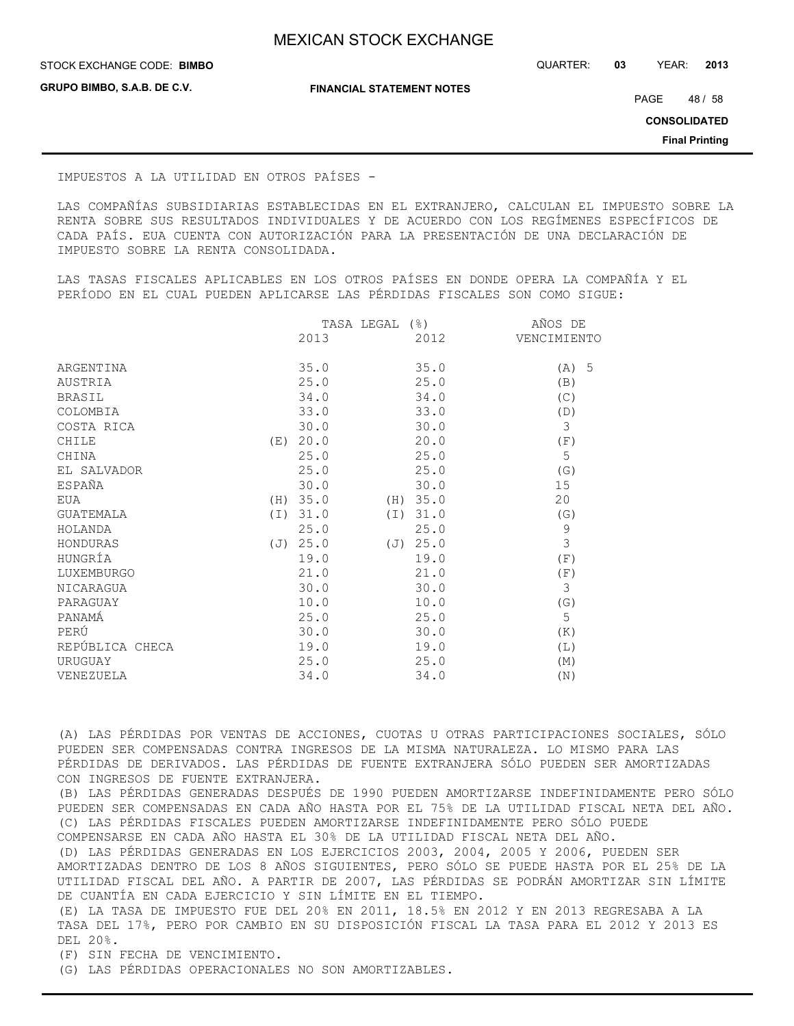STOCK EXCHANGE CODE: QUARTER: **03** YEAR: **2013 BIMBO**

**GRUPO BIMBO, S.A.B. DE C.V.**

**FINANCIAL STATEMENT NOTES**

PAGE 48 / 58

**CONSOLIDATED**

**Final Printing**

#### IMPUESTOS A LA UTILIDAD EN OTROS PAÍSES -

LAS COMPAÑÍAS SUBSIDIARIAS ESTABLECIDAS EN EL EXTRANJERO, CALCULAN EL IMPUESTO SOBRE LA RENTA SOBRE SUS RESULTADOS INDIVIDUALES Y DE ACUERDO CON LOS REGÍMENES ESPECÍFICOS DE CADA PAÍS. EUA CUENTA CON AUTORIZACIÓN PARA LA PRESENTACIÓN DE UNA DECLARACIÓN DE IMPUESTO SOBRE LA RENTA CONSOLIDADA.

LAS TASAS FISCALES APLICABLES EN LOS OTROS PAÍSES EN DONDE OPERA LA COMPAÑÍA Y EL PERÍODO EN EL CUAL PUEDEN APLICARSE LAS PÉRDIDAS FISCALES SON COMO SIGUE:

|                 |          | TASA LEGAL | $(\frac{6}{6})$ | AÑOS DE     |
|-----------------|----------|------------|-----------------|-------------|
|                 | 2013     |            | 2012            | VENCIMIENTO |
| ARGENTINA       | 35.0     |            | 35.0            |             |
|                 |          |            |                 | $(A)$ 5     |
| AUSTRIA         | 25.0     |            | 25.0            | (B)         |
| <b>BRASIL</b>   | 34.0     |            | 34.0            | (C)         |
| COLOMBIA        | 33.0     |            | 33.0            | (D)         |
| COSTA RICA      | 30.0     |            | 30.0            | 3           |
| CHILE           | (E) 20.0 |            | 20.0            | (F)         |
| CHINA           | 25.0     |            | 25.0            | 5           |
| EL SALVADOR     | 25.0     |            | 25.0            | (G)         |
| ESPAÑA          | 30.0     |            | 30.0            | 15          |
| EUA             | (H) 35.0 | (H)        | 35.0            | 20          |
| GUATEMALA       | (I) 31.0 |            | (I) 31.0        | (G)         |
| HOLANDA         | 25.0     |            | 25.0            | $\mathsf 9$ |
| HONDURAS        | (J) 25.0 |            | (J) 25.0        | 3           |
| HUNGRÍA         | 19.0     |            | 19.0            | (F)         |
| LUXEMBURGO      | 21.0     |            | 21.0            | (F)         |
| NICARAGUA       | 30.0     |            | 30.0            | 3           |
| PARAGUAY        | 10.0     |            | 10.0            | (G)         |
| PANAMÁ          | 25.0     |            | 25.0            | 5           |
| PERÚ            | 30.0     |            | 30.0            | (K)         |
| REPÚBLICA CHECA | 19.0     |            | 19.0            | (L)         |
| URUGUAY         | 25.0     |            | 25.0            | (M)         |
| VENEZUELA       | 34.0     |            | 34.0            | (N)         |
|                 |          |            |                 |             |

(A) LAS PÉRDIDAS POR VENTAS DE ACCIONES, CUOTAS U OTRAS PARTICIPACIONES SOCIALES, SÓLO PUEDEN SER COMPENSADAS CONTRA INGRESOS DE LA MISMA NATURALEZA. LO MISMO PARA LAS PÉRDIDAS DE DERIVADOS. LAS PÉRDIDAS DE FUENTE EXTRANJERA SÓLO PUEDEN SER AMORTIZADAS CON INGRESOS DE FUENTE EXTRANJERA.

(B) LAS PÉRDIDAS GENERADAS DESPUÉS DE 1990 PUEDEN AMORTIZARSE INDEFINIDAMENTE PERO SÓLO PUEDEN SER COMPENSADAS EN CADA AÑO HASTA POR EL 75% DE LA UTILIDAD FISCAL NETA DEL AÑO. (C) LAS PÉRDIDAS FISCALES PUEDEN AMORTIZARSE INDEFINIDAMENTE PERO SÓLO PUEDE COMPENSARSE EN CADA AÑO HASTA EL 30% DE LA UTILIDAD FISCAL NETA DEL AÑO. (D) LAS PÉRDIDAS GENERADAS EN LOS EJERCICIOS 2003, 2004, 2005 Y 2006, PUEDEN SER AMORTIZADAS DENTRO DE LOS 8 AÑOS SIGUIENTES, PERO SÓLO SE PUEDE HASTA POR EL 25% DE LA UTILIDAD FISCAL DEL AÑO. A PARTIR DE 2007, LAS PÉRDIDAS SE PODRÁN AMORTIZAR SIN LÍMITE DE CUANTÍA EN CADA EJERCICIO Y SIN LÍMITE EN EL TIEMPO. (E) LA TASA DE IMPUESTO FUE DEL 20% EN 2011, 18.5% EN 2012 Y EN 2013 REGRESABA A LA

TASA DEL 17%, PERO POR CAMBIO EN SU DISPOSICIÓN FISCAL LA TASA PARA EL 2012 Y 2013 ES DEL 20%.

(F) SIN FECHA DE VENCIMIENTO.

(G) LAS PÉRDIDAS OPERACIONALES NO SON AMORTIZABLES.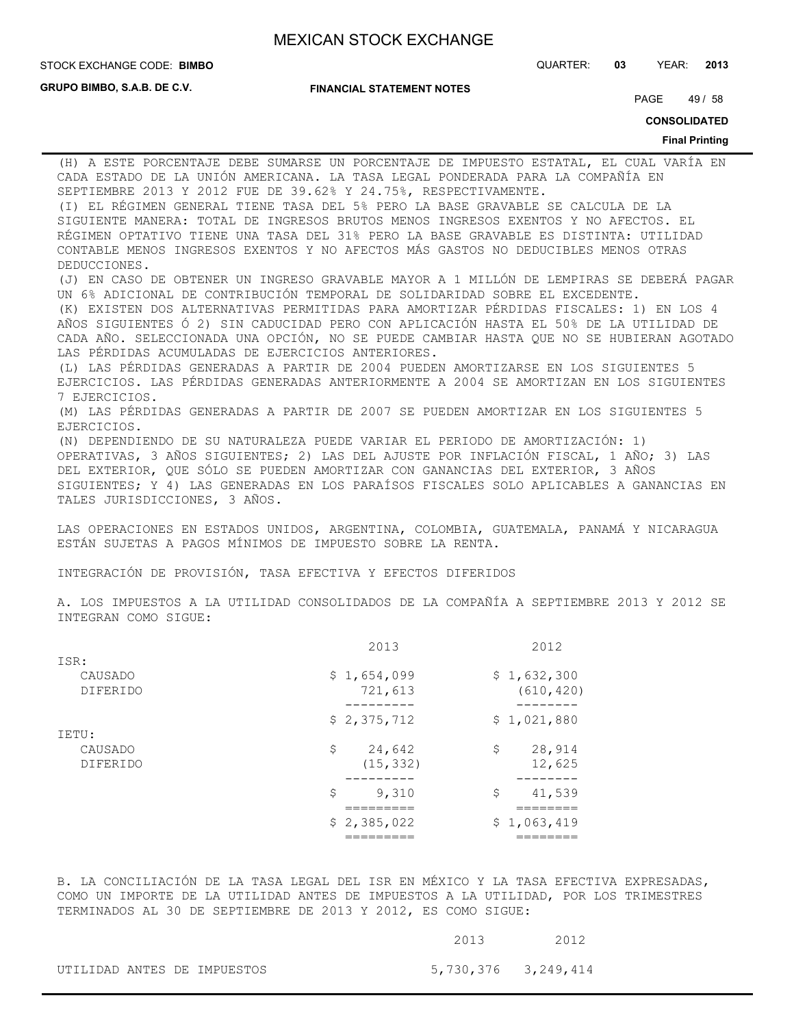**GRUPO BIMBO, S.A.B. DE C.V.**

**FINANCIAL STATEMENT NOTES**

STOCK EXCHANGE CODE: QUARTER: **03** YEAR: **2013 BIMBO**

PAGE 49 / 58

**CONSOLIDATED**

#### **Final Printing**

(H) A ESTE PORCENTAJE DEBE SUMARSE UN PORCENTAJE DE IMPUESTO ESTATAL, EL CUAL VARÍA EN CADA ESTADO DE LA UNIÓN AMERICANA. LA TASA LEGAL PONDERADA PARA LA COMPAÑÍA EN SEPTIEMBRE 2013 Y 2012 FUE DE 39.62% Y 24.75%, RESPECTIVAMENTE. (I) EL RÉGIMEN GENERAL TIENE TASA DEL 5% PERO LA BASE GRAVABLE SE CALCULA DE LA SIGUIENTE MANERA: TOTAL DE INGRESOS BRUTOS MENOS INGRESOS EXENTOS Y NO AFECTOS. EL RÉGIMEN OPTATIVO TIENE UNA TASA DEL 31% PERO LA BASE GRAVABLE ES DISTINTA: UTILIDAD CONTABLE MENOS INGRESOS EXENTOS Y NO AFECTOS MÁS GASTOS NO DEDUCIBLES MENOS OTRAS DEDUCCIONES. (J) EN CASO DE OBTENER UN INGRESO GRAVABLE MAYOR A 1 MILLÓN DE LEMPIRAS SE DEBERÁ PAGAR UN 6% ADICIONAL DE CONTRIBUCIÓN TEMPORAL DE SOLIDARIDAD SOBRE EL EXCEDENTE. (K) EXISTEN DOS ALTERNATIVAS PERMITIDAS PARA AMORTIZAR PÉRDIDAS FISCALES: 1) EN LOS 4 AÑOS SIGUIENTES Ó 2) SIN CADUCIDAD PERO CON APLICACIÓN HASTA EL 50% DE LA UTILIDAD DE CADA AÑO. SELECCIONADA UNA OPCIÓN, NO SE PUEDE CAMBIAR HASTA QUE NO SE HUBIERAN AGOTADO LAS PÉRDIDAS ACUMULADAS DE EJERCICIOS ANTERIORES. (L) LAS PÉRDIDAS GENERADAS A PARTIR DE 2004 PUEDEN AMORTIZARSE EN LOS SIGUIENTES 5 EJERCICIOS. LAS PÉRDIDAS GENERADAS ANTERIORMENTE A 2004 SE AMORTIZAN EN LOS SIGUIENTES 7 EJERCICIOS. (M) LAS PÉRDIDAS GENERADAS A PARTIR DE 2007 SE PUEDEN AMORTIZAR EN LOS SIGUIENTES 5 EJERCICIOS. (N) DEPENDIENDO DE SU NATURALEZA PUEDE VARIAR EL PERIODO DE AMORTIZACIÓN: 1) OPERATIVAS, 3 AÑOS SIGUIENTES; 2) LAS DEL AJUSTE POR INFLACIÓN FISCAL, 1 AÑO; 3) LAS DEL EXTERIOR, QUE SÓLO SE PUEDEN AMORTIZAR CON GANANCIAS DEL EXTERIOR, 3 AÑOS SIGUIENTES; Y 4) LAS GENERADAS EN LOS PARAÍSOS FISCALES SOLO APLICABLES A GANANCIAS EN TALES JURISDICCIONES, 3 AÑOS.

LAS OPERACIONES EN ESTADOS UNIDOS, ARGENTINA, COLOMBIA, GUATEMALA, PANAMÁ Y NICARAGUA ESTÁN SUJETAS A PAGOS MÍNIMOS DE IMPUESTO SOBRE LA RENTA.

INTEGRACIÓN DE PROVISIÓN, TASA EFECTIVA Y EFECTOS DIFERIDOS

A. LOS IMPUESTOS A LA UTILIDAD CONSOLIDADOS DE LA COMPAÑÍA A SEPTIEMBRE 2013 Y 2012 SE INTEGRAN COMO SIGUE:

|                 | 2013         | 2012         |
|-----------------|--------------|--------------|
| ISR:            |              |              |
| CAUSADO         | \$1,654,099  | \$1,632,300  |
| <b>DIFERIDO</b> | 721,613      | (610, 420)   |
|                 | \$2,375,712  | \$1,021,880  |
| IETU:           |              |              |
| CAUSADO         | \$<br>24,642 | \$<br>28,914 |
| <b>DIFERIDO</b> | (15, 332)    | 12,625       |
|                 |              |              |
|                 | \$<br>9,310  | \$<br>41,539 |
|                 |              |              |
|                 | \$2,385,022  | \$1,063,419  |
|                 |              |              |

B. LA CONCILIACIÓN DE LA TASA LEGAL DEL ISR EN MÉXICO Y LA TASA EFECTIVA EXPRESADAS, COMO UN IMPORTE DE LA UTILIDAD ANTES DE IMPUESTOS A LA UTILIDAD, POR LOS TRIMESTRES TERMINADOS AL 30 DE SEPTIEMBRE DE 2013 Y 2012, ES COMO SIGUE:

|  |                             | 2013                | 2012 |
|--|-----------------------------|---------------------|------|
|  | UTILIDAD ANTES DE IMPUESTOS | 5,730,376 3,249,414 |      |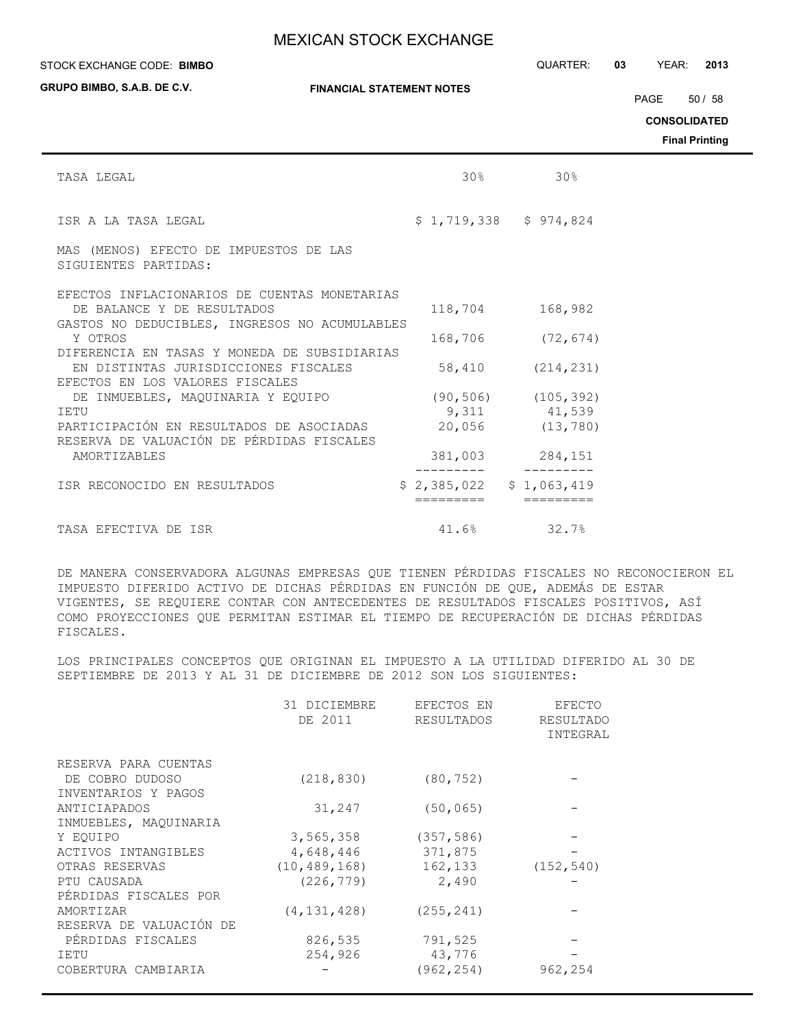#### STOCK EXCHANGE CODE: QUARTER: **03** YEAR: **2013 BIMBO**

**GRUPO BIMBO, S.A.B. DE C.V.**

**FINANCIAL STATEMENT NOTES**

PAGE 50 / 58

**CONSOLIDATED**

**Final Printing**

| TASA LEGAL                                                                            | 30%       | 30 <sup>8</sup>           |  |
|---------------------------------------------------------------------------------------|-----------|---------------------------|--|
| ISR A LA TASA LEGAL                                                                   |           | $$1,719,338$ $$974,824$   |  |
| MAS (MENOS) EFECTO DE IMPUESTOS DE LAS<br>SIGUIENTES PARTIDAS:                        |           |                           |  |
| EFECTOS INFLACIONARIOS DE CUENTAS MONETARIAS                                          |           |                           |  |
| DE BALANCE Y DE RESULTADOS<br>GASTOS NO DEDUCIBLES, INGRESOS NO ACUMULABLES           |           | 118,704 168,982           |  |
| Y OTROS                                                                               |           | 168,706 (72,674)          |  |
| DIFERENCIA EN TASAS Y MONEDA DE SUBSIDIARIAS<br>EN DISTINTAS JURISDICCIONES FISCALES  | 58,410    | (214, 231)                |  |
| EFECTOS EN LOS VALORES FISCALES                                                       |           |                           |  |
| DE INMUEBLES, MAOUINARIA Y EQUIPO                                                     |           | $(90, 506)$ $(105, 392)$  |  |
| IETU                                                                                  |           | 9,311 41,539              |  |
| PARTICIPACIÓN EN RESULTADOS DE ASOCIADAS<br>RESERVA DE VALUACIÓN DE PÉRDIDAS FISCALES |           | 20,056 (13,780)           |  |
| AMORTIZABLES                                                                          |           | 381,003 284,151           |  |
| ISR RECONOCIDO EN RESULTADOS                                                          |           | $$2,385,022$ $$1,063,419$ |  |
|                                                                                       | _________ | =========                 |  |
| TASA EFECTIVA DE ISR                                                                  |           | 41.6% 32.7%               |  |

DE MANERA CONSERVADORA ALGUNAS EMPRESAS QUE TIENEN PÉRDIDAS FISCALES NO RECONOCIERON EL IMPUESTO DIFERIDO ACTIVO DE DICHAS PÉRDIDAS EN FUNCIÓN DE QUE, ADEMÁS DE ESTAR VIGENTES, SE REQUIERE CONTAR CON ANTECEDENTES DE RESULTADOS FISCALES POSITIVOS, ASÍ COMO PROYECCIONES QUE PERMITAN ESTIMAR EL TIEMPO DE RECUPERACIÓN DE DICHAS PÉRDIDAS FISCALES.

LOS PRINCIPALES CONCEPTOS QUE ORIGINAN EL IMPUESTO A LA UTILIDAD DIFERIDO AL 30 DE SEPTIEMBRE DE 2013 Y AL 31 DE DICIEMBRE DE 2012 SON LOS SIGUIENTES:

|                                        | 31 DICIEMBRE<br>DE 2011 | EFECTOS EN<br><b>RESULTADOS</b> | EFECTO<br>RESULTADO<br>INTEGRAL |
|----------------------------------------|-------------------------|---------------------------------|---------------------------------|
| RESERVA PARA CUENTAS                   |                         |                                 |                                 |
| DE COBRO DUDOSO<br>INVENTARIOS Y PAGOS | (218, 830)              | (80, 752)                       |                                 |
| ANTICIAPADOS                           | 31,247                  | (50, 065)                       |                                 |
| INMUEBLES, MAQUINARIA                  |                         |                                 |                                 |
| Y EOUIPO                               | 3,565,358               | (357, 586)                      |                                 |
| ACTIVOS INTANGIBLES                    | 4,648,446               | 371,875                         |                                 |
| OTRAS RESERVAS                         | (10, 489, 168)          | 162,133                         | (152, 540)                      |
| PTU CAUSADA                            | (226, 779)              | 2,490                           |                                 |
| PÉRDIDAS FISCALES POR                  |                         |                                 |                                 |
| AMORTIZAR                              | (4, 131, 428)           | (255, 241)                      |                                 |
| RESERVA DE VALUACIÓN DE                |                         |                                 |                                 |
| PÉRDIDAS FISCALES                      | 826,535                 | 791,525                         |                                 |
| IETU                                   | 254,926                 | 43,776                          |                                 |
| COBERTURA CAMBIARIA                    |                         | (962, 254)                      | 962,254                         |
|                                        |                         |                                 |                                 |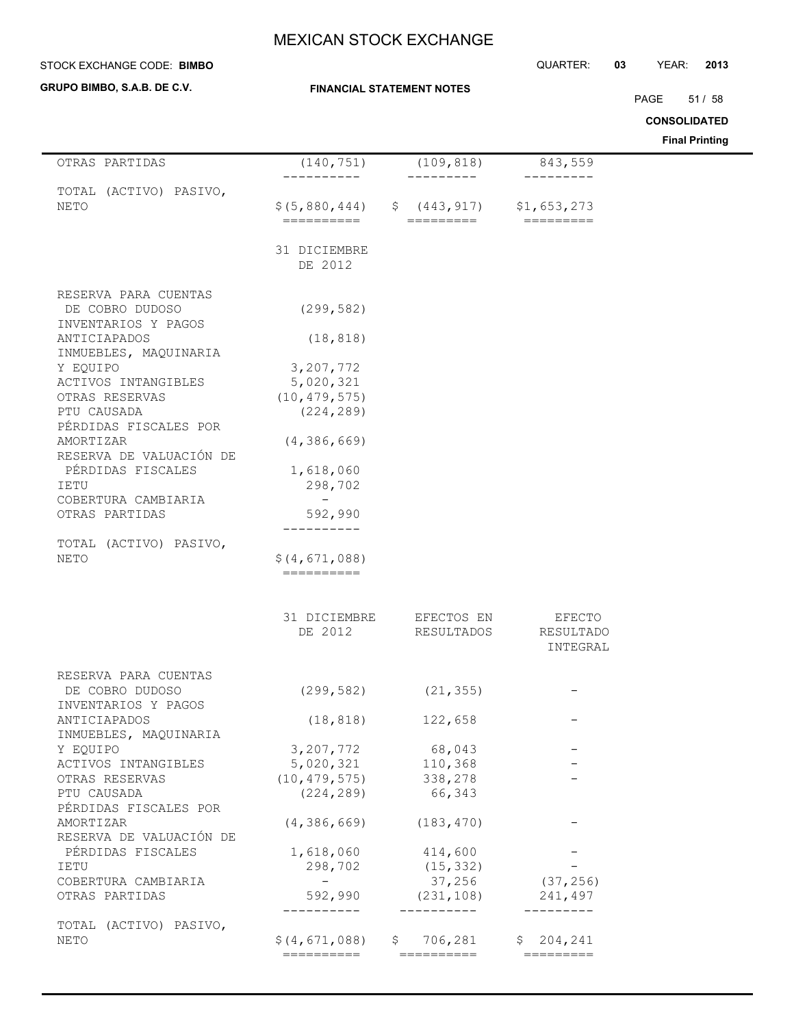| STOCK EXCHANGE CODE: BIMBO         |                                  | QUARTER: | 03 | YEAR: | 2013                  |
|------------------------------------|----------------------------------|----------|----|-------|-----------------------|
| <b>GRUPO BIMBO, S.A.B. DE C.V.</b> | <b>FINANCIAL STATEMENT NOTES</b> |          |    | PAGE  | 51 / 58               |
|                                    |                                  |          |    |       | <b>CONSOLIDATED</b>   |
|                                    |                                  |          |    |       | <b>Final Printing</b> |

| OTRAS PARTIDAS                         | (140, 751)                                             | (109, 818)                                     | 843,559                             |
|----------------------------------------|--------------------------------------------------------|------------------------------------------------|-------------------------------------|
| TOTAL (ACTIVO) PASIVO,<br><b>NETO</b>  | $$(5,880,444)$ $$(443,917)$ $$1,653,273$<br>========== | -------<br>$=$ $=$ $=$ $=$ $=$ $=$ $=$ $=$ $=$ | $=$ $=$ $=$ $=$ $=$ $=$ $=$ $=$ $=$ |
|                                        | 31 DICIEMBRE                                           |                                                |                                     |
|                                        | DE 2012                                                |                                                |                                     |
| RESERVA PARA CUENTAS                   |                                                        |                                                |                                     |
| DE COBRO DUDOSO<br>INVENTARIOS Y PAGOS | (299, 582)                                             |                                                |                                     |
| ANTICIAPADOS<br>INMUEBLES, MAQUINARIA  | (18, 818)                                              |                                                |                                     |
| Y EQUIPO                               | 3,207,772                                              |                                                |                                     |
| ACTIVOS INTANGIBLES                    | 5,020,321                                              |                                                |                                     |
| OTRAS RESERVAS                         | (10, 479, 575)                                         |                                                |                                     |
| PTU CAUSADA<br>PÉRDIDAS FISCALES POR   | (224, 289)                                             |                                                |                                     |
| AMORTIZAR                              | (4, 386, 669)                                          |                                                |                                     |
| RESERVA DE VALUACIÓN DE                |                                                        |                                                |                                     |
| PÉRDIDAS FISCALES                      | 1,618,060                                              |                                                |                                     |
| IETU<br>COBERTURA CAMBIARIA            | 298,702<br>$-$                                         |                                                |                                     |
| OTRAS PARTIDAS                         | 592,990                                                |                                                |                                     |
|                                        | ---------                                              |                                                |                                     |
| TOTAL (ACTIVO) PASIVO,                 | \$(4, 671, 088)                                        |                                                |                                     |
| NETO                                   | $=$ ==========                                         |                                                |                                     |
|                                        |                                                        |                                                |                                     |
|                                        | 31 DICIEMBRE                                           | EFECTOS EN                                     | EFECTO                              |
|                                        | DE 2012                                                | RESULTADOS                                     | RESULTADO                           |
|                                        |                                                        |                                                | INTEGRAL                            |
| RESERVA PARA CUENTAS                   |                                                        |                                                |                                     |
| DE COBRO DUDOSO                        | (299, 582)                                             | (21, 355)                                      |                                     |
| INVENTARIOS Y PAGOS                    |                                                        |                                                |                                     |
| ANTICIAPADOS                           | (18, 818)                                              | 122,658                                        |                                     |
| INMUEBLES, MAQUINARIA                  |                                                        |                                                |                                     |
| Y EQUIPO<br>ACTIVOS INTANGIBLES        | 3,207,772<br>5,020,321                                 | 68,043<br>110,368                              |                                     |
| OTRAS RESERVAS                         | (10, 479, 575)                                         | 338,278                                        |                                     |
| PTU CAUSADA                            | (224, 289)                                             | 66,343                                         |                                     |
| PÉRDIDAS FISCALES POR                  |                                                        |                                                |                                     |
| AMORTIZAR                              | (4, 386, 669)                                          | (183, 470)                                     |                                     |
| RESERVA DE VALUACIÓN DE                |                                                        |                                                |                                     |
| PÉRDIDAS FISCALES                      | 1,618,060                                              | 414,600                                        |                                     |
| IETU<br>COBERTURA CAMBIARIA            | 298,702<br>$\sim$ $  -$                                | (15, 332)<br>37,256                            | (37, 256)                           |
| OTRAS PARTIDAS                         | 592,990                                                | (231, 108)                                     | 241,497                             |
|                                        |                                                        | -----------                                    | ----------                          |
| TOTAL (ACTIVO) PASIVO,                 |                                                        |                                                |                                     |
| NETO                                   | \$(4,671,088)<br>==========                            | \$706, 281<br>==========                       | \$204, 241                          |
|                                        |                                                        |                                                |                                     |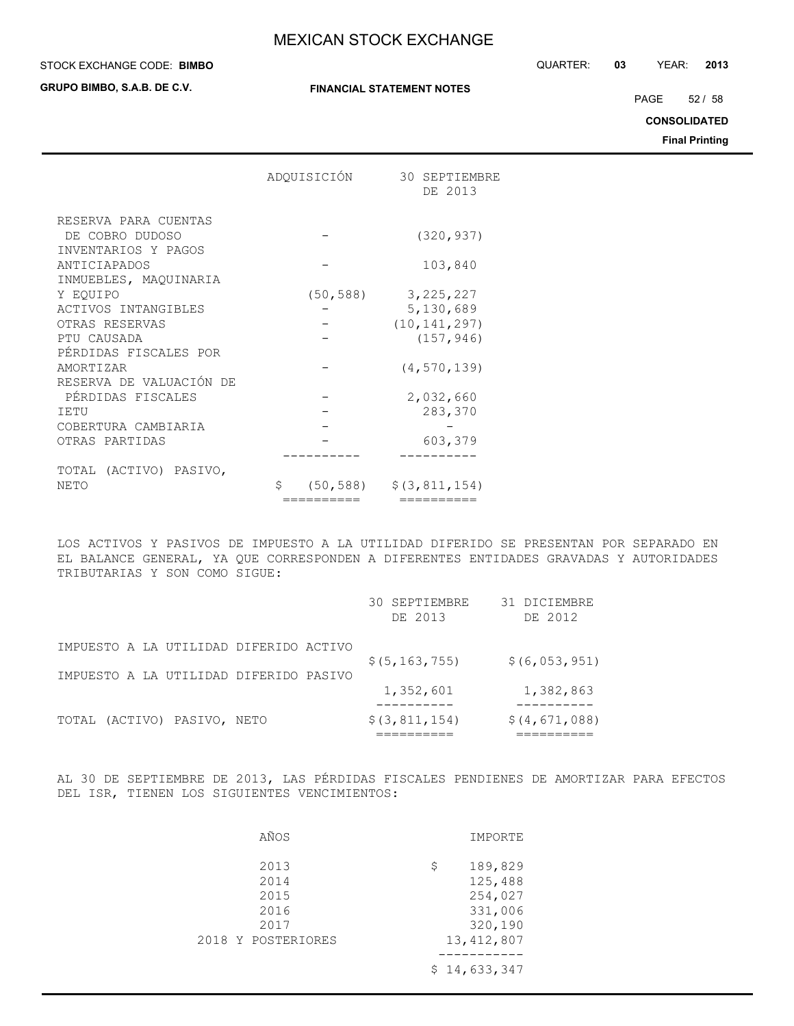#### STOCK EXCHANGE CODE: QUARTER: **03** YEAR: **2013 BIMBO**

**GRUPO BIMBO, S.A.B. DE C.V.**

**FINANCIAL STATEMENT NOTES**

PAGE 52 / 58

**CONSOLIDATED**

**Final Printing**

|                         | ADOUISICIÓN | 30 SEPTIEMBRE<br>DE 2013              |
|-------------------------|-------------|---------------------------------------|
| RESERVA PARA CUENTAS    |             |                                       |
| DE COBRO DUDOSO         |             | (320, 937)                            |
| INVENTARIOS Y PAGOS     |             |                                       |
| ANTICIAPADOS            |             | 103,840                               |
| INMUEBLES, MAQUINARIA   |             |                                       |
| Y EOUIPO                | (50, 588)   | 3, 225, 227                           |
| ACTIVOS INTANGIBLES     |             | 5,130,689                             |
| OTRAS RESERVAS          |             | (10, 141, 297)                        |
| PTU CAUSADA             |             | (157, 946)                            |
| PERDIDAS FISCALES POR   |             |                                       |
| <b>AMORTTZAR</b>        |             | (4, 570, 139)                         |
| RESERVA DE VALUACIÓN DE |             |                                       |
| PÉRDIDAS FISCALES       |             | 2,032,660                             |
| TETU                    |             | 283,370                               |
| COBERTURA CAMBIARIA     |             |                                       |
| OTRAS PARTIDAS          |             | 603,379                               |
|                         |             |                                       |
| TOTAL (ACTIVO) PASIVO,  |             |                                       |
| <b>NETO</b>             | \$          | $(50, 588)$ $\frac{2}{3}$ (3,811,154) |
|                         | ==========  | ----------                            |

LOS ACTIVOS Y PASIVOS DE IMPUESTO A LA UTILIDAD DIFERIDO SE PRESENTAN POR SEPARADO EN EL BALANCE GENERAL, YA QUE CORRESPONDEN A DIFERENTES ENTIDADES GRAVADAS Y AUTORIDADES TRIBUTARIAS Y SON COMO SIGUE:

|                                        | 30 SEPTIEMBRE<br>DE 2013 | 31 DICIEMBRE<br>DE 2012 |
|----------------------------------------|--------------------------|-------------------------|
| IMPUESTO A LA UTILIDAD DIFERIDO ACTIVO | \$(5, 163, 755)          | \$(6, 053, 951)         |
| IMPUESTO A LA UTILIDAD DIFERIDO PASIVO | 1,352,601                | 1,382,863               |
|                                        |                          |                         |
| TOTAL (ACTIVO) PASIVO, NETO            | \$(3, 811, 154)          | \$(4, 671, 088)         |

AL 30 DE SEPTIEMBRE DE 2013, LAS PÉRDIDAS FISCALES PENDIENES DE AMORTIZAR PARA EFECTOS DEL ISR, TIENEN LOS SIGUIENTES VENCIMIENTOS:

| AÑOS                                                       | IMPORTE                                                                   |
|------------------------------------------------------------|---------------------------------------------------------------------------|
| 2013<br>2014<br>2015<br>2016<br>2017<br>2018 Y POSTERIORES | 189,829<br>\$<br>125,488<br>254,027<br>331,006<br>320,190<br>13, 412, 807 |
|                                                            | \$14,633,347                                                              |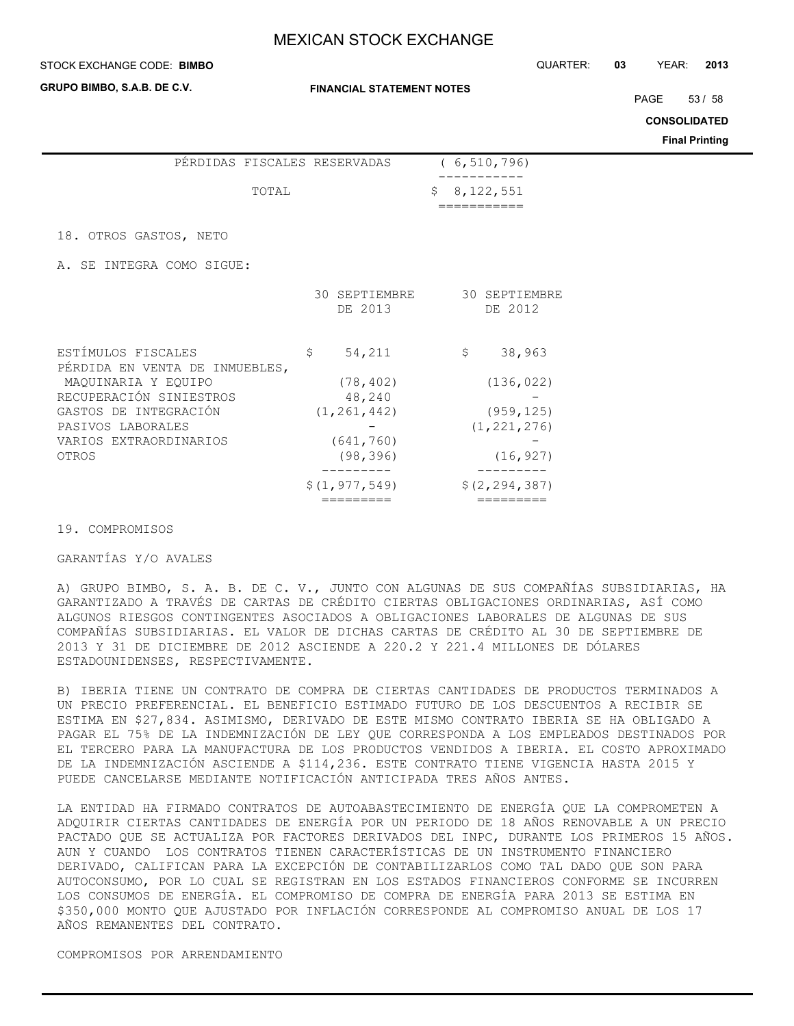#### STOCK EXCHANGE CODE: QUARTER: **03** YEAR: **2013 BIMBO**

**GRUPO BIMBO, S.A.B. DE C.V.**

PAGE 53 / 58

**CONSOLIDATED**

**Final Printing**

|  | TOTAL |                              | \$8,122,551   |
|--|-------|------------------------------|---------------|
|  |       |                              |               |
|  |       | PÉRDIDAS FISCALES RESERVADAS | (6, 510, 796) |

18. OTROS GASTOS, NETO

A. SE INTEGRA COMO SIGUE:

|                                                      | 30 SEPTIEMBRE<br>DE 2013 | 30 SEPTIEMBRE<br>DE 2012 |
|------------------------------------------------------|--------------------------|--------------------------|
| ESTÍMULOS FISCALES<br>PÉRDIDA EN VENTA DE INMUEBLES, | 54,211<br>\$             | 38,963<br>\$             |
| MAQUINARIA Y EQUIPO                                  | (78, 402)                | (136, 022)               |
| RECUPERACIÓN SINIESTROS                              | 48,240                   |                          |
| GASTOS DE INTEGRACIÓN                                | (1, 261, 442)            | (959, 125)               |
| PASIVOS LABORALES                                    |                          | (1, 221, 276)            |
| VARIOS EXTRAORDINARIOS                               | (641, 760)               |                          |
| OTROS                                                | (98, 396)                | (16, 927)                |
|                                                      |                          |                          |
|                                                      | \$(1, 977, 549)          | \$(2, 294, 387)          |
|                                                      |                          |                          |

#### 19. COMPROMISOS

### GARANTÍAS Y/O AVALES

A) GRUPO BIMBO, S. A. B. DE C. V., JUNTO CON ALGUNAS DE SUS COMPAÑÍAS SUBSIDIARIAS, HA GARANTIZADO A TRAVÉS DE CARTAS DE CRÉDITO CIERTAS OBLIGACIONES ORDINARIAS, ASÍ COMO ALGUNOS RIESGOS CONTINGENTES ASOCIADOS A OBLIGACIONES LABORALES DE ALGUNAS DE SUS COMPAÑÍAS SUBSIDIARIAS. EL VALOR DE DICHAS CARTAS DE CRÉDITO AL 30 DE SEPTIEMBRE DE 2013 Y 31 DE DICIEMBRE DE 2012 ASCIENDE A 220.2 Y 221.4 MILLONES DE DÓLARES ESTADOUNIDENSES, RESPECTIVAMENTE.

B) IBERIA TIENE UN CONTRATO DE COMPRA DE CIERTAS CANTIDADES DE PRODUCTOS TERMINADOS A UN PRECIO PREFERENCIAL. EL BENEFICIO ESTIMADO FUTURO DE LOS DESCUENTOS A RECIBIR SE ESTIMA EN \$27,834. ASIMISMO, DERIVADO DE ESTE MISMO CONTRATO IBERIA SE HA OBLIGADO A PAGAR EL 75% DE LA INDEMNIZACIÓN DE LEY QUE CORRESPONDA A LOS EMPLEADOS DESTINADOS POR EL TERCERO PARA LA MANUFACTURA DE LOS PRODUCTOS VENDIDOS A IBERIA. EL COSTO APROXIMADO DE LA INDEMNIZACIÓN ASCIENDE A \$114,236. ESTE CONTRATO TIENE VIGENCIA HASTA 2015 Y PUEDE CANCELARSE MEDIANTE NOTIFICACIÓN ANTICIPADA TRES AÑOS ANTES.

LA ENTIDAD HA FIRMADO CONTRATOS DE AUTOABASTECIMIENTO DE ENERGÍA QUE LA COMPROMETEN A ADQUIRIR CIERTAS CANTIDADES DE ENERGÍA POR UN PERIODO DE 18 AÑOS RENOVABLE A UN PRECIO PACTADO QUE SE ACTUALIZA POR FACTORES DERIVADOS DEL INPC, DURANTE LOS PRIMEROS 15 AÑOS. AUN Y CUANDO LOS CONTRATOS TIENEN CARACTERÍSTICAS DE UN INSTRUMENTO FINANCIERO DERIVADO, CALIFICAN PARA LA EXCEPCIÓN DE CONTABILIZARLOS COMO TAL DADO QUE SON PARA AUTOCONSUMO, POR LO CUAL SE REGISTRAN EN LOS ESTADOS FINANCIEROS CONFORME SE INCURREN LOS CONSUMOS DE ENERGÍA. EL COMPROMISO DE COMPRA DE ENERGÍA PARA 2013 SE ESTIMA EN \$350,000 MONTO QUE AJUSTADO POR INFLACIÓN CORRESPONDE AL COMPROMISO ANUAL DE LOS 17 AÑOS REMANENTES DEL CONTRATO.

COMPROMISOS POR ARRENDAMIENTO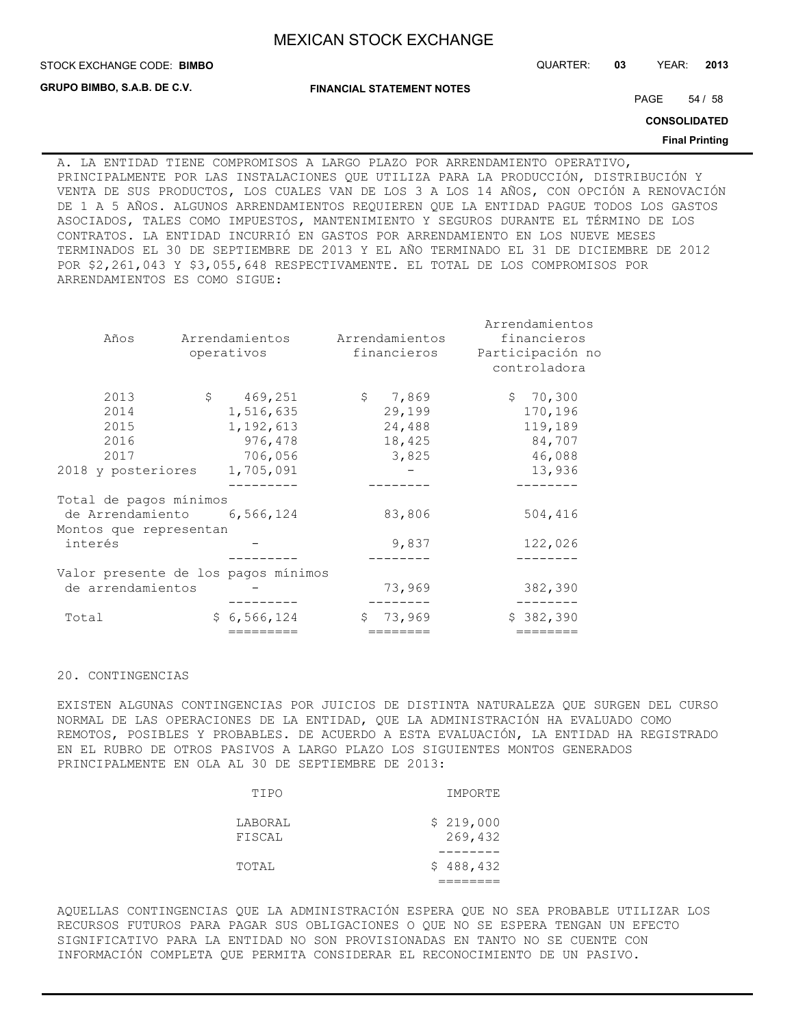**GRUPO BIMBO, S.A.B. DE C.V.**

STOCK EXCHANGE CODE: QUARTER: **03** YEAR: **2013 BIMBO**

**FINANCIAL STATEMENT NOTES**

PAGE 54 / 58

**CONSOLIDATED**

#### **Final Printing**

A. LA ENTIDAD TIENE COMPROMISOS A LARGO PLAZO POR ARRENDAMIENTO OPERATIVO, PRINCIPALMENTE POR LAS INSTALACIONES QUE UTILIZA PARA LA PRODUCCIÓN, DISTRIBUCIÓN Y VENTA DE SUS PRODUCTOS, LOS CUALES VAN DE LOS 3 A LOS 14 AÑOS, CON OPCIÓN A RENOVACIÓN DE 1 A 5 AÑOS. ALGUNOS ARRENDAMIENTOS REQUIEREN QUE LA ENTIDAD PAGUE TODOS LOS GASTOS ASOCIADOS, TALES COMO IMPUESTOS, MANTENIMIENTO Y SEGUROS DURANTE EL TÉRMINO DE LOS CONTRATOS. LA ENTIDAD INCURRIÓ EN GASTOS POR ARRENDAMIENTO EN LOS NUEVE MESES TERMINADOS EL 30 DE SEPTIEMBRE DE 2013 Y EL AÑO TERMINADO EL 31 DE DICIEMBRE DE 2012 POR \$2,261,043 Y \$3,055,648 RESPECTIVAMENTE. EL TOTAL DE LOS COMPROMISOS POR ARRENDAMIENTOS ES COMO SIGUE:

|                                     |              |                     |                | Arrendamientos   |
|-------------------------------------|--------------|---------------------|----------------|------------------|
| Años                                |              | Arrendamientos      | Arrendamientos | financieros      |
|                                     |              | operativos          | financieros    | Participación no |
|                                     |              |                     |                | controladora     |
| 2013                                | $\mathsf{S}$ | 469,251             | \$7,869        | \$70,300         |
| 2014                                |              | 1,516,635           | 29,199         | 170,196          |
| 2015                                |              | 1,192,613           | 24,488         | 119,189          |
| 2016                                |              | 976,478             | 18,425         | 84,707           |
| 2017                                |              | 706,056             | 3,825          | 46,088           |
| 2018 y posteriores                  |              | 1,705,091           |                | 13,936           |
|                                     |              |                     |                |                  |
| Total de pagos mínimos              |              |                     |                |                  |
| de Arrendamiento 6,566,124          |              |                     | 83,806         | 504,416          |
| Montos que representan              |              |                     |                |                  |
| interés                             |              |                     | 9,837          | 122,026          |
|                                     |              |                     |                |                  |
| Valor presente de los pagos mínimos |              |                     |                |                  |
| de arrendamientos                   |              |                     | 73,969         | 382,390          |
|                                     |              |                     |                |                  |
| Total                               |              | \$6,566,124         | \$73,969       | \$382,390        |
|                                     |              | $=$ = = = = = = = = | $=$ =======    | $=$ =======      |

## 20. CONTINGENCIAS

EXISTEN ALGUNAS CONTINGENCIAS POR JUICIOS DE DISTINTA NATURALEZA QUE SURGEN DEL CURSO NORMAL DE LAS OPERACIONES DE LA ENTIDAD, QUE LA ADMINISTRACIÓN HA EVALUADO COMO REMOTOS, POSIBLES Y PROBABLES. DE ACUERDO A ESTA EVALUACIÓN, LA ENTIDAD HA REGISTRADO EN EL RUBRO DE OTROS PASIVOS A LARGO PLAZO LOS SIGUIENTES MONTOS GENERADOS PRINCIPALMENTE EN OLA AL 30 DE SEPTIEMBRE DE 2013:

| IMPORTE              | TIPO              |
|----------------------|-------------------|
| \$219,000<br>269,432 | LABORAL<br>FISCAL |
| \$488,432            | TOTAL             |

AQUELLAS CONTINGENCIAS QUE LA ADMINISTRACIÓN ESPERA QUE NO SEA PROBABLE UTILIZAR LOS RECURSOS FUTUROS PARA PAGAR SUS OBLIGACIONES O QUE NO SE ESPERA TENGAN UN EFECTO SIGNIFICATIVO PARA LA ENTIDAD NO SON PROVISIONADAS EN TANTO NO SE CUENTE CON INFORMACIÓN COMPLETA QUE PERMITA CONSIDERAR EL RECONOCIMIENTO DE UN PASIVO.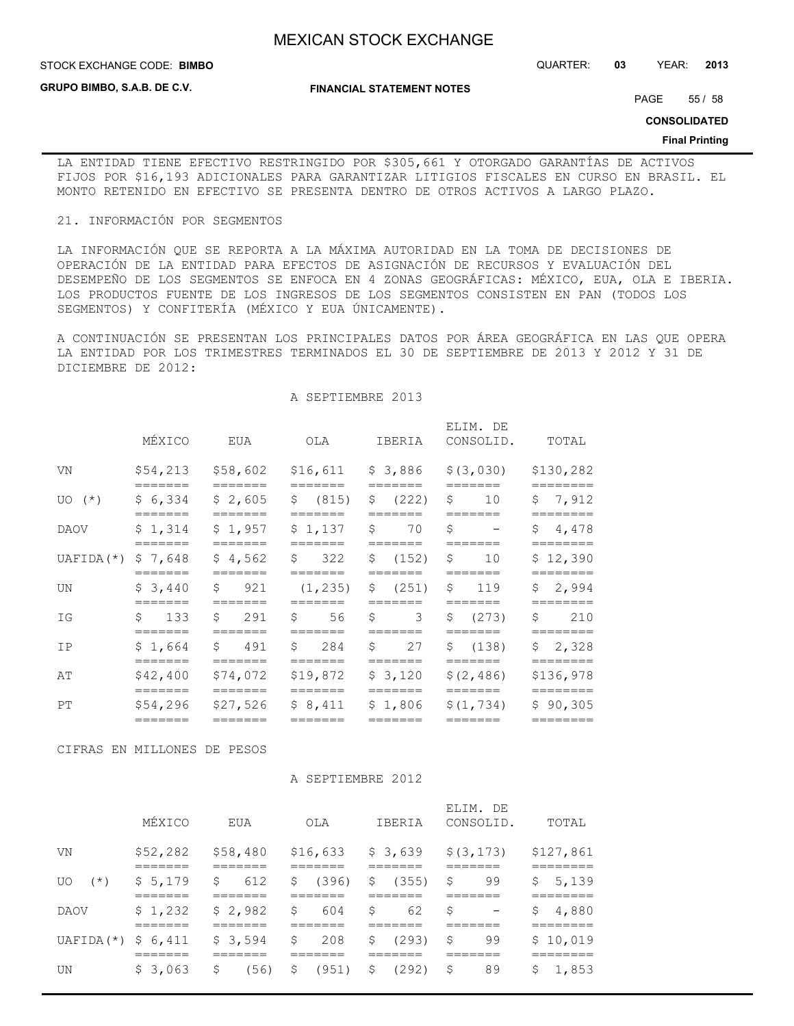**STOCK EXCHANGE CODE: BIMBO** 

**GRUPO BIMBO, S.A.B. DE C.V.**

STOCK EXCHANGE CODE: QUARTER: **03** YEAR: **2013**

**FINANCIAL STATEMENT NOTES**

PAGE 55 / 58

**CONSOLIDATED**

#### **Final Printing**

LA ENTIDAD TIENE EFECTIVO RESTRINGIDO POR \$305,661 Y OTORGADO GARANTÍAS DE ACTIVOS FIJOS POR \$16,193 ADICIONALES PARA GARANTIZAR LITIGIOS FISCALES EN CURSO EN BRASIL. EL MONTO RETENIDO EN EFECTIVO SE PRESENTA DENTRO DE OTROS ACTIVOS A LARGO PLAZO.

#### 21. INFORMACIÓN POR SEGMENTOS

LA INFORMACIÓN QUE SE REPORTA A LA MÁXIMA AUTORIDAD EN LA TOMA DE DECISIONES DE OPERACIÓN DE LA ENTIDAD PARA EFECTOS DE ASIGNACIÓN DE RECURSOS Y EVALUACIÓN DEL DESEMPEÑO DE LOS SEGMENTOS SE ENFOCA EN 4 ZONAS GEOGRÁFICAS: MÉXICO, EUA, OLA E IBERIA. LOS PRODUCTOS FUENTE DE LOS INGRESOS DE LOS SEGMENTOS CONSISTEN EN PAN (TODOS LOS SEGMENTOS) Y CONFITERÍA (MÉXICO Y EUA ÚNICAMENTE).

A CONTINUACIÓN SE PRESENTAN LOS PRINCIPALES DATOS POR ÁREA GEOGRÁFICA EN LAS QUE OPERA LA ENTIDAD POR LOS TRIMESTRES TERMINADOS EL 30 DE SEPTIEMBRE DE 2013 Y 2012 Y 31 DE DICIEMBRE DE 2012:

A SEPTIEMBRE 2013

|                      | MÉXICO                         | EUA                            | OLA                            | IBERIA                                        | ELIM. DE<br>CONSOLID.                     | TOTAL                            |
|----------------------|--------------------------------|--------------------------------|--------------------------------|-----------------------------------------------|-------------------------------------------|----------------------------------|
| VN                   | \$54,213<br>=======            | \$58,602<br>=======            | \$16,611<br>=======            | \$3,886<br>=======                            | \$ (3,030)<br>=======                     | \$130,282<br>========            |
| $UO(*)$              | \$6,334                        | \$2,605                        | \$ (815)                       | $\mathsf{S}$<br>(222)<br>-------              | Ŝ.<br>10                                  | \$7,912                          |
| DAOV                 | \$1,314<br>=======             | \$1,957<br>=======             | =======<br>\$1,137<br>=======  | Ŝ.<br>70<br>=======                           | Ŝ.<br>$\overline{\phantom{0}}$<br>======= | \$4,478<br>========              |
| $UAFIDA$ ( $\star$ ) | \$7,648<br>=======             | \$4,562<br>=======             | $\mathsf{S}$<br>322<br>======= | \$ (152)<br>=======                           | Ŝ.<br>10<br>=======                       | \$12,390<br>========             |
| UN                   | \$3,440<br>=======             | \$<br>921<br>=======           | (1, 235)<br>=======            | \$ (251)<br>=======                           | $\mathsf{S}$<br>119<br>=======            | \$2,994<br>========              |
| ΙG                   | \$133<br>=======               | Ŝ.<br>291<br>=======           | \$<br>56<br>=======            | \$<br>3<br>=======                            | \$ (273)<br>=======                       | 210<br>Ŝ.<br>========            |
| TP                   | \$1,664<br>=======             | \$ 491<br>=======              | \$ 284<br>=======              | Ŝ.<br>27<br>=======                           | \$ (138)<br>=======                       | \$2,328                          |
| AΤ                   | \$42,400                       | \$74,072                       | \$19,872                       | \$3,120                                       | \$(2, 486)                                | \$136,978                        |
| PT                   | =======<br>\$54,296<br>======= | =======<br>\$27,526<br>======= | =======<br>\$8,411<br>=======  | =======<br>\$1,806<br>$=$ $=$ $=$ $=$ $=$ $=$ | =======<br>\$(1, 734)<br>=======          | ========<br>\$90,305<br>======== |
|                      |                                |                                |                                |                                               |                                           |                                  |

CIFRAS EN MILLONES DE PESOS

### A SEPTIEMBRE 2012

|                 | MÉXICO            | EUA                | OLA               | IBERIA      | ELIM. DE<br>CONSOLID.          | TOTAL               |
|-----------------|-------------------|--------------------|-------------------|-------------|--------------------------------|---------------------|
| VN              | \$52,282<br>_____ | \$58,480<br>------ | \$16,633<br>----- | \$3,639     | \$ (3, 173)<br>------          | \$127,861<br>______ |
| $(\star)$<br>U0 | \$5,179           | \$<br>612          | \$<br>(396)       | (355)<br>S, | 99<br>\$                       | 5,139<br>\$         |
| DAOV            | \$1,232           | \$2,982            | \$<br>604         | \$<br>62    | \$<br>$\overline{\phantom{m}}$ | \$<br>4,880         |
| UAFIDA (*)      | \$6,411           | \$3,594            | \$<br>208         | (293)<br>Ŝ. | \$<br>99                       | \$10,019            |
| UN              | \$3,063           | \$<br>(56)         | \$<br>(951)       | (292)<br>\$ | 89<br>\$                       | 1,853<br>\$         |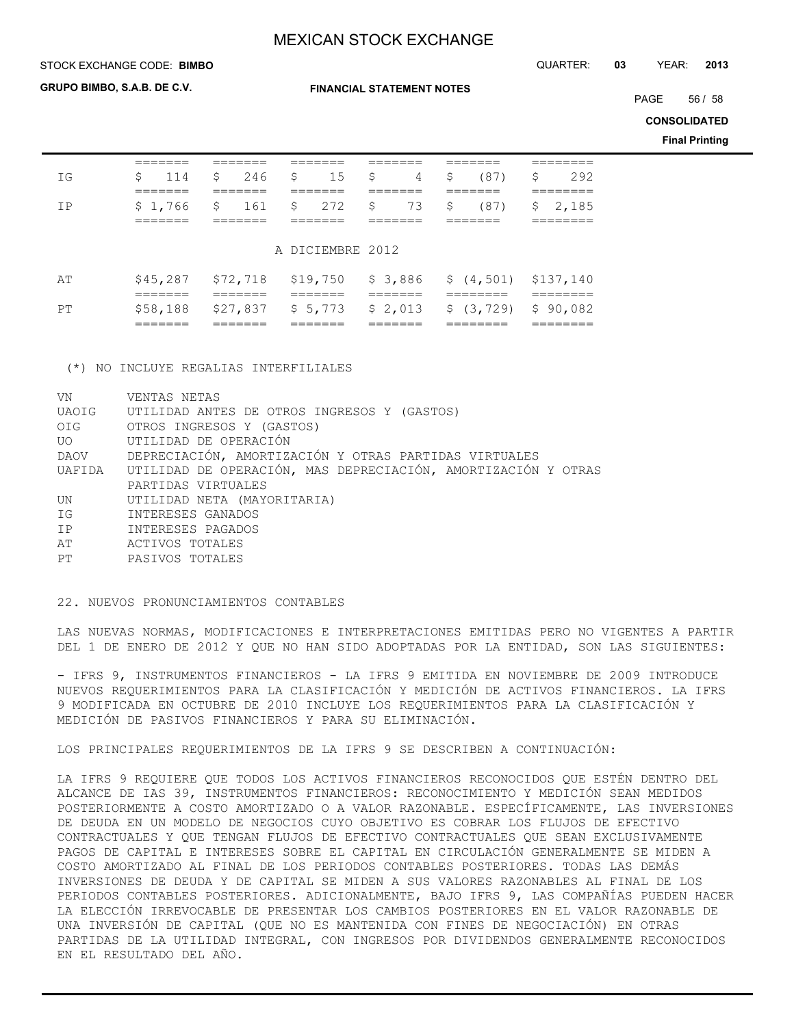**FINANCIAL STATEMENT NOTES**

STOCK EXCHANGE CODE: QUARTER: **03** YEAR: **2013 BIMBO**

**GRUPO BIMBO, S.A.B. DE C.V.**

PAGE 56 / 58

**CONSOLIDATED**

**Final Printing**

|     | ------                        |                     |                               |                                |                                            |                                 |
|-----|-------------------------------|---------------------|-------------------------------|--------------------------------|--------------------------------------------|---------------------------------|
| T G | \$<br>114                     | \$<br>246           | \$<br>15                      | \$<br>4                        | \$<br>(87)                                 | \$<br>292                       |
|     | ------                        |                     |                               |                                | =====                                      |                                 |
| TP  | $$1,766$ $$161$               |                     | $\mathsf{S}$<br>272           | \$<br>73                       | \$<br>(87)                                 | \$2,185                         |
|     | ======                        |                     |                               |                                | =====                                      | =======                         |
|     |                               |                     | A DICIEMBRE 2012              |                                |                                            |                                 |
| ΆT  | \$45,287<br>=======           | \$72,718<br>======= | \$19,750<br>=======           | =======                        | $$3,886$ $$(4,501)$ $$137,140$<br>======== | ========                        |
| PТ  | \$58,188<br>--------<br>_____ | \$27,837<br>======= | \$5,773<br>_______<br>_______ | \$2,013<br>_______<br>________ | \$(3, 729)<br>________<br>_________        | \$90,082<br>---------<br>______ |

(\*) NO INCLUYE REGALIAS INTERFILIALES

| VN           | VENTAS NETAS                                                         |
|--------------|----------------------------------------------------------------------|
| <b>UAOIG</b> | UTILIDAD ANTES DE OTROS INGRESOS Y (GASTOS)                          |
| OIG          | OTROS INGRESOS Y (GASTOS)                                            |
|              | UTILIDAD DE OPERACIÓN                                                |
| DAOV         | DEPRECIACIÓN, AMORTIZACIÓN Y OTRAS PARTIDAS VIRTUALES                |
|              | UAFIDA UTILIDAD DE OPERACIÓN, MAS DEPRECIACIÓN, AMORTIZACIÓN Y OTRAS |
|              | PARTIDAS VIRTUALES                                                   |
| UN.          | UTILIDAD NETA (MAYORITARIA)                                          |
| IG           | INTERESES GANADOS                                                    |
| IP           | INTERESES PAGADOS                                                    |
| AT           | ACTIVOS TOTALES                                                      |
| PT           | PASIVOS TOTALES                                                      |
|              |                                                                      |

22. NUEVOS PRONUNCIAMIENTOS CONTABLES

LAS NUEVAS NORMAS, MODIFICACIONES E INTERPRETACIONES EMITIDAS PERO NO VIGENTES A PARTIR DEL 1 DE ENERO DE 2012 Y QUE NO HAN SIDO ADOPTADAS POR LA ENTIDAD, SON LAS SIGUIENTES:

- IFRS 9, INSTRUMENTOS FINANCIEROS - LA IFRS 9 EMITIDA EN NOVIEMBRE DE 2009 INTRODUCE NUEVOS REQUERIMIENTOS PARA LA CLASIFICACIÓN Y MEDICIÓN DE ACTIVOS FINANCIEROS. LA IFRS 9 MODIFICADA EN OCTUBRE DE 2010 INCLUYE LOS REQUERIMIENTOS PARA LA CLASIFICACIÓN Y MEDICIÓN DE PASIVOS FINANCIEROS Y PARA SU ELIMINACIÓN.

LOS PRINCIPALES REQUERIMIENTOS DE LA IFRS 9 SE DESCRIBEN A CONTINUACIÓN:

LA IFRS 9 REQUIERE QUE TODOS LOS ACTIVOS FINANCIEROS RECONOCIDOS QUE ESTÉN DENTRO DEL ALCANCE DE IAS 39, INSTRUMENTOS FINANCIEROS: RECONOCIMIENTO Y MEDICIÓN SEAN MEDIDOS POSTERIORMENTE A COSTO AMORTIZADO O A VALOR RAZONABLE. ESPECÍFICAMENTE, LAS INVERSIONES DE DEUDA EN UN MODELO DE NEGOCIOS CUYO OBJETIVO ES COBRAR LOS FLUJOS DE EFECTIVO CONTRACTUALES Y QUE TENGAN FLUJOS DE EFECTIVO CONTRACTUALES QUE SEAN EXCLUSIVAMENTE PAGOS DE CAPITAL E INTERESES SOBRE EL CAPITAL EN CIRCULACIÓN GENERALMENTE SE MIDEN A COSTO AMORTIZADO AL FINAL DE LOS PERIODOS CONTABLES POSTERIORES. TODAS LAS DEMÁS INVERSIONES DE DEUDA Y DE CAPITAL SE MIDEN A SUS VALORES RAZONABLES AL FINAL DE LOS PERIODOS CONTABLES POSTERIORES. ADICIONALMENTE, BAJO IFRS 9, LAS COMPAÑÍAS PUEDEN HACER LA ELECCIÓN IRREVOCABLE DE PRESENTAR LOS CAMBIOS POSTERIORES EN EL VALOR RAZONABLE DE UNA INVERSIÓN DE CAPITAL (QUE NO ES MANTENIDA CON FINES DE NEGOCIACIÓN) EN OTRAS PARTIDAS DE LA UTILIDAD INTEGRAL, CON INGRESOS POR DIVIDENDOS GENERALMENTE RECONOCIDOS EN EL RESULTADO DEL AÑO.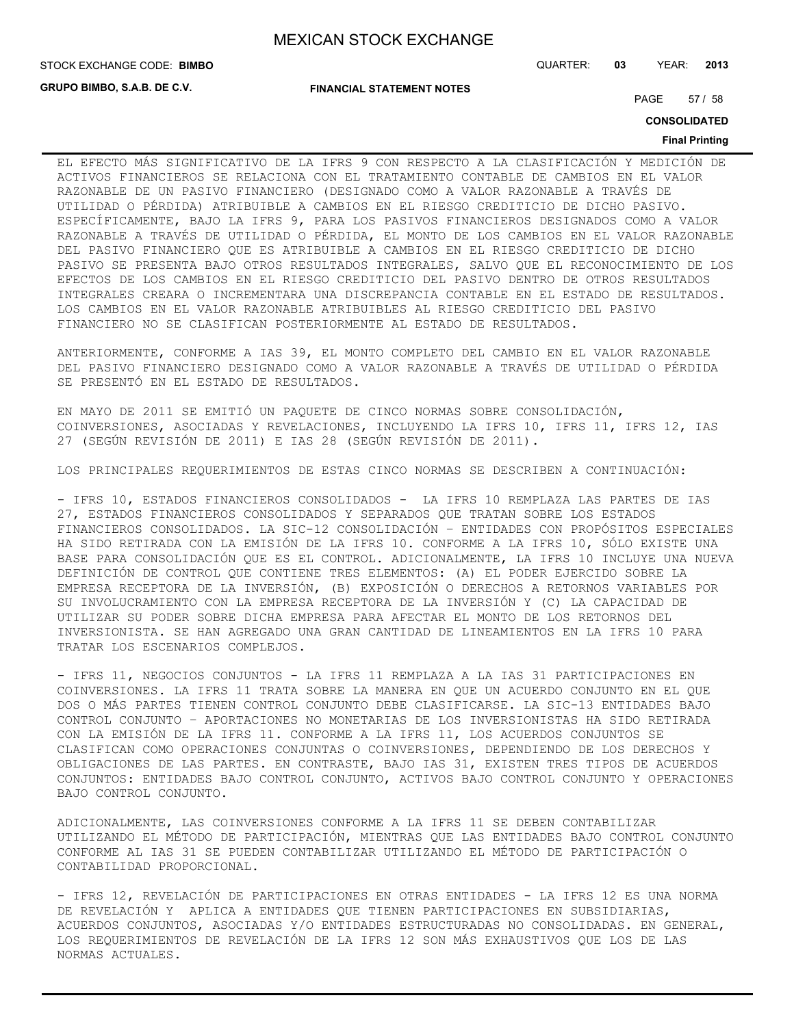**GRUPO BIMBO, S.A.B. DE C.V.**

STOCK EXCHANGE CODE: QUARTER: **03** YEAR: **2013 BIMBO**

**FINANCIAL STATEMENT NOTES**

PAGE 57 / 58

**CONSOLIDATED**

### **Final Printing**

EL EFECTO MÁS SIGNIFICATIVO DE LA IFRS 9 CON RESPECTO A LA CLASIFICACIÓN Y MEDICIÓN DE ACTIVOS FINANCIEROS SE RELACIONA CON EL TRATAMIENTO CONTABLE DE CAMBIOS EN EL VALOR RAZONABLE DE UN PASIVO FINANCIERO (DESIGNADO COMO A VALOR RAZONABLE A TRAVÉS DE UTILIDAD O PÉRDIDA) ATRIBUIBLE A CAMBIOS EN EL RIESGO CREDITICIO DE DICHO PASIVO. ESPECÍFICAMENTE, BAJO LA IFRS 9, PARA LOS PASIVOS FINANCIEROS DESIGNADOS COMO A VALOR RAZONABLE A TRAVÉS DE UTILIDAD O PÉRDIDA, EL MONTO DE LOS CAMBIOS EN EL VALOR RAZONABLE DEL PASIVO FINANCIERO QUE ES ATRIBUIBLE A CAMBIOS EN EL RIESGO CREDITICIO DE DICHO PASIVO SE PRESENTA BAJO OTROS RESULTADOS INTEGRALES, SALVO QUE EL RECONOCIMIENTO DE LOS EFECTOS DE LOS CAMBIOS EN EL RIESGO CREDITICIO DEL PASIVO DENTRO DE OTROS RESULTADOS INTEGRALES CREARA O INCREMENTARA UNA DISCREPANCIA CONTABLE EN EL ESTADO DE RESULTADOS. LOS CAMBIOS EN EL VALOR RAZONABLE ATRIBUIBLES AL RIESGO CREDITICIO DEL PASIVO FINANCIERO NO SE CLASIFICAN POSTERIORMENTE AL ESTADO DE RESULTADOS.

ANTERIORMENTE, CONFORME A IAS 39, EL MONTO COMPLETO DEL CAMBIO EN EL VALOR RAZONABLE DEL PASIVO FINANCIERO DESIGNADO COMO A VALOR RAZONABLE A TRAVÉS DE UTILIDAD O PÉRDIDA SE PRESENTÓ EN EL ESTADO DE RESULTADOS.

EN MAYO DE 2011 SE EMITIÓ UN PAQUETE DE CINCO NORMAS SOBRE CONSOLIDACIÓN, COINVERSIONES, ASOCIADAS Y REVELACIONES, INCLUYENDO LA IFRS 10, IFRS 11, IFRS 12, IAS 27 (SEGÚN REVISIÓN DE 2011) E IAS 28 (SEGÚN REVISIÓN DE 2011).

LOS PRINCIPALES REQUERIMIENTOS DE ESTAS CINCO NORMAS SE DESCRIBEN A CONTINUACIÓN:

- IFRS 10, ESTADOS FINANCIEROS CONSOLIDADOS - LA IFRS 10 REMPLAZA LAS PARTES DE IAS 27, ESTADOS FINANCIEROS CONSOLIDADOS Y SEPARADOS QUE TRATAN SOBRE LOS ESTADOS FINANCIEROS CONSOLIDADOS. LA SIC-12 CONSOLIDACIÓN – ENTIDADES CON PROPÓSITOS ESPECIALES HA SIDO RETIRADA CON LA EMISIÓN DE LA IFRS 10. CONFORME A LA IFRS 10, SÓLO EXISTE UNA BASE PARA CONSOLIDACIÓN QUE ES EL CONTROL. ADICIONALMENTE, LA IFRS 10 INCLUYE UNA NUEVA DEFINICIÓN DE CONTROL QUE CONTIENE TRES ELEMENTOS: (A) EL PODER EJERCIDO SOBRE LA EMPRESA RECEPTORA DE LA INVERSIÓN, (B) EXPOSICIÓN O DERECHOS A RETORNOS VARIABLES POR SU INVOLUCRAMIENTO CON LA EMPRESA RECEPTORA DE LA INVERSIÓN Y (C) LA CAPACIDAD DE UTILIZAR SU PODER SOBRE DICHA EMPRESA PARA AFECTAR EL MONTO DE LOS RETORNOS DEL INVERSIONISTA. SE HAN AGREGADO UNA GRAN CANTIDAD DE LINEAMIENTOS EN LA IFRS 10 PARA TRATAR LOS ESCENARIOS COMPLEJOS.

- IFRS 11, NEGOCIOS CONJUNTOS - LA IFRS 11 REMPLAZA A LA IAS 31 PARTICIPACIONES EN COINVERSIONES. LA IFRS 11 TRATA SOBRE LA MANERA EN QUE UN ACUERDO CONJUNTO EN EL QUE DOS O MÁS PARTES TIENEN CONTROL CONJUNTO DEBE CLASIFICARSE. LA SIC-13 ENTIDADES BAJO CONTROL CONJUNTO – APORTACIONES NO MONETARIAS DE LOS INVERSIONISTAS HA SIDO RETIRADA CON LA EMISIÓN DE LA IFRS 11. CONFORME A LA IFRS 11, LOS ACUERDOS CONJUNTOS SE CLASIFICAN COMO OPERACIONES CONJUNTAS O COINVERSIONES, DEPENDIENDO DE LOS DERECHOS Y OBLIGACIONES DE LAS PARTES. EN CONTRASTE, BAJO IAS 31, EXISTEN TRES TIPOS DE ACUERDOS CONJUNTOS: ENTIDADES BAJO CONTROL CONJUNTO, ACTIVOS BAJO CONTROL CONJUNTO Y OPERACIONES BAJO CONTROL CONJUNTO.

ADICIONALMENTE, LAS COINVERSIONES CONFORME A LA IFRS 11 SE DEBEN CONTABILIZAR UTILIZANDO EL MÉTODO DE PARTICIPACIÓN, MIENTRAS QUE LAS ENTIDADES BAJO CONTROL CONJUNTO CONFORME AL IAS 31 SE PUEDEN CONTABILIZAR UTILIZANDO EL MÉTODO DE PARTICIPACIÓN O CONTABILIDAD PROPORCIONAL.

- IFRS 12, REVELACIÓN DE PARTICIPACIONES EN OTRAS ENTIDADES - LA IFRS 12 ES UNA NORMA DE REVELACIÓN Y APLICA A ENTIDADES QUE TIENEN PARTICIPACIONES EN SUBSIDIARIAS, ACUERDOS CONJUNTOS, ASOCIADAS Y/O ENTIDADES ESTRUCTURADAS NO CONSOLIDADAS. EN GENERAL, LOS REQUERIMIENTOS DE REVELACIÓN DE LA IFRS 12 SON MÁS EXHAUSTIVOS QUE LOS DE LAS NORMAS ACTUALES.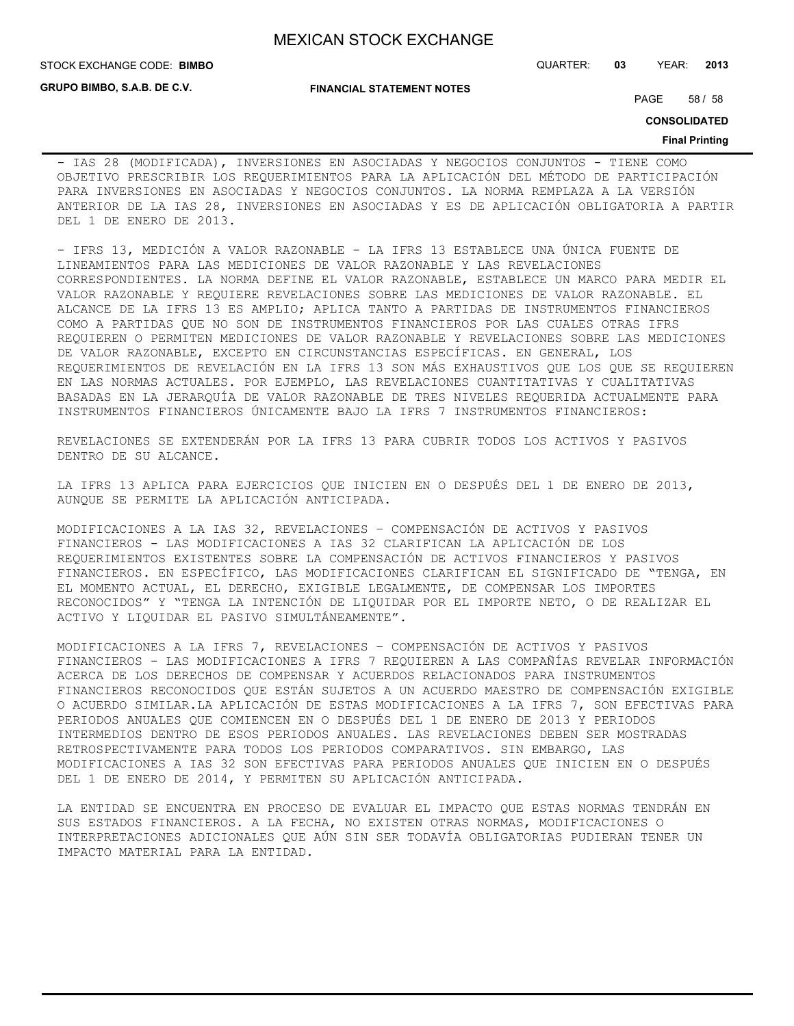**GRUPO BIMBO, S.A.B. DE C.V.**

#### **FINANCIAL STATEMENT NOTES**

STOCK EXCHANGE CODE: QUARTER: **03** YEAR: **2013 BIMBO**

PAGE 58 / 58

**CONSOLIDATED**

#### **Final Printing**

- IAS 28 (MODIFICADA), INVERSIONES EN ASOCIADAS Y NEGOCIOS CONJUNTOS - TIENE COMO OBJETIVO PRESCRIBIR LOS REQUERIMIENTOS PARA LA APLICACIÓN DEL MÉTODO DE PARTICIPACIÓN PARA INVERSIONES EN ASOCIADAS Y NEGOCIOS CONJUNTOS. LA NORMA REMPLAZA A LA VERSIÓN ANTERIOR DE LA IAS 28, INVERSIONES EN ASOCIADAS Y ES DE APLICACIÓN OBLIGATORIA A PARTIR DEL 1 DE ENERO DE 2013.

- IFRS 13, MEDICIÓN A VALOR RAZONABLE - LA IFRS 13 ESTABLECE UNA ÚNICA FUENTE DE LINEAMIENTOS PARA LAS MEDICIONES DE VALOR RAZONABLE Y LAS REVELACIONES CORRESPONDIENTES. LA NORMA DEFINE EL VALOR RAZONABLE, ESTABLECE UN MARCO PARA MEDIR EL VALOR RAZONABLE Y REQUIERE REVELACIONES SOBRE LAS MEDICIONES DE VALOR RAZONABLE. EL ALCANCE DE LA IFRS 13 ES AMPLIO; APLICA TANTO A PARTIDAS DE INSTRUMENTOS FINANCIEROS COMO A PARTIDAS QUE NO SON DE INSTRUMENTOS FINANCIEROS POR LAS CUALES OTRAS IFRS REQUIEREN O PERMITEN MEDICIONES DE VALOR RAZONABLE Y REVELACIONES SOBRE LAS MEDICIONES DE VALOR RAZONABLE, EXCEPTO EN CIRCUNSTANCIAS ESPECÍFICAS. EN GENERAL, LOS REQUERIMIENTOS DE REVELACIÓN EN LA IFRS 13 SON MÁS EXHAUSTIVOS QUE LOS QUE SE REQUIEREN EN LAS NORMAS ACTUALES. POR EJEMPLO, LAS REVELACIONES CUANTITATIVAS Y CUALITATIVAS BASADAS EN LA JERARQUÍA DE VALOR RAZONABLE DE TRES NIVELES REQUERIDA ACTUALMENTE PARA INSTRUMENTOS FINANCIEROS ÚNICAMENTE BAJO LA IFRS 7 INSTRUMENTOS FINANCIEROS:

REVELACIONES SE EXTENDERÁN POR LA IFRS 13 PARA CUBRIR TODOS LOS ACTIVOS Y PASIVOS DENTRO DE SU ALCANCE.

LA IFRS 13 APLICA PARA EJERCICIOS QUE INICIEN EN O DESPUÉS DEL 1 DE ENERO DE 2013, AUNQUE SE PERMITE LA APLICACIÓN ANTICIPADA.

MODIFICACIONES A LA IAS 32, REVELACIONES – COMPENSACIÓN DE ACTIVOS Y PASIVOS FINANCIEROS - LAS MODIFICACIONES A IAS 32 CLARIFICAN LA APLICACIÓN DE LOS REQUERIMIENTOS EXISTENTES SOBRE LA COMPENSACIÓN DE ACTIVOS FINANCIEROS Y PASIVOS FINANCIEROS. EN ESPECÍFICO, LAS MODIFICACIONES CLARIFICAN EL SIGNIFICADO DE "TENGA, EN EL MOMENTO ACTUAL, EL DERECHO, EXIGIBLE LEGALMENTE, DE COMPENSAR LOS IMPORTES RECONOCIDOS" Y "TENGA LA INTENCIÓN DE LIQUIDAR POR EL IMPORTE NETO, O DE REALIZAR EL ACTIVO Y LIQUIDAR EL PASIVO SIMULTÁNEAMENTE".

MODIFICACIONES A LA IFRS 7, REVELACIONES – COMPENSACIÓN DE ACTIVOS Y PASIVOS FINANCIEROS - LAS MODIFICACIONES A IFRS 7 REQUIEREN A LAS COMPAÑÍAS REVELAR INFORMACIÓN ACERCA DE LOS DERECHOS DE COMPENSAR Y ACUERDOS RELACIONADOS PARA INSTRUMENTOS FINANCIEROS RECONOCIDOS QUE ESTÁN SUJETOS A UN ACUERDO MAESTRO DE COMPENSACIÓN EXIGIBLE O ACUERDO SIMILAR.LA APLICACIÓN DE ESTAS MODIFICACIONES A LA IFRS 7, SON EFECTIVAS PARA PERIODOS ANUALES QUE COMIENCEN EN O DESPUÉS DEL 1 DE ENERO DE 2013 Y PERIODOS INTERMEDIOS DENTRO DE ESOS PERIODOS ANUALES. LAS REVELACIONES DEBEN SER MOSTRADAS RETROSPECTIVAMENTE PARA TODOS LOS PERIODOS COMPARATIVOS. SIN EMBARGO, LAS MODIFICACIONES A IAS 32 SON EFECTIVAS PARA PERIODOS ANUALES QUE INICIEN EN O DESPUÉS DEL 1 DE ENERO DE 2014, Y PERMITEN SU APLICACIÓN ANTICIPADA.

LA ENTIDAD SE ENCUENTRA EN PROCESO DE EVALUAR EL IMPACTO QUE ESTAS NORMAS TENDRÁN EN SUS ESTADOS FINANCIEROS. A LA FECHA, NO EXISTEN OTRAS NORMAS, MODIFICACIONES O INTERPRETACIONES ADICIONALES QUE AÚN SIN SER TODAVÍA OBLIGATORIAS PUDIERAN TENER UN IMPACTO MATERIAL PARA LA ENTIDAD.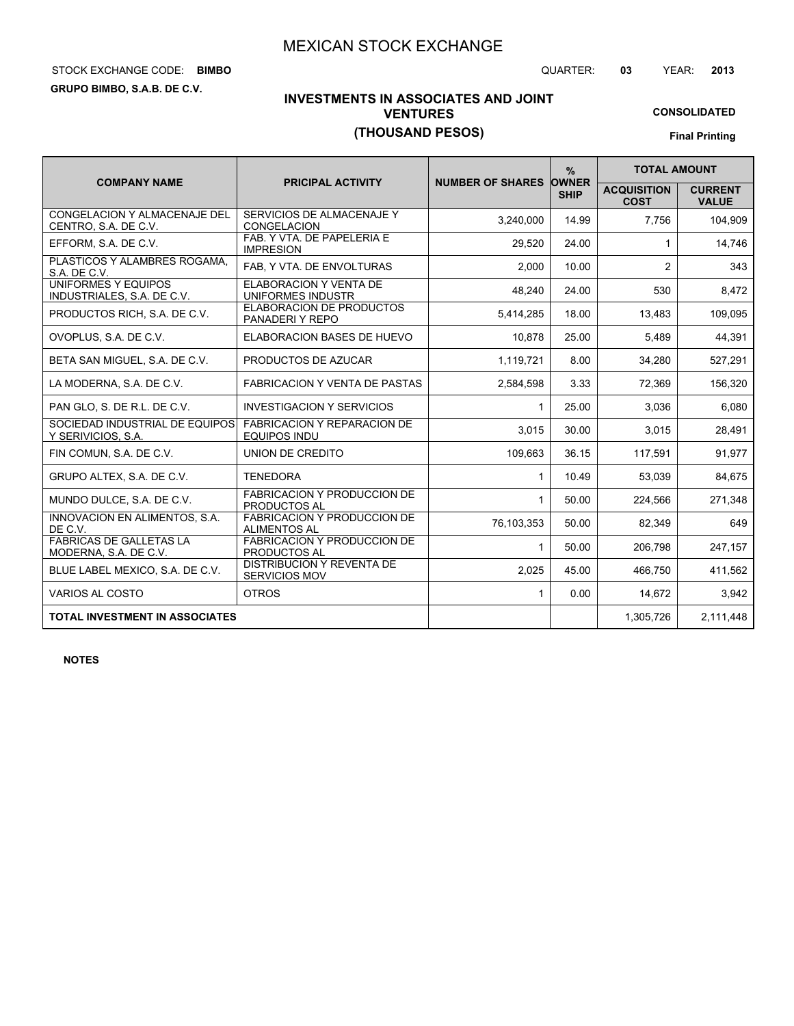# STOCK EXCHANGE CODE: QUARTER: **03** YEAR: **2013 BIMBO**

**GRUPO BIMBO, S.A.B. DE C.V.**

**CONSOLIDATED**

# **INVESTMENTS IN ASSOCIATES AND JOINT VENTURES (THOUSAND PESOS)**

**Final Printing**

|                                                             |                                                           |                         | $\frac{9}{6}$               | <b>TOTAL AMOUNT</b>               |                                |
|-------------------------------------------------------------|-----------------------------------------------------------|-------------------------|-----------------------------|-----------------------------------|--------------------------------|
| <b>COMPANY NAME</b>                                         | <b>PRICIPAL ACTIVITY</b>                                  | <b>NUMBER OF SHARES</b> | <b>OWNER</b><br><b>SHIP</b> | <b>ACQUISITION</b><br><b>COST</b> | <b>CURRENT</b><br><b>VALUE</b> |
| <b>CONGELACION Y ALMACENAJE DEL</b><br>CENTRO, S.A. DE C.V. | SERVICIOS DE ALMACENAJE Y<br><b>CONGELACION</b>           | 3.240.000               | 14.99                       | 7.756                             | 104.909                        |
| EFFORM, S.A. DE C.V.                                        | FAB. Y VTA. DE PAPELERIA E<br><b>IMPRESION</b>            | 29.520                  | 24.00                       | 1                                 | 14,746                         |
| PLASTICOS Y ALAMBRES ROGAMA,<br>S.A. DE C.V.                | FAB, Y VTA. DE ENVOLTURAS                                 | 2,000                   | 10.00                       | $\overline{2}$                    | 343                            |
| <b>UNIFORMES Y EQUIPOS</b><br>INDUSTRIALES, S.A. DE C.V.    | <b>ELABORACION Y VENTA DE</b><br>UNIFORMES INDUSTR        | 48,240                  | 24.00                       | 530                               | 8,472                          |
| PRODUCTOS RICH, S.A. DE C.V.                                | <b>ELABORACION DE PRODUCTOS</b><br>PANADERIY REPO         | 5,414,285               | 18.00                       | 13,483                            | 109,095                        |
| OVOPLUS, S.A. DE C.V.                                       | ELABORACION BASES DE HUEVO                                | 10.878                  | 25.00                       | 5.489                             | 44.391                         |
| BETA SAN MIGUEL, S.A. DE C.V.                               | PRODUCTOS DE AZUCAR                                       | 1,119,721               | 8.00                        | 34,280                            | 527,291                        |
| LA MODERNA, S.A. DE C.V.                                    | <b>FABRICACION Y VENTA DE PASTAS</b>                      | 2,584,598               | 3.33                        | 72,369                            | 156,320                        |
| PAN GLO, S. DE R.L. DE C.V.                                 | <b>INVESTIGACION Y SERVICIOS</b>                          | $\mathbf{1}$            | 25.00                       | 3,036                             | 6,080                          |
| SOCIEDAD INDUSTRIAL DE EQUIPOS<br>Y SERIVICIOS, S.A.        | <b>FABRICACION Y REPARACION DE</b><br><b>EQUIPOS INDU</b> | 3,015                   | 30.00                       | 3.015                             | 28,491                         |
| FIN COMUN, S.A. DE C.V.                                     | UNION DE CREDITO                                          | 109.663                 | 36.15                       | 117.591                           | 91,977                         |
| GRUPO ALTEX, S.A. DE C.V.                                   | <b>TENEDORA</b>                                           | 1                       | 10.49                       | 53,039                            | 84,675                         |
| MUNDO DULCE, S.A. DE C.V.                                   | <b>FABRICACION Y PRODUCCION DE</b><br><b>PRODUCTOS AL</b> | 1                       | 50.00                       | 224,566                           | 271,348                        |
| INNOVACION EN ALIMENTOS, S.A.<br>DE C.V.                    | FABRICACION Y PRODUCCION DE<br><b>ALIMENTOS AL</b>        | 76,103,353              | 50.00                       | 82,349                            | 649                            |
| <b>FABRICAS DE GALLETAS LA</b><br>MODERNA, S.A. DE C.V.     | <b>FABRICACION Y PRODUCCION DE</b><br>PRODUCTOS AL        | $\mathbf{1}$            | 50.00                       | 206,798                           | 247,157                        |
| BLUE LABEL MEXICO, S.A. DE C.V.                             | <b>DISTRIBUCION Y REVENTA DE</b><br><b>SERVICIOS MOV</b>  | 2.025                   | 45.00                       | 466.750                           | 411.562                        |
| <b>VARIOS AL COSTO</b>                                      | <b>OTROS</b>                                              | 1                       | 0.00                        | 14,672                            | 3.942                          |
| <b>TOTAL INVESTMENT IN ASSOCIATES</b>                       |                                                           |                         |                             | 1,305,726                         | 2,111,448                      |

**NOTES**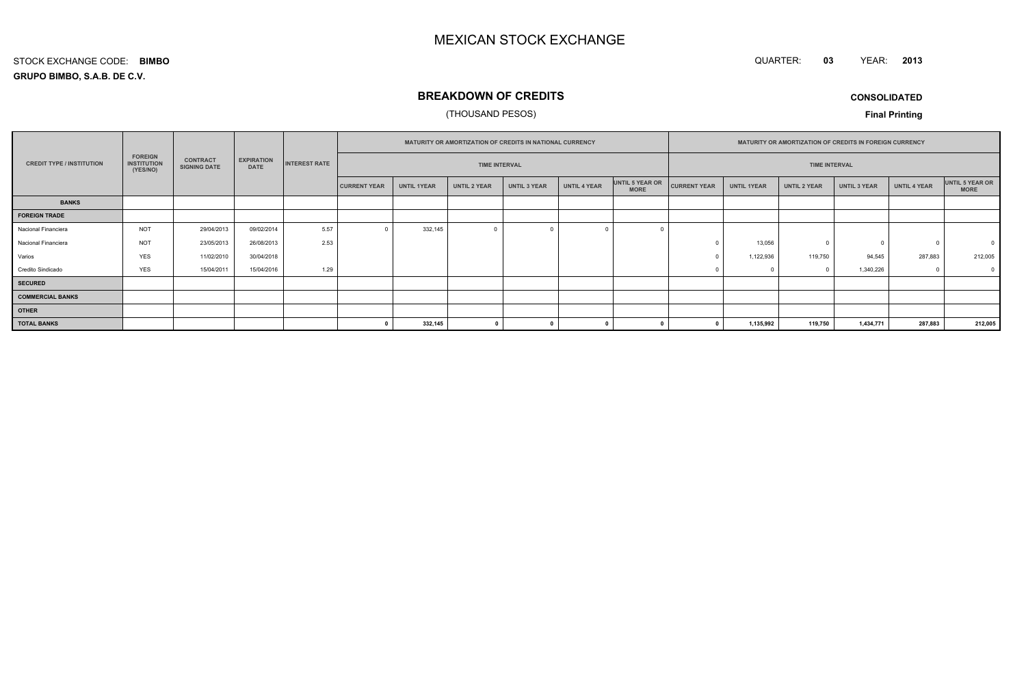QUARTER: **03**YEAR: **<sup>2013</sup>**

#### **GRUPO BIMBO, S.A.B. DE C.V.**STOCK EXCHANGE CODE:**BIMBO**

# **BREAKDOWN OF CREDITS**

## (THOUSAND PESOS)

**CONSOLIDATED**

|                                  |                                                  |                                        |                                  |                      | MATURITY OR AMORTIZATION OF CREDITS IN NATIONAL CURRENCY |                    |                     |                     |                     | MATURITY OR AMORTIZATION OF CREDITS IN FOREIGN CURRENCY |                     |                    |                     |                     |                     |                                |
|----------------------------------|--------------------------------------------------|----------------------------------------|----------------------------------|----------------------|----------------------------------------------------------|--------------------|---------------------|---------------------|---------------------|---------------------------------------------------------|---------------------|--------------------|---------------------|---------------------|---------------------|--------------------------------|
| <b>CREDIT TYPE / INSTITUTION</b> | <b>FOREIGN</b><br><b>INSTITUTION</b><br>(YES/NO) | <b>CONTRACT</b><br><b>SIGNING DATE</b> | <b>EXPIRATION</b><br><b>DATE</b> | <b>INTEREST RATE</b> | <b>TIME INTERVAL</b>                                     |                    |                     |                     |                     | <b>TIME INTERVAL</b>                                    |                     |                    |                     |                     |                     |                                |
|                                  |                                                  |                                        |                                  |                      | <b>CURRENT YEAR</b>                                      | <b>UNTIL 1YEAR</b> | <b>UNTIL 2 YEAR</b> | <b>UNTIL 3 YEAR</b> | <b>UNTIL 4 YEAR</b> | UNTIL 5 YEAR OR<br><b>MORE</b>                          | <b>CURRENT YEAR</b> | <b>UNTIL 1YEAR</b> | <b>UNTIL 2 YEAR</b> | <b>UNTIL 3 YEAR</b> | <b>UNTIL 4 YEAR</b> | UNTIL 5 YEAR OR<br><b>MORE</b> |
| <b>BANKS</b>                     |                                                  |                                        |                                  |                      |                                                          |                    |                     |                     |                     |                                                         |                     |                    |                     |                     |                     |                                |
| <b>FOREIGN TRADE</b>             |                                                  |                                        |                                  |                      |                                                          |                    |                     |                     |                     |                                                         |                     |                    |                     |                     |                     |                                |
| Nacional Financiera              | <b>NOT</b>                                       | 29/04/2013                             | 09/02/2014                       | 5.57                 |                                                          | 332,145            |                     |                     |                     |                                                         |                     |                    |                     |                     |                     |                                |
| Nacional Financiera              | <b>NOT</b>                                       | 23/05/2013                             | 26/08/2013                       | 2.53                 |                                                          |                    |                     |                     |                     |                                                         |                     | 13,056             | $\mathfrak{c}$      |                     | $\Omega$            | $\Omega$                       |
| Varios                           | <b>YES</b>                                       | 11/02/2010                             | 30/04/2018                       |                      |                                                          |                    |                     |                     |                     |                                                         |                     | 1,122,936          | 119,750             | 94,545              | 287,883             | 212,005                        |
| Credito Sindicado                | <b>YES</b>                                       | 15/04/2011                             | 15/04/2016                       | 1.29                 |                                                          |                    |                     |                     |                     |                                                         |                     |                    |                     | 1,340,226           | $\Omega$            | $\overline{0}$                 |
| <b>SECURED</b>                   |                                                  |                                        |                                  |                      |                                                          |                    |                     |                     |                     |                                                         |                     |                    |                     |                     |                     |                                |
| <b>COMMERCIAL BANKS</b>          |                                                  |                                        |                                  |                      |                                                          |                    |                     |                     |                     |                                                         |                     |                    |                     |                     |                     |                                |
| <b>OTHER</b>                     |                                                  |                                        |                                  |                      |                                                          |                    |                     |                     |                     |                                                         |                     |                    |                     |                     |                     |                                |
| <b>TOTAL BANKS</b>               |                                                  |                                        |                                  |                      |                                                          | 332,145            | $\overline{ }$      |                     |                     |                                                         |                     | 1,135,992          | 119,750             | 1,434,771           | 287,883             | 212,005                        |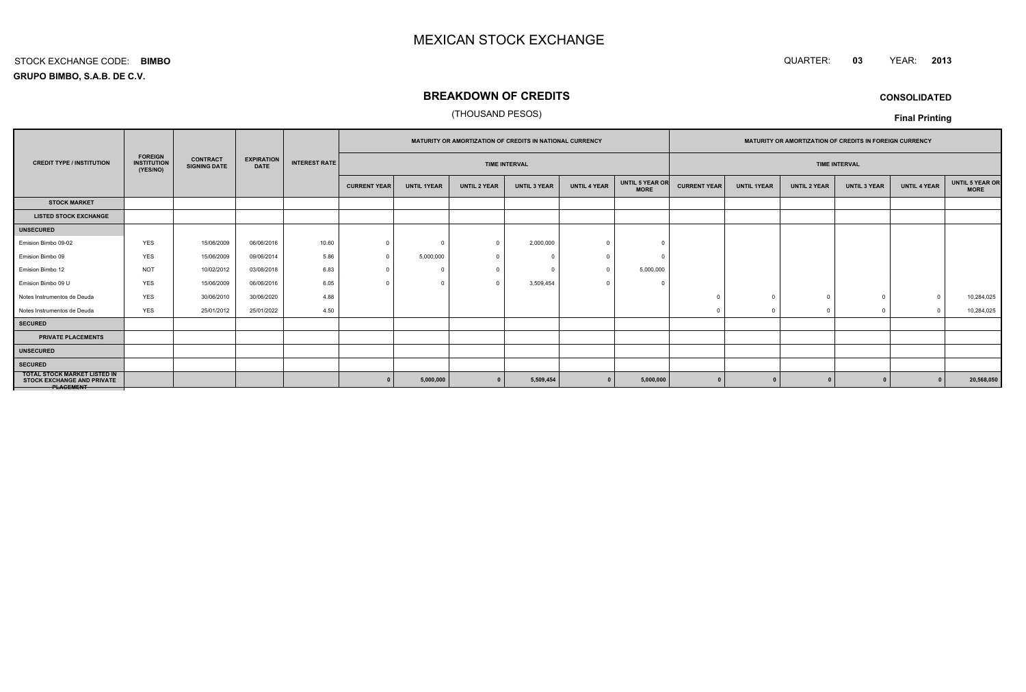#### QUARTER: **<sup>03</sup>**YEAR: **<sup>2013</sup>**

**GRUPO BIMBO, S.A.B. DE C.V.**STOCK EXCHANGE CODE:**BIMBO**

# **BREAKDOWN OF CREDITS**

## (THOUSAND PESOS)

**CONSOLIDATED**

|                                                                                              |                                                  |                                        |                                  |                      |                     | <b>MATURITY OR AMORTIZATION OF CREDITS IN NATIONAL CURRENCY</b> |                     |                      | <b>MATURITY OR AMORTIZATION OF CREDITS IN FOREIGN CURRENCY</b> |                                |                     |                    |                     |                      |                     |                                       |
|----------------------------------------------------------------------------------------------|--------------------------------------------------|----------------------------------------|----------------------------------|----------------------|---------------------|-----------------------------------------------------------------|---------------------|----------------------|----------------------------------------------------------------|--------------------------------|---------------------|--------------------|---------------------|----------------------|---------------------|---------------------------------------|
| <b>CREDIT TYPE / INSTITUTION</b>                                                             | <b>FOREIGN</b><br><b>INSTITUTION</b><br>(YES/NO) | <b>CONTRACT</b><br><b>SIGNING DATE</b> | <b>EXPIRATION</b><br><b>DATE</b> | <b>INTEREST RATE</b> |                     |                                                                 |                     | <b>TIME INTERVAL</b> |                                                                |                                |                     |                    |                     | <b>TIME INTERVAL</b> |                     |                                       |
|                                                                                              |                                                  |                                        |                                  |                      | <b>CURRENT YEAR</b> | <b>UNTIL 1YEAR</b>                                              | <b>UNTIL 2 YEAR</b> | <b>UNTIL 3 YEAR</b>  | <b>UNTIL 4 YEAR</b>                                            | UNTIL 5 YEAR OR<br><b>MORE</b> | <b>CURRENT YEAR</b> | <b>UNTIL 1YEAR</b> | <b>UNTIL 2 YEAR</b> | <b>UNTIL 3 YEAR</b>  | <b>UNTIL 4 YEAR</b> | <b>UNTIL 5 YEAR OR</b><br><b>MORE</b> |
| <b>STOCK MARKET</b>                                                                          |                                                  |                                        |                                  |                      |                     |                                                                 |                     |                      |                                                                |                                |                     |                    |                     |                      |                     |                                       |
| <b>LISTED STOCK EXCHANGE</b>                                                                 |                                                  |                                        |                                  |                      |                     |                                                                 |                     |                      |                                                                |                                |                     |                    |                     |                      |                     |                                       |
| <b>UNSECURED</b>                                                                             |                                                  |                                        |                                  |                      |                     |                                                                 |                     |                      |                                                                |                                |                     |                    |                     |                      |                     |                                       |
| Emision Bimbo 09-02                                                                          | <b>YES</b>                                       | 15/06/2009                             | 06/06/2016                       | 10.60                | $\Omega$            | $^{\circ}$                                                      | $\Omega$            | 2,000,000            |                                                                |                                |                     |                    |                     |                      |                     |                                       |
| Emision Bimbo 09                                                                             | <b>YES</b>                                       | 15/06/2009                             | 09/06/2014                       | 5.86                 |                     | 5,000,000                                                       | - 0                 |                      |                                                                |                                |                     |                    |                     |                      |                     |                                       |
| Emision Bimbo 12                                                                             | <b>NOT</b>                                       | 10/02/2012                             | 03/08/2018                       | 6.83                 |                     | 0                                                               |                     |                      |                                                                | 5,000,000                      |                     |                    |                     |                      |                     |                                       |
| Emision Bimbo 09 U                                                                           | <b>YES</b>                                       | 15/06/2009                             | 06/06/2016                       | 6.05                 |                     | $\mathbf 0$                                                     | $\Omega$            | 3,509,454            |                                                                | -C                             |                     |                    |                     |                      |                     |                                       |
| Notes Instrumentos de Deuda                                                                  | <b>YES</b>                                       | 30/06/2010                             | 30/06/2020                       | 4.88                 |                     |                                                                 |                     |                      |                                                                |                                |                     |                    |                     |                      |                     | 10,284,025                            |
| Notes Instrumentos de Deuda                                                                  | <b>YES</b>                                       | 25/01/2012                             | 25/01/2022                       | 4.50                 |                     |                                                                 |                     |                      |                                                                |                                |                     |                    |                     | $\mathbf 0$          | $\sqrt{ }$          | 10,284,025                            |
| <b>SECURED</b>                                                                               |                                                  |                                        |                                  |                      |                     |                                                                 |                     |                      |                                                                |                                |                     |                    |                     |                      |                     |                                       |
| <b>PRIVATE PLACEMENTS</b>                                                                    |                                                  |                                        |                                  |                      |                     |                                                                 |                     |                      |                                                                |                                |                     |                    |                     |                      |                     |                                       |
| <b>UNSECURED</b>                                                                             |                                                  |                                        |                                  |                      |                     |                                                                 |                     |                      |                                                                |                                |                     |                    |                     |                      |                     |                                       |
| <b>SECURED</b>                                                                               |                                                  |                                        |                                  |                      |                     |                                                                 |                     |                      |                                                                |                                |                     |                    |                     |                      |                     |                                       |
| <b>TOTAL STOCK MARKET LISTED IN</b><br><b>STOCK EXCHANGE AND PRIVATE</b><br><b>PLAGEMENT</b> |                                                  |                                        |                                  |                      |                     | 5,000,000                                                       |                     | 5,509,454            |                                                                | 5,000,000                      |                     |                    |                     |                      |                     | 20,568,050                            |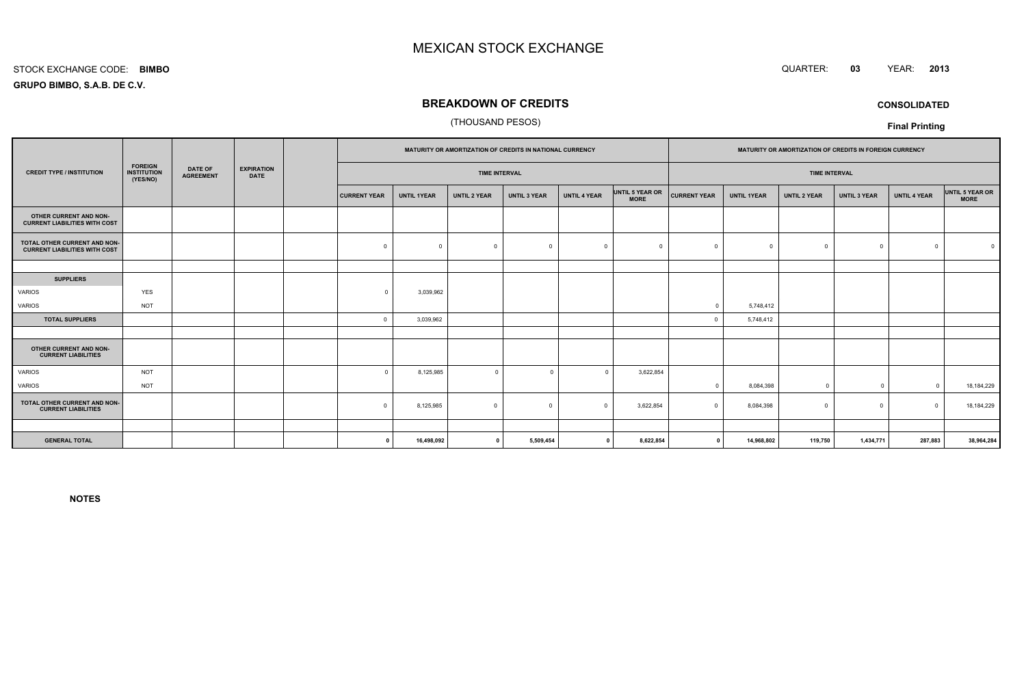#### STOCK EXCHANGE CODE:**BIMBO**

**GRUPO BIMBO, S.A.B. DE C.V.**

## **BREAKDOWN OF CREDITS**

## (THOUSAND PESOS)

|                                                                      |                                                  |                                    |                                  |                     |                    |                      | MATURITY OR AMORTIZATION OF CREDITS IN NATIONAL CURRENCY |                     |                                |                     |                    | MATURITY OR AMORTIZATION OF CREDITS IN FOREIGN CURRENCY |                     |                     |                                |
|----------------------------------------------------------------------|--------------------------------------------------|------------------------------------|----------------------------------|---------------------|--------------------|----------------------|----------------------------------------------------------|---------------------|--------------------------------|---------------------|--------------------|---------------------------------------------------------|---------------------|---------------------|--------------------------------|
| <b>CREDIT TYPE / INSTITUTION</b>                                     | <b>FOREIGN</b><br><b>INSTITUTION</b><br>(YES/NO) | <b>DATE OF</b><br><b>AGREEMENT</b> | <b>EXPIRATION</b><br><b>DATE</b> |                     |                    | <b>TIME INTERVAL</b> |                                                          |                     |                                |                     |                    | <b>TIME INTERVAL</b>                                    |                     |                     |                                |
|                                                                      |                                                  |                                    |                                  | <b>CURRENT YEAR</b> | <b>UNTIL 1YEAR</b> | <b>UNTIL 2 YEAR</b>  | <b>UNTIL 3 YEAR</b>                                      | <b>UNTIL 4 YEAR</b> | UNTIL 5 YEAR OR<br><b>MORE</b> | <b>CURRENT YEAR</b> | <b>UNTIL 1YEAR</b> | <b>UNTIL 2 YEAR</b>                                     | <b>UNTIL 3 YEAR</b> | <b>UNTIL 4 YEAR</b> | UNTIL 5 YEAR OR<br><b>MORE</b> |
| OTHER CURRENT AND NON-<br><b>CURRENT LIABILITIES WITH COST</b>       |                                                  |                                    |                                  |                     |                    |                      |                                                          |                     |                                |                     |                    |                                                         |                     |                     |                                |
| TOTAL OTHER CURRENT AND NON-<br><b>CURRENT LIABILITIES WITH COST</b> |                                                  |                                    |                                  | $\mathbf 0$         | $\Omega$           | $\Omega$             | $\overline{0}$                                           | $\Omega$            | $\Omega$                       |                     | $^{\circ}$         | $\Omega$                                                | $^{\circ}$          | $\Omega$            |                                |
|                                                                      |                                                  |                                    |                                  |                     |                    |                      |                                                          |                     |                                |                     |                    |                                                         |                     |                     |                                |
| <b>SUPPLIERS</b>                                                     |                                                  |                                    |                                  |                     |                    |                      |                                                          |                     |                                |                     |                    |                                                         |                     |                     |                                |
| VARIOS                                                               | <b>YES</b>                                       |                                    |                                  | $\Omega$            | 3,039,962          |                      |                                                          |                     |                                |                     |                    |                                                         |                     |                     |                                |
| VARIOS                                                               | <b>NOT</b>                                       |                                    |                                  |                     |                    |                      |                                                          |                     |                                | $\Omega$            | 5,748,412          |                                                         |                     |                     |                                |
| <b>TOTAL SUPPLIERS</b>                                               |                                                  |                                    |                                  | $\mathbf 0$         | 3,039,962          |                      |                                                          |                     |                                |                     | 5,748,412          |                                                         |                     |                     |                                |
|                                                                      |                                                  |                                    |                                  |                     |                    |                      |                                                          |                     |                                |                     |                    |                                                         |                     |                     |                                |
| OTHER CURRENT AND NON-<br><b>CURRENT LIABILITIES</b>                 |                                                  |                                    |                                  |                     |                    |                      |                                                          |                     |                                |                     |                    |                                                         |                     |                     |                                |
| <b>VARIOS</b>                                                        | <b>NOT</b>                                       |                                    |                                  | $\Omega$            | 8,125,985          | $\mathbf 0$          | $\Omega$                                                 | $\Omega$            | 3,622,854                      |                     |                    |                                                         |                     |                     |                                |
| VARIOS                                                               | <b>NOT</b>                                       |                                    |                                  |                     |                    |                      |                                                          |                     |                                | $\Omega$            | 8,084,398          | $\Omega$                                                | $\overline{0}$      | $\Omega$            | 18,184,229                     |
| TOTAL OTHER CURRENT AND NON-<br><b>CURRENT LIABILITIES</b>           |                                                  |                                    |                                  | $\Omega$            | 8,125,985          | $\mathbf 0$          | $\Omega$                                                 | $\Omega$            | 3,622,854                      |                     | 8,084,398          | $\Omega$                                                | $^{\circ}$          | $\Omega$            | 18, 184, 229                   |
|                                                                      |                                                  |                                    |                                  |                     |                    |                      |                                                          |                     |                                |                     |                    |                                                         |                     |                     |                                |
| <b>GENERAL TOTAL</b>                                                 |                                                  |                                    |                                  | $\Omega$            | 16,498,092         | $\mathbf{0}$         | 5,509,454                                                | $\mathbf{0}$        | 8,622,854                      | $\mathbf 0$         | 14,968,802         | 119,750                                                 | 1,434,771           | 287,883             | 38,964,284                     |

**NOTES**



**CONSOLIDATED**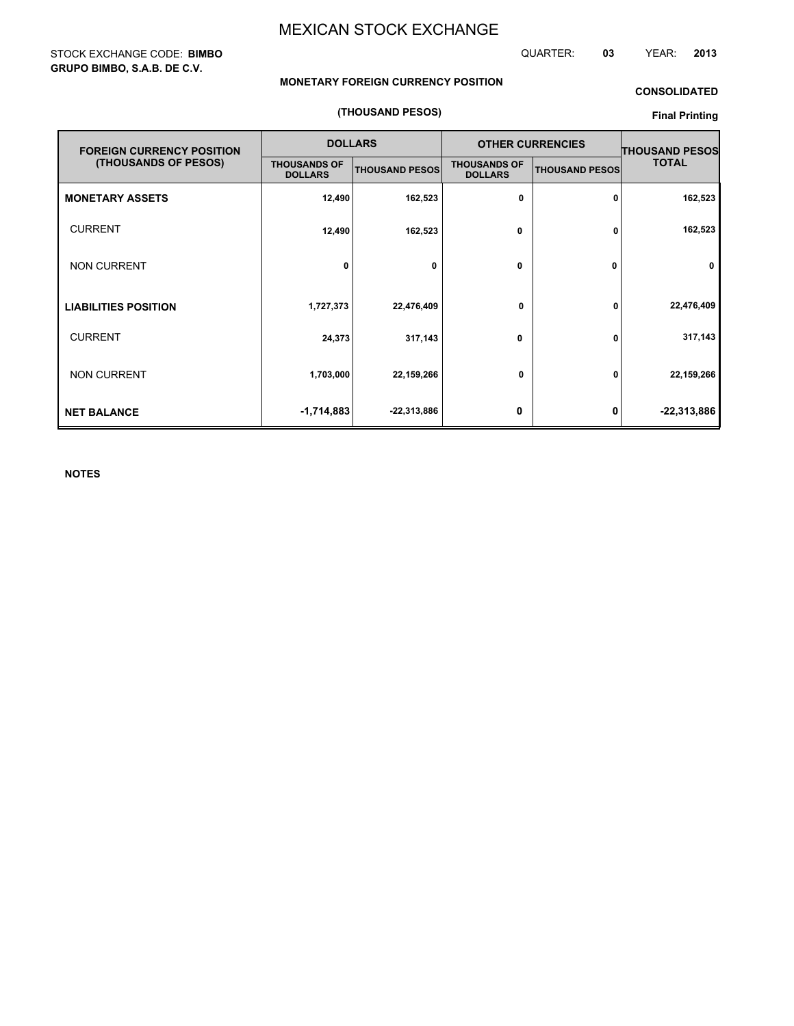STOCK EXCHANGE CODE: **BIMBO GRUPO BIMBO, S.A.B. DE C.V.**

QUARTER: **03** YEAR: **2013**

## **MONETARY FOREIGN CURRENCY POSITION**

## **CONSOLIDATED**

#### **(THOUSAND PESOS)**

## **Final Printing**

| <b>FOREIGN CURRENCY POSITION</b> |                                       | <b>DOLLARS</b>        |                                       | <b>OTHER CURRENCIES</b> | <b>THOUSAND PESOS</b> |  |
|----------------------------------|---------------------------------------|-----------------------|---------------------------------------|-------------------------|-----------------------|--|
| (THOUSANDS OF PESOS)             | <b>THOUSANDS OF</b><br><b>DOLLARS</b> | <b>THOUSAND PESOS</b> | <b>THOUSANDS OF</b><br><b>DOLLARS</b> | <b>THOUSAND PESOS</b>   | <b>TOTAL</b>          |  |
| <b>MONETARY ASSETS</b>           | 12,490                                | 162,523               | 0                                     | 0                       | 162,523               |  |
| <b>CURRENT</b>                   | 12,490                                | 162,523               | 0                                     | 0                       | 162,523               |  |
| <b>NON CURRENT</b>               | 0                                     | 0                     | 0                                     | 0                       | 0                     |  |
| <b>LIABILITIES POSITION</b>      | 1,727,373                             | 22,476,409            | 0                                     | 0                       | 22,476,409            |  |
| <b>CURRENT</b>                   | 24,373                                | 317,143               | 0                                     | 0                       | 317,143               |  |
| <b>NON CURRENT</b>               | 1,703,000                             | 22,159,266            | 0                                     | 0                       | 22,159,266            |  |
| <b>NET BALANCE</b>               | $-1,714,883$                          | $-22,313,886$         | 0                                     | 0                       | $-22,313,886$         |  |

**NOTES**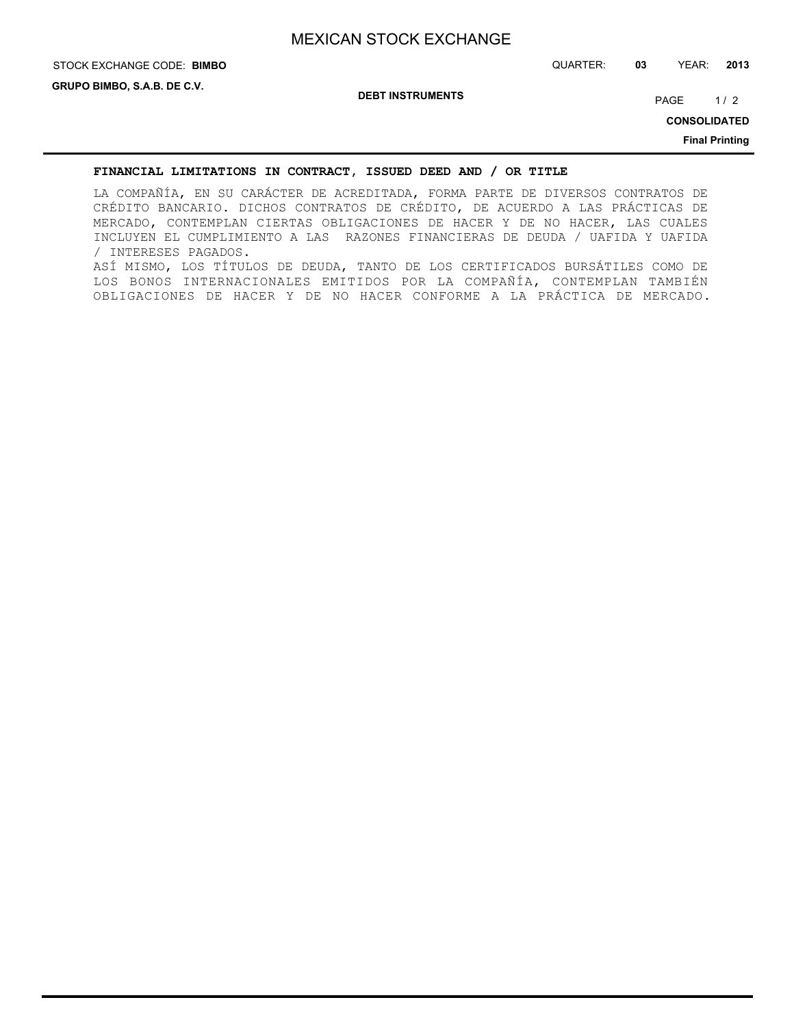# STOCK EXCHANGE CODE: QUARTER: **03** YEAR: **2013 BIMBO**

**DEBT INSTRUMENTS**

PAGE 1/2

**CONSOLIDATED**

**Final Printing**

## **FINANCIAL LIMITATIONS IN CONTRACT, ISSUED DEED AND / OR TITLE**

LA COMPAÑÍA, EN SU CARÁCTER DE ACREDITADA, FORMA PARTE DE DIVERSOS CONTRATOS DE CRÉDITO BANCARIO. DICHOS CONTRATOS DE CRÉDITO, DE ACUERDO A LAS PRÁCTICAS DE MERCADO, CONTEMPLAN CIERTAS OBLIGACIONES DE HACER Y DE NO HACER, LAS CUALES INCLUYEN EL CUMPLIMIENTO A LAS RAZONES FINANCIERAS DE DEUDA / UAFIDA Y UAFIDA / INTERESES PAGADOS. ASÍ MISMO, LOS TÍTULOS DE DEUDA, TANTO DE LOS CERTIFICADOS BURSÁTILES COMO DE LOS BONOS INTERNACIONALES EMITIDOS POR LA COMPAÑÍA, CONTEMPLAN TAMBIÉN OBLIGACIONES DE HACER Y DE NO HACER CONFORME A LA PRÁCTICA DE MERCADO.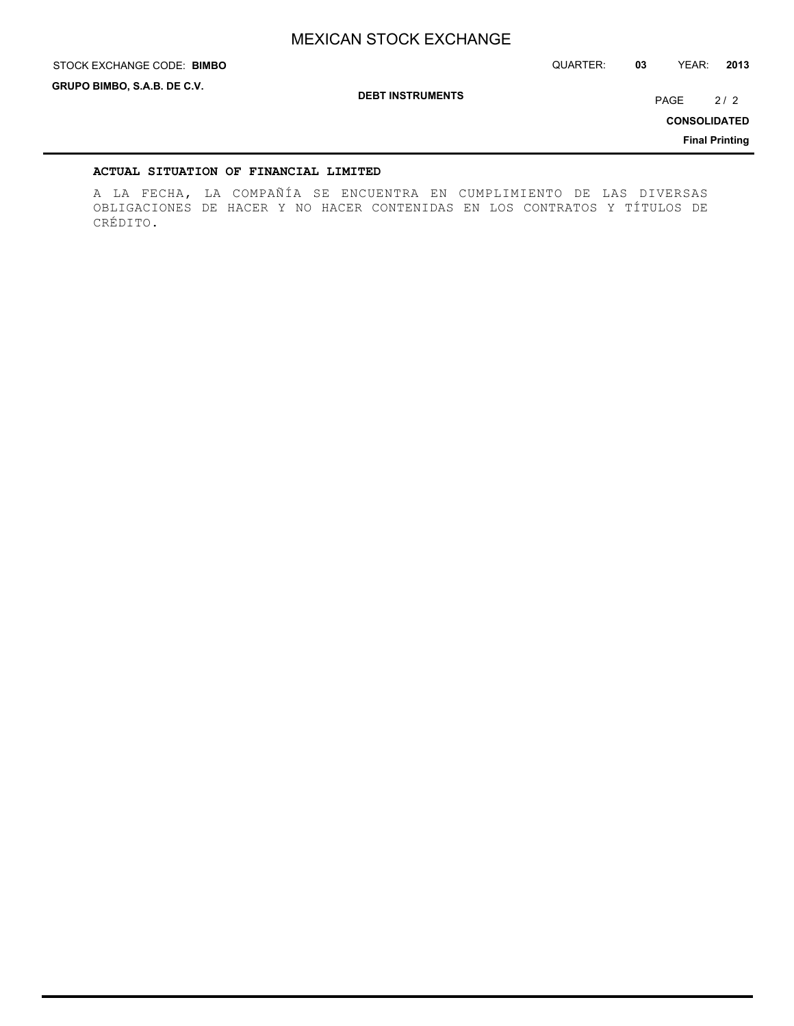STOCK EXCHANGE CODE: QUARTER: **03** YEAR: **2013 BIMBO**

**GRUPO BIMBO, S.A.B. DE C.V.**

**DEBT INSTRUMENTS**

PAGE 2/2

**CONSOLIDATED**

**Final Printing**

## **ACTUAL SITUATION OF FINANCIAL LIMITED**

A LA FECHA, LA COMPAÑÍA SE ENCUENTRA EN CUMPLIMIENTO DE LAS DIVERSAS OBLIGACIONES DE HACER Y NO HACER CONTENIDAS EN LOS CONTRATOS Y TÍTULOS DE CRÉDITO.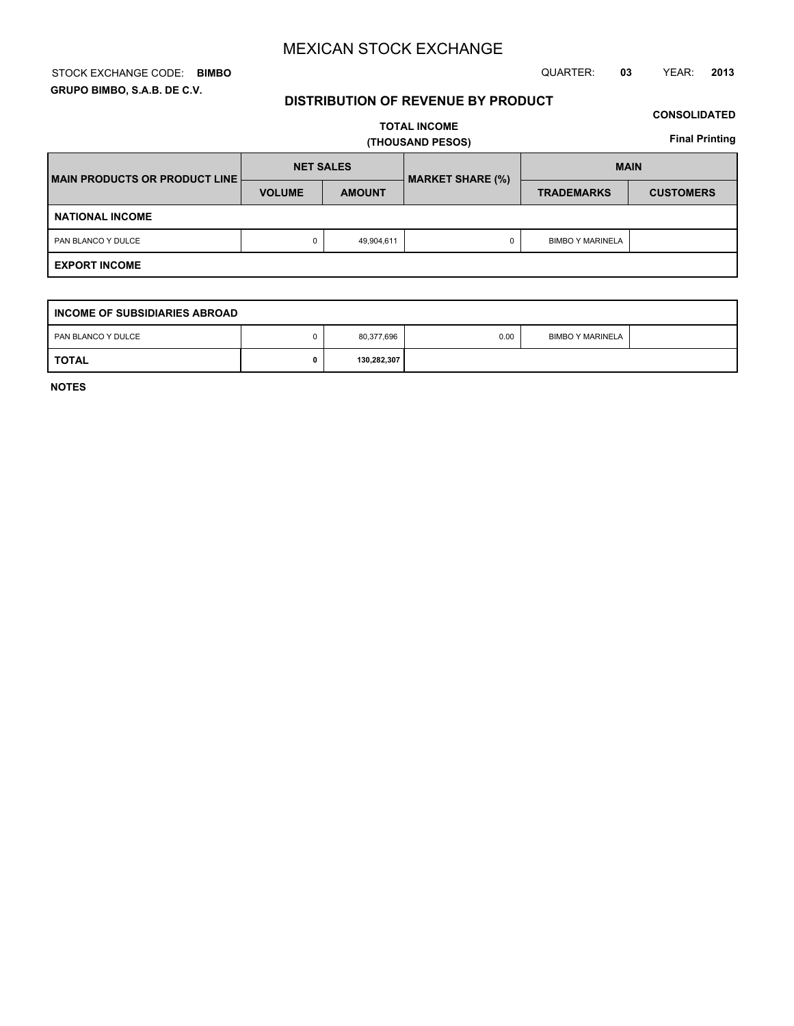## STOCK EXCHANGE CODE: QUARTER: **03** YEAR: **2013 BIMBO GRUPO BIMBO, S.A.B. DE C.V.**

## **DISTRIBUTION OF REVENUE BY PRODUCT**

## **CONSOLIDATED**

**TOTAL INCOME (THOUSAND PESOS)**

**Final Printing**

| <b>IMAIN PRODUCTS OR PRODUCT LINE  </b> | <b>NET SALES</b> |               | <b>MARKET SHARE (%)</b> | <b>MAIN</b>             |                  |  |
|-----------------------------------------|------------------|---------------|-------------------------|-------------------------|------------------|--|
|                                         | <b>VOLUME</b>    | <b>AMOUNT</b> |                         | <b>TRADEMARKS</b>       | <b>CUSTOMERS</b> |  |
| <b>NATIONAL INCOME</b>                  |                  |               |                         |                         |                  |  |
| PAN BLANCO Y DULCE                      |                  | 49,904,611    |                         | <b>BIMBO Y MARINELA</b> |                  |  |
| <b>EXPORT INCOME</b>                    |                  |               |                         |                         |                  |  |

| <b>INCOME OF SUBSIDIARIES ABROAD</b> |  |             |      |                         |  |  |  |
|--------------------------------------|--|-------------|------|-------------------------|--|--|--|
| PAN BLANCO Y DULCE                   |  | 80,377,696  | 0.00 | <b>BIMBO Y MARINELA</b> |  |  |  |
| <b>TOTAL</b>                         |  | 130,282,307 |      |                         |  |  |  |

**NOTES**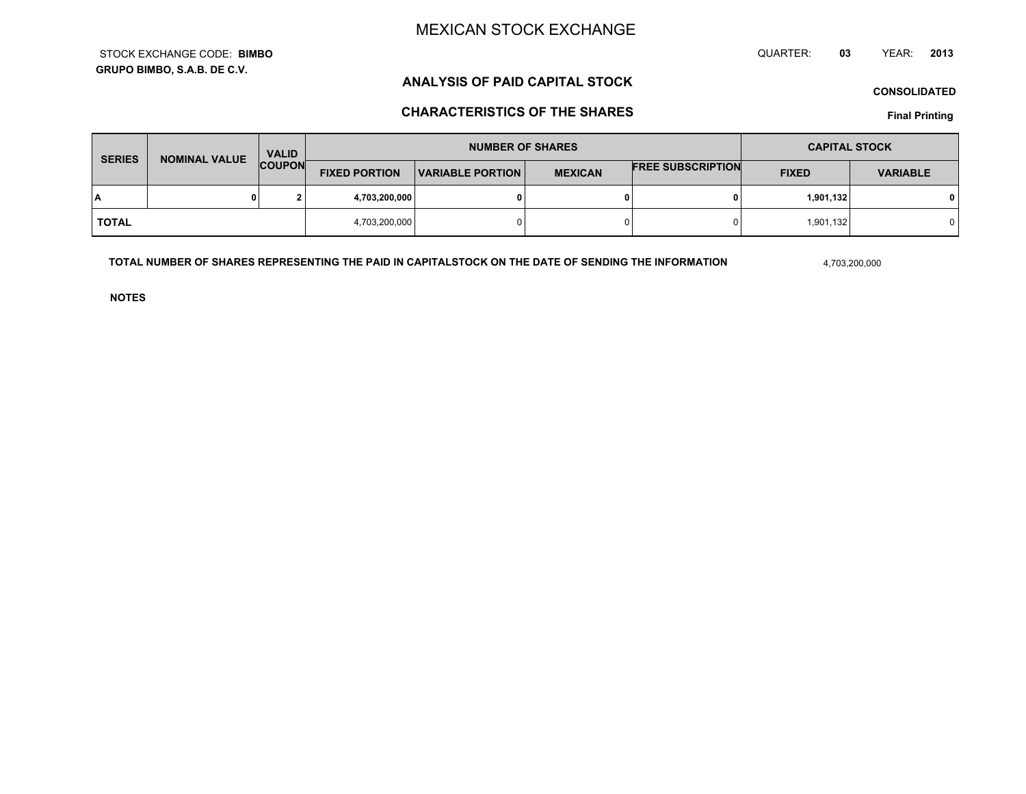**GRUPO BIMBO, S.A.B. DE C.V.**STOCK EXCHANGE CODE:**BIMBO** QUARTER: **03**YEAR: **<sup>2013</sup>**

# **ANALYSIS OF PAID CAPITAL STOCK**

**CONSOLIDATED**

# **CHARACTERISTICS OF THE SHARES**

**Final Printing**

| <b>SERIES</b> | <b>NOMINAL VALUE</b> | <b>VALID</b>  |                      | <b>NUMBER OF SHARES</b> |                | <b>CAPITAL STOCK</b>     |              |                 |
|---------------|----------------------|---------------|----------------------|-------------------------|----------------|--------------------------|--------------|-----------------|
|               |                      | <b>COUPON</b> | <b>FIXED PORTION</b> | <b>VARIABLE PORTION</b> | <b>MEXICAN</b> | <b>FREE SUBSCRIPTION</b> | <b>FIXED</b> | <b>VARIABLE</b> |
| I٨            |                      | ໍ             | 4,703,200,000        |                         | 0              |                          | 1,901,132    |                 |
| <b>TOTAL</b>  |                      |               | 4,703,200,000        |                         | $\Omega$       |                          | 1,901,132    |                 |

**TOTAL NUMBER OF SHARES REPRESENTING THE PAID IN CAPITALSTOCK ON THE DATE OF SENDING THE INFORMATION**

4,703,200,000

**NOTES**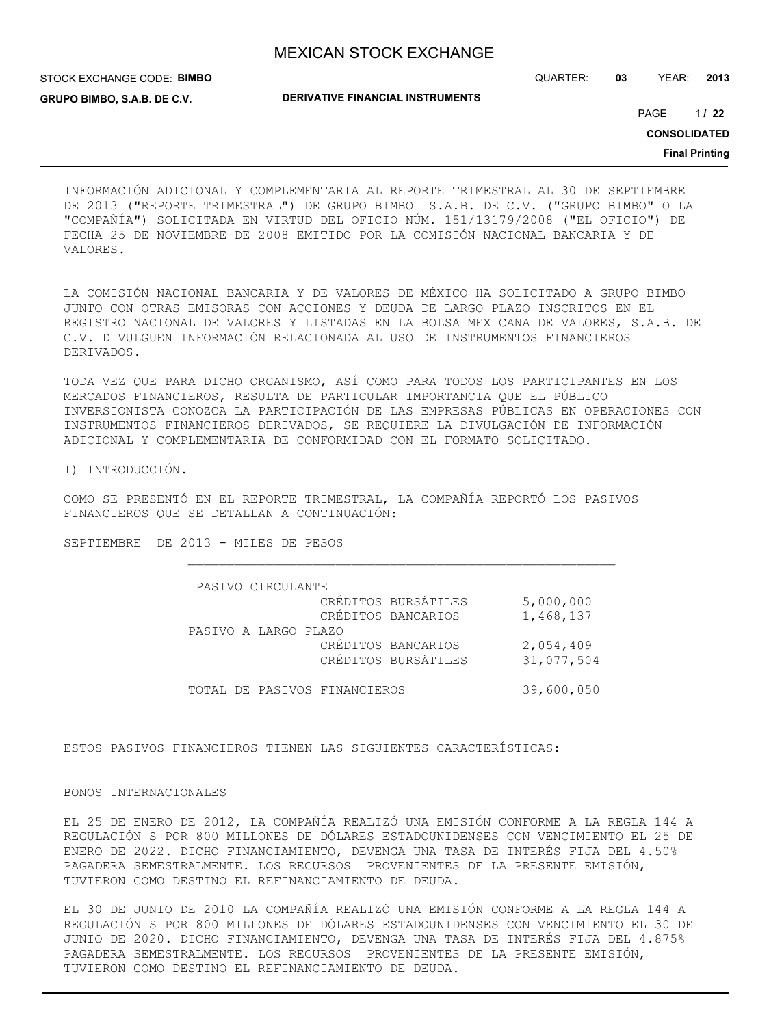STOCK EXCHANGE CODE: **BIMBO GRUPO BIMBO, S.A.B. DE C.V.**

QUARTER: **03** YEAR: **2013**

**DERIVATIVE FINANCIAL INSTRUMENTS**

1 PAGE **/ 22**

**CONSOLIDATED**

**Final Printing**

INFORMACIÓN ADICIONAL Y COMPLEMENTARIA AL REPORTE TRIMESTRAL AL 30 DE SEPTIEMBRE DE 2013 ("REPORTE TRIMESTRAL") DE GRUPO BIMBO S.A.B. DE C.V. ("GRUPO BIMBO" O LA "COMPAÑÍA") SOLICITADA EN VIRTUD DEL OFICIO NÚM. 151/13179/2008 ("EL OFICIO") DE FECHA 25 DE NOVIEMBRE DE 2008 EMITIDO POR LA COMISIÓN NACIONAL BANCARIA Y DE VALORES.

LA COMISIÓN NACIONAL BANCARIA Y DE VALORES DE MÉXICO HA SOLICITADO A GRUPO BIMBO JUNTO CON OTRAS EMISORAS CON ACCIONES Y DEUDA DE LARGO PLAZO INSCRITOS EN EL REGISTRO NACIONAL DE VALORES Y LISTADAS EN LA BOLSA MEXICANA DE VALORES, S.A.B. DE C.V. DIVULGUEN INFORMACIÓN RELACIONADA AL USO DE INSTRUMENTOS FINANCIEROS DERIVADOS.

TODA VEZ QUE PARA DICHO ORGANISMO, ASÍ COMO PARA TODOS LOS PARTICIPANTES EN LOS MERCADOS FINANCIEROS, RESULTA DE PARTICULAR IMPORTANCIA QUE EL PÚBLICO INVERSIONISTA CONOZCA LA PARTICIPACIÓN DE LAS EMPRESAS PÚBLICAS EN OPERACIONES CON INSTRUMENTOS FINANCIEROS DERIVADOS, SE REQUIERE LA DIVULGACIÓN DE INFORMACIÓN ADICIONAL Y COMPLEMENTARIA DE CONFORMIDAD CON EL FORMATO SOLICITADO.

I) INTRODUCCIÓN.

COMO SE PRESENTÓ EN EL REPORTE TRIMESTRAL, LA COMPAÑÍA REPORTÓ LOS PASIVOS FINANCIEROS QUE SE DETALLAN A CONTINUACIÓN:

SEPTIEMBRE DE 2013 - MILES DE PESOS

| PASIVO CIRCULANTE            |                     |            |
|------------------------------|---------------------|------------|
|                              | CRÉDITOS BURSÁTILES | 5,000,000  |
|                              | CRÉDITOS BANCARIOS  | 1,468,137  |
| PASIVO A LARGO PLAZO         |                     |            |
|                              | CRÉDITOS BANCARIOS  | 2,054,409  |
|                              | CRÉDITOS BURSÁTILES | 31,077,504 |
|                              |                     |            |
| TOTAL DE PASIVOS FINANCIEROS |                     | 39,600,050 |

ESTOS PASIVOS FINANCIEROS TIENEN LAS SIGUIENTES CARACTERÍSTICAS:

#### BONOS INTERNACIONALES

EL 25 DE ENERO DE 2012, LA COMPAÑÍA REALIZÓ UNA EMISIÓN CONFORME A LA REGLA 144 A REGULACIÓN S POR 800 MILLONES DE DÓLARES ESTADOUNIDENSES CON VENCIMIENTO EL 25 DE ENERO DE 2022. DICHO FINANCIAMIENTO, DEVENGA UNA TASA DE INTERÉS FIJA DEL 4.50% PAGADERA SEMESTRALMENTE. LOS RECURSOS PROVENIENTES DE LA PRESENTE EMISIÓN, TUVIERON COMO DESTINO EL REFINANCIAMIENTO DE DEUDA.

EL 30 DE JUNIO DE 2010 LA COMPAÑÍA REALIZÓ UNA EMISIÓN CONFORME A LA REGLA 144 A REGULACIÓN S POR 800 MILLONES DE DÓLARES ESTADOUNIDENSES CON VENCIMIENTO EL 30 DE JUNIO DE 2020. DICHO FINANCIAMIENTO, DEVENGA UNA TASA DE INTERÉS FIJA DEL 4.875% PAGADERA SEMESTRALMENTE. LOS RECURSOS PROVENIENTES DE LA PRESENTE EMISIÓN, TUVIERON COMO DESTINO EL REFINANCIAMIENTO DE DEUDA.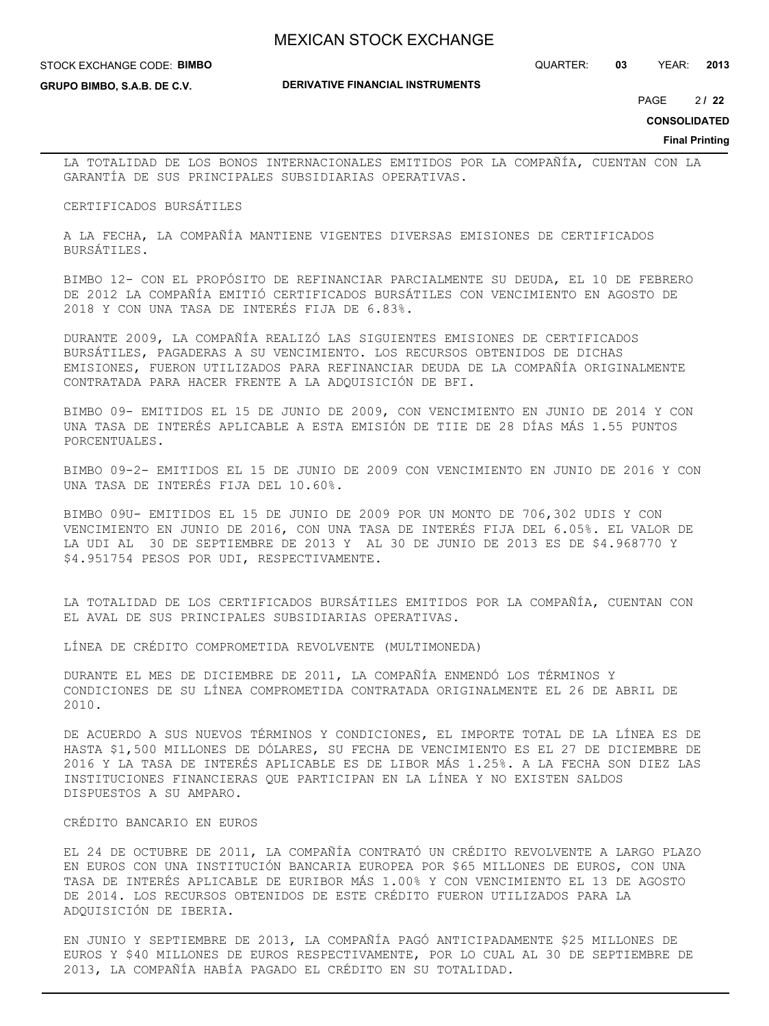#### STOCK EXCHANGE CODE: **BIMBO**

**GRUPO BIMBO, S.A.B. DE C.V.**

QUARTER: **03** YEAR: **2013**

2 PAGE **/ 22**

**CONSOLIDATED**

**Final Printing**

LA TOTALIDAD DE LOS BONOS INTERNACIONALES EMITIDOS POR LA COMPAÑÍA, CUENTAN CON LA GARANTÍA DE SUS PRINCIPALES SUBSIDIARIAS OPERATIVAS.

#### CERTIFICADOS BURSÁTILES

A LA FECHA, LA COMPAÑÍA MANTIENE VIGENTES DIVERSAS EMISIONES DE CERTIFICADOS BURSÁTILES.

BIMBO 12- CON EL PROPÓSITO DE REFINANCIAR PARCIALMENTE SU DEUDA, EL 10 DE FEBRERO DE 2012 LA COMPAÑÍA EMITIÓ CERTIFICADOS BURSÁTILES CON VENCIMIENTO EN AGOSTO DE 2018 Y CON UNA TASA DE INTERÉS FIJA DE 6.83%.

DURANTE 2009, LA COMPAÑÍA REALIZÓ LAS SIGUIENTES EMISIONES DE CERTIFICADOS BURSÁTILES, PAGADERAS A SU VENCIMIENTO. LOS RECURSOS OBTENIDOS DE DICHAS EMISIONES, FUERON UTILIZADOS PARA REFINANCIAR DEUDA DE LA COMPAÑÍA ORIGINALMENTE CONTRATADA PARA HACER FRENTE A LA ADQUISICIÓN DE BFI.

BIMBO 09- EMITIDOS EL 15 DE JUNIO DE 2009, CON VENCIMIENTO EN JUNIO DE 2014 Y CON UNA TASA DE INTERÉS APLICABLE A ESTA EMISIÓN DE TIIE DE 28 DÍAS MÁS 1.55 PUNTOS PORCENTUALES.

BIMBO 09-2- EMITIDOS EL 15 DE JUNIO DE 2009 CON VENCIMIENTO EN JUNIO DE 2016 Y CON UNA TASA DE INTERÉS FIJA DEL 10.60%.

BIMBO 09U- EMITIDOS EL 15 DE JUNIO DE 2009 POR UN MONTO DE 706,302 UDIS Y CON VENCIMIENTO EN JUNIO DE 2016, CON UNA TASA DE INTERÉS FIJA DEL 6.05%. EL VALOR DE LA UDI AL 30 DE SEPTIEMBRE DE 2013 Y AL 30 DE JUNIO DE 2013 ES DE \$4.968770 Y \$4.951754 PESOS POR UDI, RESPECTIVAMENTE.

LA TOTALIDAD DE LOS CERTIFICADOS BURSÁTILES EMITIDOS POR LA COMPAÑÍA, CUENTAN CON EL AVAL DE SUS PRINCIPALES SUBSIDIARIAS OPERATIVAS.

LÍNEA DE CRÉDITO COMPROMETIDA REVOLVENTE (MULTIMONEDA)

DURANTE EL MES DE DICIEMBRE DE 2011, LA COMPAÑÍA ENMENDÓ LOS TÉRMINOS Y CONDICIONES DE SU LÍNEA COMPROMETIDA CONTRATADA ORIGINALMENTE EL 26 DE ABRIL DE 2010.

DE ACUERDO A SUS NUEVOS TÉRMINOS Y CONDICIONES, EL IMPORTE TOTAL DE LA LÍNEA ES DE HASTA \$1,500 MILLONES DE DÓLARES, SU FECHA DE VENCIMIENTO ES EL 27 DE DICIEMBRE DE 2016 Y LA TASA DE INTERÉS APLICABLE ES DE LIBOR MÁS 1.25%. A LA FECHA SON DIEZ LAS INSTITUCIONES FINANCIERAS QUE PARTICIPAN EN LA LÍNEA Y NO EXISTEN SALDOS DISPUESTOS A SU AMPARO.

#### CRÉDITO BANCARIO EN EUROS

EL 24 DE OCTUBRE DE 2011, LA COMPAÑÍA CONTRATÓ UN CRÉDITO REVOLVENTE A LARGO PLAZO EN EUROS CON UNA INSTITUCIÓN BANCARIA EUROPEA POR \$65 MILLONES DE EUROS, CON UNA TASA DE INTERÉS APLICABLE DE EURIBOR MÁS 1.00% Y CON VENCIMIENTO EL 13 DE AGOSTO DE 2014. LOS RECURSOS OBTENIDOS DE ESTE CRÉDITO FUERON UTILIZADOS PARA LA ADQUISICIÓN DE IBERIA.

EN JUNIO Y SEPTIEMBRE DE 2013, LA COMPAÑÍA PAGÓ ANTICIPADAMENTE \$25 MILLONES DE EUROS Y \$40 MILLONES DE EUROS RESPECTIVAMENTE, POR LO CUAL AL 30 DE SEPTIEMBRE DE 2013, LA COMPAÑÍA HABÍA PAGADO EL CRÉDITO EN SU TOTALIDAD.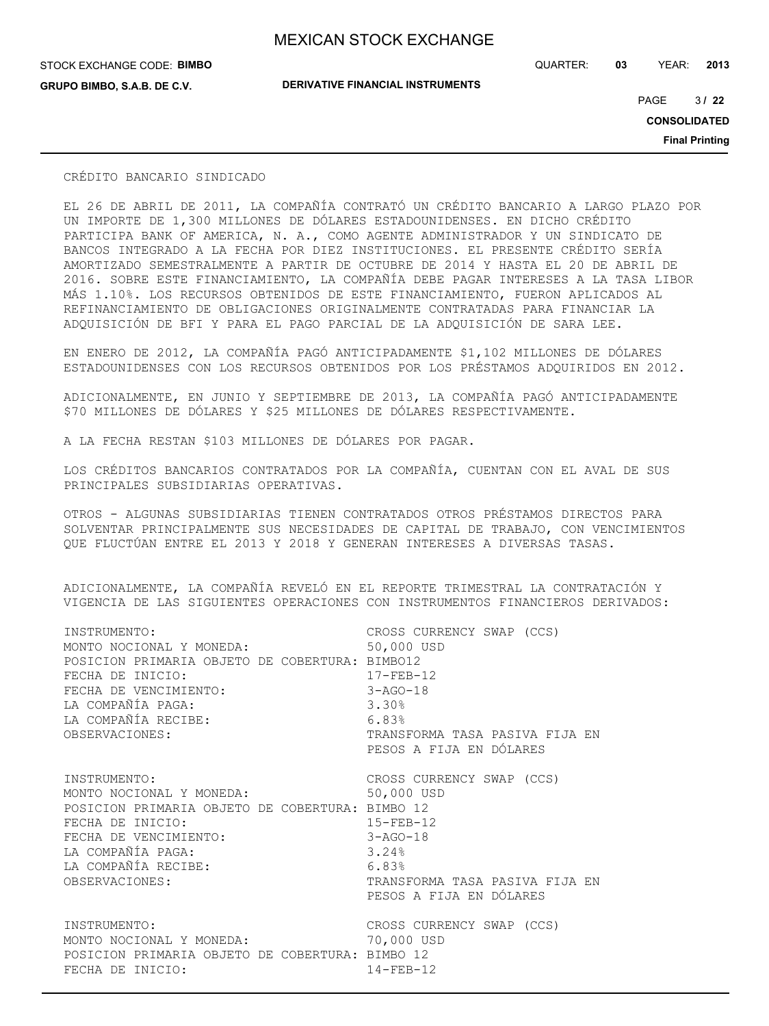QUARTER: **03** YEAR: **2013**

STOCK EXCHANGE CODE: **BIMBO GRUPO BIMBO, S.A.B. DE C.V.**

**DERIVATIVE FINANCIAL INSTRUMENTS**

3 PAGE **/ 22**

**CONSOLIDATED**

**Final Printing**

#### CRÉDITO BANCARIO SINDICADO

EL 26 DE ABRIL DE 2011, LA COMPAÑÍA CONTRATÓ UN CRÉDITO BANCARIO A LARGO PLAZO POR UN IMPORTE DE 1,300 MILLONES DE DÓLARES ESTADOUNIDENSES. EN DICHO CRÉDITO PARTICIPA BANK OF AMERICA, N. A., COMO AGENTE ADMINISTRADOR Y UN SINDICATO DE BANCOS INTEGRADO A LA FECHA POR DIEZ INSTITUCIONES. EL PRESENTE CRÉDITO SERÍA AMORTIZADO SEMESTRALMENTE A PARTIR DE OCTUBRE DE 2014 Y HASTA EL 20 DE ABRIL DE 2016. SOBRE ESTE FINANCIAMIENTO, LA COMPAÑÍA DEBE PAGAR INTERESES A LA TASA LIBOR MÁS 1.10%. LOS RECURSOS OBTENIDOS DE ESTE FINANCIAMIENTO, FUERON APLICADOS AL REFINANCIAMIENTO DE OBLIGACIONES ORIGINALMENTE CONTRATADAS PARA FINANCIAR LA ADQUISICIÓN DE BFI Y PARA EL PAGO PARCIAL DE LA ADQUISICIÓN DE SARA LEE.

EN ENERO DE 2012, LA COMPAÑÍA PAGÓ ANTICIPADAMENTE \$1,102 MILLONES DE DÓLARES ESTADOUNIDENSES CON LOS RECURSOS OBTENIDOS POR LOS PRÉSTAMOS ADQUIRIDOS EN 2012.

ADICIONALMENTE, EN JUNIO Y SEPTIEMBRE DE 2013, LA COMPAÑÍA PAGÓ ANTICIPADAMENTE \$70 MILLONES DE DÓLARES Y \$25 MILLONES DE DÓLARES RESPECTIVAMENTE.

A LA FECHA RESTAN \$103 MILLONES DE DÓLARES POR PAGAR.

LOS CRÉDITOS BANCARIOS CONTRATADOS POR LA COMPAÑÍA, CUENTAN CON EL AVAL DE SUS PRINCIPALES SUBSIDIARIAS OPERATIVAS.

OTROS - ALGUNAS SUBSIDIARIAS TIENEN CONTRATADOS OTROS PRÉSTAMOS DIRECTOS PARA SOLVENTAR PRINCIPALMENTE SUS NECESIDADES DE CAPITAL DE TRABAJO, CON VENCIMIENTOS QUE FLUCTÚAN ENTRE EL 2013 Y 2018 Y GENERAN INTERESES A DIVERSAS TASAS.

ADICIONALMENTE, LA COMPAÑÍA REVELÓ EN EL REPORTE TRIMESTRAL LA CONTRATACIÓN Y VIGENCIA DE LAS SIGUIENTES OPERACIONES CON INSTRUMENTOS FINANCIEROS DERIVADOS:

| INSTRUMENTO:                                                                                                    | CROSS CURRENCY SWAP (CCS)                                  |
|-----------------------------------------------------------------------------------------------------------------|------------------------------------------------------------|
| MONTO NOCIONAL Y MONEDA:                                                                                        | 50,000 USD                                                 |
| POSICION PRIMARIA OBJETO DE COBERTURA: BIMBO12                                                                  | $17 - FEB - 12$                                            |
| FECHA DE INICIO:                                                                                                | $3 - AGO - 18$                                             |
| FECHA DE VENCIMIENTO:                                                                                           | 3.30%                                                      |
| LA COMPAÑÍA PAGA:                                                                                               | 6.83%                                                      |
| LA COMPAÑÍA RECIBE:                                                                                             | TRANSFORMA TASA PASIVA FIJA EN                             |
| OBSERVACIONES:                                                                                                  | PESOS A FIJA EN DÓLARES                                    |
| INSTRUMENTO:                                                                                                    | CROSS CURRENCY SWAP (CCS)                                  |
| MONTO NOCIONAL Y MONEDA:                                                                                        | 50,000 USD                                                 |
| POSICION PRIMARIA OBJETO DE COBERTURA: BIMBO 12                                                                 | $15 - FEB - 12$                                            |
| FECHA DE INICIO:                                                                                                | $3 - AGO - 18$                                             |
| FECHA DE VENCIMIENTO:                                                                                           | 3.24%                                                      |
| LA COMPAÑÍA PAGA:                                                                                               | 6.83%                                                      |
| LA COMPAÑÍA RECIBE:                                                                                             | TRANSFORMA TASA PASIVA FIJA EN                             |
| OBSERVACIONES:                                                                                                  | PESOS A FIJA EN DÓLARES                                    |
| INSTRUMENTO:<br>MONTO NOCIONAL Y MONEDA:<br>POSICION PRIMARIA OBJETO DE COBERTURA: BIMBO 12<br>FECHA DE INICIO: | CROSS CURRENCY SWAP (CCS)<br>70,000 USD<br>$14 - FER - 12$ |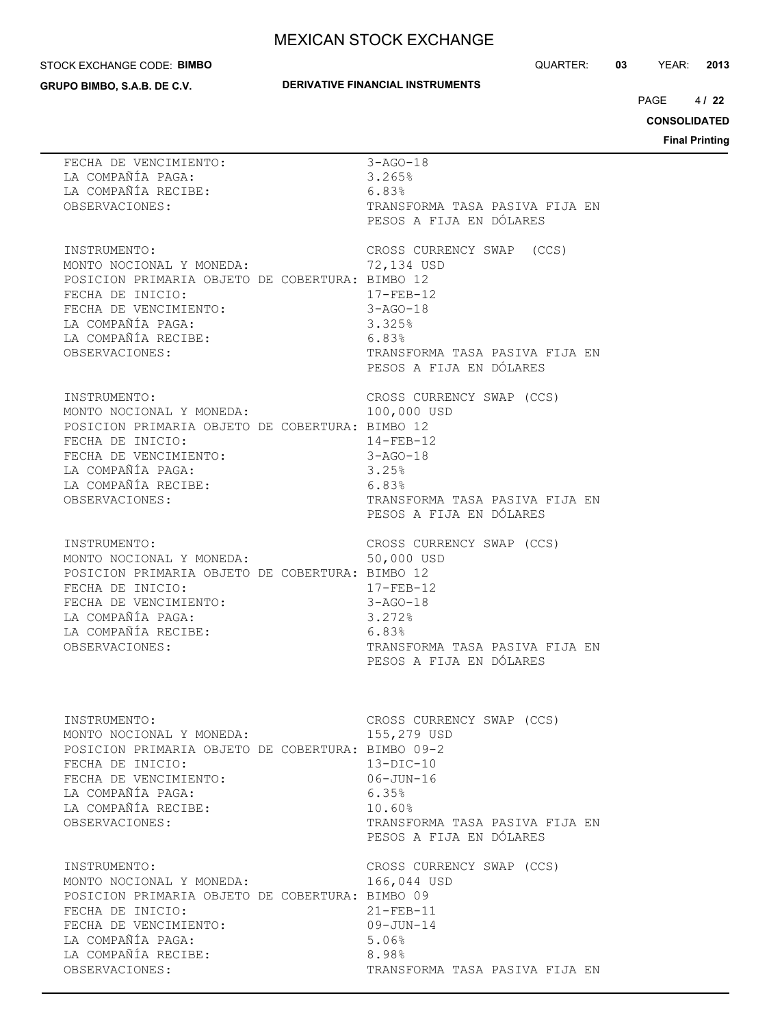#### STOCK EXCHANGE CODE: **BIMBO**

**GRUPO BIMBO, S.A.B. DE C.V.**

## **DERIVATIVE FINANCIAL INSTRUMENTS**

QUARTER: **03** YEAR: **2013**

 $4/22$ PAGE **/ 22**

**CONSOLIDATED**

| FECHA DE VENCIMIENTO:<br>LA COMPAÑÍA FAGA:<br>OBSERVACIONES:                                                                                                                                                    | $3 - AGO - 18$<br>3.265%<br>6.83%                                                                                                                                 |
|-----------------------------------------------------------------------------------------------------------------------------------------------------------------------------------------------------------------|-------------------------------------------------------------------------------------------------------------------------------------------------------------------|
|                                                                                                                                                                                                                 | TRANSFORMA TASA PASIVA FIJA EN<br>PESOS A FIJA EN DÓLARES                                                                                                         |
| INSTRUMENTO:<br>MONTO NOCIONAL Y MONEDA:<br>POSICION PRIMARIA OBJETO DE COBERTURA: BIMBO 12<br>FECHA DE INICIO:<br>FECHA DE VENCIMIENTO:<br>LA COMPAÑÍA PAGA:<br>LA COMPAÑÍA RECIBE:<br>6.83%<br>OBSERVACIONES: | CROSS CURRENCY SWAP (CCS)<br>72,134 USD<br>$17 - FFR - 12$<br>$17 - FEB - 1$<br>3-AGO-18<br>3.325%<br>TRANSFORMA TASA PASIVA FIJA EN<br>PESOS A FIJA EN DÓLARES   |
| INSTRUMENTO:<br>MONTO NOCIONAL Y MONEDA:<br>POSICION PRIMARIA OBJETO DE COBERTURA: BIMBO 12<br>FECHA DE INICIO:<br>FECHA DE VENCIMIENTO:<br>LA COMPAÑÍA PAGA:<br>3.25%                                          | CROSS CURRENCY SWAP (CCS)<br>100,000 USD<br>$14 - FEB - 12$<br>$3 - AGO - 18$<br>TRANSFORMA TASA PASIVA FIJA EN<br>PESOS A FIJA EN DÓLARES                        |
| INSTRUMENTO:<br>MONTO NOCIONAL Y MONEDA:<br>POSICION PRIMARIA OBJETO DE COBERTURA: BIMBO 12<br>FECHA DE INICIO:<br>FECHA DE VENCIMIENTO:<br>LA COMPAÑÍA PAGA:<br>LA COMPAÑÍA RECIBE:<br>6.83%<br>OBSERVACIONES: | CROSS CURRENCY SWAP (CCS)<br>50,000 USD<br>$17 - FEB - 12$<br>$3 - AGO - 18$<br>$3.272$ <sup>8</sup><br>TRANSFORMA TASA PASIVA FIJA EN<br>PESOS A FIJA EN DÓLARES |
| INSTRUMENTO:<br>MONTO NOCIONAL Y MONEDA:<br>POSICION PRIMARIA OBJETO DE COBERTURA: BIMBO 09-2<br>FECHA DE INICIO:<br>FECHA DE VENCIMIENTO:<br>LA COMPAÑÍA PAGA:<br>LA COMPAÑÍA RECIBE:<br>OBSERVACIONES:        | CROSS CURRENCY SWAP (CCS)<br>155,279 USD<br>$13-DIC-10$<br>$06 - JUN - 16$<br>6.35%<br>10.60%<br>TRANSFORMA TASA PASIVA FIJA EN<br>PESOS A FIJA EN DÓLARES        |
| INSTRUMENTO:<br>MONTO NOCIONAL Y MONEDA:<br>POSICION PRIMARIA OBJETO DE COBERTURA: BIMBO 09<br>FECHA DE INICIO:<br>FECHA DE VENCIMIENTO:<br>LA COMPAÑÍA PAGA:<br>LA COMPAÑÍA RECIBE:<br>OBSERVACIONES:          | CROSS CURRENCY SWAP (CCS)<br>166,044 USD<br>$21 - FEB - 11$<br>$09 - JUN - 14$<br>5.06%<br>8.98%<br>TRANSFORMA TASA PASIVA FIJA EN                                |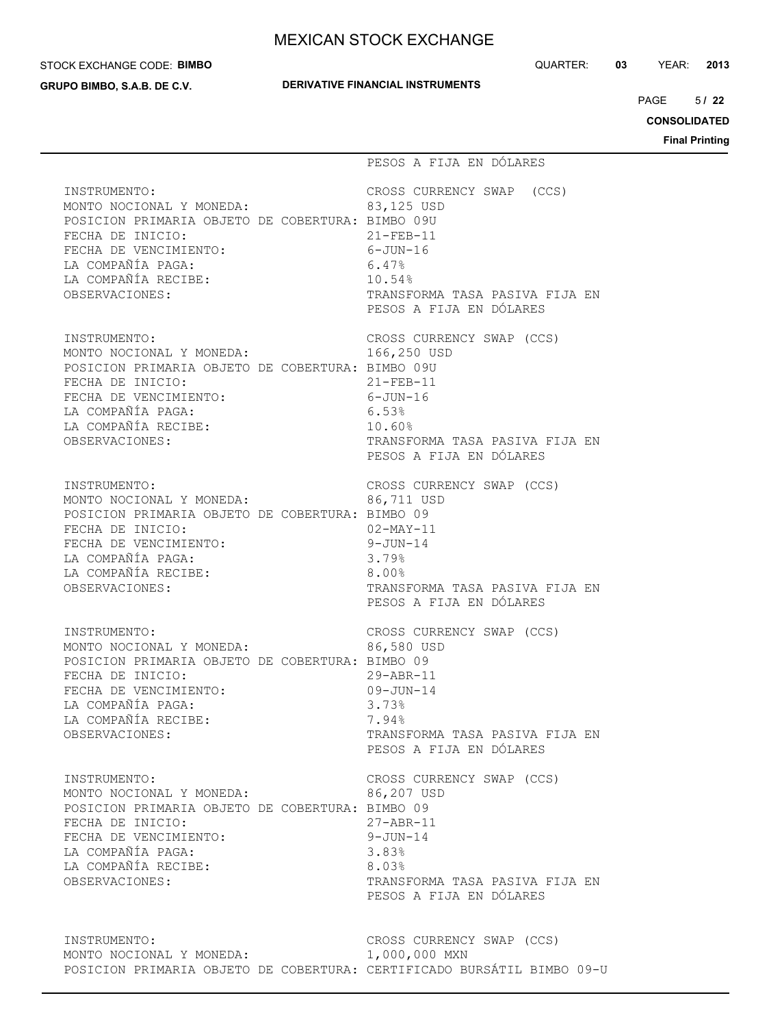#### STOCK EXCHANGE CODE: **BIMBO**

**GRUPO BIMBO, S.A.B. DE C.V.**

## **DERIVATIVE FINANCIAL INSTRUMENTS**

QUARTER: **03** YEAR: **2013**

 $5/22$ PAGE **/ 22**

**CONSOLIDATED**

|                                                                                                                                                                                                                                             | PESOS A FIJA EN DÓLARES                                                                                                                                       |
|---------------------------------------------------------------------------------------------------------------------------------------------------------------------------------------------------------------------------------------------|---------------------------------------------------------------------------------------------------------------------------------------------------------------|
| INSTRUMENTO:<br>MONTO NOCIONAL Y MONEDA:<br>POSICION PRIMARIA OBJETO DE COBERTURA: BIMBO 09U<br>FECHA DE INICIO:<br>21-FEB-11<br>6-JUN-16<br>FECHA DE VENCIMIENTO:<br>LA COMPAÑÍA PAGA:<br>LA COMPAÑÍA RECIBE:<br>OBSERVACIONES:            | CROSS CURRENCY SWAP (CCS)<br>83,125 USD<br>$21 - FEB - 11$<br>6.47%<br>10.54%<br>TRANSFORMA TASA PASIVA FIJA EN<br>PESOS A FIJA EN DÓLARES                    |
| INSTRUMENTO:<br>MONTO NOCIONAL Y MONEDA:<br>POSICION PRIMARIA OBJETO DE COBERTURA: BIMBO 09U<br>FECHA DE INICIO:<br>FECHA DE VENCIMIENTO:<br>LA COMPAÑÍA PAGA:<br>LA COMPAÑÍA RECIBE:<br>OBSERVACIONES:                                     | CROSS CURRENCY SWAP (CCS)<br>166,250 USD<br>$21 - FEB - 11$<br>$6 - JUN - 16$<br>6.53%<br>10.60%<br>TRANSFORMA TASA PASIVA FIJA EN<br>PESOS A FIJA EN DÓLARES |
| INSTRUMENTO:<br>MONTO NOCIONAL Y MONEDA: 66,711 USD<br>POSICION PRIMARIA OBJETO DE COBERTURA: BIMBO 09<br>FECHA DE INICIO:<br>$02 - \text{MAX} - 11$<br>FECHA DE VENCIMIENTO:<br>LA COMPAÑÍA PAGA:<br>LA COMPAÑÍA RECIBE:<br>OBSERVACIONES: | $9 - JUN - 14$<br>3.79%<br>$8.00\%$<br>TRANSFORMA TASA PASIVA FIJA EN<br>PESOS A FIJA EN DÓLARES                                                              |
| INSTRUMENTO:<br>MONTO NOCIONAL Y MONEDA:<br>POSICION PRIMARIA OBJETO DE COBERTURA: BIMBO 09<br>FECHA DE INICIO:<br>FECHA DE VENCIMIENTO:<br>LA COMPAÑÍA PAGA:<br>LA COMPAÑÍA RECIBE:<br>OBSERVACIONES:                                      | CROSS CURRENCY SWAP (CCS)<br>86,580 USD<br>$29 - ABR - 11$<br>$09 - JUN - 14$<br>3.73%<br>7.94%<br>TRANSFORMA TASA PASIVA FIJA EN<br>PESOS A FIJA EN DÓLARES  |
| INSTRUMENTO:<br>MONTO NOCIONAL Y MONEDA:<br>POSICION PRIMARIA OBJETO DE COBERTURA: BIMBO 09<br>FECHA DE INICIO:<br>FECHA DE VENCIMIENTO:<br>LA COMPAÑÍA PAGA:<br>LA COMPAÑÍA RECIBE:<br>OBSERVACIONES:                                      | CROSS CURRENCY SWAP (CCS)<br>86,207 USD<br>$27 - ABR - 11$<br>$9 - JUN - 14$<br>3.83%<br>8.03%<br>TRANSFORMA TASA PASIVA FIJA EN<br>PESOS A FIJA EN DÓLARES   |
| INSTRUMENTO:<br>MONTO NOCIONAL Y MONEDA:<br>POSICION PRIMARIA OBJETO DE COBERTURA: CERTIFICADO BURSÁTIL BIMBO 09-U                                                                                                                          | CROSS CURRENCY SWAP (CCS)<br>1,000,000 MXN                                                                                                                    |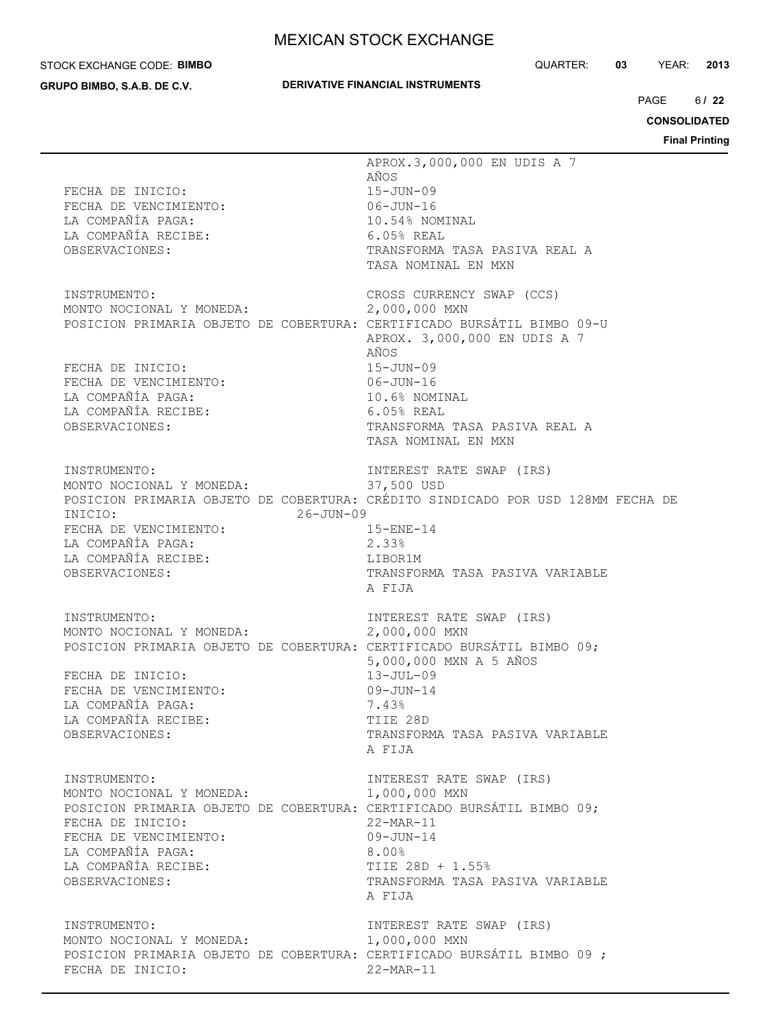#### STOCK EXCHANGE CODE: **BIMBO**

**GRUPO BIMBO, S.A.B. DE C.V.**

## **DERIVATIVE FINANCIAL INSTRUMENTS**

QUARTER: **03** YEAR: **2013**

 $6122$  $PAGE$ 

**CONSOLIDATED**

| FECHA DE INICIO:<br>FECHA DE VENCIMIENTO:                              | APROX.3,000,000 EN UDIS A 7<br>AÑOS<br>$15 - JUN - 09$<br>$06 - JUN - 16$       |
|------------------------------------------------------------------------|---------------------------------------------------------------------------------|
| LA COMPAÑÍA PAGA:                                                      | 10.54% NOMINAL                                                                  |
| LA COMPAÑÍA RECIBE:                                                    | $6.05%$ REAL                                                                    |
| OBSERVACIONES:                                                         | TRANSFORMA TASA PASIVA REAL A                                                   |
|                                                                        | TASA NOMINAL EN MXN                                                             |
|                                                                        |                                                                                 |
| INSTRUMENTO:                                                           | CROSS CURRENCY SWAP (CCS)                                                       |
| MONTO NOCIONAL Y MONEDA:                                               | 2,000,000 MXN                                                                   |
| POSICION PRIMARIA OBJETO DE COBERTURA: CERTIFICADO BURSÁTIL BIMBO 09-U | APROX. 3,000,000 EN UDIS A 7<br>AÑOS                                            |
| FECHA DE INICIO:                                                       | $15 - JUN - 09$                                                                 |
| FECHA DE VENCIMIENTO:                                                  | 06-JUN-16                                                                       |
| LA COMPAÑÍA PAGA:                                                      | 10.6% NOMINAL                                                                   |
| LA COMPAÑÍA RECIBE:                                                    | $6.05%$ REAL                                                                    |
| OBSERVACIONES:                                                         | TRANSFORMA TASA PASIVA REAL A                                                   |
|                                                                        | TASA NOMINAL EN MXN                                                             |
| INSTRUMENTO:                                                           | INTEREST RATE SWAP (IRS)                                                        |
| MONTO NOCIONAL Y MONEDA:                                               | 37,500 USD                                                                      |
|                                                                        | POSICION PRIMARIA OBJETO DE COBERTURA: CRÉDITO SINDICADO POR USD 128MM FECHA DE |
| INICIO:<br>26-JUN-09                                                   |                                                                                 |
| FECHA DE VENCIMIENTO:                                                  | $15 - ENE - 14$                                                                 |
| LA COMPAÑÍA PAGA:                                                      | 2.33%                                                                           |
| LA COMPAÑÍA RECIBE:<br>OBSERVACIONES:                                  | LIBOR1M<br>TRANSFORMA TASA PASIVA VARIABLE                                      |
|                                                                        | A FIJA                                                                          |
|                                                                        |                                                                                 |
| INSTRUMENTO:                                                           | INTEREST RATE SWAP (IRS)                                                        |
| MONTO NOCIONAL Y MONEDA:                                               | 2,000,000 MXN                                                                   |
| POSICION PRIMARIA OBJETO DE COBERTURA: CERTIFICADO BURSÁTIL BIMBO 09;  |                                                                                 |
| FECHA DE INICIO:                                                       | 5,000,000 MXN A 5 AÑOS                                                          |
| FECHA DE VENCIMIENTO:                                                  | $13 - JUL-09$<br>$09 - JUN - 14$                                                |
| LA COMPAÑÍA PAGA:                                                      | 7.43%                                                                           |
| LA COMPAÑÍA RECIBE:                                                    | TIIE 28D                                                                        |
| OBSERVACIONES:                                                         | TRANSFORMA TASA PASIVA VARIABLE                                                 |
|                                                                        | A FIJA                                                                          |
|                                                                        |                                                                                 |
| INSTRUMENTO:<br>MONTO NOCIONAL Y MONEDA:                               | INTEREST RATE SWAP (IRS)<br>1,000,000 MXN                                       |
| POSICION PRIMARIA OBJETO DE COBERTURA: CERTIFICADO BURSÁTIL BIMBO 09;  |                                                                                 |
| FECHA DE INICIO:                                                       | $22-MAR-11$                                                                     |
| FECHA DE VENCIMIENTO:                                                  | $09 - JUN - 14$                                                                 |
| LA COMPAÑÍA PAGA:                                                      | $8.00\%$                                                                        |
| LA COMPAÑÍA RECIBE:                                                    | TIIE 28D + 1.55%                                                                |
| OBSERVACIONES:                                                         | TRANSFORMA TASA PASIVA VARIABLE                                                 |
|                                                                        | A FIJA                                                                          |
| INSTRUMENTO:                                                           | INTEREST RATE SWAP (IRS)                                                        |
| MONTO NOCIONAL Y MONEDA:                                               | 1,000,000 MXN                                                                   |
| POSICION PRIMARIA OBJETO DE COBERTURA: CERTIFICADO BURSÁTIL BIMBO 09 ; |                                                                                 |
| FECHA DE INICIO:                                                       | $22-MAR-11$                                                                     |
|                                                                        |                                                                                 |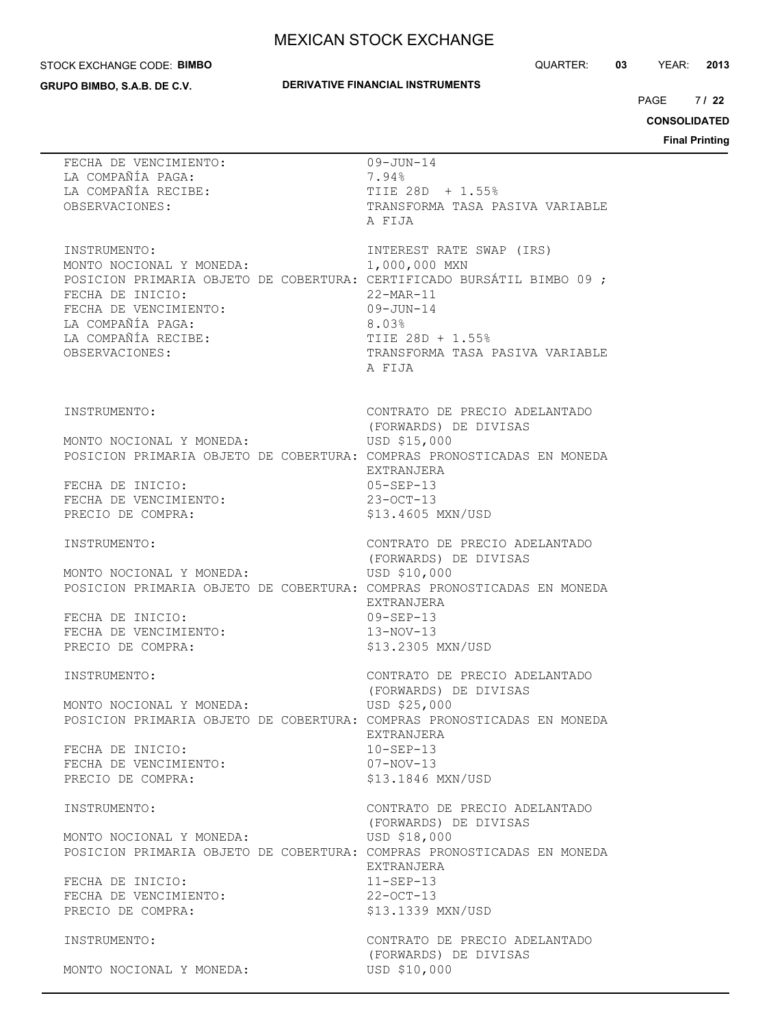#### STOCK EXCHANGE CODE: **BIMBO**

**GRUPO BIMBO, S.A.B. DE C.V.**

## **DERIVATIVE FINANCIAL INSTRUMENTS**

QUARTER: **03** YEAR: **2013**

 $7122$ PAGE **/ 22**

**CONSOLIDATED**

| FECHA DE VENCIMIENTO:<br>LA COMPAÑÍA PAGA:<br>LA COMPAÑÍA RECIBE:<br>OBSERVACIONES:                                                                 | $09 - JUN - 14$<br>7.94%<br>TIIE 28D + 1.55%<br>TRANSFORMA TASA PASIVA VARIABLE<br>A FIJA                                                                                                                                                  |
|-----------------------------------------------------------------------------------------------------------------------------------------------------|--------------------------------------------------------------------------------------------------------------------------------------------------------------------------------------------------------------------------------------------|
| INSTRUMENTO:<br>MONTO NOCIONAL Y MONEDA:<br>FECHA DE INICIO:<br>FECHA DE VENCIMIENTO:<br>LA COMPAÑÍA PAGA:<br>LA COMPAÑÍA RECIBE:<br>OBSERVACIONES: | INTEREST RATE SWAP (IRS)<br>1,000,000 MXN<br>POSICION PRIMARIA OBJETO DE COBERTURA: CERTIFICADO BURSÁTIL BIMBO 09 ;<br>$22 - \text{MAR} - 11$<br>$09 - JUN - 14$<br>8.03%<br>TIIE 28D + 1.55%<br>TRANSFORMA TASA PASIVA VARIABLE<br>A FIJA |
| INSTRUMENTO:<br>MONTO NOCIONAL Y MONEDA:<br>FECHA DE INICIO:<br>FECHA DE VENCIMIENTO:<br>PRECIO DE COMPRA:                                          | CONTRATO DE PRECIO ADELANTADO<br>(FORWARDS) DE DIVISAS<br>USD \$15,000<br>POSICION PRIMARIA OBJETO DE COBERTURA: COMPRAS PRONOSTICADAS EN MONEDA<br>EXTRANJERA<br>$05 - SEP - 13$<br>$23 - OCT - 13$<br>\$13.4605 MXN/USD                  |
| INSTRUMENTO:<br>MONTO NOCIONAL Y MONEDA:<br>FECHA DE INICIO:<br>FECHA DE VENCIMIENTO:<br>PRECIO DE COMPRA:                                          | CONTRATO DE PRECIO ADELANTADO<br>(FORWARDS) DE DIVISAS<br>USD \$10,000<br>POSICION PRIMARIA OBJETO DE COBERTURA: COMPRAS PRONOSTICADAS EN MONEDA<br>EXTRANJERA<br>$09 - SEP - 13$<br>$13-NOV-13$<br>\$13.2305 MXN/USD                      |
| INSTRUMENTO:<br>MONTO NOCIONAL Y MONEDA:<br>FECHA DE INICIO:<br>FECHA DE VENCIMIENTO:<br>PRECIO DE COMPRA:                                          | CONTRATO DE PRECIO ADELANTADO<br>(FORWARDS) DE DIVISAS<br>USD \$25,000<br>POSICION PRIMARIA OBJETO DE COBERTURA: COMPRAS PRONOSTICADAS EN MONEDA<br>EXTRANJERA<br>$10 - SEP - 13$<br>$07 - NOV - 13$<br>\$13,1846 MXN/USD                  |
| INSTRUMENTO:<br>MONTO NOCIONAL Y MONEDA:<br>FECHA DE INICIO:<br>FECHA DE VENCIMIENTO:<br>PRECIO DE COMPRA:                                          | CONTRATO DE PRECIO ADELANTADO<br>(FORWARDS) DE DIVISAS<br>USD \$18,000<br>POSICION PRIMARIA OBJETO DE COBERTURA: COMPRAS PRONOSTICADAS EN MONEDA<br>EXTRANJERA<br>$11-SEP-13$<br>$22 - OCT - 13$<br>\$13.1339 MXN/USD                      |
| INSTRUMENTO:<br>MONTO NOCIONAL Y MONEDA:                                                                                                            | CONTRATO DE PRECIO ADELANTADO<br>(FORWARDS) DE DIVISAS<br>USD \$10,000                                                                                                                                                                     |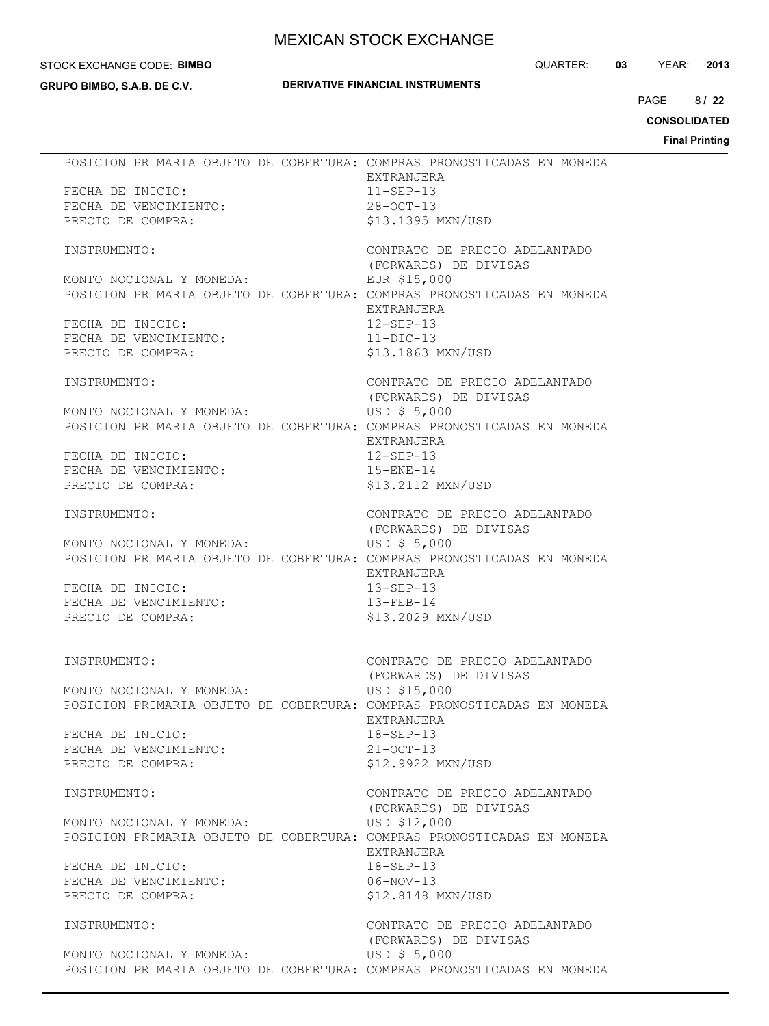#### STOCK EXCHANGE CODE: **BIMBO**

**GRUPO BIMBO, S.A.B. DE C.V.**

## **DERIVATIVE FINANCIAL INSTRUMENTS**

QUARTER: **03** YEAR: **2013**

8/22  $PAGE$ 

**CONSOLIDATED**

|                                            |  | POSICION PRIMARIA OBJETO DE COBERTURA: COMPRAS PRONOSTICADAS EN MONEDA                 |
|--------------------------------------------|--|----------------------------------------------------------------------------------------|
|                                            |  | EXTRANJERA                                                                             |
| FECHA DE INICIO:                           |  | $11 - SEP - 13$                                                                        |
| FECHA DE VENCIMIENTO:                      |  | $28 - OCT - 13$                                                                        |
| PRECIO DE COMPRA:                          |  | \$13.1395 MXN/USD                                                                      |
|                                            |  |                                                                                        |
| INSTRUMENTO:                               |  | CONTRATO DE PRECIO ADELANTADO                                                          |
|                                            |  | (FORWARDS) DE DIVISAS                                                                  |
| MONTO NOCIONAL Y MONEDA:                   |  | EUR \$15,000<br>POSICION PRIMARIA OBJETO DE COBERTURA: COMPRAS PRONOSTICADAS EN MONEDA |
|                                            |  | EXTRANJERA                                                                             |
| FECHA DE INICIO:                           |  | $12 - SEP - 13$                                                                        |
| FECHA DE VENCIMIENTO:                      |  | $11-DIC-13$                                                                            |
| PRECIO DE COMPRA:                          |  | \$13.1863 MXN/USD                                                                      |
|                                            |  |                                                                                        |
| INSTRUMENTO:                               |  | CONTRATO DE PRECIO ADELANTADO                                                          |
|                                            |  | (FORWARDS) DE DIVISAS                                                                  |
| MONTO NOCIONAL Y MONEDA:                   |  | USD \$ 5,000                                                                           |
|                                            |  | POSICION PRIMARIA OBJETO DE COBERTURA: COMPRAS PRONOSTICADAS EN MONEDA                 |
| FECHA DE INICIO:                           |  | EXTRANJERA<br>$12 - SEP - 13$                                                          |
| FECHA DE VENCIMIENTO:                      |  | $15 - ENE - 14$                                                                        |
| PRECIO DE COMPRA:                          |  | \$13.2112 MXN/USD                                                                      |
|                                            |  |                                                                                        |
| INSTRUMENTO:                               |  | CONTRATO DE PRECIO ADELANTADO                                                          |
|                                            |  | (FORWARDS) DE DIVISAS                                                                  |
| MONTO NOCIONAL Y MONEDA:                   |  | USD \$ 5,000                                                                           |
|                                            |  | POSICION PRIMARIA OBJETO DE COBERTURA: COMPRAS PRONOSTICADAS EN MONEDA                 |
|                                            |  | EXTRANJERA                                                                             |
| FECHA DE INICIO:                           |  | $13 - SEP - 13$                                                                        |
| FECHA DE VENCIMIENTO:<br>PRECIO DE COMPRA: |  | $13 - FEB - 14$<br>\$13.2029 MXN/USD                                                   |
|                                            |  |                                                                                        |
|                                            |  |                                                                                        |
| INSTRUMENTO:                               |  | CONTRATO DE PRECIO ADELANTADO                                                          |
|                                            |  | (FORWARDS) DE DIVISAS                                                                  |
| MONTO NOCIONAL Y MONEDA:                   |  | USD \$15,000                                                                           |
|                                            |  | POSICION PRIMARIA OBJETO DE COBERTURA: COMPRAS PRONOSTICADAS EN MONEDA                 |
|                                            |  | EXTRANJERA                                                                             |
| FECHA DE INICIO:<br>FECHA DE VENCIMIENTO:  |  | 18-SEP-13<br>$21 - OCT - 13$                                                           |
| PRECIO DE COMPRA:                          |  | \$12.9922 MXN/USD                                                                      |
|                                            |  |                                                                                        |
| INSTRUMENTO:                               |  | CONTRATO DE PRECIO ADELANTADO                                                          |
|                                            |  | (FORWARDS) DE DIVISAS                                                                  |
| MONTO NOCIONAL Y MONEDA:                   |  | USD \$12,000                                                                           |
|                                            |  | POSICION PRIMARIA OBJETO DE COBERTURA: COMPRAS PRONOSTICADAS EN MONEDA                 |
|                                            |  | EXTRANJERA                                                                             |
| FECHA DE INICIO:                           |  | $18 - SEP - 13$                                                                        |
| FECHA DE VENCIMIENTO:<br>PRECIO DE COMPRA: |  | $06-NOV-13$<br>\$12.8148 MXN/USD                                                       |
|                                            |  |                                                                                        |
| INSTRUMENTO:                               |  | CONTRATO DE PRECIO ADELANTADO                                                          |
|                                            |  | (FORWARDS) DE DIVISAS                                                                  |
| MONTO NOCIONAL Y MONEDA:                   |  | USD $$5,000$                                                                           |
|                                            |  | POSICION PRIMARIA OBJETO DE COBERTURA: COMPRAS PRONOSTICADAS EN MONEDA                 |
|                                            |  |                                                                                        |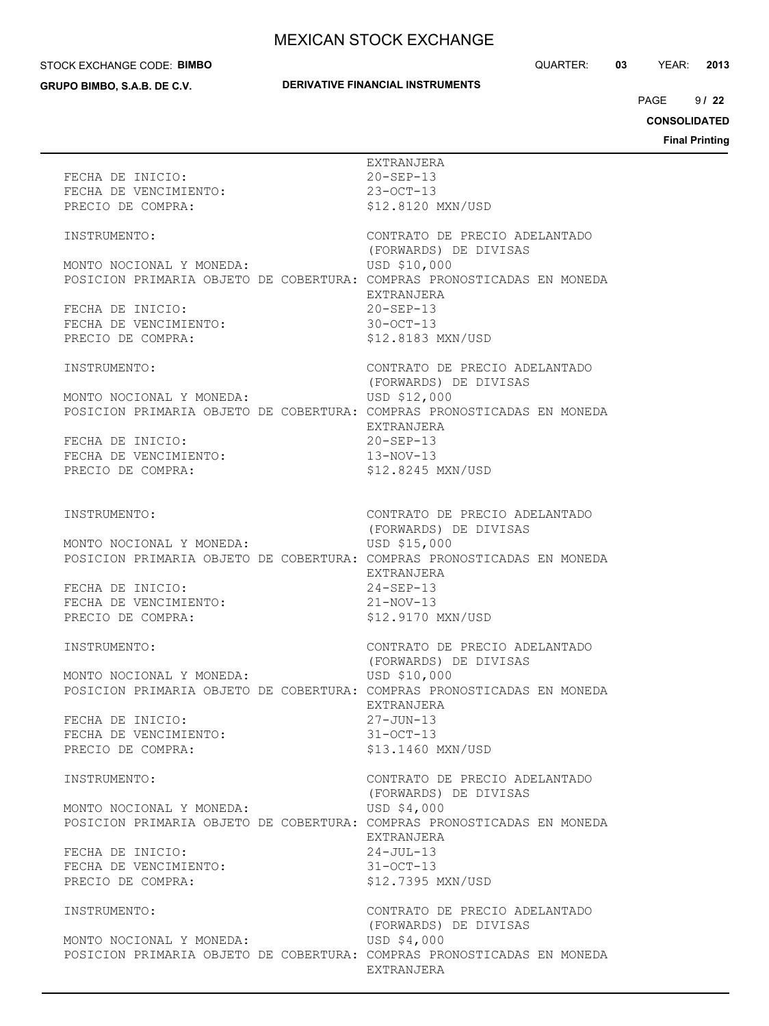#### STOCK EXCHANGE CODE: **BIMBO**

**GRUPO BIMBO, S.A.B. DE C.V.**

## **DERIVATIVE FINANCIAL INSTRUMENTS**

QUARTER: **03** YEAR: **2013**

 $9122$  $PAGE$ 

**CONSOLIDATED**

| FECHA DE INICIO:<br>FECHA DE VENCIMIENTO:<br>PRECIO DE COMPRA:        | EXTRANJERA<br>$20 - SEP - 13$<br>$23 - OCT - 13$<br>\$12.8120 MXN/USD                                                                      |
|-----------------------------------------------------------------------|--------------------------------------------------------------------------------------------------------------------------------------------|
| INSTRUMENTO:                                                          | CONTRATO DE PRECIO ADELANTADO<br>(FORWARDS) DE DIVISAS                                                                                     |
| MONTO NOCIONAL Y MONEDA:<br>FECHA DE INICIO:<br>FECHA DE VENCIMIENTO: | USD \$10,000<br>POSICION PRIMARIA OBJETO DE COBERTURA: COMPRAS PRONOSTICADAS EN MONEDA<br>EXTRANJERA<br>$20 - SEP - 13$<br>$30 - OCT - 13$ |
| PRECIO DE COMPRA:                                                     | \$12.8183 MXN/USD                                                                                                                          |
| INSTRUMENTO:<br>MONTO NOCIONAL Y MONEDA:                              | CONTRATO DE PRECIO ADELANTADO<br>(FORWARDS) DE DIVISAS<br>USD \$12,000                                                                     |
| FECHA DE INICIO:<br>FECHA DE VENCIMIENTO:                             | POSICION PRIMARIA OBJETO DE COBERTURA: COMPRAS PRONOSTICADAS EN MONEDA<br>EXTRANJERA<br>$20 - SEP - 13$<br>$13 - NOV - 13$                 |
| PRECIO DE COMPRA:                                                     | \$12.8245 MXN/USD                                                                                                                          |
| INSTRUMENTO:                                                          | CONTRATO DE PRECIO ADELANTADO<br>(FORWARDS) DE DIVISAS                                                                                     |
| MONTO NOCIONAL Y MONEDA:                                              | USD \$15,000<br>POSICION PRIMARIA OBJETO DE COBERTURA: COMPRAS PRONOSTICADAS EN MONEDA<br>EXTRANJERA                                       |
| FECHA DE INICIO:<br>FECHA DE VENCIMIENTO:<br>PRECIO DE COMPRA:        | 24-SEP-13<br>$21 - NOV - 13$<br>\$12.9170 MXN/USD                                                                                          |
| INSTRUMENTO:                                                          | CONTRATO DE PRECIO ADELANTADO<br>(FORWARDS) DE DIVISAS                                                                                     |
| MONTO NOCIONAL Y MONEDA:                                              | USD \$10,000<br>POSICION PRIMARIA OBJETO DE COBERTURA: COMPRAS PRONOSTICADAS EN MONEDA<br>EXTRANJERA                                       |
| FECHA DE INICIO:<br>FECHA DE VENCIMIENTO:<br>PRECIO DE COMPRA:        | $27 - JUN - 13$<br>$31 - OCT - 13$<br>\$13.1460 MXN/USD                                                                                    |
| INSTRUMENTO:                                                          | CONTRATO DE PRECIO ADELANTADO                                                                                                              |
| MONTO NOCIONAL Y MONEDA:                                              | (FORWARDS) DE DIVISAS<br>USD \$4,000<br>POSICION PRIMARIA OBJETO DE COBERTURA: COMPRAS PRONOSTICADAS EN MONEDA<br>EXTRANJERA               |
| FECHA DE INICIO:<br>FECHA DE VENCIMIENTO:<br>PRECIO DE COMPRA:        | $24 - JUL-13$<br>$31 - OCT - 13$<br>\$12.7395 MXN/USD                                                                                      |
| INSTRUMENTO:                                                          | CONTRATO DE PRECIO ADELANTADO<br>(FORWARDS) DE DIVISAS                                                                                     |
| MONTO NOCIONAL Y MONEDA:                                              | USD \$4,000<br>POSICION PRIMARIA OBJETO DE COBERTURA: COMPRAS PRONOSTICADAS EN MONEDA<br>EXTRANJERA                                        |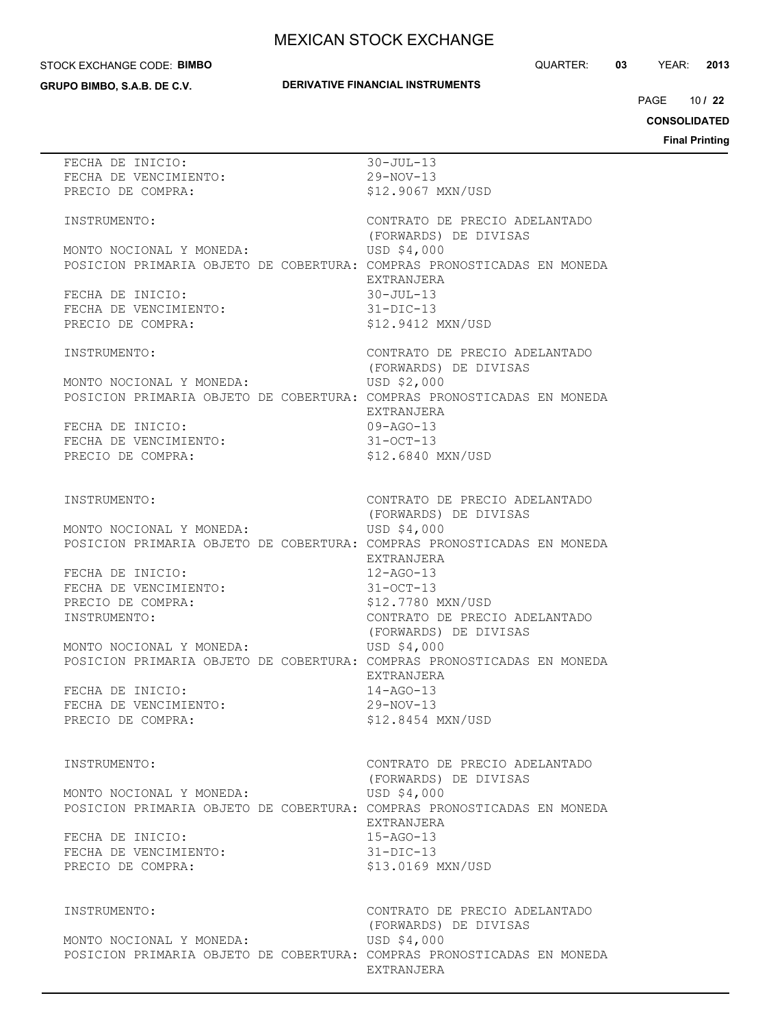#### STOCK EXCHANGE CODE: **BIMBO**

**GRUPO BIMBO, S.A.B. DE C.V.**

## **DERIVATIVE FINANCIAL INSTRUMENTS**

QUARTER: **03** YEAR: **2013**

10 PAGE **/ 22**

**CONSOLIDATED**

| FECHA DE INICIO:                                                       | $30 - JUL-13$                 |
|------------------------------------------------------------------------|-------------------------------|
| FECHA DE VENCIMIENTO:                                                  | $29-NOV-13$                   |
| PRECIO DE COMPRA:                                                      | \$12.9067 MXN/USD             |
|                                                                        |                               |
| INSTRUMENTO:                                                           | CONTRATO DE PRECIO ADELANTADO |
|                                                                        | (FORWARDS) DE DIVISAS         |
|                                                                        |                               |
| MONTO NOCIONAL Y MONEDA:                                               | USD \$4,000                   |
| POSICION PRIMARIA OBJETO DE COBERTURA: COMPRAS PRONOSTICADAS EN MONEDA |                               |
|                                                                        | EXTRANJERA                    |
| FECHA DE INICIO:                                                       | $30 - JUL - 13$               |
| FECHA DE VENCIMIENTO:                                                  | $31-DIC-13$                   |
| PRECIO DE COMPRA:                                                      | \$12.9412 MXN/USD             |
|                                                                        |                               |
| INSTRUMENTO:                                                           | CONTRATO DE PRECIO ADELANTADO |
|                                                                        | (FORWARDS) DE DIVISAS         |
| MONTO NOCIONAL Y MONEDA:                                               | USD \$2,000                   |
| POSICION PRIMARIA OBJETO DE COBERTURA: COMPRAS PRONOSTICADAS EN MONEDA |                               |
|                                                                        | EXTRANJERA                    |
| FECHA DE INICIO:                                                       | 09-AGO-13                     |
|                                                                        |                               |
| FECHA DE VENCIMIENTO:                                                  | $31 - OCT - 13$               |
| PRECIO DE COMPRA:                                                      | \$12.6840 MXN/USD             |
|                                                                        |                               |
|                                                                        |                               |
| INSTRUMENTO:                                                           | CONTRATO DE PRECIO ADELANTADO |
|                                                                        | (FORWARDS) DE DIVISAS         |
| MONTO NOCIONAL Y MONEDA:                                               | USD \$4,000                   |
| POSICION PRIMARIA OBJETO DE COBERTURA: COMPRAS PRONOSTICADAS EN MONEDA |                               |
|                                                                        | EXTRANJERA                    |
| FECHA DE INICIO:                                                       | $12 - AGO - 13$               |
| FECHA DE VENCIMIENTO:                                                  | $31-0CT-13$                   |
| PRECIO DE COMPRA:                                                      | \$12.7780 MXN/USD             |
| INSTRUMENTO:                                                           | CONTRATO DE PRECIO ADELANTADO |
|                                                                        | (FORWARDS) DE DIVISAS         |
| MONTO NOCIONAL Y MONEDA:                                               | USD \$4,000                   |
| POSICION PRIMARIA OBJETO DE COBERTURA: COMPRAS PRONOSTICADAS EN MONEDA |                               |
|                                                                        | EXTRANJERA                    |
| FECHA DE INICIO:                                                       | $14 - AGO - 13$               |
| FECHA DE VENCIMIENTO:                                                  | $29 - NOV - 13$               |
|                                                                        |                               |
| PRECIO DE COMPRA:                                                      | \$12.8454 MXN/USD             |
|                                                                        |                               |
|                                                                        |                               |
| INSTRUMENTO:                                                           | CONTRATO DE PRECIO ADELANTADO |
|                                                                        | (FORWARDS) DE DIVISAS         |
| MONTO NOCIONAL Y MONEDA:                                               | USD \$4,000                   |
| POSICION PRIMARIA OBJETO DE COBERTURA: COMPRAS PRONOSTICADAS EN MONEDA |                               |
|                                                                        | EXTRANJERA                    |
| FECHA DE INICIO:                                                       | $15 - AGO - 13$               |
| FECHA DE VENCIMIENTO:                                                  | $31 - DIC - 13$               |
| PRECIO DE COMPRA:                                                      | \$13.0169 MXN/USD             |
|                                                                        |                               |
|                                                                        |                               |
| INSTRUMENTO:                                                           | CONTRATO DE PRECIO ADELANTADO |
|                                                                        | (FORWARDS) DE DIVISAS         |
| MONTO NOCIONAL Y MONEDA:                                               | USD \$4,000                   |
| POSICION PRIMARIA OBJETO DE COBERTURA: COMPRAS PRONOSTICADAS EN MONEDA |                               |
|                                                                        | EXTRANJERA                    |
|                                                                        |                               |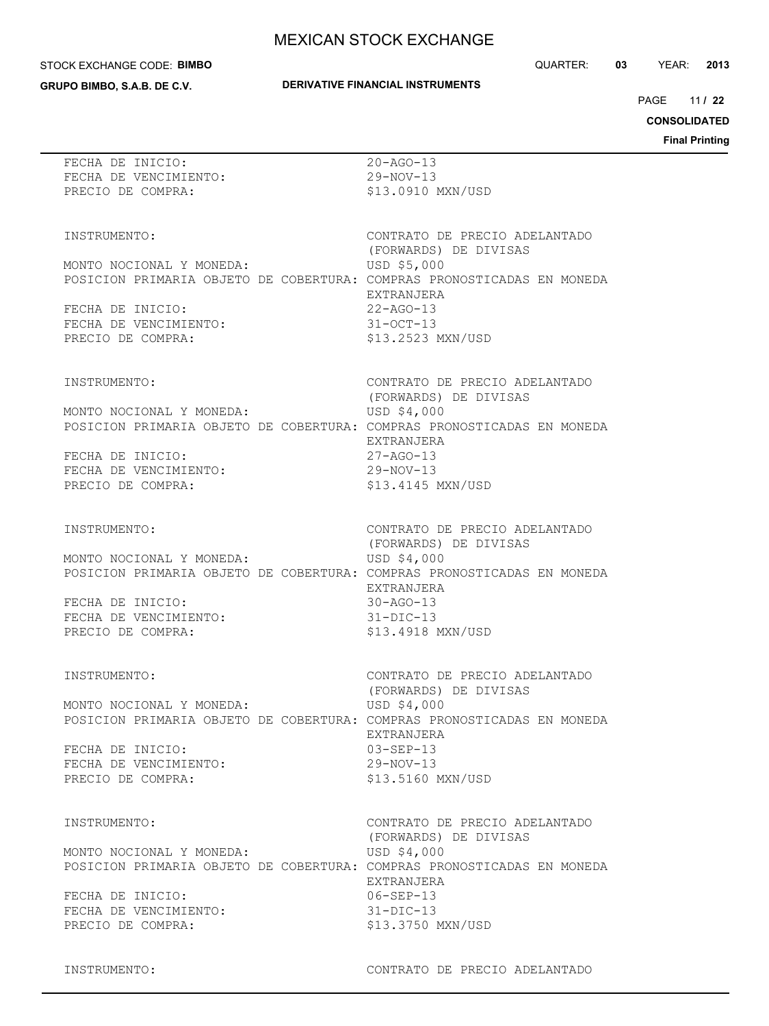#### STOCK EXCHANGE CODE: **BIMBO**

**GRUPO BIMBO, S.A.B. DE C.V.**

#### **DERIVATIVE FINANCIAL INSTRUMENTS**

QUARTER: **03** YEAR: **2013**

11 PAGE **/ 22**

**CONSOLIDATED**

**Final Printing**

| FECHA DE INICIO:                                                                                   | $20 - AGO - 13$                                        |
|----------------------------------------------------------------------------------------------------|--------------------------------------------------------|
| FECHA DE VENCIMIENTO:                                                                              | $29 - NOV - 13$                                        |
| PRECIO DE COMPRA:                                                                                  | \$13,0910 MXN/USD                                      |
|                                                                                                    |                                                        |
|                                                                                                    |                                                        |
| INSTRUMENTO:                                                                                       | CONTRATO DE PRECIO ADELANTADO                          |
|                                                                                                    | (FORWARDS) DE DIVISAS<br>USD \$5,000                   |
| MONTO NOCIONAL Y MONEDA:<br>POSICION PRIMARIA OBJETO DE COBERTURA: COMPRAS PRONOSTICADAS EN MONEDA |                                                        |
|                                                                                                    | EXTRANJERA                                             |
| FECHA DE INICIO:                                                                                   | $22 - AGO - 13$                                        |
| FECHA DE VENCIMIENTO:                                                                              | $31 - OCT - 13$                                        |
| PRECIO DE COMPRA:                                                                                  | \$13.2523 MXN/USD                                      |
|                                                                                                    |                                                        |
|                                                                                                    |                                                        |
| INSTRUMENTO:                                                                                       | CONTRATO DE PRECIO ADELANTADO<br>(FORWARDS) DE DIVISAS |
| MONTO NOCIONAL Y MONEDA:                                                                           | USD \$4,000                                            |
| POSICION PRIMARIA OBJETO DE COBERTURA: COMPRAS PRONOSTICADAS EN MONEDA                             |                                                        |
|                                                                                                    | EXTRANJERA                                             |
| FECHA DE INICIO:                                                                                   | $27 - AGO - 13$                                        |
| FECHA DE VENCIMIENTO:                                                                              | $29 - NOV - 13$                                        |
| PRECIO DE COMPRA:                                                                                  | \$13.4145 MXN/USD                                      |
|                                                                                                    |                                                        |
|                                                                                                    | CONTRATO DE PRECIO ADELANTADO                          |
| INSTRUMENTO:                                                                                       | (FORWARDS) DE DIVISAS                                  |
| MONTO NOCIONAL Y MONEDA:                                                                           | USD \$4,000                                            |
| POSICION PRIMARIA OBJETO DE COBERTURA: COMPRAS PRONOSTICADAS EN MONEDA                             |                                                        |
|                                                                                                    | EXTRANJERA                                             |
| FECHA DE INICIO:                                                                                   | $30 - AGO - 13$                                        |
| FECHA DE VENCIMIENTO:                                                                              | $31-DIC-13$                                            |
| PRECIO DE COMPRA:                                                                                  | \$13.4918 MXN/USD                                      |
|                                                                                                    |                                                        |
| INSTRUMENTO:                                                                                       | CONTRATO DE PRECIO ADELANTADO                          |
|                                                                                                    | (FORWARDS) DE DIVISAS                                  |
| MONTO NOCIONAL Y MONEDA:                                                                           | USD \$4,000                                            |
| POSICION PRIMARIA OBJETO DE COBERTURA: COMPRAS PRONOSTICADAS EN MONEDA                             |                                                        |
|                                                                                                    | EXTRANJERA                                             |
| FECHA DE INICIO:                                                                                   | $03 - SEP - 13$                                        |
| FECHA DE VENCIMIENTO:                                                                              | $29-NOV-13$                                            |
| PRECIO DE COMPRA:                                                                                  | \$13.5160 MXN/USD                                      |
|                                                                                                    |                                                        |
| INSTRUMENTO:                                                                                       | CONTRATO DE PRECIO ADELANTADO                          |
|                                                                                                    | (FORWARDS) DE DIVISAS                                  |
| MONTO NOCIONAL Y MONEDA:                                                                           | USD \$4,000                                            |
| POSICION PRIMARIA OBJETO DE COBERTURA: COMPRAS PRONOSTICADAS EN MONEDA                             |                                                        |
|                                                                                                    | EXTRANJERA                                             |
| FECHA DE INICIO:                                                                                   | $06 - SEP - 13$                                        |
| FECHA DE VENCIMIENTO:<br>PRECIO DE COMPRA:                                                         | $31 - DIC - 13$<br>\$13.3750 MXN/USD                   |
|                                                                                                    |                                                        |
|                                                                                                    |                                                        |

INSTRUMENTO: CONTRATO DE PRECIO ADELANTADO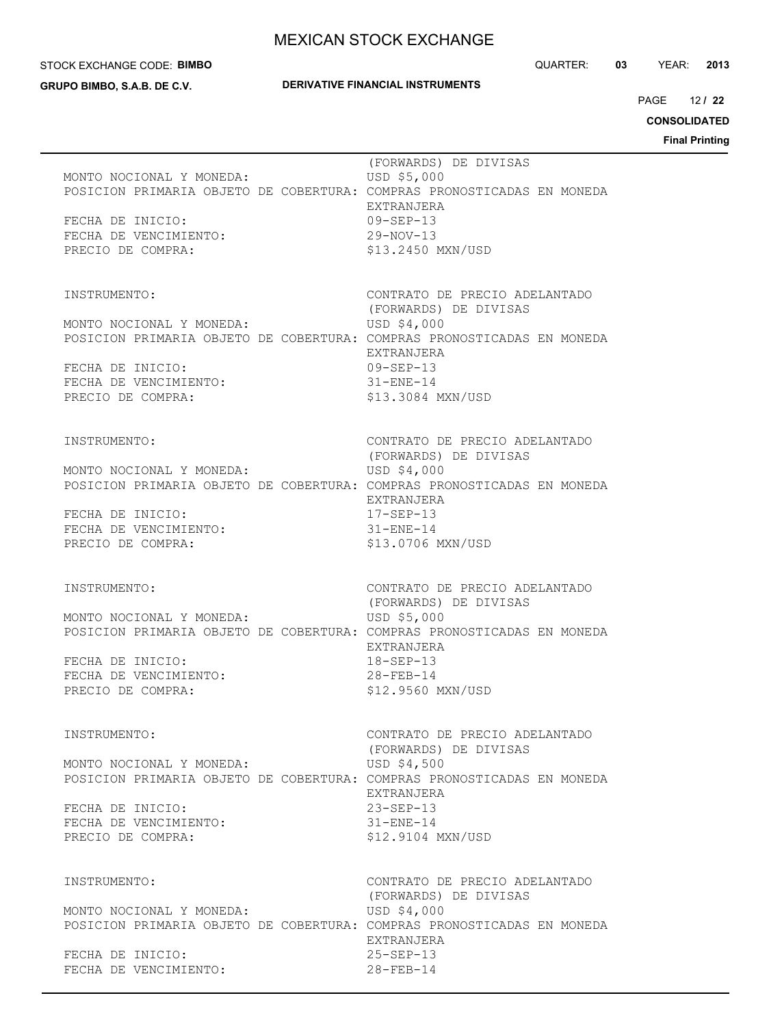#### STOCK EXCHANGE CODE: **BIMBO**

**GRUPO BIMBO, S.A.B. DE C.V.**

12 PAGE **/ 22**

**CONSOLIDATED**

| MONTO NOCIONAL Y MONEDA:<br>POSICION PRIMARIA OBJETO DE COBERTURA: COMPRAS PRONOSTICADAS EN MONEDA<br>FECHA DE INICIO:<br>FECHA DE VENCIMIENTO:<br>PRECIO DE COMPRA:                 | (FORWARDS) DE DIVISAS<br>USD \$5,000<br>EXTRANJERA<br>$09 - SEP - 13$<br>29-NOV-13<br>\$13.2450 MXN/USD                                         |  |
|--------------------------------------------------------------------------------------------------------------------------------------------------------------------------------------|-------------------------------------------------------------------------------------------------------------------------------------------------|--|
| INSTRUMENTO:<br>MONTO NOCIONAL Y MONEDA:<br>POSICION PRIMARIA OBJETO DE COBERTURA: COMPRAS PRONOSTICADAS EN MONEDA<br>FECHA DE INICIO:<br>FECHA DE VENCIMIENTO:<br>PRECIO DE COMPRA: | CONTRATO DE PRECIO ADELANTADO<br>(FORWARDS) DE DIVISAS<br>USD \$4,000<br>EXTRANJERA<br>09-SEP-13<br>$31 - ENE - 14$<br>\$13.3084 MXN/USD        |  |
| INSTRUMENTO:<br>MONTO NOCIONAL Y MONEDA:<br>POSICION PRIMARIA OBJETO DE COBERTURA: COMPRAS PRONOSTICADAS EN MONEDA<br>FECHA DE INICIO:<br>FECHA DE VENCIMIENTO:<br>PRECIO DE COMPRA: | CONTRATO DE PRECIO ADELANTADO<br>(FORWARDS) DE DIVISAS<br>USD \$4,000<br>EXTRANJERA<br>17-SEP-13<br>$31 - ENE - 14$<br>\$13.0706 MXN/USD        |  |
| INSTRUMENTO:<br>MONTO NOCIONAL Y MONEDA:<br>POSICION PRIMARIA OBJETO DE COBERTURA: COMPRAS PRONOSTICADAS EN MONEDA<br>FECHA DE INICIO:<br>FECHA DE VENCIMIENTO:<br>PRECIO DE COMPRA: | CONTRATO DE PRECIO ADELANTADO<br>(FORWARDS) DE DIVISAS<br>USD \$5,000<br>EXTRANJERA<br>18-SEP-13<br>$28 - FEB - 14$<br>\$12.9560 MXN/USD        |  |
| INSTRUMENTO:<br>MONTO NOCIONAL Y MONEDA:<br>POSICION PRIMARIA OBJETO DE COBERTURA: COMPRAS PRONOSTICADAS EN MONEDA<br>FECHA DE INICIO:<br>FECHA DE VENCIMIENTO:<br>PRECIO DE COMPRA: | CONTRATO DE PRECIO ADELANTADO<br>(FORWARDS) DE DIVISAS<br>USD \$4,500<br>EXTRANJERA<br>$23 - SEP - 13$<br>$31 -$ ENE $-14$<br>\$12.9104 MXN/USD |  |
| INSTRUMENTO:<br>MONTO NOCIONAL Y MONEDA:<br>POSICION PRIMARIA OBJETO DE COBERTURA: COMPRAS PRONOSTICADAS EN MONEDA<br>FECHA DE INICIO:<br>FECHA DE VENCIMIENTO:                      | CONTRATO DE PRECIO ADELANTADO<br>(FORWARDS) DE DIVISAS<br>USD \$4,000<br>EXTRANJERA<br>$25 - SEP - 13$<br>$28 - FEB - 14$                       |  |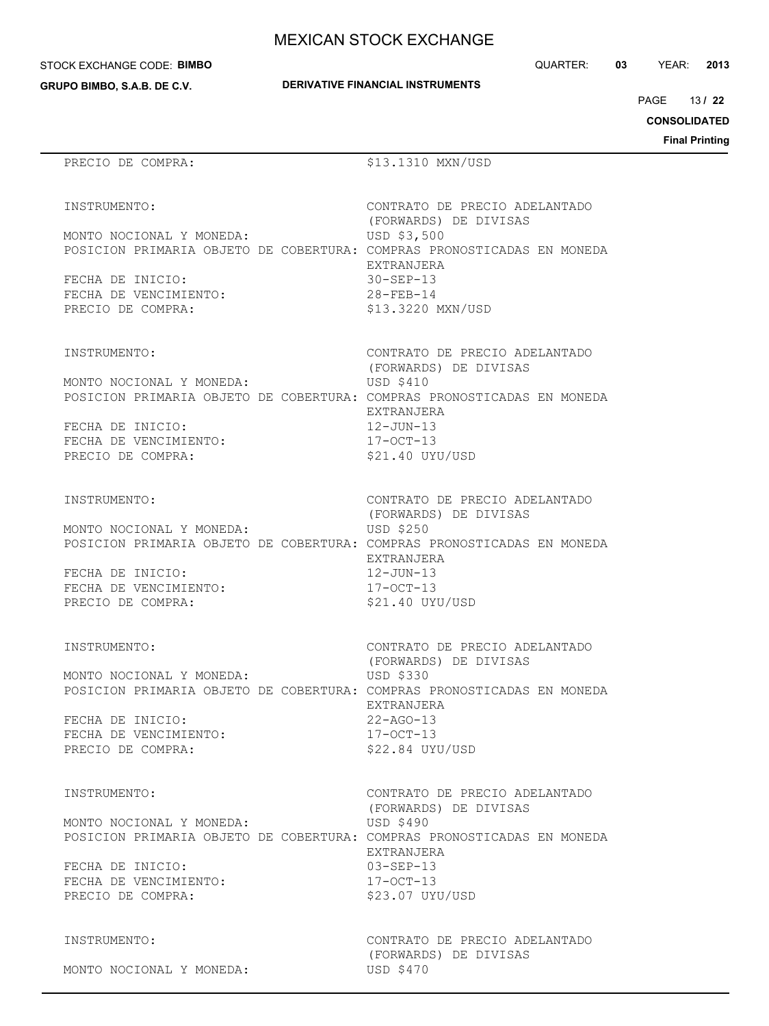STOCK EXCHANGE CODE: **BIMBO**

**GRUPO BIMBO, S.A.B. DE C.V.**

| <b>DERIVATIVE FINANCIAL INSTRUMENTS</b> |
|-----------------------------------------|
|-----------------------------------------|

QUARTER: **03** YEAR: **2013**

13 PAGE **/ 22**

**CONSOLIDATED**

**Final Printing**

# PRECIO DE COMPRA:  $$13.1310$  MXN/USD

(FORWARDS) DE DIVISAS

(FORWARDS) DE DIVISAS

(FORWARDS) DE DIVISAS

EXTRANJERA

EXTRANJERA

INSTRUMENTO: CONTRATO DE PRECIO ADELANTADO

 (FORWARDS) DE DIVISAS MONTO NOCIONAL Y MONEDA: USD \$3,500 POSICION PRIMARIA OBJETO DE COBERTURA: COMPRAS PRONOSTICADAS EN MONEDA EXTRANJERA FECHA DE INICIO: 30-SEP-13 FECHA DE VENCIMIENTO: 28-FEB-14 PRECIO DE COMPRA:  $$13.3220$  MXN/USD

INSTRUMENTO: CONTRATO DE PRECIO ADELANTADO

MONTO NOCIONAL Y MONEDA: USD \$410 POSICION PRIMARIA OBJETO DE COBERTURA: COMPRAS PRONOSTICADAS EN MONEDA EXTRANJERA

FECHA DE INICIO: 12-JUN-13 FECHA DE VENCIMIENTO: 17-OCT-13 PRECIO DE COMPRA:  $$21.40$  UYU/USD

INSTRUMENTO: CONTRATO DE PRECIO ADELANTADO

MONTO NOCIONAL Y MONEDA: USD \$250 POSICION PRIMARIA OBJETO DE COBERTURA: COMPRAS PRONOSTICADAS EN MONEDA

FECHA DE INICIO: 12-JUN-13 FECHA DE VENCIMIENTO:  $17-9$ CT-13 PRECIO DE COMPRA: \$21.40 UYU/USD

INSTRUMENTO: CONTRATO DE PRECIO ADELANTADO

MONTO NOCIONAL Y MONEDA: USD \$330 POSICION PRIMARIA OBJETO DE COBERTURA: COMPRAS PRONOSTICADAS EN MONEDA

FECHA DE INICIO: FECHA DE VENCIMIENTO: 17-OCT-13 PRECIO DE COMPRA:  $$22.84$  UYU/USD

INSTRUMENTO: CONTRATO DE PRECIO ADELANTADO

 (FORWARDS) DE DIVISAS MONTO NOCIONAL Y MONEDA: USD \$490 POSICION PRIMARIA OBJETO DE COBERTURA: COMPRAS PRONOSTICADAS EN MONEDA EXTRANJERA FECHA DE INICIO: 03-SEP-13 FECHA DE VENCIMIENTO: 17-OCT-13 PRECIO DE COMPRA:  $$23.07$  UYU/USD

MONTO NOCIONAL Y MONEDA: USD \$470

INSTRUMENTO: CONTRATO DE PRECIO ADELANTADO (FORWARDS) DE DIVISAS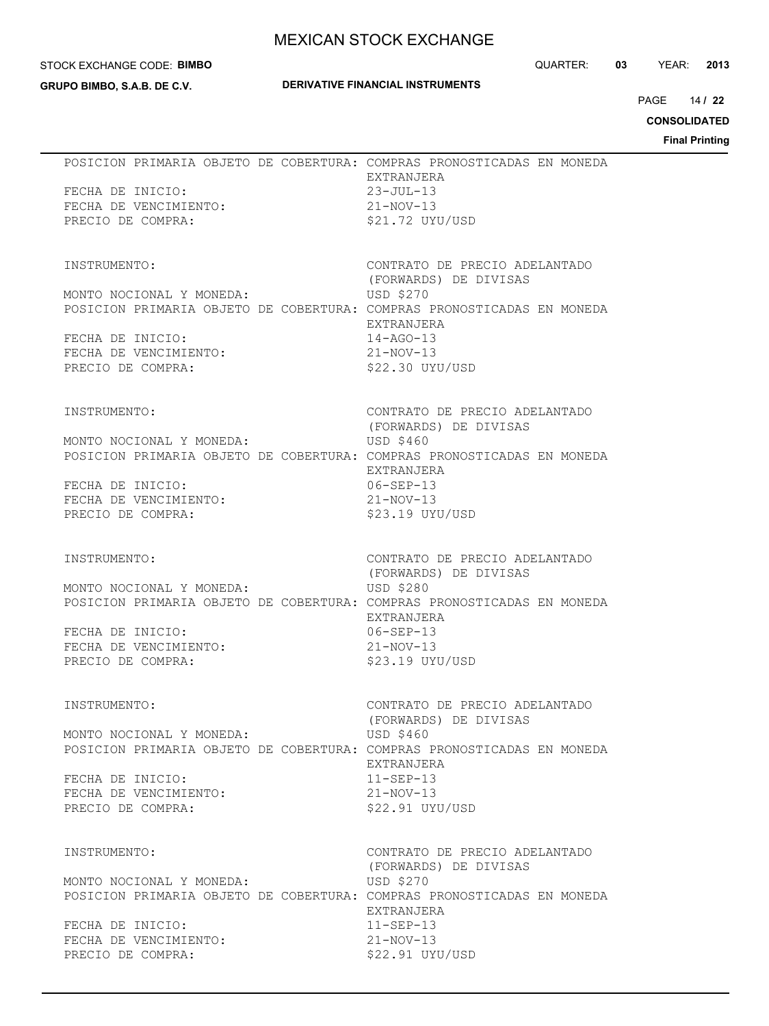#### STOCK EXCHANGE CODE: **BIMBO**

**GRUPO BIMBO, S.A.B. DE C.V.**

## **DERIVATIVE FINANCIAL INSTRUMENTS**

QUARTER: **03** YEAR: **2013**

14 PAGE **/ 22**

**CONSOLIDATED**

|                                                                                                                                                                                      | <b>Final Print</b>                                                                                                                          |
|--------------------------------------------------------------------------------------------------------------------------------------------------------------------------------------|---------------------------------------------------------------------------------------------------------------------------------------------|
| POSICION PRIMARIA OBJETO DE COBERTURA: COMPRAS PRONOSTICADAS EN MONEDA<br>FECHA DE INICIO:<br>FECHA DE VENCIMIENTO:<br>PRECIO DE COMPRA:                                             | EXTRANJERA<br>$23 - JUL-13$<br>$21 - NOV - 13$<br>\$21.72 UYU/USD                                                                           |
| INSTRUMENTO:<br>MONTO NOCIONAL Y MONEDA:<br>POSICION PRIMARIA OBJETO DE COBERTURA: COMPRAS PRONOSTICADAS EN MONEDA<br>FECHA DE INICIO:<br>FECHA DE VENCIMIENTO:<br>PRECIO DE COMPRA: | CONTRATO DE PRECIO ADELANTADO<br>(FORWARDS) DE DIVISAS<br>USD \$270<br>EXTRANJERA<br>$14 - AGO - 13$<br>$21 - NOV - 13$<br>$$22.30$ UYU/USD |
| INSTRUMENTO:<br>MONTO NOCIONAL Y MONEDA:<br>POSICION PRIMARIA OBJETO DE COBERTURA: COMPRAS PRONOSTICADAS EN MONEDA<br>FECHA DE INICIO:<br>FECHA DE VENCIMIENTO:<br>PRECIO DE COMPRA: | CONTRATO DE PRECIO ADELANTADO<br>(FORWARDS) DE DIVISAS<br>USD \$460<br>EXTRANJERA<br>$06 - SEP - 13$<br>$21 - NOV - 13$<br>$$23.19$ UYU/USD |
| INSTRUMENTO:<br>MONTO NOCIONAL Y MONEDA:<br>POSICION PRIMARIA OBJETO DE COBERTURA: COMPRAS PRONOSTICADAS EN MONEDA<br>FECHA DE INICIO:<br>FECHA DE VENCIMIENTO:<br>PRECIO DE COMPRA: | CONTRATO DE PRECIO ADELANTADO<br>(FORWARDS) DE DIVISAS<br>USD \$280<br>EXTRANJERA<br>$06 - SEP - 13$<br>$21 - NOV - 13$<br>$$23.19$ UYU/USD |
| INSTRUMENTO:<br>MONTO NOCIONAL Y MONEDA:<br>POSICION PRIMARIA OBJETO DE COBERTURA: COMPRAS PRONOSTICADAS EN MONEDA<br>FECHA DE INICIO:<br>FECHA DE VENCIMIENTO:<br>PRECIO DE COMPRA: | CONTRATO DE PRECIO ADELANTADO<br>(FORWARDS) DE DIVISAS<br>USD \$460<br>EXTRANJERA<br>$11 - SEP - 13$<br>$21 - NOV - 13$<br>\$22.91 UYU/USD  |
| INSTRUMENTO:<br>MONTO NOCIONAL Y MONEDA:<br>POSICION PRIMARIA OBJETO DE COBERTURA: COMPRAS PRONOSTICADAS EN MONEDA<br>FECHA DE INICIO:<br>FECHA DE VENCIMIENTO:<br>PRECIO DE COMPRA: | CONTRATO DE PRECIO ADELANTADO<br>(FORWARDS) DE DIVISAS<br>USD \$270<br>EXTRANJERA<br>$11 - SEP - 13$<br>$21-NOV-13$<br>\$22.91 UYU/USD      |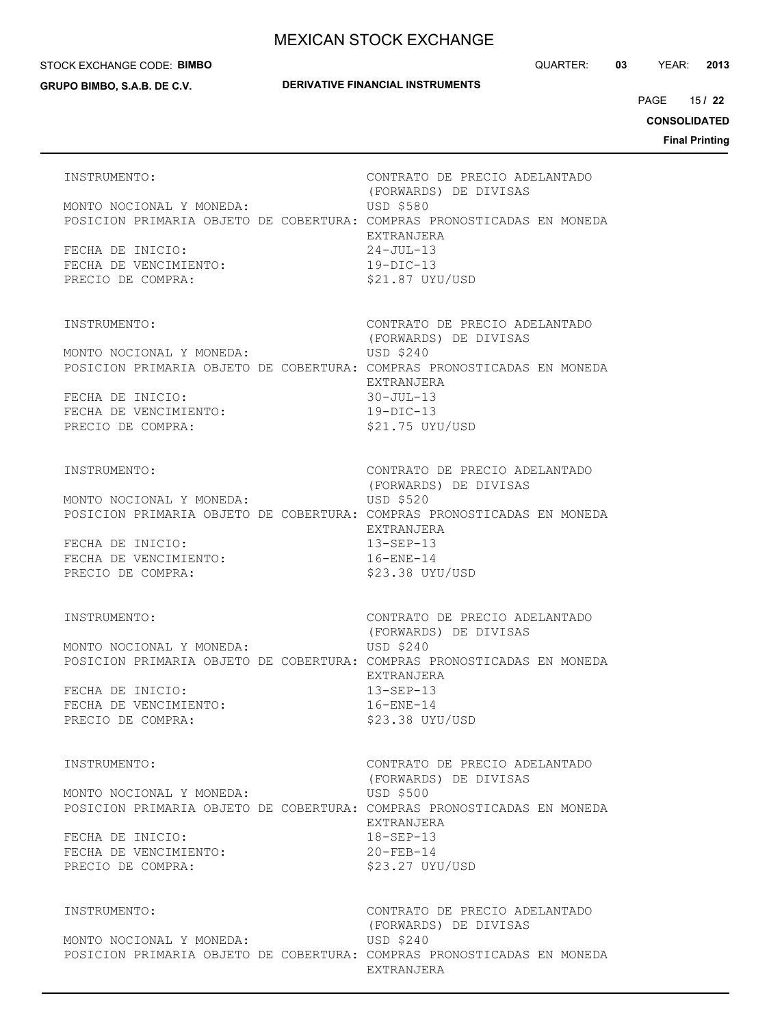#### STOCK EXCHANGE CODE: **BIMBO**

**GRUPO BIMBO, S.A.B. DE C.V.**

## **DERIVATIVE FINANCIAL INSTRUMENTS**

15 PAGE **/ 22**

**CONSOLIDATED**

| INSTRUMENTO:<br>MONTO NOCIONAL Y MONEDA:<br>POSICION PRIMARIA OBJETO DE COBERTURA: COMPRAS PRONOSTICADAS EN MONEDA<br>FECHA DE INICIO:<br>FECHA DE VENCIMIENTO:<br>PRECIO DE COMPRA: | CONTRATO DE PRECIO ADELANTADO<br>(FORWARDS) DE DIVISAS<br><b>USD \$580</b><br>EXTRANJERA<br>24-JUL-13<br>$19-DIC-13$<br>\$21.87 UYU/USD    |
|--------------------------------------------------------------------------------------------------------------------------------------------------------------------------------------|--------------------------------------------------------------------------------------------------------------------------------------------|
| INSTRUMENTO:<br>MONTO NOCIONAL Y MONEDA:<br>POSICION PRIMARIA OBJETO DE COBERTURA: COMPRAS PRONOSTICADAS EN MONEDA<br>FECHA DE INICIO:<br>FECHA DE VENCIMIENTO:<br>PRECIO DE COMPRA: | CONTRATO DE PRECIO ADELANTADO<br>(FORWARDS) DE DIVISAS<br>USD \$240<br>EXTRANJERA<br>$30 - JUL - 13$<br>$19-DIC-13$<br>\$21.75 UYU/USD     |
| INSTRUMENTO:<br>MONTO NOCIONAL Y MONEDA:<br>POSICION PRIMARIA OBJETO DE COBERTURA: COMPRAS PRONOSTICADAS EN MONEDA<br>FECHA DE INICIO:<br>FECHA DE VENCIMIENTO:<br>PRECIO DE COMPRA: | CONTRATO DE PRECIO ADELANTADO<br>(FORWARDS) DE DIVISAS<br>USD \$520<br>EXTRANJERA<br>$13 - SEP - 13$<br>$16 - ENE - 14$<br>\$23.38 UYU/USD |
| INSTRUMENTO:<br>MONTO NOCIONAL Y MONEDA:<br>POSICION PRIMARIA OBJETO DE COBERTURA: COMPRAS PRONOSTICADAS EN MONEDA<br>FECHA DE INICIO:<br>FECHA DE VENCIMIENTO:<br>PRECIO DE COMPRA: | CONTRATO DE PRECIO ADELANTADO<br>(FORWARDS) DE DIVISAS<br>USD \$240<br>EXTRANJERA<br>$13 - SEP - 13$<br>$16 - ENE - 14$<br>\$23.38 UYU/USD |
| INSTRUMENTO:<br>MONTO NOCIONAL Y MONEDA:<br>POSICION PRIMARIA OBJETO DE COBERTURA: COMPRAS PRONOSTICADAS EN MONEDA<br>FECHA DE INICIO:<br>FECHA DE VENCIMIENTO:<br>PRECIO DE COMPRA: | CONTRATO DE PRECIO ADELANTADO<br>(FORWARDS) DE DIVISAS<br>USD \$500<br>EXTRANJERA<br>$18 - SEP - 13$<br>$20 - FEB - 14$<br>\$23.27 UYU/USD |
| INSTRUMENTO:<br>MONTO NOCIONAL Y MONEDA:<br>POSICION PRIMARIA OBJETO DE COBERTURA: COMPRAS PRONOSTICADAS EN MONEDA                                                                   | CONTRATO DE PRECIO ADELANTADO<br>(FORWARDS) DE DIVISAS<br>USD \$240<br>EXTRANJERA                                                          |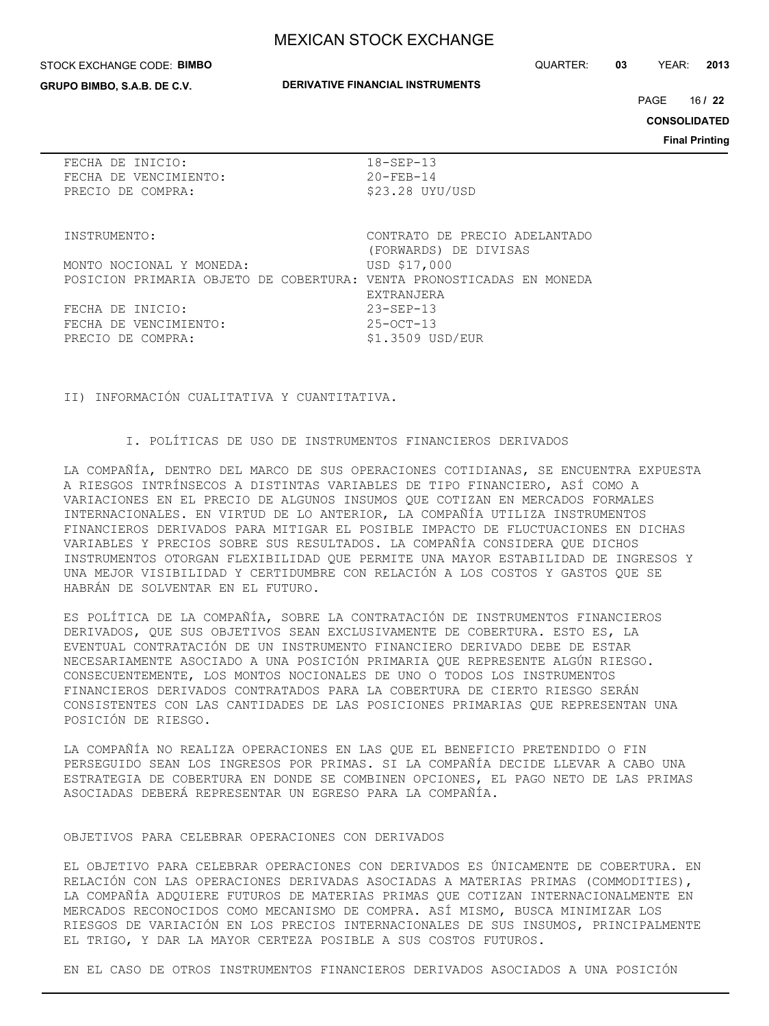#### STOCK EXCHANGE CODE: **BIMBO**

**GRUPO BIMBO, S.A.B. DE C.V.**

#### **DERIVATIVE FINANCIAL INSTRUMENTS**

QUARTER: **03** YEAR: **2013**

16 PAGE **/ 22**

**CONSOLIDATED**

**Final Printing**

|  | FECHA DE INICIO:      |
|--|-----------------------|
|  | FECHA DE VENCIMIENTO: |
|  | PRECIO DE COMPRA:     |

 $18-SEP-13$  $20 - FEB - 14$ \$23.28 UYU/USD

MONTO NOCIONAL Y MONEDA: USD \$17,000 POSICION PRIMARIA OBJETO DE COBERTURA: VENTA PRONOSTICADAS EN MONEDA

FECHA DE INICIO: 23-SEP-13 FECHA DE VENCIMIENTO: 25-OCT-13 PRECIO DE COMPRA:  $$1.3509$  USD/EUR

INSTRUMENTO: CONTRATO DE PRECIO ADELANTADO (FORWARDS) DE DIVISAS EXTRANJERA

II) INFORMACIÓN CUALITATIVA Y CUANTITATIVA.

I. POLÍTICAS DE USO DE INSTRUMENTOS FINANCIEROS DERIVADOS

LA COMPAÑÍA, DENTRO DEL MARCO DE SUS OPERACIONES COTIDIANAS, SE ENCUENTRA EXPUESTA A RIESGOS INTRÍNSECOS A DISTINTAS VARIABLES DE TIPO FINANCIERO, ASÍ COMO A VARIACIONES EN EL PRECIO DE ALGUNOS INSUMOS QUE COTIZAN EN MERCADOS FORMALES INTERNACIONALES. EN VIRTUD DE LO ANTERIOR, LA COMPAÑÍA UTILIZA INSTRUMENTOS FINANCIEROS DERIVADOS PARA MITIGAR EL POSIBLE IMPACTO DE FLUCTUACIONES EN DICHAS VARIABLES Y PRECIOS SOBRE SUS RESULTADOS. LA COMPAÑÍA CONSIDERA QUE DICHOS INSTRUMENTOS OTORGAN FLEXIBILIDAD QUE PERMITE UNA MAYOR ESTABILIDAD DE INGRESOS Y UNA MEJOR VISIBILIDAD Y CERTIDUMBRE CON RELACIÓN A LOS COSTOS Y GASTOS QUE SE HABRÁN DE SOLVENTAR EN EL FUTURO.

ES POLÍTICA DE LA COMPAÑÍA, SOBRE LA CONTRATACIÓN DE INSTRUMENTOS FINANCIEROS DERIVADOS, QUE SUS OBJETIVOS SEAN EXCLUSIVAMENTE DE COBERTURA. ESTO ES, LA EVENTUAL CONTRATACIÓN DE UN INSTRUMENTO FINANCIERO DERIVADO DEBE DE ESTAR NECESARIAMENTE ASOCIADO A UNA POSICIÓN PRIMARIA QUE REPRESENTE ALGÚN RIESGO. CONSECUENTEMENTE, LOS MONTOS NOCIONALES DE UNO O TODOS LOS INSTRUMENTOS FINANCIEROS DERIVADOS CONTRATADOS PARA LA COBERTURA DE CIERTO RIESGO SERÁN CONSISTENTES CON LAS CANTIDADES DE LAS POSICIONES PRIMARIAS QUE REPRESENTAN UNA POSICIÓN DE RIESGO.

LA COMPAÑÍA NO REALIZA OPERACIONES EN LAS QUE EL BENEFICIO PRETENDIDO O FIN PERSEGUIDO SEAN LOS INGRESOS POR PRIMAS. SI LA COMPAÑÍA DECIDE LLEVAR A CABO UNA ESTRATEGIA DE COBERTURA EN DONDE SE COMBINEN OPCIONES, EL PAGO NETO DE LAS PRIMAS ASOCIADAS DEBERÁ REPRESENTAR UN EGRESO PARA LA COMPAÑÍA.

#### OBJETIVOS PARA CELEBRAR OPERACIONES CON DERIVADOS

EL OBJETIVO PARA CELEBRAR OPERACIONES CON DERIVADOS ES ÚNICAMENTE DE COBERTURA. EN RELACIÓN CON LAS OPERACIONES DERIVADAS ASOCIADAS A MATERIAS PRIMAS (COMMODITIES), LA COMPAÑÍA ADQUIERE FUTUROS DE MATERIAS PRIMAS QUE COTIZAN INTERNACIONALMENTE EN MERCADOS RECONOCIDOS COMO MECANISMO DE COMPRA. ASÍ MISMO, BUSCA MINIMIZAR LOS RIESGOS DE VARIACIÓN EN LOS PRECIOS INTERNACIONALES DE SUS INSUMOS, PRINCIPALMENTE EL TRIGO, Y DAR LA MAYOR CERTEZA POSIBLE A SUS COSTOS FUTUROS.

EN EL CASO DE OTROS INSTRUMENTOS FINANCIEROS DERIVADOS ASOCIADOS A UNA POSICIÓN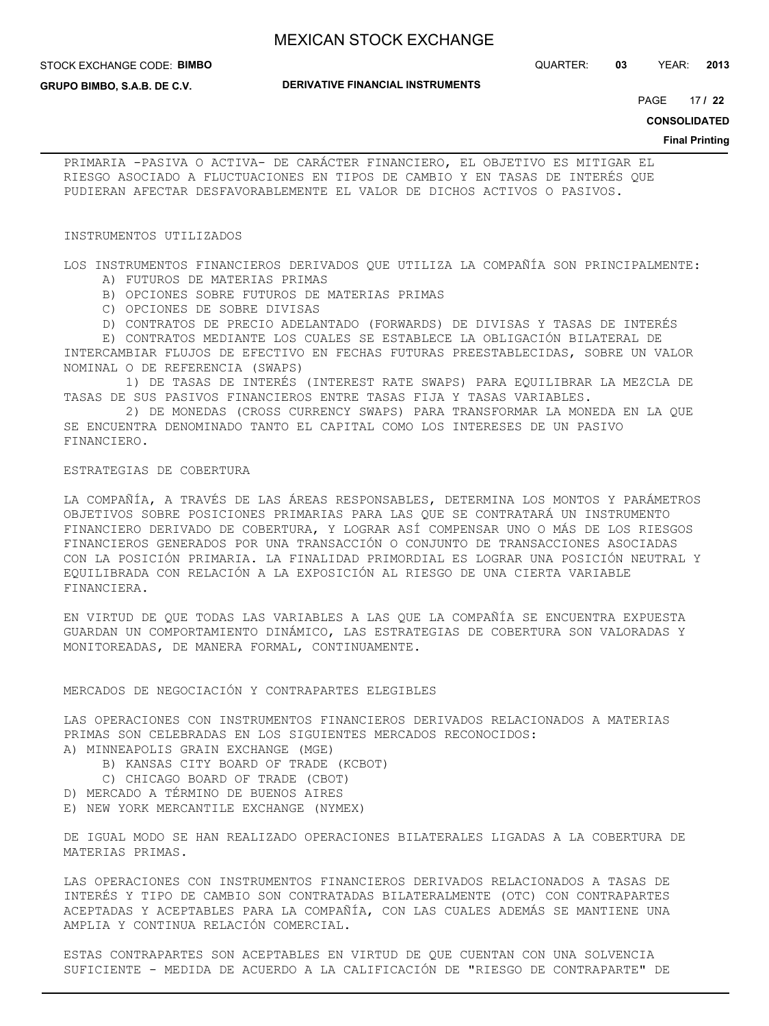**DERIVATIVE FINANCIAL INSTRUMENTS**

#### STOCK EXCHANGE CODE: **BIMBO**

**GRUPO BIMBO, S.A.B. DE C.V.**

17 PAGE **/ 22**

**CONSOLIDATED**

#### **Final Printing**

PRIMARIA -PASIVA O ACTIVA- DE CARÁCTER FINANCIERO, EL OBJETIVO ES MITIGAR EL RIESGO ASOCIADO A FLUCTUACIONES EN TIPOS DE CAMBIO Y EN TASAS DE INTERÉS QUE PUDIERAN AFECTAR DESFAVORABLEMENTE EL VALOR DE DICHOS ACTIVOS O PASIVOS.

#### INSTRUMENTOS UTILIZADOS

LOS INSTRUMENTOS FINANCIEROS DERIVADOS QUE UTILIZA LA COMPAÑÍA SON PRINCIPALMENTE:

- A) FUTUROS DE MATERIAS PRIMAS
- B) OPCIONES SOBRE FUTUROS DE MATERIAS PRIMAS
- C) OPCIONES DE SOBRE DIVISAS

D) CONTRATOS DE PRECIO ADELANTADO (FORWARDS) DE DIVISAS Y TASAS DE INTERÉS

 E) CONTRATOS MEDIANTE LOS CUALES SE ESTABLECE LA OBLIGACIÓN BILATERAL DE INTERCAMBIAR FLUJOS DE EFECTIVO EN FECHAS FUTURAS PREESTABLECIDAS, SOBRE UN VALOR NOMINAL O DE REFERENCIA (SWAPS)

 1) DE TASAS DE INTERÉS (INTEREST RATE SWAPS) PARA EQUILIBRAR LA MEZCLA DE TASAS DE SUS PASIVOS FINANCIEROS ENTRE TASAS FIJA Y TASAS VARIABLES.

 2) DE MONEDAS (CROSS CURRENCY SWAPS) PARA TRANSFORMAR LA MONEDA EN LA QUE SE ENCUENTRA DENOMINADO TANTO EL CAPITAL COMO LOS INTERESES DE UN PASIVO FINANCIERO.

#### ESTRATEGIAS DE COBERTURA

LA COMPAÑÍA, A TRAVÉS DE LAS ÁREAS RESPONSABLES, DETERMINA LOS MONTOS Y PARÁMETROS OBJETIVOS SOBRE POSICIONES PRIMARIAS PARA LAS QUE SE CONTRATARÁ UN INSTRUMENTO FINANCIERO DERIVADO DE COBERTURA, Y LOGRAR ASÍ COMPENSAR UNO O MÁS DE LOS RIESGOS FINANCIEROS GENERADOS POR UNA TRANSACCIÓN O CONJUNTO DE TRANSACCIONES ASOCIADAS CON LA POSICIÓN PRIMARIA. LA FINALIDAD PRIMORDIAL ES LOGRAR UNA POSICIÓN NEUTRAL Y EQUILIBRADA CON RELACIÓN A LA EXPOSICIÓN AL RIESGO DE UNA CIERTA VARIABLE FINANCIERA.

EN VIRTUD DE QUE TODAS LAS VARIABLES A LAS QUE LA COMPAÑÍA SE ENCUENTRA EXPUESTA GUARDAN UN COMPORTAMIENTO DINÁMICO, LAS ESTRATEGIAS DE COBERTURA SON VALORADAS Y MONITOREADAS, DE MANERA FORMAL, CONTINUAMENTE.

#### MERCADOS DE NEGOCIACIÓN Y CONTRAPARTES ELEGIBLES

LAS OPERACIONES CON INSTRUMENTOS FINANCIEROS DERIVADOS RELACIONADOS A MATERIAS PRIMAS SON CELEBRADAS EN LOS SIGUIENTES MERCADOS RECONOCIDOS:

- A) MINNEAPOLIS GRAIN EXCHANGE (MGE)
	- B) KANSAS CITY BOARD OF TRADE (KCBOT)
	- C) CHICAGO BOARD OF TRADE (CBOT)
- D) MERCADO A TÉRMINO DE BUENOS AIRES
- E) NEW YORK MERCANTILE EXCHANGE (NYMEX)

DE IGUAL MODO SE HAN REALIZADO OPERACIONES BILATERALES LIGADAS A LA COBERTURA DE MATERIAS PRIMAS.

LAS OPERACIONES CON INSTRUMENTOS FINANCIEROS DERIVADOS RELACIONADOS A TASAS DE INTERÉS Y TIPO DE CAMBIO SON CONTRATADAS BILATERALMENTE (OTC) CON CONTRAPARTES ACEPTADAS Y ACEPTABLES PARA LA COMPAÑÍA, CON LAS CUALES ADEMÁS SE MANTIENE UNA AMPLIA Y CONTINUA RELACIÓN COMERCIAL.

ESTAS CONTRAPARTES SON ACEPTABLES EN VIRTUD DE QUE CUENTAN CON UNA SOLVENCIA SUFICIENTE - MEDIDA DE ACUERDO A LA CALIFICACIÓN DE "RIESGO DE CONTRAPARTE" DE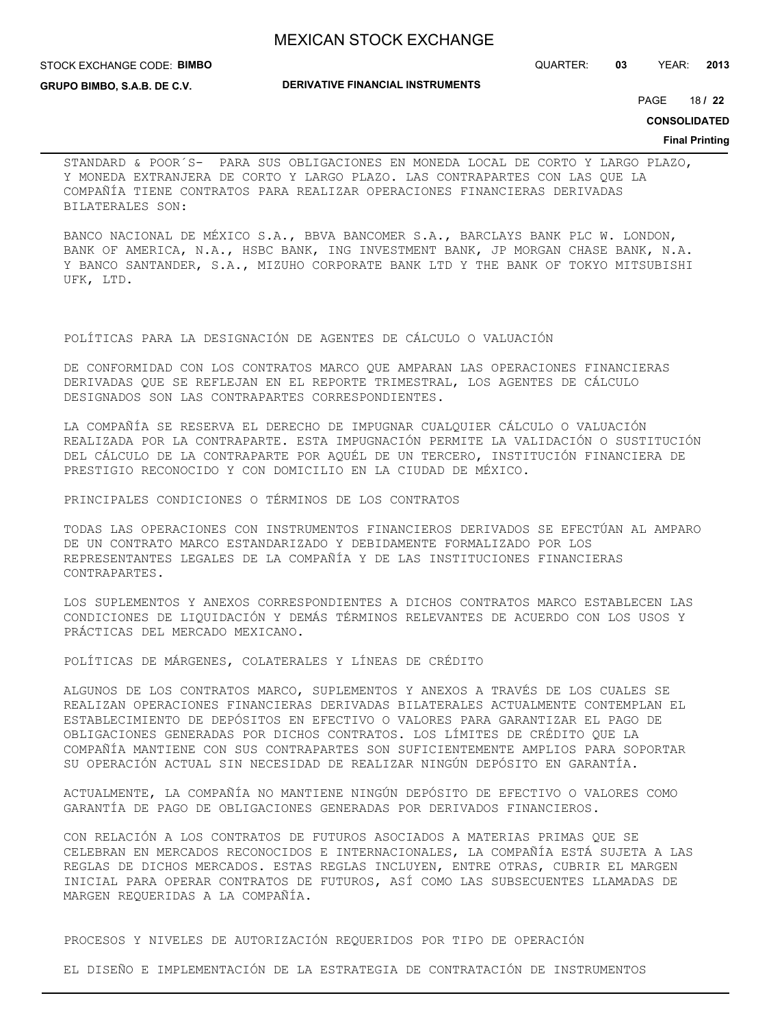STOCK EXCHANGE CODE: **BIMBO**

**GRUPO BIMBO, S.A.B. DE C.V.**

**DERIVATIVE FINANCIAL INSTRUMENTS**

QUARTER: **03** YEAR: **2013**

18 PAGE **/ 22**

**CONSOLIDATED**

#### **Final Printing**

STANDARD & POOR´S- PARA SUS OBLIGACIONES EN MONEDA LOCAL DE CORTO Y LARGO PLAZO, Y MONEDA EXTRANJERA DE CORTO Y LARGO PLAZO. LAS CONTRAPARTES CON LAS QUE LA COMPAÑÍA TIENE CONTRATOS PARA REALIZAR OPERACIONES FINANCIERAS DERIVADAS BILATERALES SON:

BANCO NACIONAL DE MÉXICO S.A., BBVA BANCOMER S.A., BARCLAYS BANK PLC W. LONDON, BANK OF AMERICA, N.A., HSBC BANK, ING INVESTMENT BANK, JP MORGAN CHASE BANK, N.A. Y BANCO SANTANDER, S.A., MIZUHO CORPORATE BANK LTD Y THE BANK OF TOKYO MITSUBISHI UFK, LTD.

#### POLÍTICAS PARA LA DESIGNACIÓN DE AGENTES DE CÁLCULO O VALUACIÓN

DE CONFORMIDAD CON LOS CONTRATOS MARCO QUE AMPARAN LAS OPERACIONES FINANCIERAS DERIVADAS QUE SE REFLEJAN EN EL REPORTE TRIMESTRAL, LOS AGENTES DE CÁLCULO DESIGNADOS SON LAS CONTRAPARTES CORRESPONDIENTES.

LA COMPAÑÍA SE RESERVA EL DERECHO DE IMPUGNAR CUALQUIER CÁLCULO O VALUACIÓN REALIZADA POR LA CONTRAPARTE. ESTA IMPUGNACIÓN PERMITE LA VALIDACIÓN O SUSTITUCIÓN DEL CÁLCULO DE LA CONTRAPARTE POR AQUÉL DE UN TERCERO, INSTITUCIÓN FINANCIERA DE PRESTIGIO RECONOCIDO Y CON DOMICILIO EN LA CIUDAD DE MÉXICO.

PRINCIPALES CONDICIONES O TÉRMINOS DE LOS CONTRATOS

TODAS LAS OPERACIONES CON INSTRUMENTOS FINANCIEROS DERIVADOS SE EFECTÚAN AL AMPARO DE UN CONTRATO MARCO ESTANDARIZADO Y DEBIDAMENTE FORMALIZADO POR LOS REPRESENTANTES LEGALES DE LA COMPAÑÍA Y DE LAS INSTITUCIONES FINANCIERAS CONTRAPARTES.

LOS SUPLEMENTOS Y ANEXOS CORRESPONDIENTES A DICHOS CONTRATOS MARCO ESTABLECEN LAS CONDICIONES DE LIQUIDACIÓN Y DEMÁS TÉRMINOS RELEVANTES DE ACUERDO CON LOS USOS Y PRÁCTICAS DEL MERCADO MEXICANO.

POLÍTICAS DE MÁRGENES, COLATERALES Y LÍNEAS DE CRÉDITO

ALGUNOS DE LOS CONTRATOS MARCO, SUPLEMENTOS Y ANEXOS A TRAVÉS DE LOS CUALES SE REALIZAN OPERACIONES FINANCIERAS DERIVADAS BILATERALES ACTUALMENTE CONTEMPLAN EL ESTABLECIMIENTO DE DEPÓSITOS EN EFECTIVO O VALORES PARA GARANTIZAR EL PAGO DE OBLIGACIONES GENERADAS POR DICHOS CONTRATOS. LOS LÍMITES DE CRÉDITO QUE LA COMPAÑÍA MANTIENE CON SUS CONTRAPARTES SON SUFICIENTEMENTE AMPLIOS PARA SOPORTAR SU OPERACIÓN ACTUAL SIN NECESIDAD DE REALIZAR NINGÚN DEPÓSITO EN GARANTÍA.

ACTUALMENTE, LA COMPAÑÍA NO MANTIENE NINGÚN DEPÓSITO DE EFECTIVO O VALORES COMO GARANTÍA DE PAGO DE OBLIGACIONES GENERADAS POR DERIVADOS FINANCIEROS.

CON RELACIÓN A LOS CONTRATOS DE FUTUROS ASOCIADOS A MATERIAS PRIMAS QUE SE CELEBRAN EN MERCADOS RECONOCIDOS E INTERNACIONALES, LA COMPAÑÍA ESTÁ SUJETA A LAS REGLAS DE DICHOS MERCADOS. ESTAS REGLAS INCLUYEN, ENTRE OTRAS, CUBRIR EL MARGEN INICIAL PARA OPERAR CONTRATOS DE FUTUROS, ASÍ COMO LAS SUBSECUENTES LLAMADAS DE MARGEN REQUERIDAS A LA COMPAÑÍA.

PROCESOS Y NIVELES DE AUTORIZACIÓN REQUERIDOS POR TIPO DE OPERACIÓN

EL DISEÑO E IMPLEMENTACIÓN DE LA ESTRATEGIA DE CONTRATACIÓN DE INSTRUMENTOS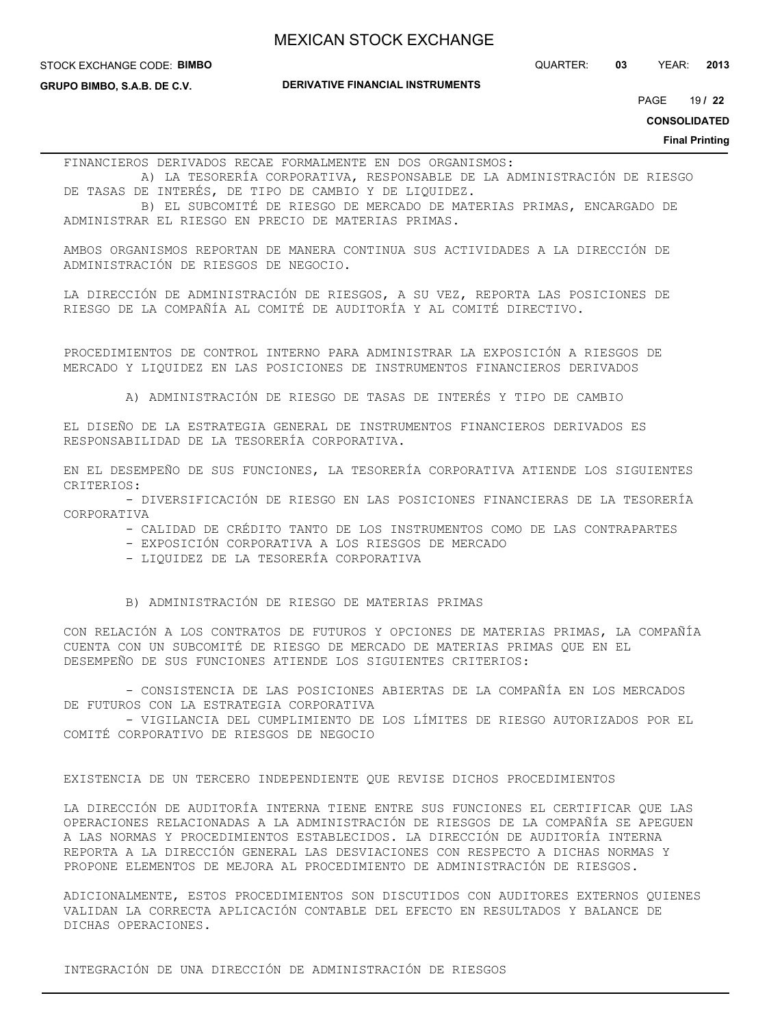STOCK EXCHANGE CODE: **BIMBO**

**GRUPO BIMBO, S.A.B. DE C.V.**

**DERIVATIVE FINANCIAL INSTRUMENTS**

19 PAGE **/ 22**

**CONSOLIDATED**

**Final Printing**

FINANCIEROS DERIVADOS RECAE FORMALMENTE EN DOS ORGANISMOS:

 A) LA TESORERÍA CORPORATIVA, RESPONSABLE DE LA ADMINISTRACIÓN DE RIESGO DE TASAS DE INTERÉS, DE TIPO DE CAMBIO Y DE LIQUIDEZ.

 B) EL SUBCOMITÉ DE RIESGO DE MERCADO DE MATERIAS PRIMAS, ENCARGADO DE ADMINISTRAR EL RIESGO EN PRECIO DE MATERIAS PRIMAS.

AMBOS ORGANISMOS REPORTAN DE MANERA CONTINUA SUS ACTIVIDADES A LA DIRECCIÓN DE ADMINISTRACIÓN DE RIESGOS DE NEGOCIO.

LA DIRECCIÓN DE ADMINISTRACIÓN DE RIESGOS, A SU VEZ, REPORTA LAS POSICIONES DE RIESGO DE LA COMPAÑÍA AL COMITÉ DE AUDITORÍA Y AL COMITÉ DIRECTIVO.

PROCEDIMIENTOS DE CONTROL INTERNO PARA ADMINISTRAR LA EXPOSICIÓN A RIESGOS DE MERCADO Y LIQUIDEZ EN LAS POSICIONES DE INSTRUMENTOS FINANCIEROS DERIVADOS

A) ADMINISTRACIÓN DE RIESGO DE TASAS DE INTERÉS Y TIPO DE CAMBIO

EL DISEÑO DE LA ESTRATEGIA GENERAL DE INSTRUMENTOS FINANCIEROS DERIVADOS ES RESPONSABILIDAD DE LA TESORERÍA CORPORATIVA.

EN EL DESEMPEÑO DE SUS FUNCIONES, LA TESORERÍA CORPORATIVA ATIENDE LOS SIGUIENTES CRITERIOS:

 - DIVERSIFICACIÓN DE RIESGO EN LAS POSICIONES FINANCIERAS DE LA TESORERÍA CORPORATIVA

- CALIDAD DE CRÉDITO TANTO DE LOS INSTRUMENTOS COMO DE LAS CONTRAPARTES

- EXPOSICIÓN CORPORATIVA A LOS RIESGOS DE MERCADO
- LIQUIDEZ DE LA TESORERÍA CORPORATIVA

B) ADMINISTRACIÓN DE RIESGO DE MATERIAS PRIMAS

CON RELACIÓN A LOS CONTRATOS DE FUTUROS Y OPCIONES DE MATERIAS PRIMAS, LA COMPAÑÍA CUENTA CON UN SUBCOMITÉ DE RIESGO DE MERCADO DE MATERIAS PRIMAS QUE EN EL DESEMPEÑO DE SUS FUNCIONES ATIENDE LOS SIGUIENTES CRITERIOS:

 - CONSISTENCIA DE LAS POSICIONES ABIERTAS DE LA COMPAÑÍA EN LOS MERCADOS DE FUTUROS CON LA ESTRATEGIA CORPORATIVA

 - VIGILANCIA DEL CUMPLIMIENTO DE LOS LÍMITES DE RIESGO AUTORIZADOS POR EL COMITÉ CORPORATIVO DE RIESGOS DE NEGOCIO

EXISTENCIA DE UN TERCERO INDEPENDIENTE QUE REVISE DICHOS PROCEDIMIENTOS

LA DIRECCIÓN DE AUDITORÍA INTERNA TIENE ENTRE SUS FUNCIONES EL CERTIFICAR QUE LAS OPERACIONES RELACIONADAS A LA ADMINISTRACIÓN DE RIESGOS DE LA COMPAÑÍA SE APEGUEN A LAS NORMAS Y PROCEDIMIENTOS ESTABLECIDOS. LA DIRECCIÓN DE AUDITORÍA INTERNA REPORTA A LA DIRECCIÓN GENERAL LAS DESVIACIONES CON RESPECTO A DICHAS NORMAS Y PROPONE ELEMENTOS DE MEJORA AL PROCEDIMIENTO DE ADMINISTRACIÓN DE RIESGOS.

ADICIONALMENTE, ESTOS PROCEDIMIENTOS SON DISCUTIDOS CON AUDITORES EXTERNOS QUIENES VALIDAN LA CORRECTA APLICACIÓN CONTABLE DEL EFECTO EN RESULTADOS Y BALANCE DE DICHAS OPERACIONES.

INTEGRACIÓN DE UNA DIRECCIÓN DE ADMINISTRACIÓN DE RIESGOS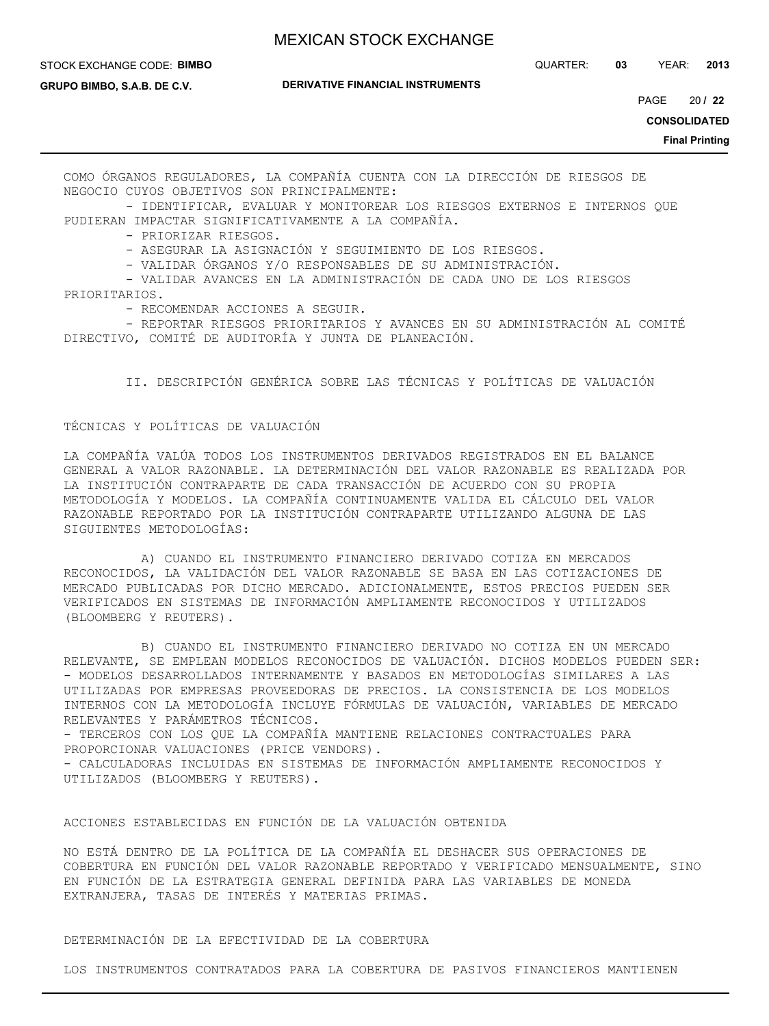#### STOCK EXCHANGE CODE: **BIMBO**

QUARTER: **03** YEAR: **2013**

**GRUPO BIMBO, S.A.B. DE C.V.**

**DERIVATIVE FINANCIAL INSTRUMENTS**

20 PAGE **/ 22**

**CONSOLIDATED**

**Final Printing**

COMO ÓRGANOS REGULADORES, LA COMPAÑÍA CUENTA CON LA DIRECCIÓN DE RIESGOS DE NEGOCIO CUYOS OBJETIVOS SON PRINCIPALMENTE:

 - IDENTIFICAR, EVALUAR Y MONITOREAR LOS RIESGOS EXTERNOS E INTERNOS QUE PUDIERAN IMPACTAR SIGNIFICATIVAMENTE A LA COMPAÑÍA.

- PRIORIZAR RIESGOS.

- ASEGURAR LA ASIGNACIÓN Y SEGUIMIENTO DE LOS RIESGOS.

- VALIDAR ÓRGANOS Y/O RESPONSABLES DE SU ADMINISTRACIÓN.

 - VALIDAR AVANCES EN LA ADMINISTRACIÓN DE CADA UNO DE LOS RIESGOS PRIORITARIOS.

- RECOMENDAR ACCIONES A SEGUIR.

 - REPORTAR RIESGOS PRIORITARIOS Y AVANCES EN SU ADMINISTRACIÓN AL COMITÉ DIRECTIVO, COMITÉ DE AUDITORÍA Y JUNTA DE PLANEACIÓN.

II. DESCRIPCIÓN GENÉRICA SOBRE LAS TÉCNICAS Y POLÍTICAS DE VALUACIÓN

#### TÉCNICAS Y POLÍTICAS DE VALUACIÓN

LA COMPAÑÍA VALÚA TODOS LOS INSTRUMENTOS DERIVADOS REGISTRADOS EN EL BALANCE GENERAL A VALOR RAZONABLE. LA DETERMINACIÓN DEL VALOR RAZONABLE ES REALIZADA POR LA INSTITUCIÓN CONTRAPARTE DE CADA TRANSACCIÓN DE ACUERDO CON SU PROPIA METODOLOGÍA Y MODELOS. LA COMPAÑÍA CONTINUAMENTE VALIDA EL CÁLCULO DEL VALOR RAZONABLE REPORTADO POR LA INSTITUCIÓN CONTRAPARTE UTILIZANDO ALGUNA DE LAS SIGUIENTES METODOLOGÍAS:

 A) CUANDO EL INSTRUMENTO FINANCIERO DERIVADO COTIZA EN MERCADOS RECONOCIDOS, LA VALIDACIÓN DEL VALOR RAZONABLE SE BASA EN LAS COTIZACIONES DE MERCADO PUBLICADAS POR DICHO MERCADO. ADICIONALMENTE, ESTOS PRECIOS PUEDEN SER VERIFICADOS EN SISTEMAS DE INFORMACIÓN AMPLIAMENTE RECONOCIDOS Y UTILIZADOS (BLOOMBERG Y REUTERS).

 B) CUANDO EL INSTRUMENTO FINANCIERO DERIVADO NO COTIZA EN UN MERCADO RELEVANTE, SE EMPLEAN MODELOS RECONOCIDOS DE VALUACIÓN. DICHOS MODELOS PUEDEN SER: - MODELOS DESARROLLADOS INTERNAMENTE Y BASADOS EN METODOLOGÍAS SIMILARES A LAS UTILIZADAS POR EMPRESAS PROVEEDORAS DE PRECIOS. LA CONSISTENCIA DE LOS MODELOS INTERNOS CON LA METODOLOGÍA INCLUYE FÓRMULAS DE VALUACIÓN, VARIABLES DE MERCADO RELEVANTES Y PARÁMETROS TÉCNICOS.

- TERCEROS CON LOS QUE LA COMPAÑÍA MANTIENE RELACIONES CONTRACTUALES PARA PROPORCIONAR VALUACIONES (PRICE VENDORS).

- CALCULADORAS INCLUIDAS EN SISTEMAS DE INFORMACIÓN AMPLIAMENTE RECONOCIDOS Y UTILIZADOS (BLOOMBERG Y REUTERS).

## ACCIONES ESTABLECIDAS EN FUNCIÓN DE LA VALUACIÓN OBTENIDA

NO ESTÁ DENTRO DE LA POLÍTICA DE LA COMPAÑÍA EL DESHACER SUS OPERACIONES DE COBERTURA EN FUNCIÓN DEL VALOR RAZONABLE REPORTADO Y VERIFICADO MENSUALMENTE, SINO EN FUNCIÓN DE LA ESTRATEGIA GENERAL DEFINIDA PARA LAS VARIABLES DE MONEDA EXTRANJERA, TASAS DE INTERÉS Y MATERIAS PRIMAS.

## DETERMINACIÓN DE LA EFECTIVIDAD DE LA COBERTURA

LOS INSTRUMENTOS CONTRATADOS PARA LA COBERTURA DE PASIVOS FINANCIEROS MANTIENEN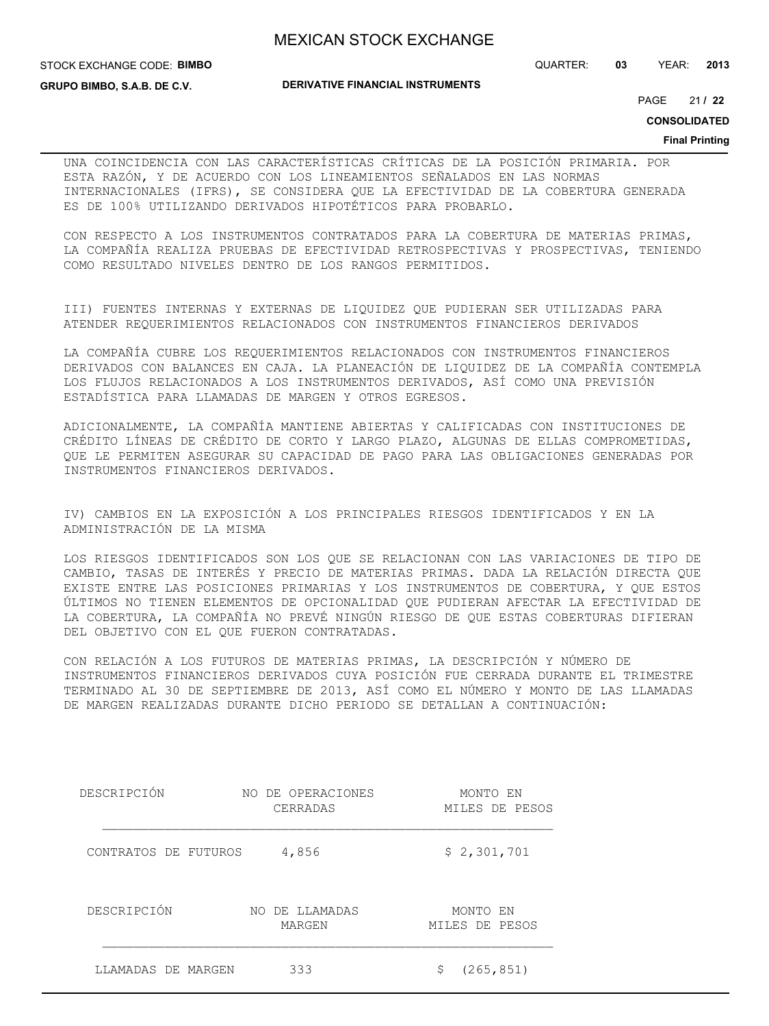STOCK EXCHANGE CODE: **BIMBO**

**GRUPO BIMBO, S.A.B. DE C.V.**

QUARTER: **03** YEAR: **2013**

21 PAGE **/ 22**

**CONSOLIDATED**

#### **Final Printing**

UNA COINCIDENCIA CON LAS CARACTERÍSTICAS CRÍTICAS DE LA POSICIÓN PRIMARIA. POR ESTA RAZÓN, Y DE ACUERDO CON LOS LINEAMIENTOS SEÑALADOS EN LAS NORMAS INTERNACIONALES (IFRS), SE CONSIDERA QUE LA EFECTIVIDAD DE LA COBERTURA GENERADA ES DE 100% UTILIZANDO DERIVADOS HIPOTÉTICOS PARA PROBARLO.

CON RESPECTO A LOS INSTRUMENTOS CONTRATADOS PARA LA COBERTURA DE MATERIAS PRIMAS, LA COMPAÑÍA REALIZA PRUEBAS DE EFECTIVIDAD RETROSPECTIVAS Y PROSPECTIVAS, TENIENDO COMO RESULTADO NIVELES DENTRO DE LOS RANGOS PERMITIDOS.

III) FUENTES INTERNAS Y EXTERNAS DE LIQUIDEZ QUE PUDIERAN SER UTILIZADAS PARA ATENDER REQUERIMIENTOS RELACIONADOS CON INSTRUMENTOS FINANCIEROS DERIVADOS

LA COMPAÑÍA CUBRE LOS REQUERIMIENTOS RELACIONADOS CON INSTRUMENTOS FINANCIEROS DERIVADOS CON BALANCES EN CAJA. LA PLANEACIÓN DE LIQUIDEZ DE LA COMPAÑÍA CONTEMPLA LOS FLUJOS RELACIONADOS A LOS INSTRUMENTOS DERIVADOS, ASÍ COMO UNA PREVISIÓN ESTADÍSTICA PARA LLAMADAS DE MARGEN Y OTROS EGRESOS.

ADICIONALMENTE, LA COMPAÑÍA MANTIENE ABIERTAS Y CALIFICADAS CON INSTITUCIONES DE CRÉDITO LÍNEAS DE CRÉDITO DE CORTO Y LARGO PLAZO, ALGUNAS DE ELLAS COMPROMETIDAS, QUE LE PERMITEN ASEGURAR SU CAPACIDAD DE PAGO PARA LAS OBLIGACIONES GENERADAS POR INSTRUMENTOS FINANCIEROS DERIVADOS.

IV) CAMBIOS EN LA EXPOSICIÓN A LOS PRINCIPALES RIESGOS IDENTIFICADOS Y EN LA ADMINISTRACIÓN DE LA MISMA

LOS RIESGOS IDENTIFICADOS SON LOS QUE SE RELACIONAN CON LAS VARIACIONES DE TIPO DE CAMBIO, TASAS DE INTERÉS Y PRECIO DE MATERIAS PRIMAS. DADA LA RELACIÓN DIRECTA QUE EXISTE ENTRE LAS POSICIONES PRIMARIAS Y LOS INSTRUMENTOS DE COBERTURA, Y QUE ESTOS ÚLTIMOS NO TIENEN ELEMENTOS DE OPCIONALIDAD QUE PUDIERAN AFECTAR LA EFECTIVIDAD DE LA COBERTURA, LA COMPAÑÍA NO PREVÉ NINGÚN RIESGO DE QUE ESTAS COBERTURAS DIFIERAN DEL OBJETIVO CON EL QUE FUERON CONTRATADAS.

CON RELACIÓN A LOS FUTUROS DE MATERIAS PRIMAS, LA DESCRIPCIÓN Y NÚMERO DE INSTRUMENTOS FINANCIEROS DERIVADOS CUYA POSICIÓN FUE CERRADA DURANTE EL TRIMESTRE TERMINADO AL 30 DE SEPTIEMBRE DE 2013, ASÍ COMO EL NÚMERO Y MONTO DE LAS LLAMADAS DE MARGEN REALIZADAS DURANTE DICHO PERIODO SE DETALLAN A CONTINUACIÓN:

| DESCRIPCIÓN          | NO DE OPERACIONES<br>CERRADAS | MONTO EN<br>MILES DE PESOS |
|----------------------|-------------------------------|----------------------------|
| CONTRATOS DE FUTUROS | 4,856                         | \$2,301,701                |
| DESCRIPCIÓN          | DE LLAMADAS<br>NO<br>MARGEN   | MONTO EN<br>MILES DE PESOS |
| LLAMADAS DE MARGEN   | 333                           | (265, 851)<br>Ş            |